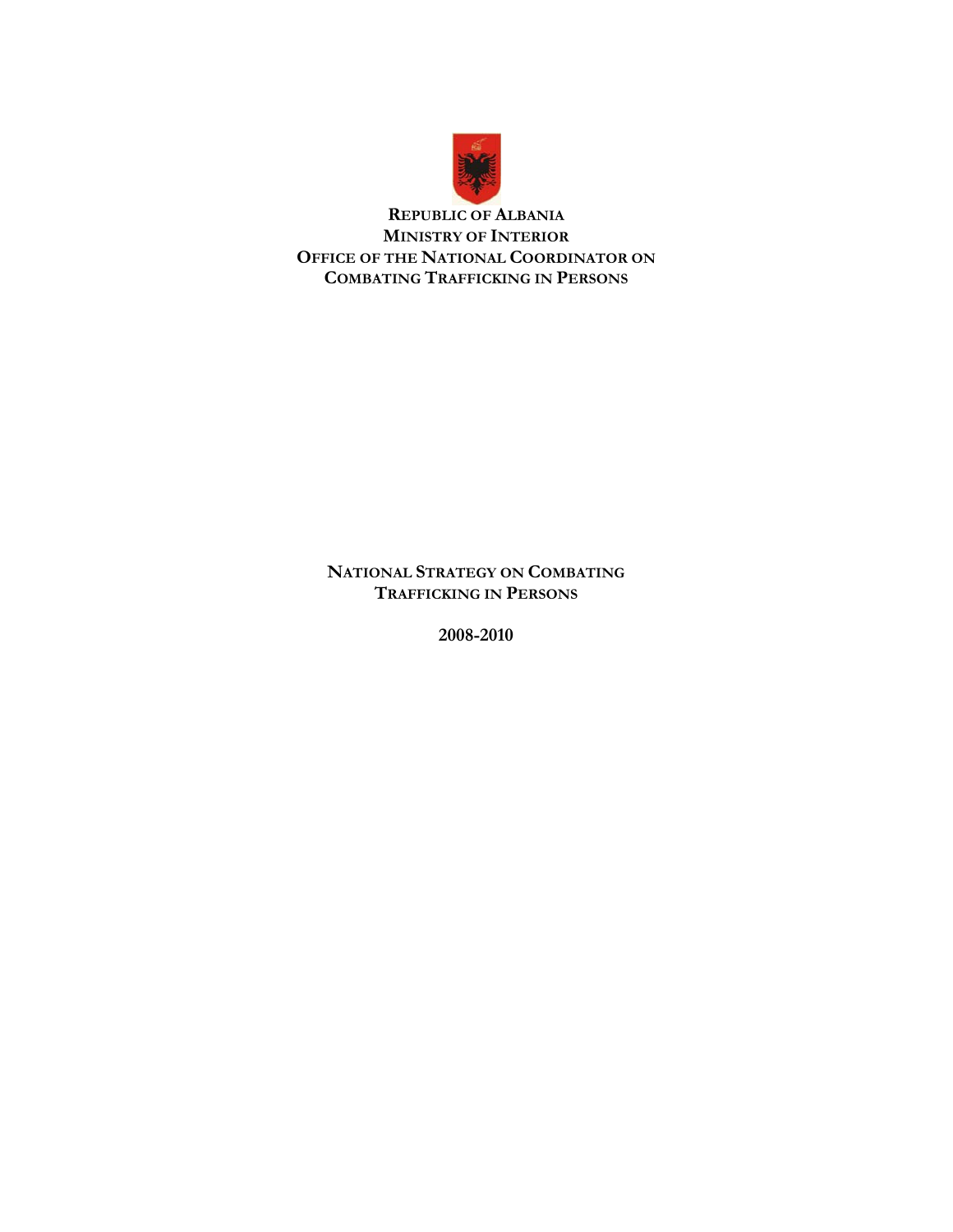

**REPUBLIC OF ALBANIA MINISTRY OF INTERIOR OFFICE OF THE NATIONAL COORDINATOR ON COMBATING TRAFFICKING IN PERSONS** 

**NATIONAL STRATEGY ON COMBATING TRAFFICKING IN PERSONS** 

**2008-2010**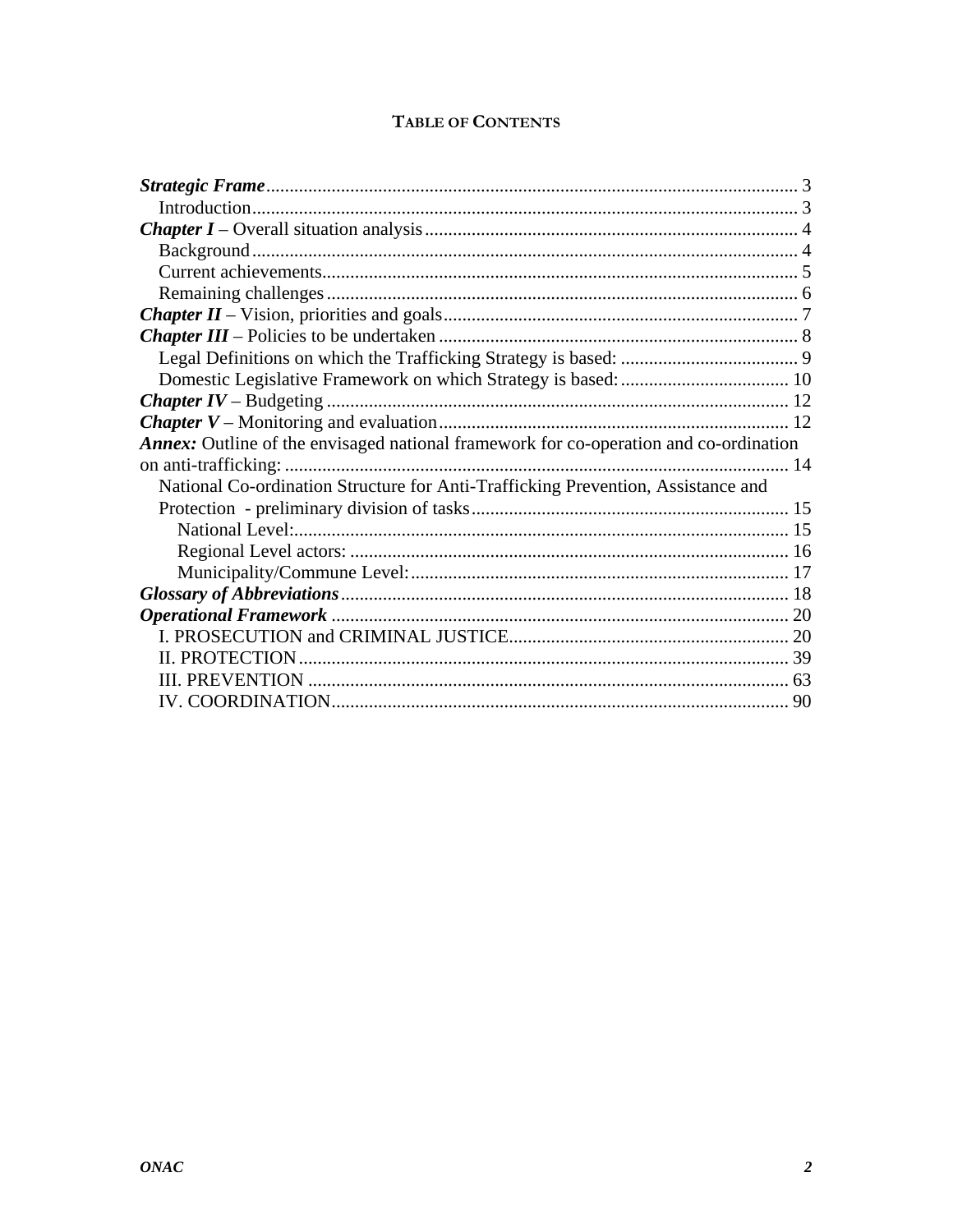| <b>TABLE OF CONTENTS</b> |  |
|--------------------------|--|
|--------------------------|--|

| <b>Annex:</b> Outline of the envisaged national framework for co-operation and co-ordination |  |
|----------------------------------------------------------------------------------------------|--|
|                                                                                              |  |
| National Co-ordination Structure for Anti-Trafficking Prevention, Assistance and             |  |
|                                                                                              |  |
|                                                                                              |  |
|                                                                                              |  |
|                                                                                              |  |
|                                                                                              |  |
|                                                                                              |  |
|                                                                                              |  |
|                                                                                              |  |
|                                                                                              |  |
|                                                                                              |  |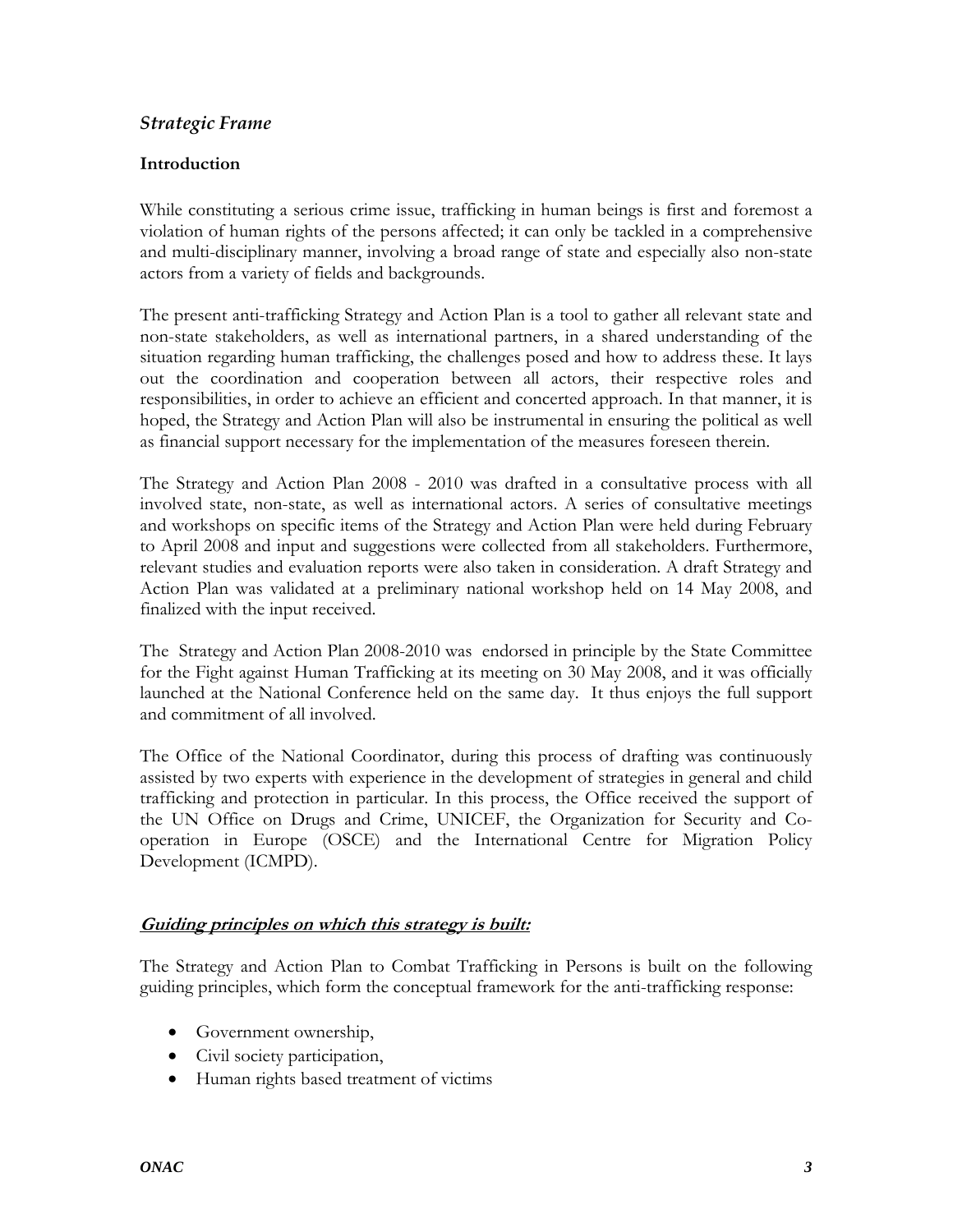## <span id="page-2-0"></span>*Strategic Frame*

## **Introduction**

While constituting a serious crime issue, trafficking in human beings is first and foremost a violation of human rights of the persons affected; it can only be tackled in a comprehensive and multi-disciplinary manner, involving a broad range of state and especially also non-state actors from a variety of fields and backgrounds.

The present anti-trafficking Strategy and Action Plan is a tool to gather all relevant state and non-state stakeholders, as well as international partners, in a shared understanding of the situation regarding human trafficking, the challenges posed and how to address these. It lays out the coordination and cooperation between all actors, their respective roles and responsibilities, in order to achieve an efficient and concerted approach. In that manner, it is hoped, the Strategy and Action Plan will also be instrumental in ensuring the political as well as financial support necessary for the implementation of the measures foreseen therein.

The Strategy and Action Plan 2008 - 2010 was drafted in a consultative process with all involved state, non-state, as well as international actors. A series of consultative meetings and workshops on specific items of the Strategy and Action Plan were held during February to April 2008 and input and suggestions were collected from all stakeholders. Furthermore, relevant studies and evaluation reports were also taken in consideration. A draft Strategy and Action Plan was validated at a preliminary national workshop held on 14 May 2008, and finalized with the input received.

The Strategy and Action Plan 2008-2010 was endorsed in principle by the State Committee for the Fight against Human Trafficking at its meeting on 30 May 2008, and it was officially launched at the National Conference held on the same day. It thus enjoys the full support and commitment of all involved.

The Office of the National Coordinator, during this process of drafting was continuously assisted by two experts with experience in the development of strategies in general and child trafficking and protection in particular. In this process, the Office received the support of the UN Office on Drugs and Crime, UNICEF, the Organization for Security and Cooperation in Europe (OSCE) and the International Centre for Migration Policy Development (ICMPD).

## **Guiding principles on which this strategy is built:**

The Strategy and Action Plan to Combat Trafficking in Persons is built on the following guiding principles, which form the conceptual framework for the anti-trafficking response:

- Government ownership,
- Civil society participation,
- Human rights based treatment of victims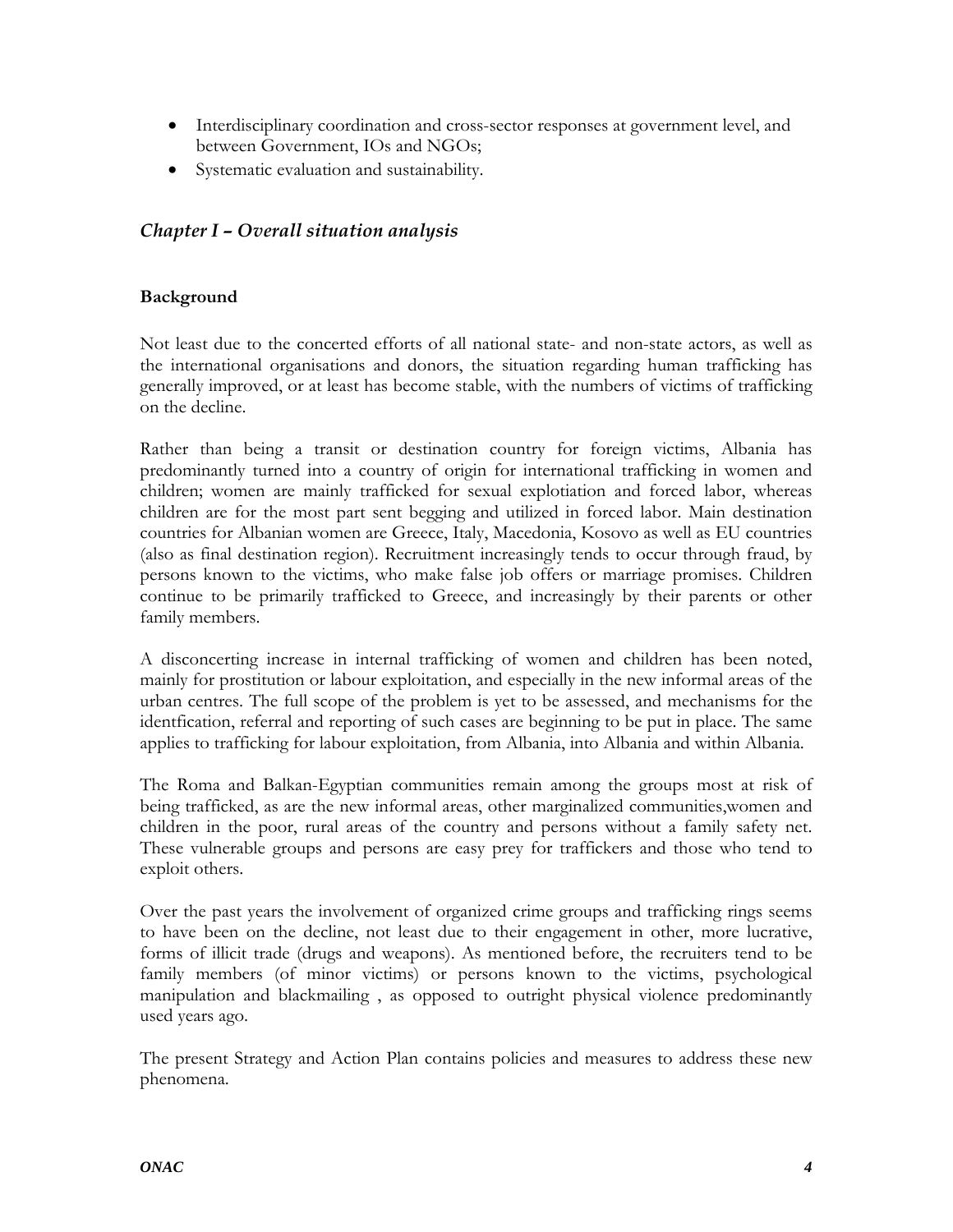- <span id="page-3-0"></span>• Interdisciplinary coordination and cross-sector responses at government level, and between Government, IOs and NGOs;
- Systematic evaluation and sustainability.

## *Chapter I – Overall situation analysis*

## **Background**

Not least due to the concerted efforts of all national state- and non-state actors, as well as the international organisations and donors, the situation regarding human trafficking has generally improved, or at least has become stable, with the numbers of victims of trafficking on the decline.

Rather than being a transit or destination country for foreign victims, Albania has predominantly turned into a country of origin for international trafficking in women and children; women are mainly trafficked for sexual explotiation and forced labor, whereas children are for the most part sent begging and utilized in forced labor. Main destination countries for Albanian women are Greece, Italy, Macedonia, Kosovo as well as EU countries (also as final destination region). Recruitment increasingly tends to occur through fraud, by persons known to the victims, who make false job offers or marriage promises. Children continue to be primarily trafficked to Greece, and increasingly by their parents or other family members.

A disconcerting increase in internal trafficking of women and children has been noted, mainly for prostitution or labour exploitation, and especially in the new informal areas of the urban centres. The full scope of the problem is yet to be assessed, and mechanisms for the identfication, referral and reporting of such cases are beginning to be put in place. The same applies to trafficking for labour exploitation, from Albania, into Albania and within Albania.

The Roma and Balkan-Egyptian communities remain among the groups most at risk of being trafficked, as are the new informal areas, other marginalized communities,women and children in the poor, rural areas of the country and persons without a family safety net. These vulnerable groups and persons are easy prey for traffickers and those who tend to exploit others.

Over the past years the involvement of organized crime groups and trafficking rings seems to have been on the decline, not least due to their engagement in other, more lucrative, forms of illicit trade (drugs and weapons). As mentioned before, the recruiters tend to be family members (of minor victims) or persons known to the victims, psychological manipulation and blackmailing , as opposed to outright physical violence predominantly used years ago.

The present Strategy and Action Plan contains policies and measures to address these new phenomena.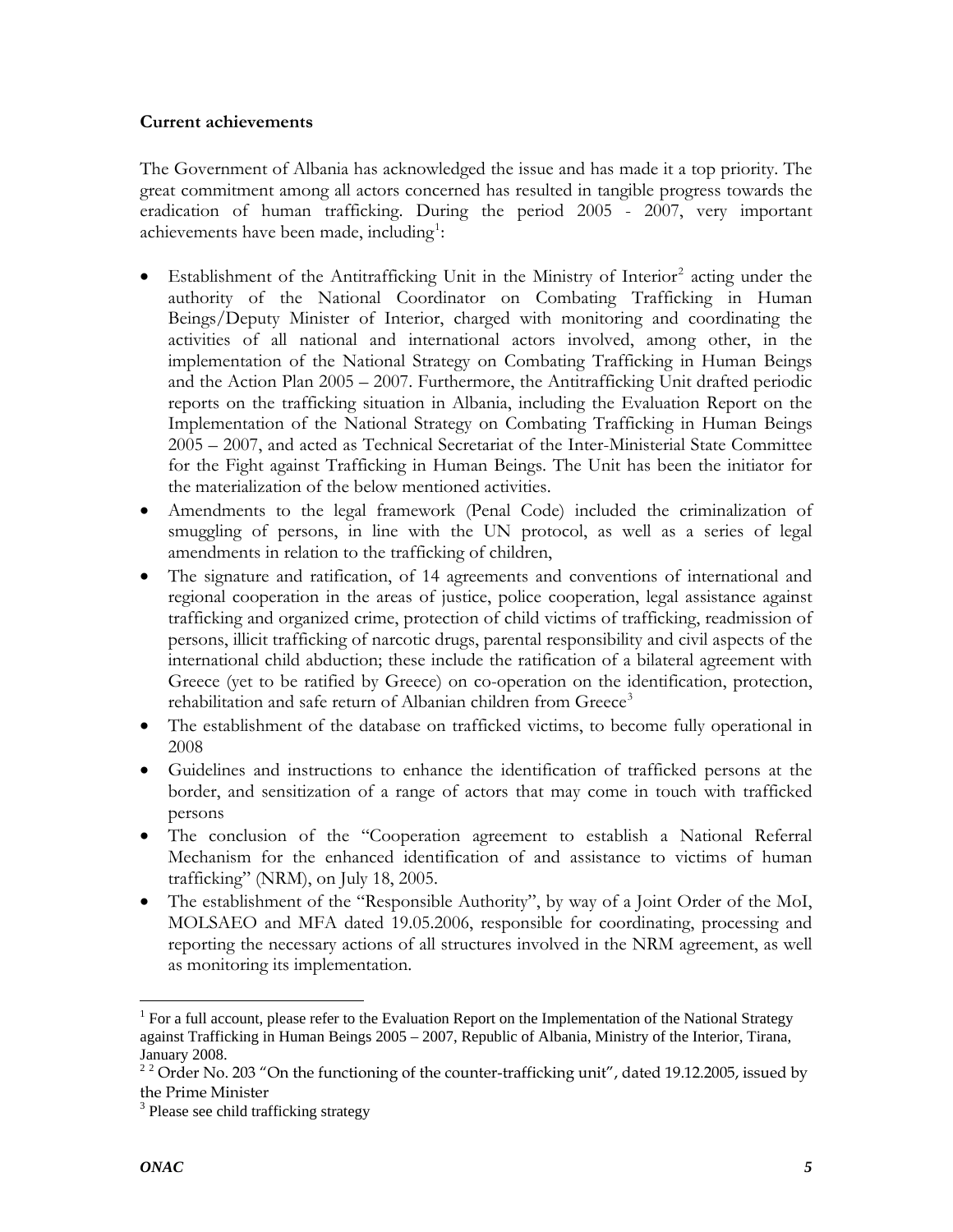### <span id="page-4-0"></span>**Current achievements**

The Government of Albania has acknowledged the issue and has made it a top priority. The great commitment among all actors concerned has resulted in tangible progress towards the eradication of human trafficking. During the period 2005 - 2007, very important achievements have been made, including<sup>1</sup>:

- $\bullet$  Establishment of the Antitrafficking Unit in the Ministry of Interior<sup>[2](#page-4-0)</sup> acting under the authority of the National Coordinator on Combating Trafficking in Human Beings/Deputy Minister of Interior, charged with monitoring and coordinating the activities of all national and international actors involved, among other, in the implementation of the National Strategy on Combating Trafficking in Human Beings and the Action Plan 2005 – 2007. Furthermore, the Antitrafficking Unit drafted periodic reports on the trafficking situation in Albania, including the Evaluation Report on the Implementation of the National Strategy on Combating Trafficking in Human Beings 2005 – 2007, and acted as Technical Secretariat of the Inter-Ministerial State Committee for the Fight against Trafficking in Human Beings. The Unit has been the initiator for the materialization of the below mentioned activities.
- Amendments to the legal framework (Penal Code) included the criminalization of smuggling of persons, in line with the UN protocol, as well as a series of legal amendments in relation to the trafficking of children,
- The signature and ratification, of 14 agreements and conventions of international and regional cooperation in the areas of justice, police cooperation, legal assistance against trafficking and organized crime, protection of child victims of trafficking, readmission of persons, illicit trafficking of narcotic drugs, parental responsibility and civil aspects of the international child abduction; these include the ratification of a bilateral agreement with Greece (yet to be ratified by Greece) on co-operation on the identification, protection, rehabilitation and safe return of Albanian children from Greece<sup>[3](#page-4-0)</sup>
- The establishment of the database on trafficked victims, to become fully operational in 2008
- Guidelines and instructions to enhance the identification of trafficked persons at the border, and sensitization of a range of actors that may come in touch with trafficked persons
- The conclusion of the "Cooperation agreement to establish a National Referral Mechanism for the enhanced identification of and assistance to victims of human trafficking" (NRM), on July 18, 2005.
- The establishment of the "Responsible Authority", by way of a Joint Order of the MoI, MOLSAEO and MFA dated 19.05.2006, responsible for coordinating, processing and reporting the necessary actions of all structures involved in the NRM agreement, as well as monitoring its implementation.

 $\overline{a}$ 

<sup>&</sup>lt;sup>1</sup> For a full account, please refer to the Evaluation Report on the Implementation of the National Strategy against Trafficking in Human Beings 2005 – 2007, Republic of Albania, Ministry of the Interior, Tirana, January 2008.

<sup>&</sup>lt;sup>2</sup> 2 Order No. 203 "On the functioning of the counter-trafficking unit", dated 19.12.2005, issued by the Prime Minister

<sup>&</sup>lt;sup>3</sup> Please see child trafficking strategy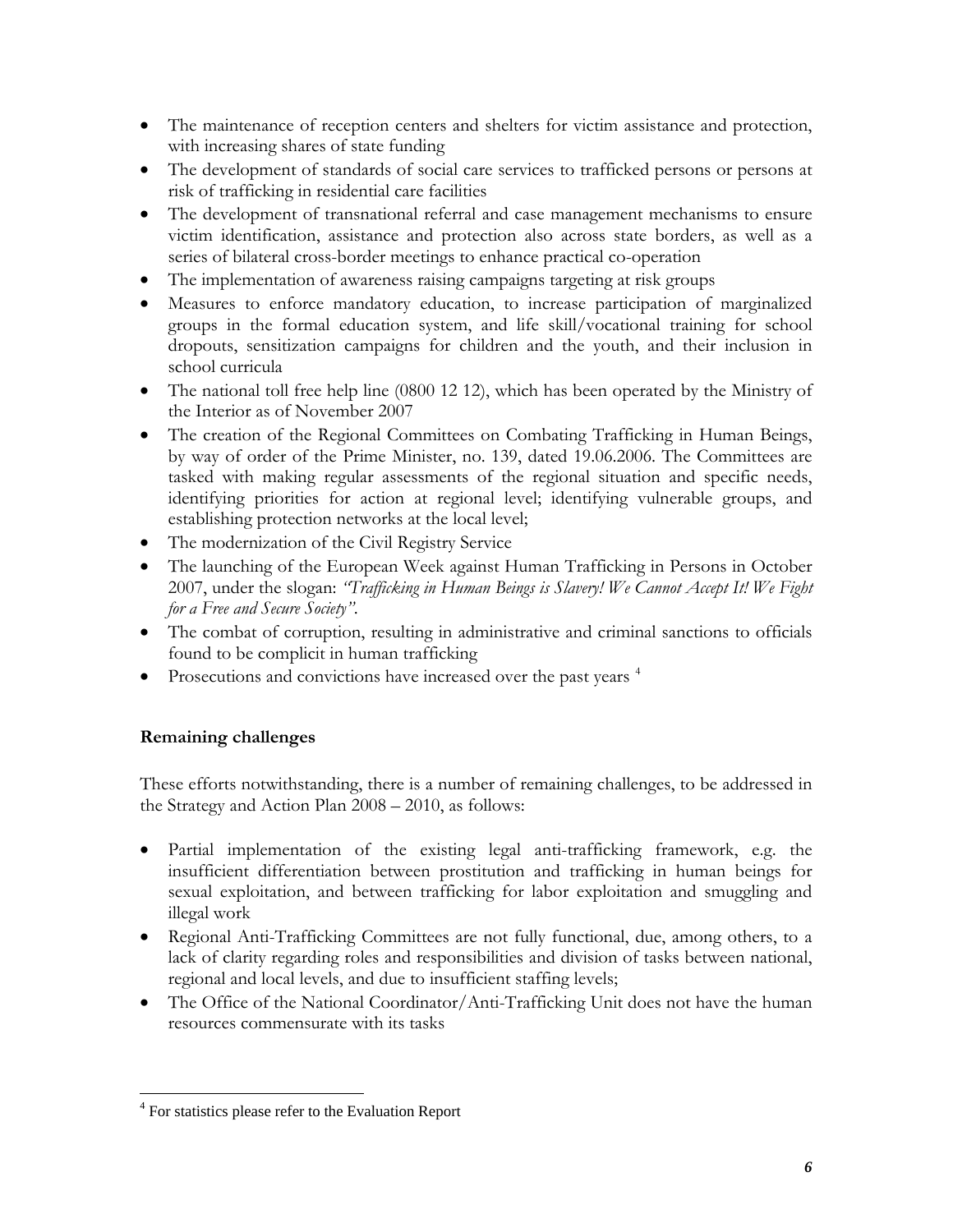- <span id="page-5-0"></span>• The maintenance of reception centers and shelters for victim assistance and protection, with increasing shares of state funding
- The development of standards of social care services to trafficked persons or persons at risk of trafficking in residential care facilities
- The development of transnational referral and case management mechanisms to ensure victim identification, assistance and protection also across state borders, as well as a series of bilateral cross-border meetings to enhance practical co-operation
- The implementation of awareness raising campaigns targeting at risk groups
- Measures to enforce mandatory education, to increase participation of marginalized groups in the formal education system, and life skill/vocational training for school dropouts, sensitization campaigns for children and the youth, and their inclusion in school curricula
- The national toll free help line (0800 12 12), which has been operated by the Ministry of the Interior as of November 2007
- The creation of the Regional Committees on Combating Trafficking in Human Beings, by way of order of the Prime Minister, no. 139, dated 19.06.2006. The Committees are tasked with making regular assessments of the regional situation and specific needs, identifying priorities for action at regional level; identifying vulnerable groups, and establishing protection networks at the local level;
- The modernization of the Civil Registry Service
- The launching of the European Week against Human Trafficking in Persons in October 2007, under the slogan: *"Trafficking in Human Beings is Slavery! We Cannot Accept It! We Fight for a Free and Secure Society"*.
- The combat of corruption, resulting in administrative and criminal sanctions to officials found to be complicit in human trafficking
- Prosecutions and convictions have increased over the past years  $4$

## **Remaining challenges**

 $\overline{a}$ 

These efforts notwithstanding, there is a number of remaining challenges, to be addressed in the Strategy and Action Plan 2008 – 2010, as follows:

- Partial implementation of the existing legal anti-trafficking framework, e.g. the insufficient differentiation between prostitution and trafficking in human beings for sexual exploitation, and between trafficking for labor exploitation and smuggling and illegal work
- Regional Anti-Trafficking Committees are not fully functional, due, among others, to a lack of clarity regarding roles and responsibilities and division of tasks between national, regional and local levels, and due to insufficient staffing levels;
- The Office of the National Coordinator/Anti-Trafficking Unit does not have the human resources commensurate with its tasks

<sup>&</sup>lt;sup>4</sup> For statistics please refer to the Evaluation Report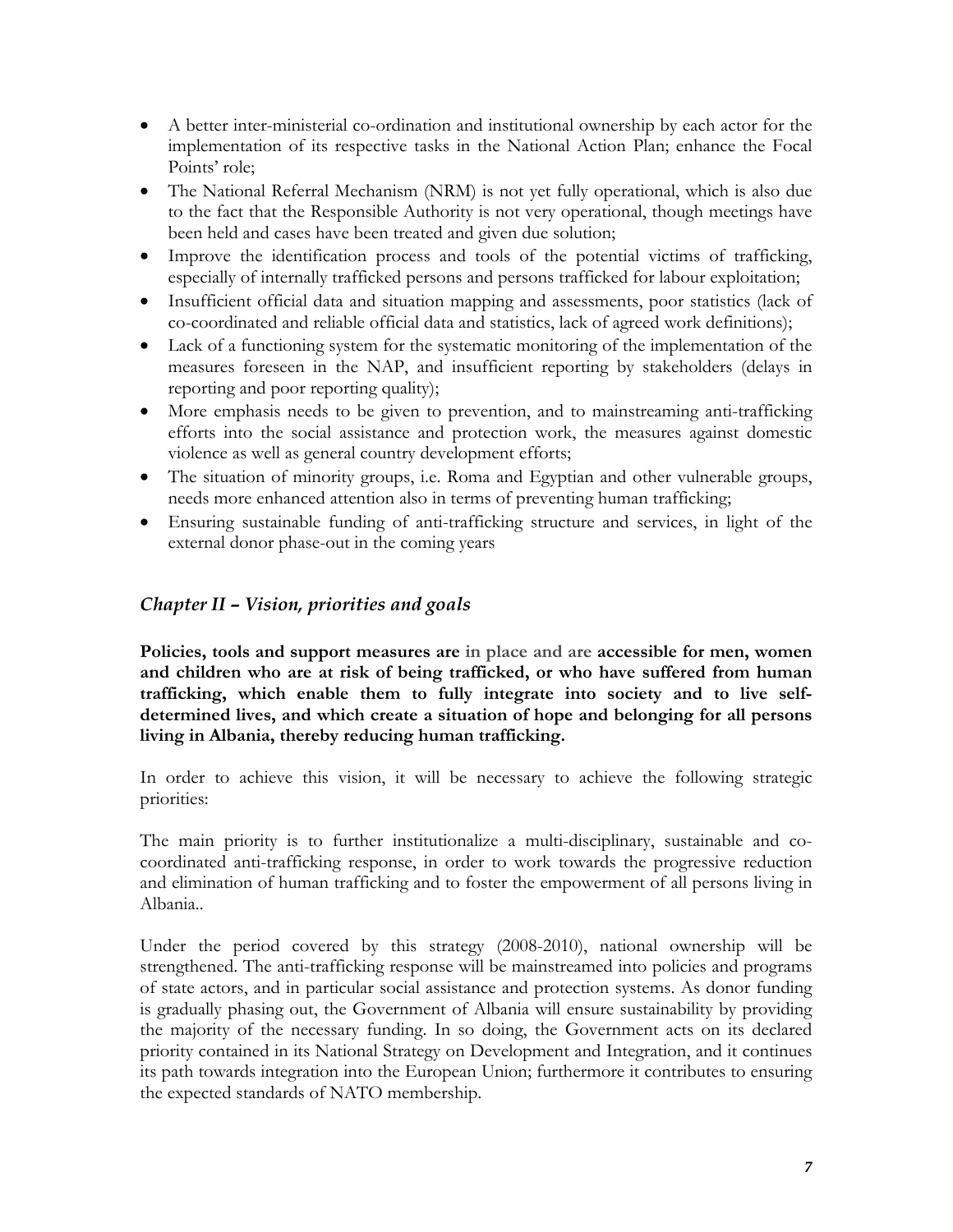- <span id="page-6-0"></span>• A better inter-ministerial co-ordination and institutional ownership by each actor for the implementation of its respective tasks in the National Action Plan; enhance the Focal Points' role;
- The National Referral Mechanism (NRM) is not yet fully operational, which is also due to the fact that the Responsible Authority is not very operational, though meetings have been held and cases have been treated and given due solution;
- Improve the identification process and tools of the potential victims of trafficking, especially of internally trafficked persons and persons trafficked for labour exploitation;
- Insufficient official data and situation mapping and assessments, poor statistics (lack of co-coordinated and reliable official data and statistics, lack of agreed work definitions);
- Lack of a functioning system for the systematic monitoring of the implementation of the measures foreseen in the NAP, and insufficient reporting by stakeholders (delays in reporting and poor reporting quality);
- More emphasis needs to be given to prevention, and to mainstreaming anti-trafficking efforts into the social assistance and protection work, the measures against domestic violence as well as general country development efforts;
- The situation of minority groups, i.e. Roma and Egyptian and other vulnerable groups, needs more enhanced attention also in terms of preventing human trafficking;
- Ensuring sustainable funding of anti-trafficking structure and services, in light of the external donor phase-out in the coming years

## *Chapter II – Vision, priorities and goals*

**Policies, tools and support measures are in place and are accessible for men, women and children who are at risk of being trafficked, or who have suffered from human trafficking, which enable them to fully integrate into society and to live selfdetermined lives, and which create a situation of hope and belonging for all persons living in Albania, thereby reducing human trafficking.** 

In order to achieve this vision, it will be necessary to achieve the following strategic priorities:

The main priority is to further institutionalize a multi-disciplinary, sustainable and cocoordinated anti-trafficking response, in order to work towards the progressive reduction and elimination of human trafficking and to foster the empowerment of all persons living in Albania..

Under the period covered by this strategy (2008-2010), national ownership will be strengthened. The anti-trafficking response will be mainstreamed into policies and programs of state actors, and in particular social assistance and protection systems. As donor funding is gradually phasing out, the Government of Albania will ensure sustainability by providing the majority of the necessary funding. In so doing, the Government acts on its declared priority contained in its National Strategy on Development and Integration, and it continues its path towards integration into the European Union; furthermore it contributes to ensuring the expected standards of NATO membership.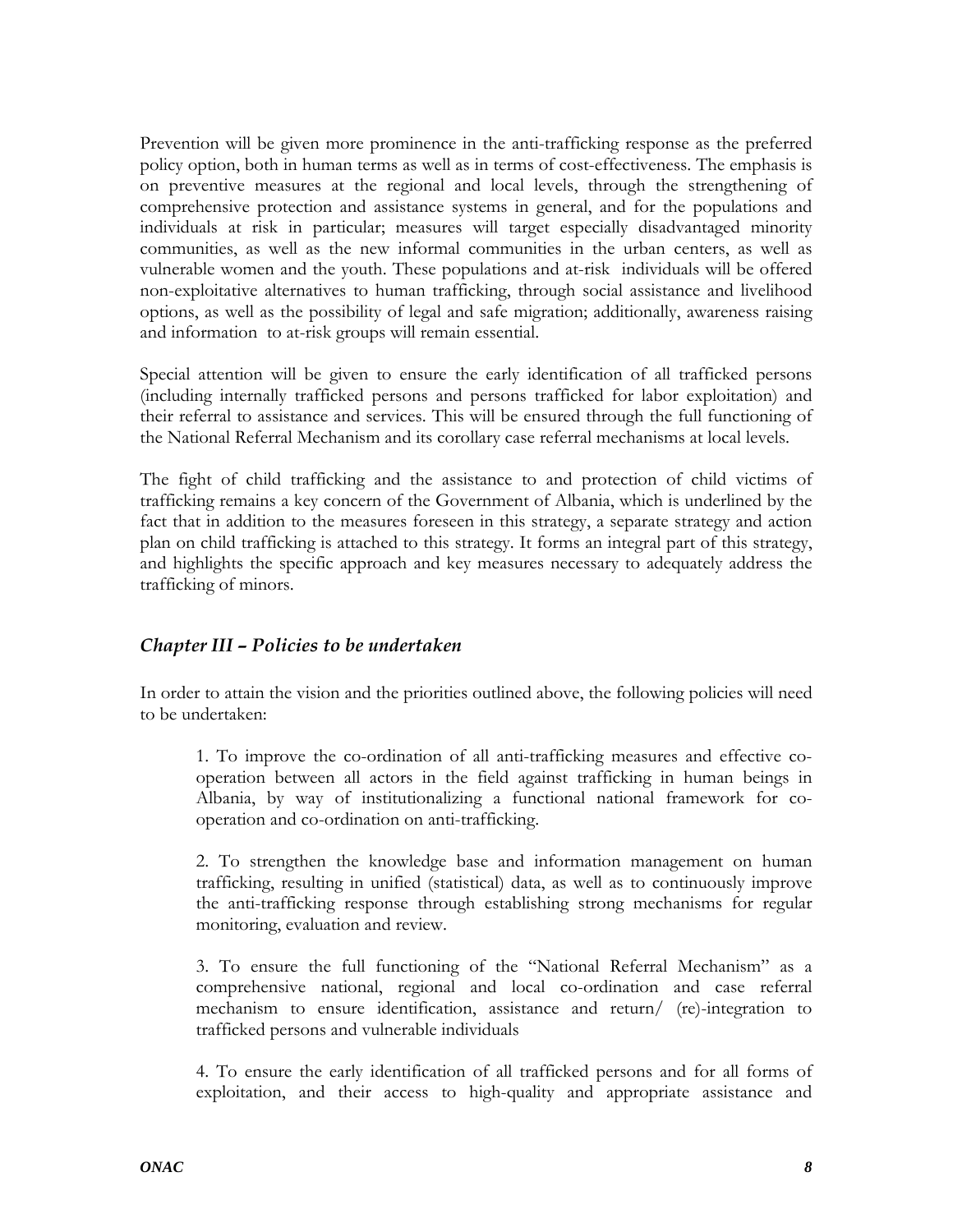<span id="page-7-0"></span>Prevention will be given more prominence in the anti-trafficking response as the preferred policy option, both in human terms as well as in terms of cost-effectiveness. The emphasis is on preventive measures at the regional and local levels, through the strengthening of comprehensive protection and assistance systems in general, and for the populations and individuals at risk in particular; measures will target especially disadvantaged minority communities, as well as the new informal communities in the urban centers, as well as vulnerable women and the youth. These populations and at-risk individuals will be offered non-exploitative alternatives to human trafficking, through social assistance and livelihood options, as well as the possibility of legal and safe migration; additionally, awareness raising and information to at-risk groups will remain essential.

Special attention will be given to ensure the early identification of all trafficked persons (including internally trafficked persons and persons trafficked for labor exploitation) and their referral to assistance and services. This will be ensured through the full functioning of the National Referral Mechanism and its corollary case referral mechanisms at local levels.

The fight of child trafficking and the assistance to and protection of child victims of trafficking remains a key concern of the Government of Albania, which is underlined by the fact that in addition to the measures foreseen in this strategy, a separate strategy and action plan on child trafficking is attached to this strategy. It forms an integral part of this strategy, and highlights the specific approach and key measures necessary to adequately address the trafficking of minors.

## *Chapter III – Policies to be undertaken*

In order to attain the vision and the priorities outlined above, the following policies will need to be undertaken:

1. To improve the co-ordination of all anti-trafficking measures and effective cooperation between all actors in the field against trafficking in human beings in Albania, by way of institutionalizing a functional national framework for cooperation and co-ordination on anti-trafficking.

2. To strengthen the knowledge base and information management on human trafficking, resulting in unified (statistical) data, as well as to continuously improve the anti-trafficking response through establishing strong mechanisms for regular monitoring, evaluation and review.

3. To ensure the full functioning of the "National Referral Mechanism" as a comprehensive national, regional and local co-ordination and case referral mechanism to ensure identification, assistance and return/ (re)-integration to trafficked persons and vulnerable individuals

4. To ensure the early identification of all trafficked persons and for all forms of exploitation, and their access to high-quality and appropriate assistance and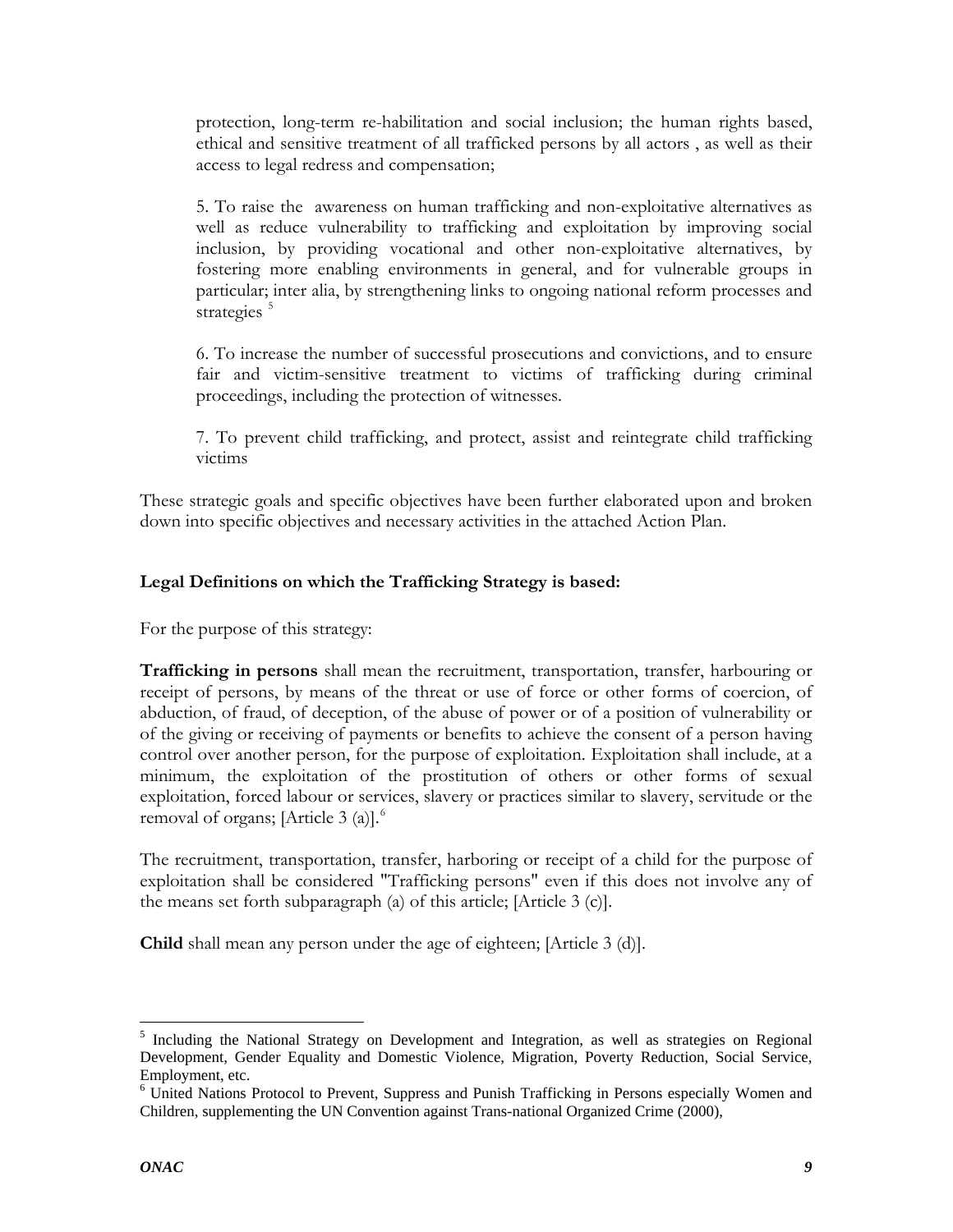<span id="page-8-0"></span>protection, long-term re-habilitation and social inclusion; the human rights based, ethical and sensitive treatment of all trafficked persons by all actors , as well as their access to legal redress and compensation;

5. To raise the awareness on human trafficking and non-exploitative alternatives as well as reduce vulnerability to trafficking and exploitation by improving social inclusion, by providing vocational and other non-exploitative alternatives, by fostering more enabling environments in general, and for vulnerable groups in particular; inter alia, by strengthening links to ongoing national reform processes and strategies<sup>[5](#page-8-0)</sup>

6. To increase the number of successful prosecutions and convictions, and to ensure fair and victim-sensitive treatment to victims of trafficking during criminal proceedings, including the protection of witnesses.

7. To prevent child trafficking, and protect, assist and reintegrate child trafficking victims

These strategic goals and specific objectives have been further elaborated upon and broken down into specific objectives and necessary activities in the attached Action Plan.

## **Legal Definitions on which the Trafficking Strategy is based:**

For the purpose of this strategy:

**Trafficking in persons** shall mean the recruitment, transportation, transfer, harbouring or receipt of persons, by means of the threat or use of force or other forms of coercion, of abduction, of fraud, of deception, of the abuse of power or of a position of vulnerability or of the giving or receiving of payments or benefits to achieve the consent of a person having control over another person, for the purpose of exploitation. Exploitation shall include, at a minimum, the exploitation of the prostitution of others or other forms of sexual exploitation, forced labour or services, slavery or practices similar to slavery, servitude or the removal of organs; [Article 3 (a)]. $^{6}$  $^{6}$  $^{6}$ 

The recruitment, transportation, transfer, harboring or receipt of a child for the purpose of exploitation shall be considered "Trafficking persons" even if this does not involve any of the means set forth subparagraph (a) of this article; [Article 3 (c)].

**Child** shall mean any person under the age of eighteen; [Article 3 (d)].

 $\overline{a}$ 

<sup>&</sup>lt;sup>5</sup> Including the National Strategy on Development and Integration, as well as strategies on Regional Development, Gender Equality and Domestic Violence, Migration, Poverty Reduction, Social Service, Employment, etc.

<sup>&</sup>lt;sup>6</sup> United Nations Protocol to Prevent, Suppress and Punish Trafficking in Persons especially Women and Children, supplementing the UN Convention against Trans-national Organized Crime (2000),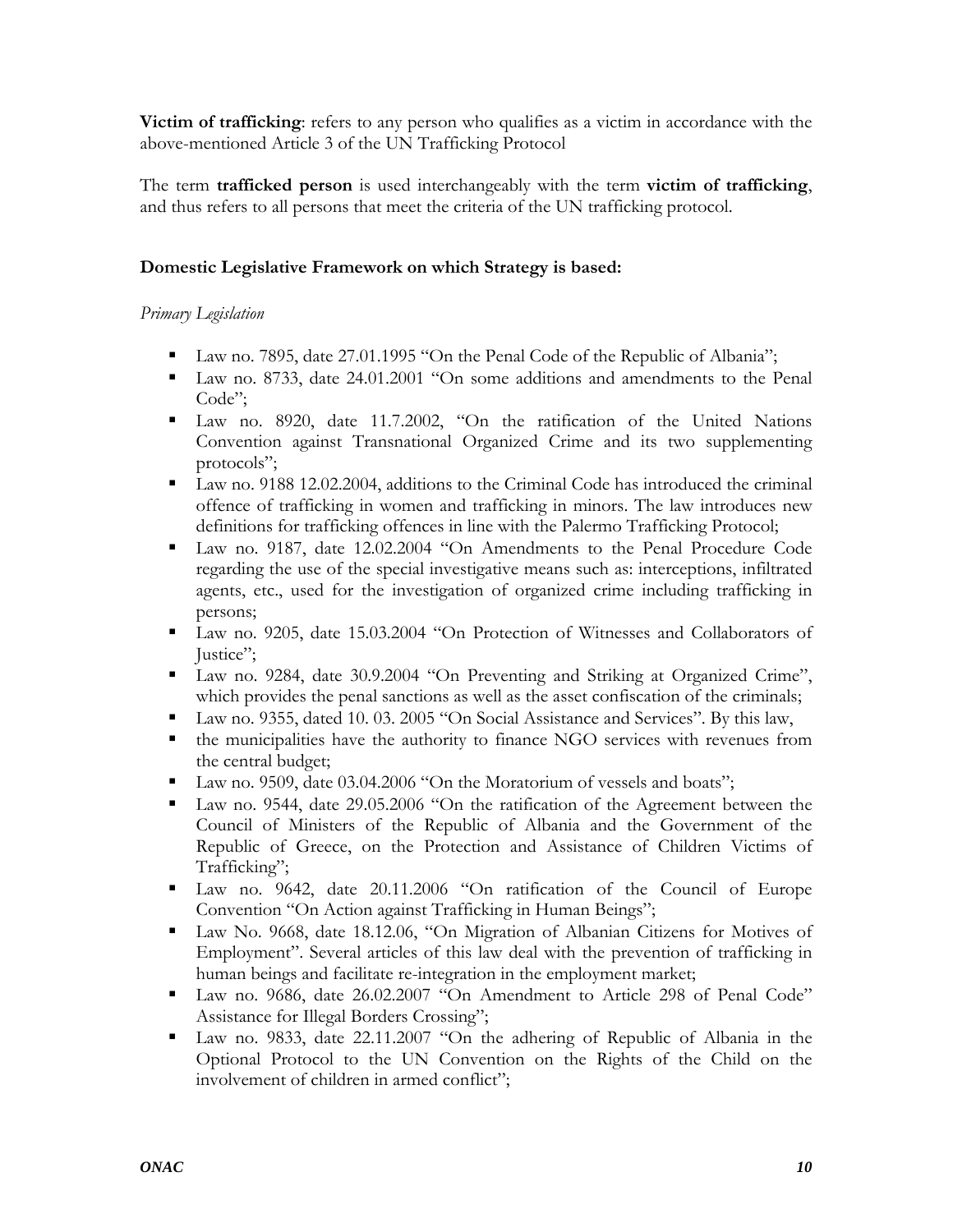<span id="page-9-0"></span>**Victim of trafficking**: refers to any person who qualifies as a victim in accordance with the above-mentioned Article 3 of the UN Trafficking Protocol

The term **trafficked person** is used interchangeably with the term **victim of trafficking**, and thus refers to all persons that meet the criteria of the UN trafficking protocol.

## **Domestic Legislative Framework on which Strategy is based:**

### *Primary Legislation*

- Law no. 7895, date 27.01.1995 "On the Penal Code of the Republic of Albania";
- Law no. 8733, date 24.01.2001 "On some additions and amendments to the Penal Code":
- Law no. 8920, date 11.7.2002, "On the ratification of the United Nations Convention against Transnational Organized Crime and its two supplementing protocols";
- Law no. 9188 12.02.2004, additions to the Criminal Code has introduced the criminal offence of trafficking in women and trafficking in minors. The law introduces new definitions for trafficking offences in line with the Palermo Trafficking Protocol;
- Law no. 9187, date 12.02.2004 "On Amendments to the Penal Procedure Code regarding the use of the special investigative means such as: interceptions, infiltrated agents, etc., used for the investigation of organized crime including trafficking in persons;
- Law no. 9205, date 15.03.2004 "On Protection of Witnesses and Collaborators of Justice";
- Law no. 9284, date 30.9.2004 "On Preventing and Striking at Organized Crime", which provides the penal sanctions as well as the asset confiscation of the criminals;
- Law no. 9355, dated 10. 03. 2005 "On Social Assistance and Services". By this law,
- the municipalities have the authority to finance NGO services with revenues from the central budget;
- Law no. 9509, date 03.04.2006 "On the Moratorium of vessels and boats";
- Law no. 9544, date 29.05.2006 "On the ratification of the Agreement between the Council of Ministers of the Republic of Albania and the Government of the Republic of Greece, on the Protection and Assistance of Children Victims of Trafficking";
- Law no. 9642, date 20.11.2006 "On ratification of the Council of Europe Convention "On Action against Trafficking in Human Beings";
- Law No. 9668, date 18.12.06, "On Migration of Albanian Citizens for Motives of Employment". Several articles of this law deal with the prevention of trafficking in human beings and facilitate re-integration in the employment market;
- Law no. 9686, date 26.02.2007 "On Amendment to Article 298 of Penal Code" Assistance for Illegal Borders Crossing";
- Law no. 9833, date 22.11.2007 "On the adhering of Republic of Albania in the Optional Protocol to the UN Convention on the Rights of the Child on the involvement of children in armed conflict";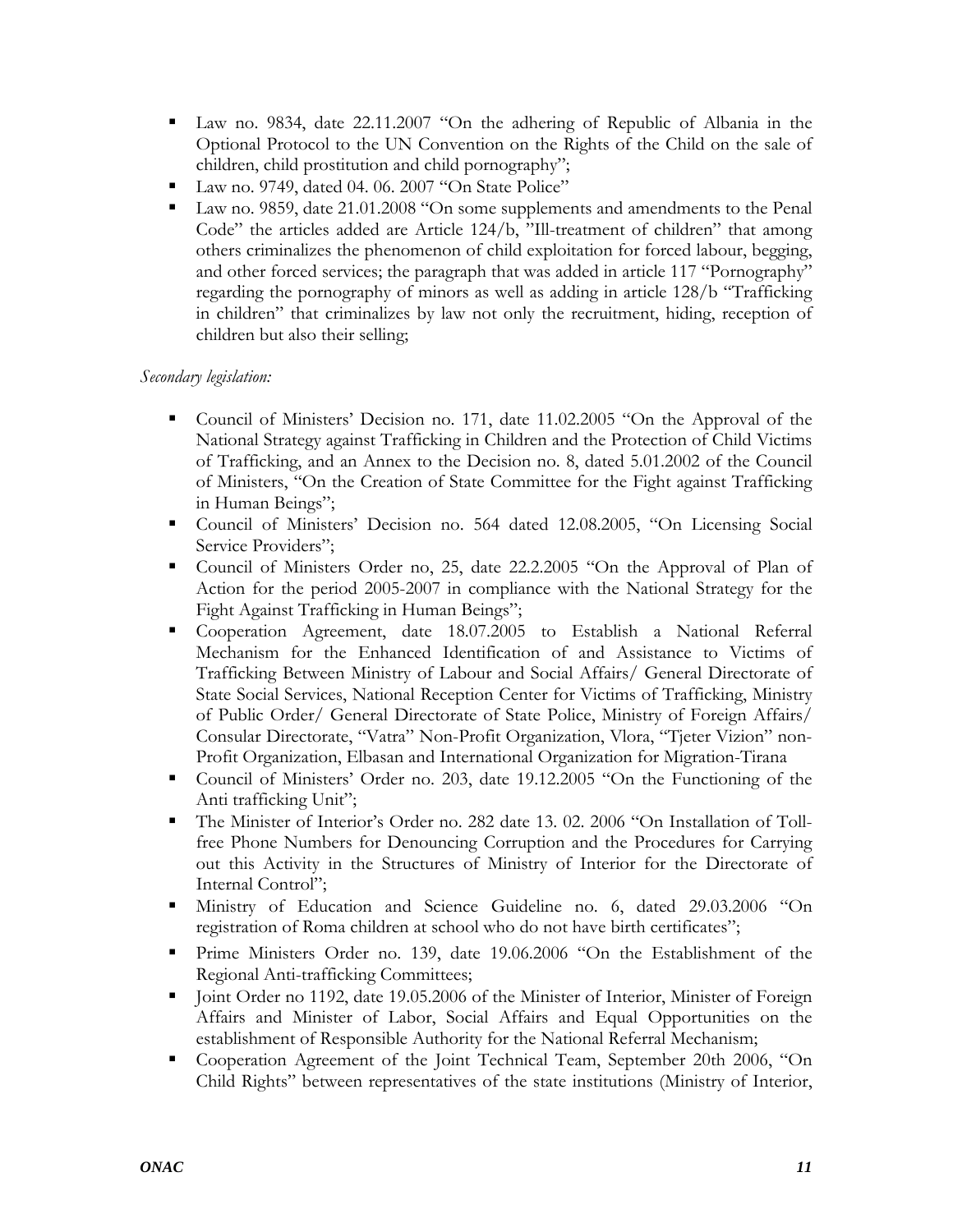- Law no. 9834, date 22.11.2007 "On the adhering of Republic of Albania in the Optional Protocol to the UN Convention on the Rights of the Child on the sale of children, child prostitution and child pornography";
- Law no. 9749, dated 04. 06. 2007 "On State Police"
- Law no. 9859, date 21.01.2008 "On some supplements and amendments to the Penal Code" the articles added are Article 124/b, "Ill-treatment of children" that among others criminalizes the phenomenon of child exploitation for forced labour, begging, and other forced services; the paragraph that was added in article 117 "Pornography" regarding the pornography of minors as well as adding in article 128/b "Trafficking in children" that criminalizes by law not only the recruitment, hiding, reception of children but also their selling;

## *Secondary legislation:*

- Council of Ministers' Decision no. 171, date 11.02.2005 "On the Approval of the National Strategy against Trafficking in Children and the Protection of Child Victims of Trafficking, and an Annex to the Decision no. 8, dated 5.01.2002 of the Council of Ministers, "On the Creation of State Committee for the Fight against Trafficking in Human Beings";
- Council of Ministers' Decision no. 564 dated 12.08.2005, "On Licensing Social Service Providers";
- Council of Ministers Order no, 25, date 22.2.2005 "On the Approval of Plan of Action for the period 2005-2007 in compliance with the National Strategy for the Fight Against Trafficking in Human Beings";
- Cooperation Agreement, date 18.07.2005 to Establish a National Referral Mechanism for the Enhanced Identification of and Assistance to Victims of Trafficking Between Ministry of Labour and Social Affairs/ General Directorate of State Social Services, National Reception Center for Victims of Trafficking, Ministry of Public Order/ General Directorate of State Police, Ministry of Foreign Affairs/ Consular Directorate, "Vatra" Non-Profit Organization, Vlora, "Tjeter Vizion" non-Profit Organization, Elbasan and International Organization for Migration-Tirana
- Council of Ministers' Order no. 203, date 19.12.2005 "On the Functioning of the Anti trafficking Unit";
- The Minister of Interior's Order no. 282 date 13. 02. 2006 "On Installation of Tollfree Phone Numbers for Denouncing Corruption and the Procedures for Carrying out this Activity in the Structures of Ministry of Interior for the Directorate of Internal Control";
- Ministry of Education and Science Guideline no. 6, dated 29.03.2006 "On registration of Roma children at school who do not have birth certificates";
- Prime Ministers Order no. 139, date 19.06.2006 "On the Establishment of the Regional Anti-trafficking Committees;
- Interior, Minister of Foreign 192, date 19.05.2006 of the Minister of Interior, Minister of Foreign Affairs and Minister of Labor, Social Affairs and Equal Opportunities on the establishment of Responsible Authority for the National Referral Mechanism;
- Cooperation Agreement of the Joint Technical Team, September 20th 2006, "On Child Rights" between representatives of the state institutions (Ministry of Interior,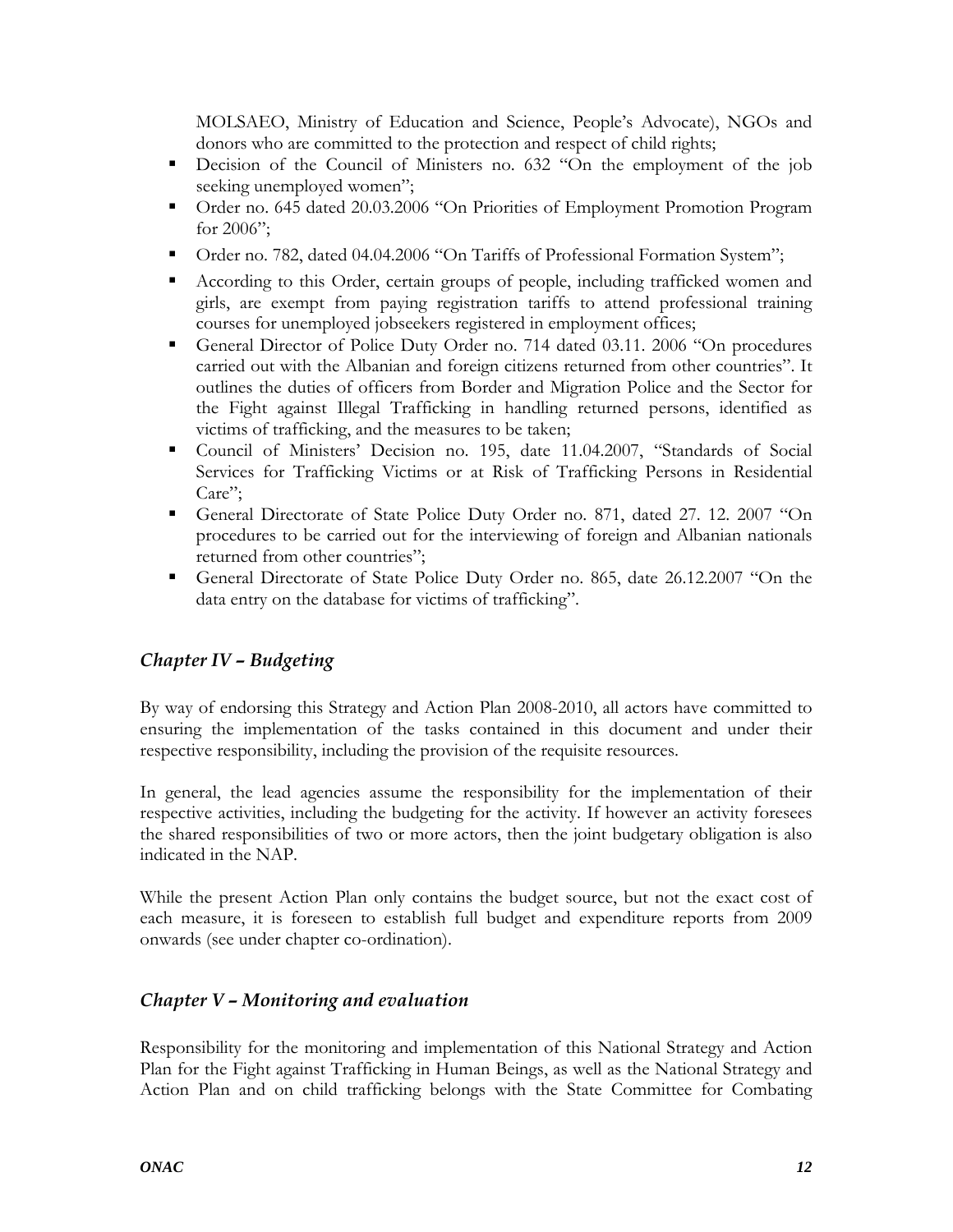<span id="page-11-0"></span>MOLSAEO, Ministry of Education and Science, People's Advocate), NGOs and donors who are committed to the protection and respect of child rights;

- Decision of the Council of Ministers no. 632 "On the employment of the job seeking unemployed women";
- Order no. 645 dated 20.03.2006 "On Priorities of Employment Promotion Program for 2006";
- Order no. 782, dated 04.04.2006 "On Tariffs of Professional Formation System";
- According to this Order, certain groups of people, including trafficked women and girls, are exempt from paying registration tariffs to attend professional training courses for unemployed jobseekers registered in employment offices;
- General Director of Police Duty Order no. 714 dated 03.11. 2006 "On procedures carried out with the Albanian and foreign citizens returned from other countries". It outlines the duties of officers from Border and Migration Police and the Sector for the Fight against Illegal Trafficking in handling returned persons, identified as victims of trafficking, and the measures to be taken;
- Council of Ministers' Decision no. 195, date 11.04.2007, "Standards of Social Services for Trafficking Victims or at Risk of Trafficking Persons in Residential Care";
- General Directorate of State Police Duty Order no. 871, dated 27. 12. 2007 "On procedures to be carried out for the interviewing of foreign and Albanian nationals returned from other countries";
- General Directorate of State Police Duty Order no. 865, date 26.12.2007 "On the data entry on the database for victims of trafficking".

## *Chapter IV – Budgeting*

By way of endorsing this Strategy and Action Plan 2008-2010, all actors have committed to ensuring the implementation of the tasks contained in this document and under their respective responsibility, including the provision of the requisite resources.

In general, the lead agencies assume the responsibility for the implementation of their respective activities, including the budgeting for the activity. If however an activity foresees the shared responsibilities of two or more actors, then the joint budgetary obligation is also indicated in the NAP.

While the present Action Plan only contains the budget source, but not the exact cost of each measure, it is foreseen to establish full budget and expenditure reports from 2009 onwards (see under chapter co-ordination).

## *Chapter V – Monitoring and evaluation*

Responsibility for the monitoring and implementation of this National Strategy and Action Plan for the Fight against Trafficking in Human Beings, as well as the National Strategy and Action Plan and on child trafficking belongs with the State Committee for Combating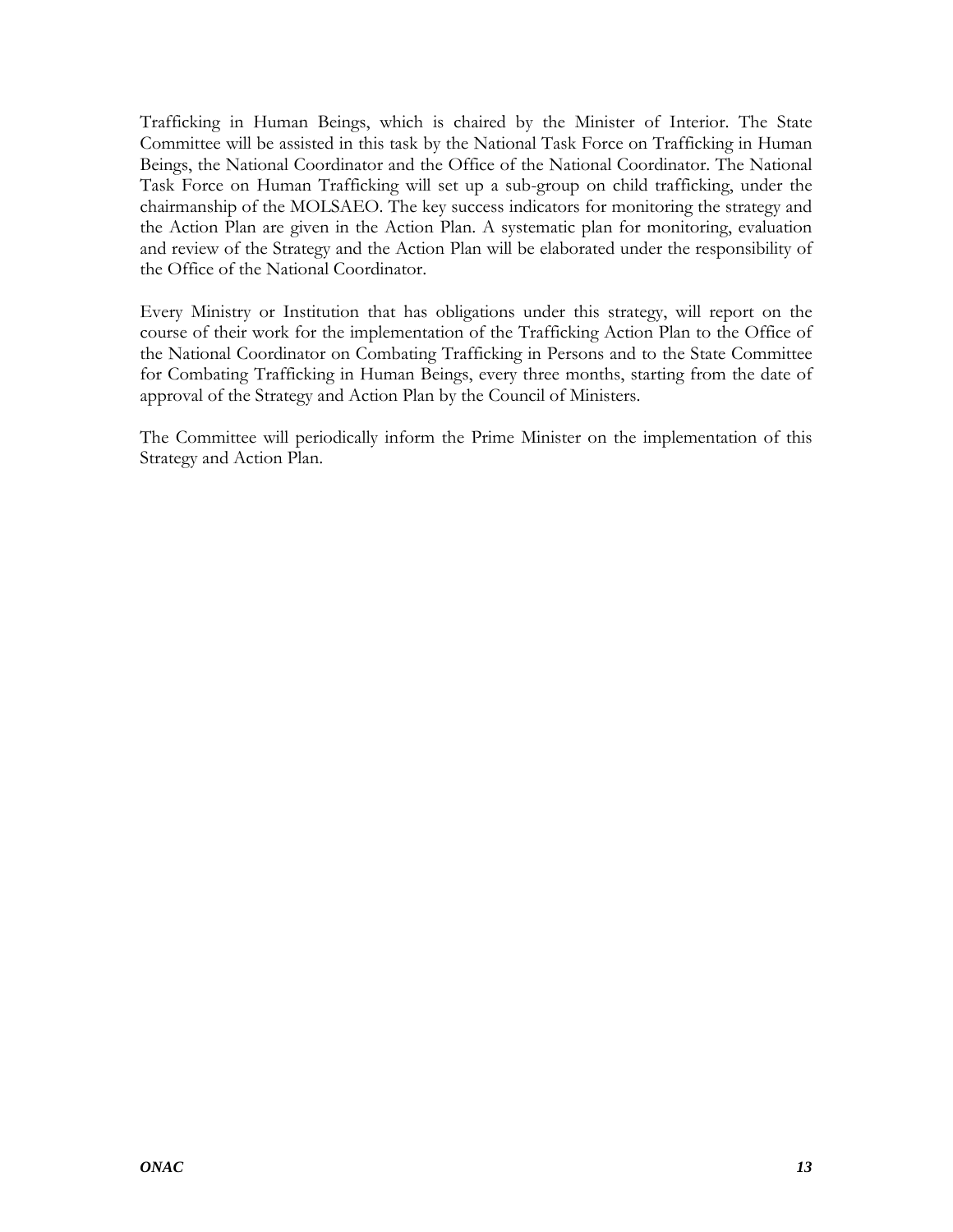Trafficking in Human Beings, which is chaired by the Minister of Interior. The State Committee will be assisted in this task by the National Task Force on Trafficking in Human Beings, the National Coordinator and the Office of the National Coordinator. The National Task Force on Human Trafficking will set up a sub-group on child trafficking, under the chairmanship of the MOLSAEO. The key success indicators for monitoring the strategy and the Action Plan are given in the Action Plan. A systematic plan for monitoring, evaluation and review of the Strategy and the Action Plan will be elaborated under the responsibility of the Office of the National Coordinator.

Every Ministry or Institution that has obligations under this strategy, will report on the course of their work for the implementation of the Trafficking Action Plan to the Office of the National Coordinator on Combating Trafficking in Persons and to the State Committee for Combating Trafficking in Human Beings, every three months, starting from the date of approval of the Strategy and Action Plan by the Council of Ministers.

The Committee will periodically inform the Prime Minister on the implementation of this Strategy and Action Plan.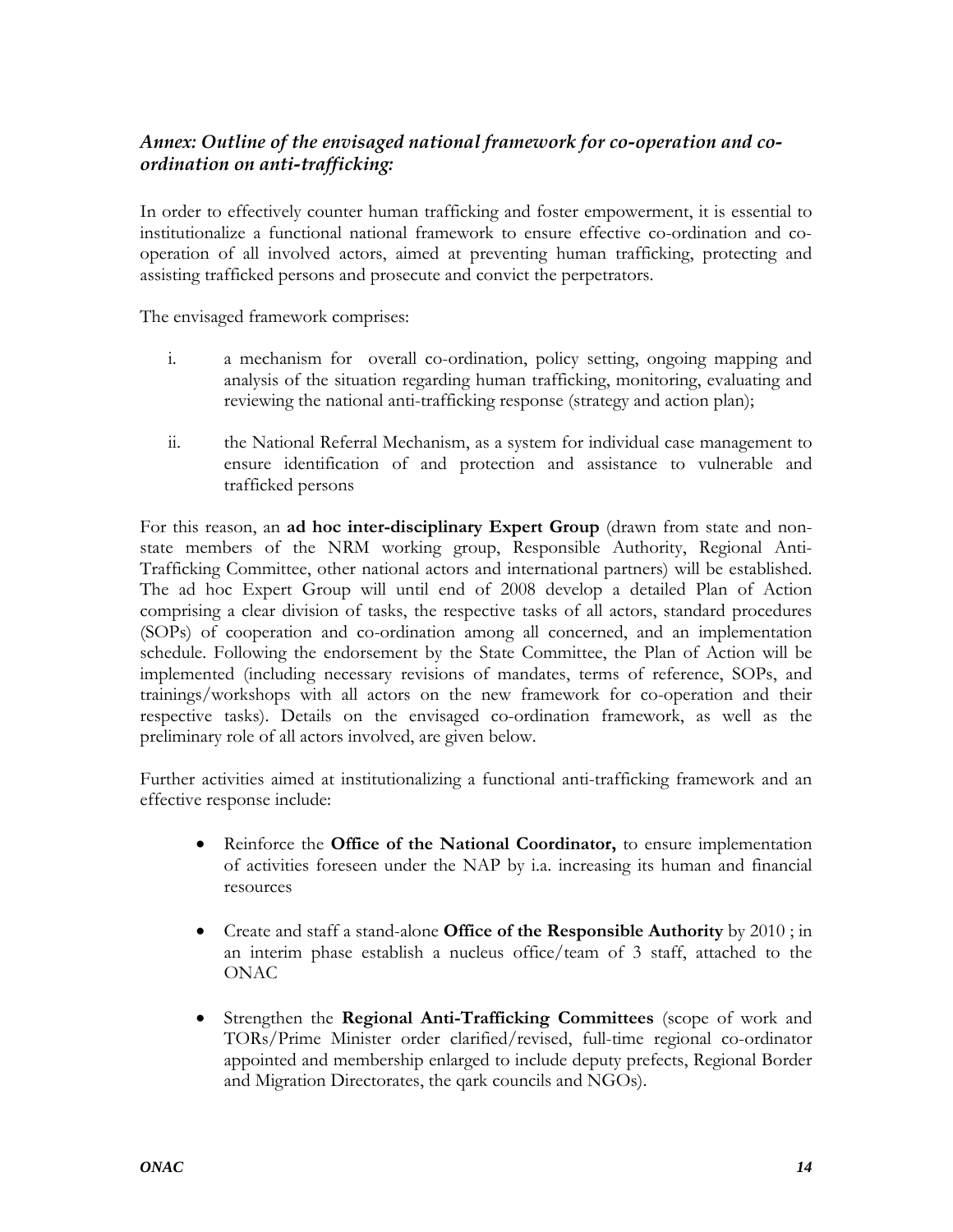## <span id="page-13-0"></span>*Annex: Outline of the envisaged national framework for co-operation and coordination on anti-trafficking:*

In order to effectively counter human trafficking and foster empowerment, it is essential to institutionalize a functional national framework to ensure effective co-ordination and cooperation of all involved actors, aimed at preventing human trafficking, protecting and assisting trafficked persons and prosecute and convict the perpetrators.

The envisaged framework comprises:

- i. a mechanism for overall co-ordination, policy setting, ongoing mapping and analysis of the situation regarding human trafficking, monitoring, evaluating and reviewing the national anti-trafficking response (strategy and action plan);
- ii. the National Referral Mechanism, as a system for individual case management to ensure identification of and protection and assistance to vulnerable and trafficked persons

For this reason, an **ad hoc inter-disciplinary Expert Group** (drawn from state and nonstate members of the NRM working group, Responsible Authority, Regional Anti-Trafficking Committee, other national actors and international partners) will be established. The ad hoc Expert Group will until end of 2008 develop a detailed Plan of Action comprising a clear division of tasks, the respective tasks of all actors, standard procedures (SOPs) of cooperation and co-ordination among all concerned, and an implementation schedule. Following the endorsement by the State Committee, the Plan of Action will be implemented (including necessary revisions of mandates, terms of reference, SOPs, and trainings/workshops with all actors on the new framework for co-operation and their respective tasks). Details on the envisaged co-ordination framework, as well as the preliminary role of all actors involved, are given below.

Further activities aimed at institutionalizing a functional anti-trafficking framework and an effective response include:

- Reinforce the **Office of the National Coordinator,** to ensure implementation of activities foreseen under the NAP by i.a. increasing its human and financial resources
- Create and staff a stand-alone **Office of the Responsible Authority** by 2010 ; in an interim phase establish a nucleus office/team of 3 staff, attached to the ONAC
- Strengthen the **Regional Anti-Trafficking Committees** (scope of work and TORs/Prime Minister order clarified/revised, full-time regional co-ordinator appointed and membership enlarged to include deputy prefects, Regional Border and Migration Directorates, the qark councils and NGOs).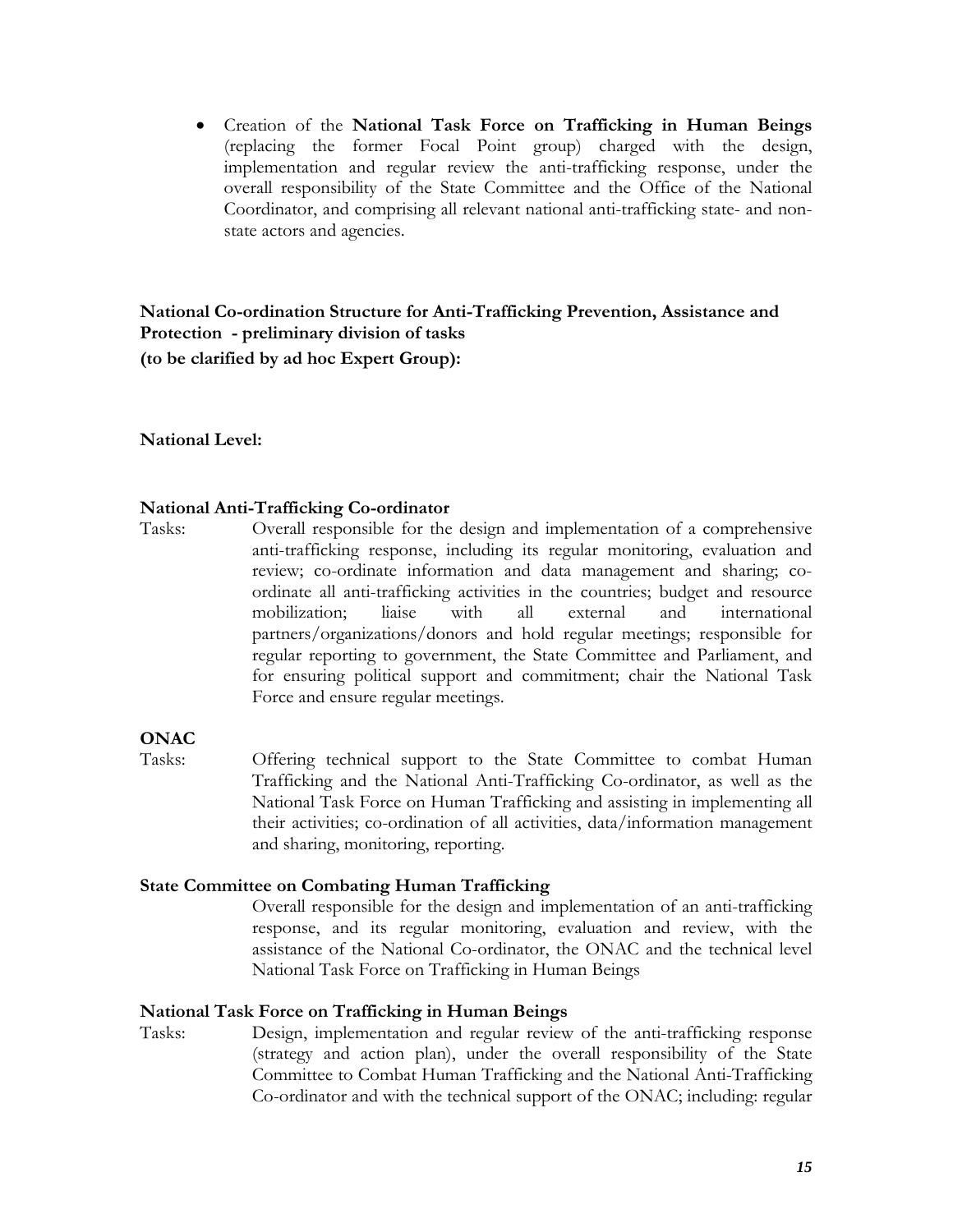<span id="page-14-0"></span>• Creation of the **National Task Force on Trafficking in Human Beings** (replacing the former Focal Point group) charged with the design, implementation and regular review the anti-trafficking response, under the overall responsibility of the State Committee and the Office of the National Coordinator, and comprising all relevant national anti-trafficking state- and nonstate actors and agencies.

**National Co-ordination Structure for Anti-Trafficking Prevention, Assistance and Protection - preliminary division of tasks (to be clarified by ad hoc Expert Group):** 

#### **National Level:**

#### **National Anti-Trafficking Co-ordinator**

Tasks: Overall responsible for the design and implementation of a comprehensive anti-trafficking response, including its regular monitoring, evaluation and review; co-ordinate information and data management and sharing; coordinate all anti-trafficking activities in the countries; budget and resource mobilization; liaise with all external and international partners/organizations/donors and hold regular meetings; responsible for regular reporting to government, the State Committee and Parliament, and for ensuring political support and commitment; chair the National Task Force and ensure regular meetings.

## **ONAC**

Tasks: Offering technical support to the State Committee to combat Human Trafficking and the National Anti-Trafficking Co-ordinator, as well as the National Task Force on Human Trafficking and assisting in implementing all their activities; co-ordination of all activities, data/information management and sharing, monitoring, reporting.

#### **State Committee on Combating Human Trafficking**

Overall responsible for the design and implementation of an anti-trafficking response, and its regular monitoring, evaluation and review, with the assistance of the National Co-ordinator, the ONAC and the technical level National Task Force on Trafficking in Human Beings

#### **National Task Force on Trafficking in Human Beings**

Tasks: Design, implementation and regular review of the anti-trafficking response (strategy and action plan), under the overall responsibility of the State Committee to Combat Human Trafficking and the National Anti-Trafficking Co-ordinator and with the technical support of the ONAC; including: regular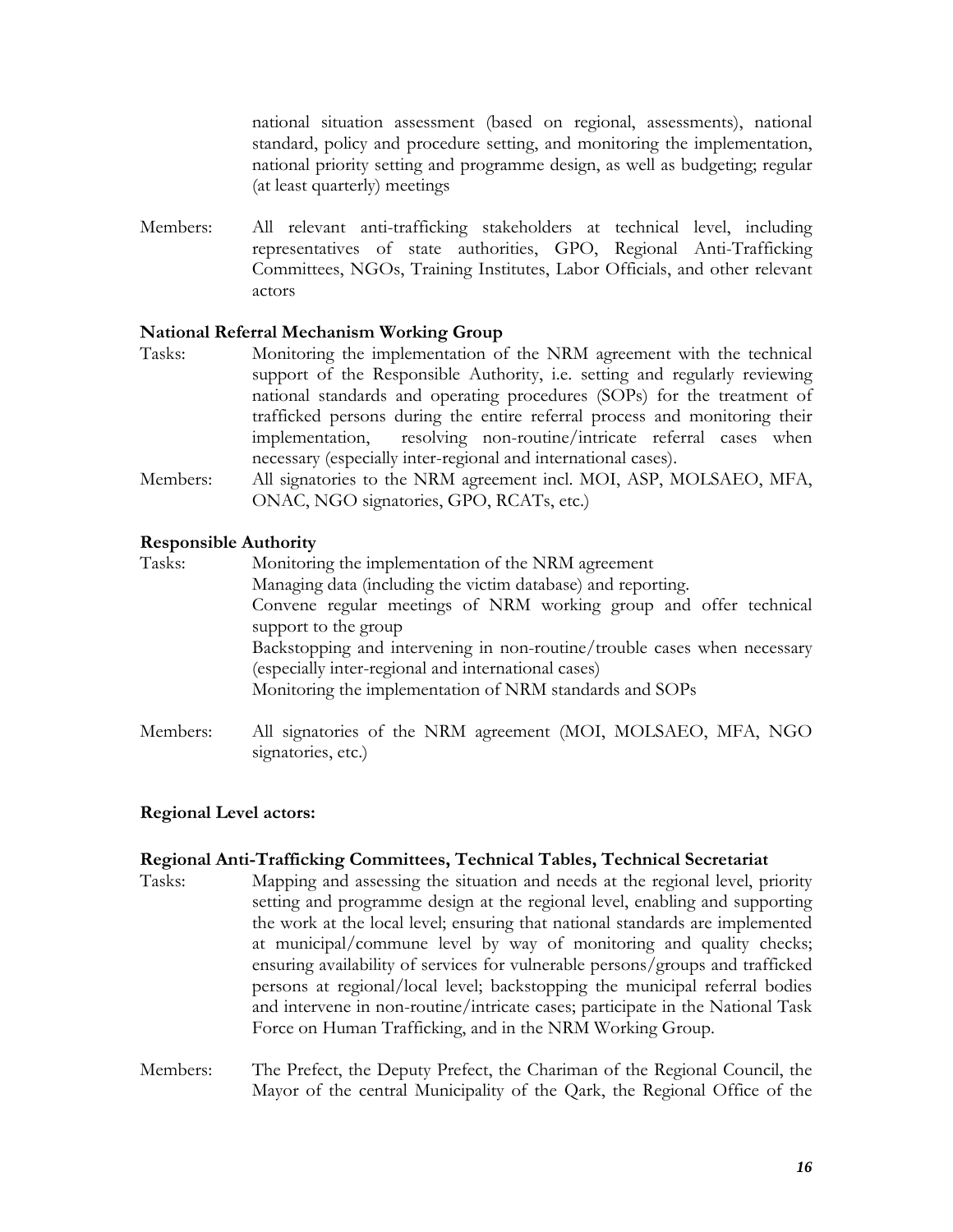national situation assessment (based on regional, assessments), national standard, policy and procedure setting, and monitoring the implementation, national priority setting and programme design, as well as budgeting; regular (at least quarterly) meetings

<span id="page-15-0"></span>Members: All relevant anti-trafficking stakeholders at technical level, including representatives of state authorities, GPO, Regional Anti-Trafficking Committees, NGOs, Training Institutes, Labor Officials, and other relevant actors

#### **National Referral Mechanism Working Group**

- Tasks: Monitoring the implementation of the NRM agreement with the technical support of the Responsible Authority, i.e. setting and regularly reviewing national standards and operating procedures (SOPs) for the treatment of trafficked persons during the entire referral process and monitoring their implementation, resolving non-routine/intricate referral cases when necessary (especially inter-regional and international cases). Members: All signatories to the NRM agreement incl. MOI, ASP, MOLSAEO, MFA,
- ONAC, NGO signatories, GPO, RCATs, etc.)

#### **Responsible Authority**

- Tasks: Monitoring the implementation of the NRM agreement Managing data (including the victim database) and reporting. Convene regular meetings of NRM working group and offer technical support to the group Backstopping and intervening in non-routine/trouble cases when necessary (especially inter-regional and international cases) Monitoring the implementation of NRM standards and SOPs
- Members: All signatories of the NRM agreement (MOI, MOLSAEO, MFA, NGO signatories, etc.)

#### **Regional Level actors:**

#### **Regional Anti-Trafficking Committees, Technical Tables, Technical Secretariat**

- Tasks: Mapping and assessing the situation and needs at the regional level, priority setting and programme design at the regional level, enabling and supporting the work at the local level; ensuring that national standards are implemented at municipal/commune level by way of monitoring and quality checks; ensuring availability of services for vulnerable persons/groups and trafficked persons at regional/local level; backstopping the municipal referral bodies and intervene in non-routine/intricate cases; participate in the National Task Force on Human Trafficking, and in the NRM Working Group.
- Members: The Prefect, the Deputy Prefect, the Chariman of the Regional Council, the Mayor of the central Municipality of the Qark, the Regional Office of the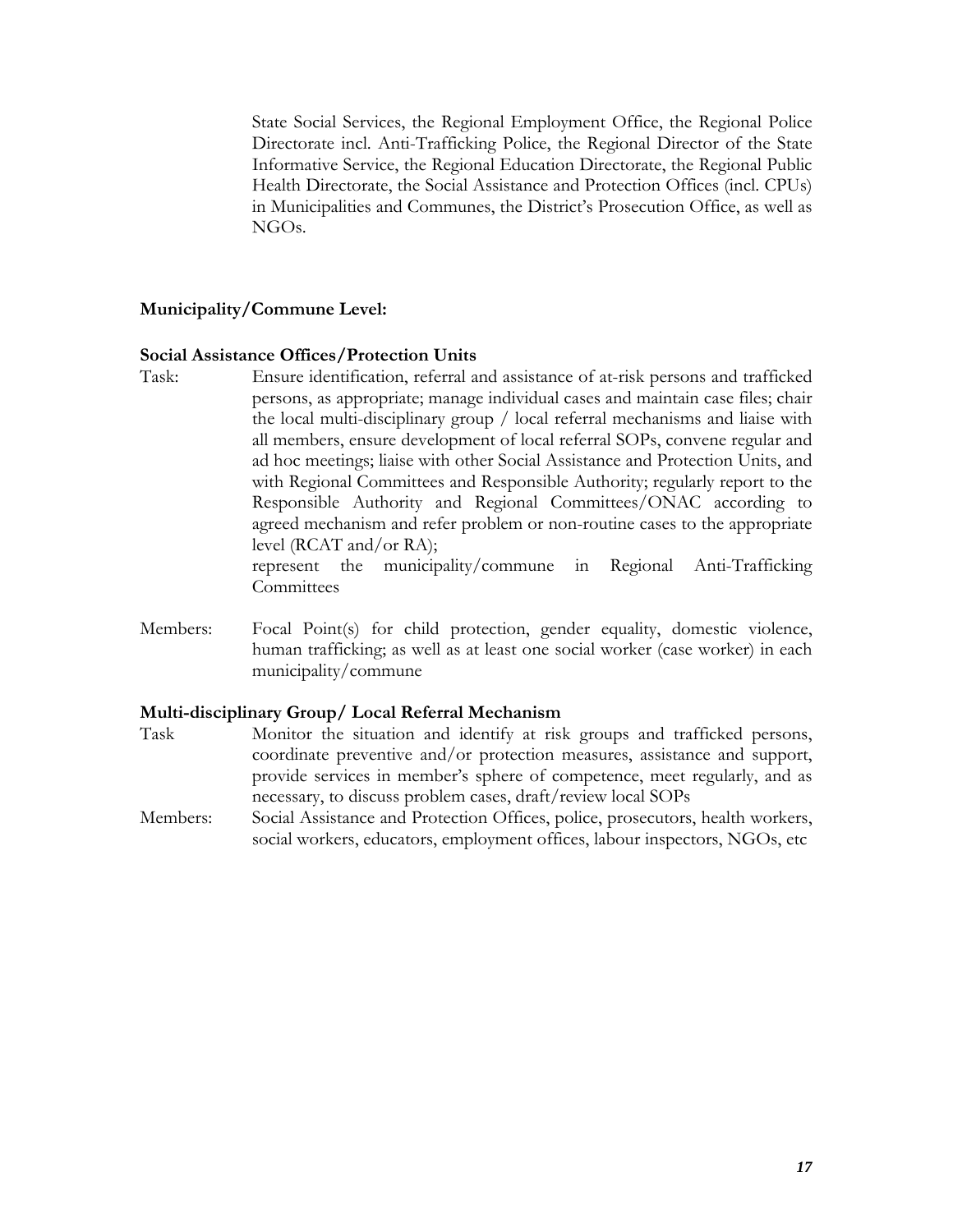<span id="page-16-0"></span>State Social Services, the Regional Employment Office, the Regional Police Directorate incl. Anti-Trafficking Police, the Regional Director of the State Informative Service, the Regional Education Directorate, the Regional Public Health Directorate, the Social Assistance and Protection Offices (incl. CPUs) in Municipalities and Communes, the District's Prosecution Office, as well as NGOs.

#### **Municipality/Commune Level:**

#### **Social Assistance Offices/Protection Units**

Task: Ensure identification, referral and assistance of at-risk persons and trafficked persons, as appropriate; manage individual cases and maintain case files; chair the local multi-disciplinary group / local referral mechanisms and liaise with all members, ensure development of local referral SOPs, convene regular and ad hoc meetings; liaise with other Social Assistance and Protection Units, and with Regional Committees and Responsible Authority; regularly report to the Responsible Authority and Regional Committees/ONAC according to agreed mechanism and refer problem or non-routine cases to the appropriate level (RCAT and/or RA);

represent the municipality/commune in Regional Anti-Trafficking **Committees** 

Members: Focal Point(s) for child protection, gender equality, domestic violence, human trafficking; as well as at least one social worker (case worker) in each municipality/commune

#### **Multi-disciplinary Group/ Local Referral Mechanism**

- Task Monitor the situation and identify at risk groups and trafficked persons, coordinate preventive and/or protection measures, assistance and support, provide services in member's sphere of competence, meet regularly, and as necessary, to discuss problem cases, draft/review local SOPs
- Members: Social Assistance and Protection Offices, police, prosecutors, health workers, social workers, educators, employment offices, labour inspectors, NGOs, etc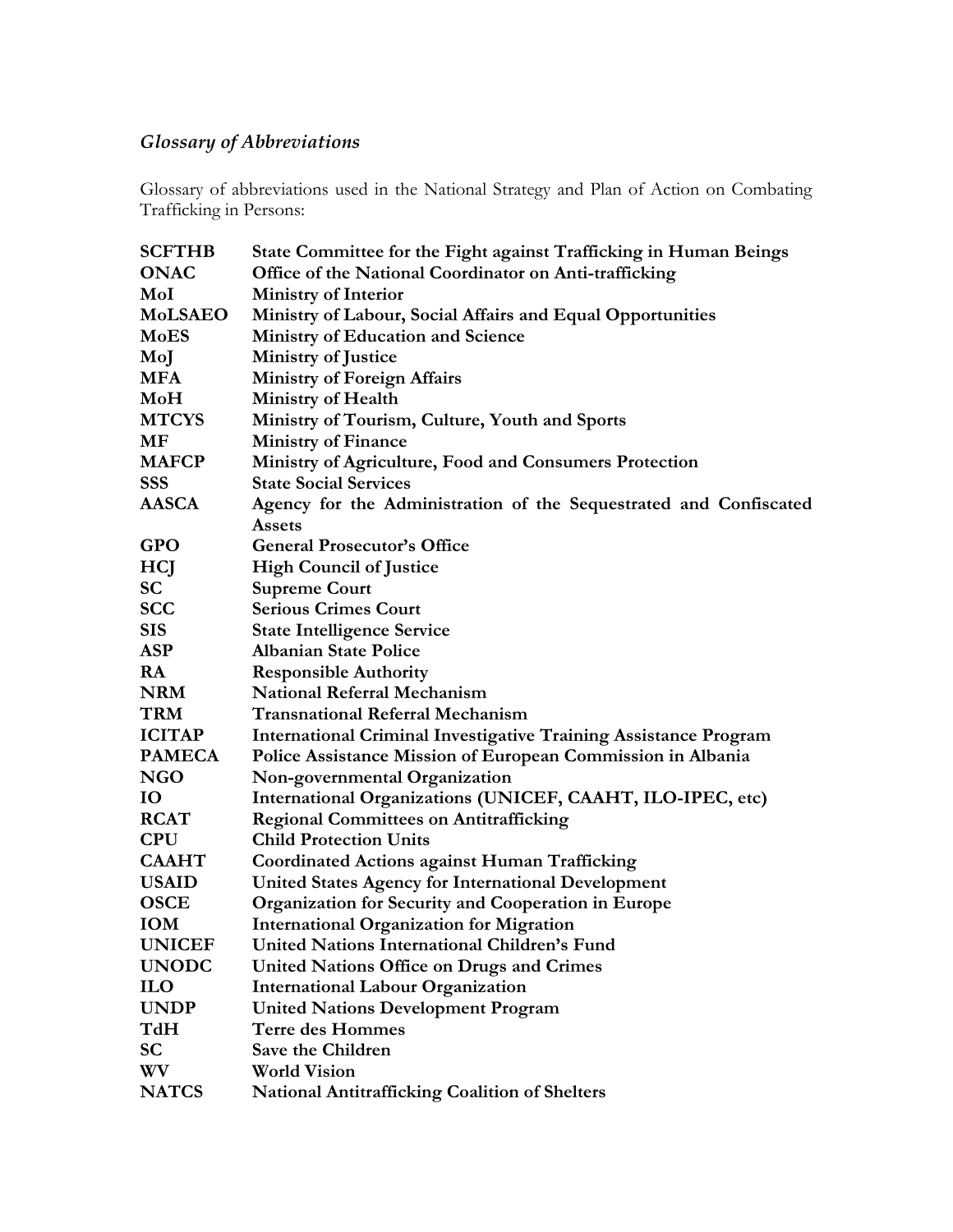## <span id="page-17-0"></span>*Glossary of Abbreviations*

Glossary of abbreviations used in the National Strategy and Plan of Action on Combating Trafficking in Persons:

| <b>SCFTHB</b>  | State Committee for the Fight against Trafficking in Human Beings       |
|----------------|-------------------------------------------------------------------------|
| <b>ONAC</b>    | Office of the National Coordinator on Anti-trafficking                  |
| MoI            | <b>Ministry of Interior</b>                                             |
| <b>MoLSAEO</b> | Ministry of Labour, Social Affairs and Equal Opportunities              |
| <b>MoES</b>    | <b>Ministry of Education and Science</b>                                |
| MoJ            | <b>Ministry of Justice</b>                                              |
| <b>MFA</b>     | <b>Ministry of Foreign Affairs</b>                                      |
| MoH            | <b>Ministry of Health</b>                                               |
| <b>MTCYS</b>   | Ministry of Tourism, Culture, Youth and Sports                          |
| MF             | <b>Ministry of Finance</b>                                              |
| <b>MAFCP</b>   | Ministry of Agriculture, Food and Consumers Protection                  |
| <b>SSS</b>     | <b>State Social Services</b>                                            |
| <b>AASCA</b>   | Agency for the Administration of the Sequestrated and Confiscated       |
|                | <b>Assets</b>                                                           |
| <b>GPO</b>     | <b>General Prosecutor's Office</b>                                      |
| HCJ            | <b>High Council of Justice</b>                                          |
| <b>SC</b>      | <b>Supreme Court</b>                                                    |
| <b>SCC</b>     | <b>Serious Crimes Court</b>                                             |
| <b>SIS</b>     | <b>State Intelligence Service</b>                                       |
| <b>ASP</b>     | <b>Albanian State Police</b>                                            |
| RA             | <b>Responsible Authority</b>                                            |
| <b>NRM</b>     | <b>National Referral Mechanism</b>                                      |
| <b>TRM</b>     | <b>Transnational Referral Mechanism</b>                                 |
| <b>ICITAP</b>  | <b>International Criminal Investigative Training Assistance Program</b> |
| <b>PAMECA</b>  | Police Assistance Mission of European Commission in Albania             |
| <b>NGO</b>     | Non-governmental Organization                                           |
| IO             | International Organizations (UNICEF, CAAHT, ILO-IPEC, etc)              |
| <b>RCAT</b>    | <b>Regional Committees on Antitrafficking</b>                           |
| <b>CPU</b>     | <b>Child Protection Units</b>                                           |
| <b>CAAHT</b>   | <b>Coordinated Actions against Human Trafficking</b>                    |
| <b>USAID</b>   | <b>United States Agency for International Development</b>               |
| <b>OSCE</b>    | Organization for Security and Cooperation in Europe                     |
| <b>IOM</b>     | <b>International Organization for Migration</b>                         |
| <b>UNICEF</b>  | United Nations International Children's Fund                            |
| <b>UNODC</b>   | <b>United Nations Office on Drugs and Crimes</b>                        |
| <b>ILO</b>     | <b>International Labour Organization</b>                                |
| <b>UNDP</b>    | <b>United Nations Development Program</b>                               |
| <b>TdH</b>     | <b>Terre des Hommes</b>                                                 |
| <b>SC</b>      | Save the Children                                                       |
| WV             | <b>World Vision</b>                                                     |
| <b>NATCS</b>   | <b>National Antitrafficking Coalition of Shelters</b>                   |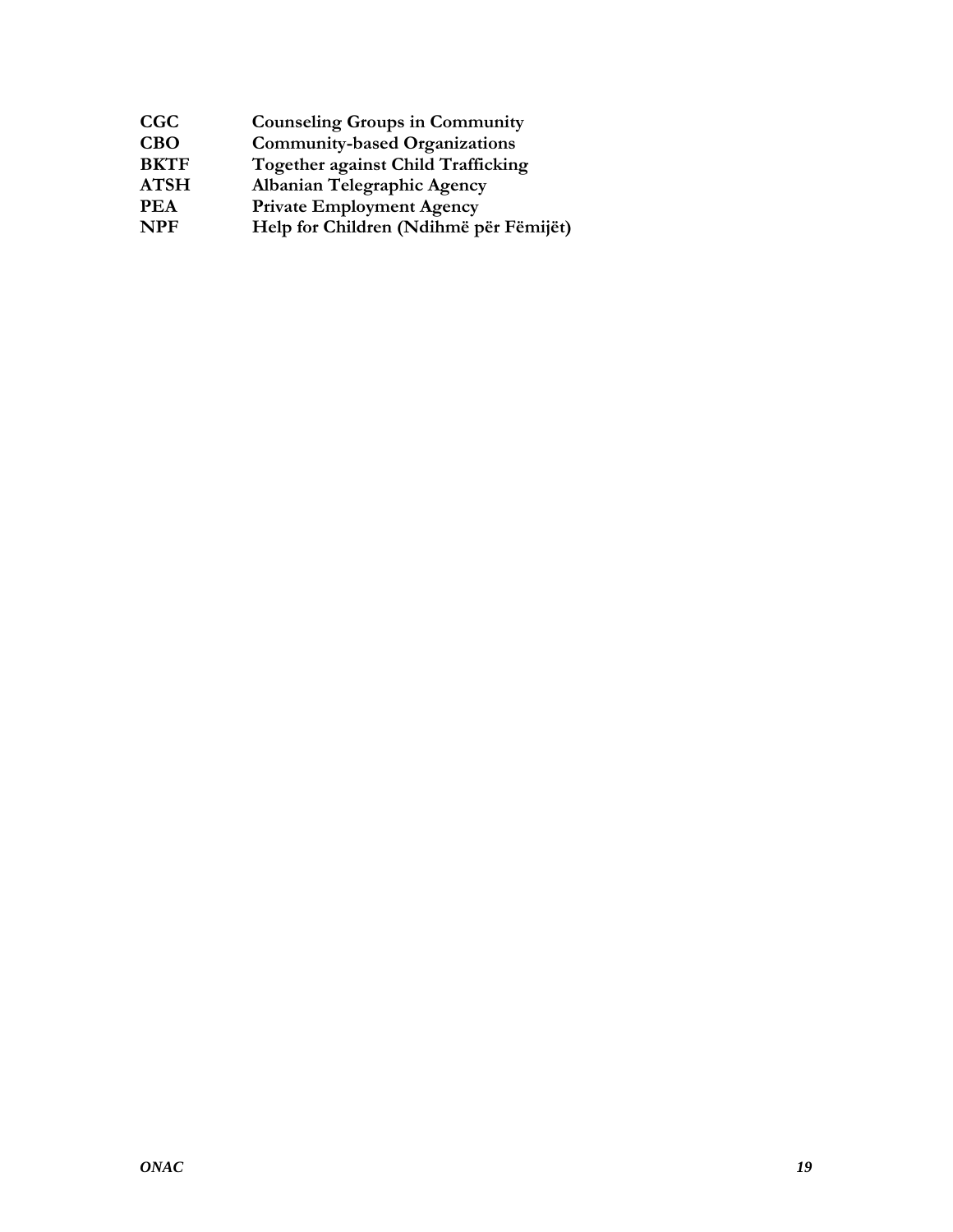| CGC<br><b>Counseling Groups in Community</b>             |  |
|----------------------------------------------------------|--|
| <b>CBO</b><br><b>Community-based Organizations</b>       |  |
| <b>BKTF</b><br><b>Together against Child Trafficking</b> |  |
| <b>ATSH</b><br>Albanian Telegraphic Agency               |  |
| <b>Private Employment Agency</b><br>PEA                  |  |
| <b>NPF</b><br>Help for Children (Ndihmë për Fëmijët)     |  |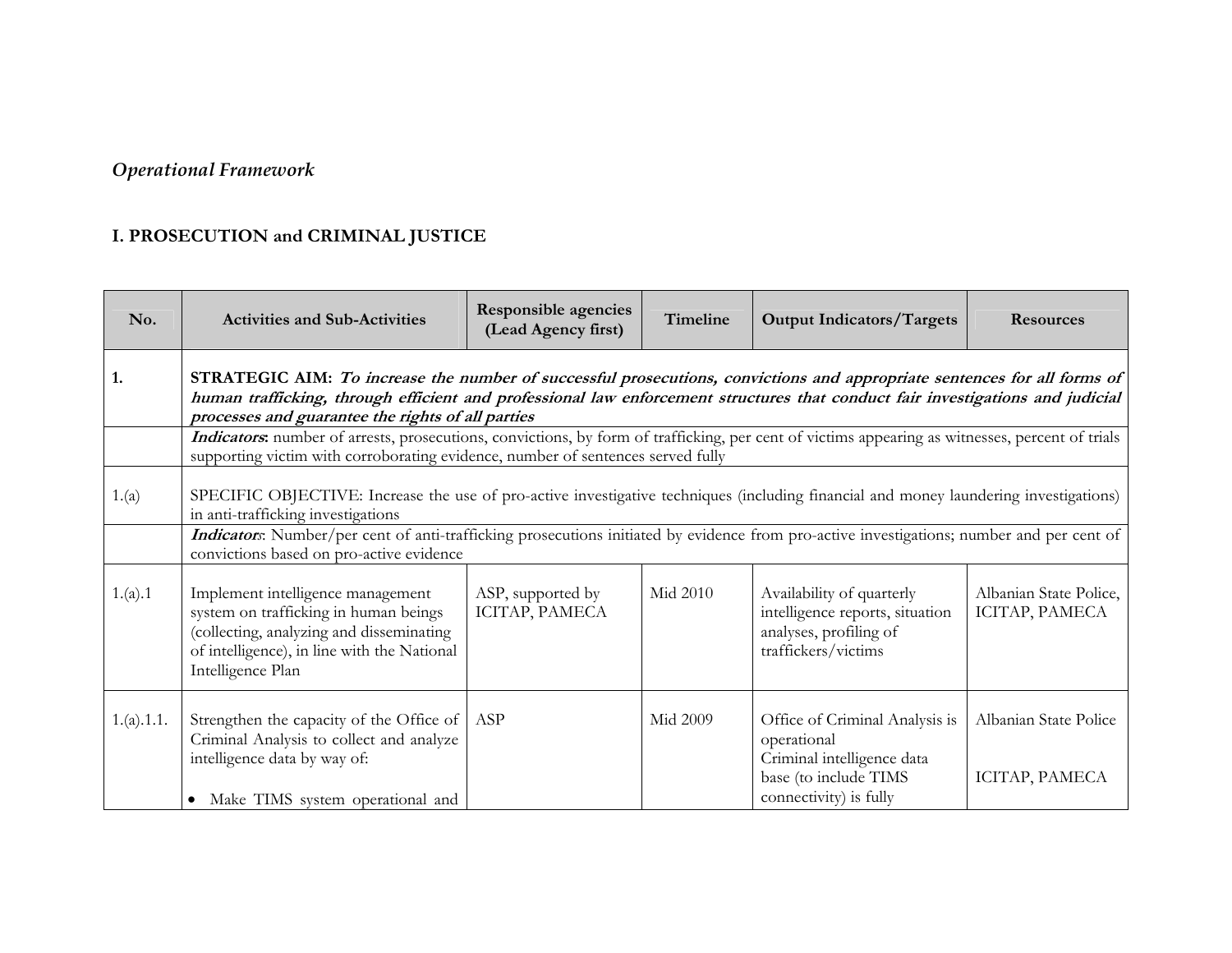# *Operational Framework*

## **I. PROSECUTION and CRIMINAL JUSTICE**

<span id="page-19-0"></span>

| No.        | <b>Activities and Sub-Activities</b>                                                                                                                                                                                                                                                                            | <b>Responsible agencies</b><br>(Lead Agency first) | <b>Timeline</b> | <b>Output Indicators/Targets</b>                                                                                               | <b>Resources</b>                         |  |  |
|------------|-----------------------------------------------------------------------------------------------------------------------------------------------------------------------------------------------------------------------------------------------------------------------------------------------------------------|----------------------------------------------------|-----------------|--------------------------------------------------------------------------------------------------------------------------------|------------------------------------------|--|--|
| 1.         | STRATEGIC AIM: To increase the number of successful prosecutions, convictions and appropriate sentences for all forms of<br>human trafficking, through efficient and professional law enforcement structures that conduct fair investigations and judicial<br>processes and guarantee the rights of all parties |                                                    |                 |                                                                                                                                |                                          |  |  |
|            | Indicators: number of arrests, prosecutions, convictions, by form of trafficking, per cent of victims appearing as witnesses, percent of trials<br>supporting victim with corroborating evidence, number of sentences served fully                                                                              |                                                    |                 |                                                                                                                                |                                          |  |  |
| 1.(a)      | SPECIFIC OBJECTIVE: Increase the use of pro-active investigative techniques (including financial and money laundering investigations)<br>in anti-trafficking investigations                                                                                                                                     |                                                    |                 |                                                                                                                                |                                          |  |  |
|            | Indicators: Number/per cent of anti-trafficking prosecutions initiated by evidence from pro-active investigations; number and per cent of<br>convictions based on pro-active evidence                                                                                                                           |                                                    |                 |                                                                                                                                |                                          |  |  |
| 1.(a).1    | Implement intelligence management<br>system on trafficking in human beings<br>(collecting, analyzing and disseminating<br>of intelligence), in line with the National<br>Intelligence Plan                                                                                                                      | ASP, supported by<br>ICITAP, PAMECA                | Mid 2010        | Availability of quarterly<br>intelligence reports, situation<br>analyses, profiling of<br>traffickers/victims                  | Albanian State Police,<br>ICITAP, PAMECA |  |  |
| 1.(a).1.1. | Strengthen the capacity of the Office of<br>Criminal Analysis to collect and analyze<br>intelligence data by way of:<br>Make TIMS system operational and<br>$\bullet$                                                                                                                                           | ASP                                                | Mid 2009        | Office of Criminal Analysis is<br>operational<br>Criminal intelligence data<br>base (to include TIMS<br>connectivity) is fully | Albanian State Police<br>ICITAP, PAMECA  |  |  |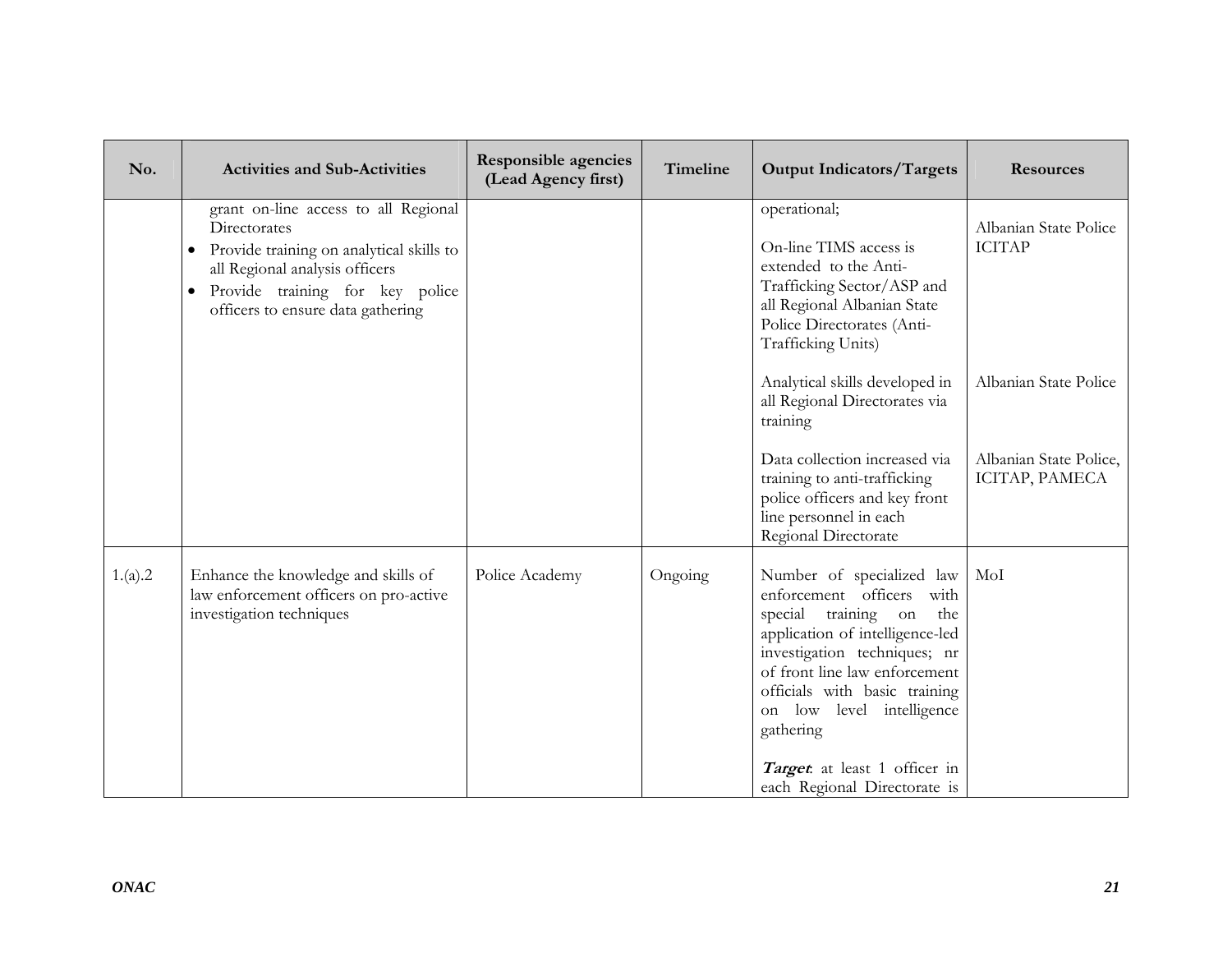| No.     | <b>Activities and Sub-Activities</b>                                                                                                                                                                                    | <b>Responsible agencies</b><br>(Lead Agency first) | Timeline | <b>Output Indicators/Targets</b>                                                                                                                                                                                                                                                                                                             | <b>Resources</b>                                                |
|---------|-------------------------------------------------------------------------------------------------------------------------------------------------------------------------------------------------------------------------|----------------------------------------------------|----------|----------------------------------------------------------------------------------------------------------------------------------------------------------------------------------------------------------------------------------------------------------------------------------------------------------------------------------------------|-----------------------------------------------------------------|
|         | grant on-line access to all Regional<br>Directorates<br>Provide training on analytical skills to<br>all Regional analysis officers<br>Provide training for key police<br>$\bullet$<br>officers to ensure data gathering |                                                    |          | operational;<br>On-line TIMS access is<br>extended to the Anti-<br>Trafficking Sector/ASP and<br>all Regional Albanian State<br>Police Directorates (Anti-<br>Trafficking Units)<br>Analytical skills developed in<br>all Regional Directorates via<br>training                                                                              | Albanian State Police<br><b>ICITAP</b><br>Albanian State Police |
|         |                                                                                                                                                                                                                         |                                                    |          | Data collection increased via<br>training to anti-trafficking<br>police officers and key front<br>line personnel in each<br>Regional Directorate                                                                                                                                                                                             | Albanian State Police,<br>ICITAP, PAMECA                        |
| 1.(a).2 | Enhance the knowledge and skills of<br>law enforcement officers on pro-active<br>investigation techniques                                                                                                               | Police Academy                                     | Ongoing  | Number of specialized law<br>enforcement officers<br>with<br>special<br>training<br>on<br>the<br>application of intelligence-led<br>investigation techniques; nr<br>of front line law enforcement<br>officials with basic training<br>on low level intelligence<br>gathering<br>Target at least 1 officer in<br>each Regional Directorate is | MoI                                                             |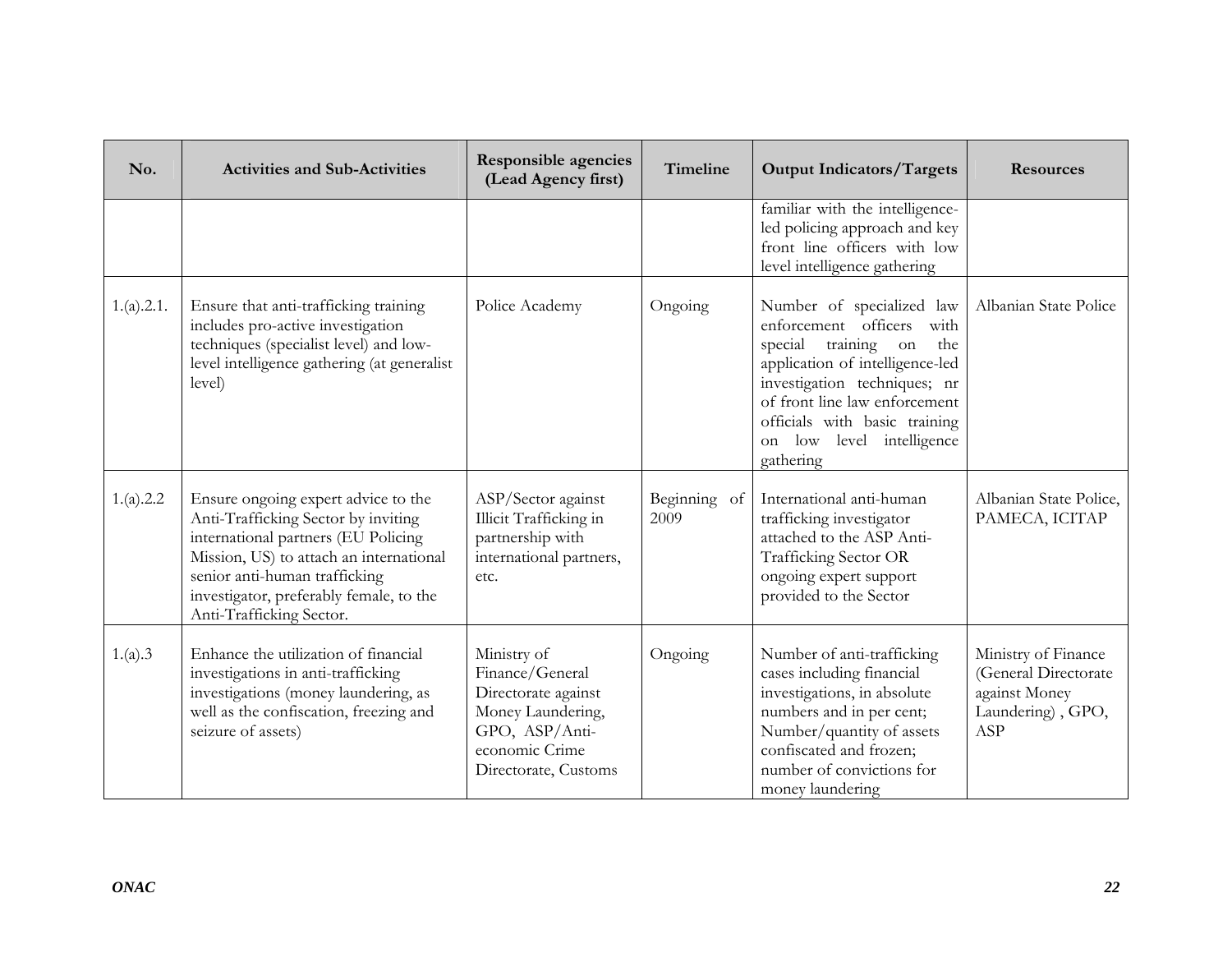| No.        | <b>Activities and Sub-Activities</b>                                                                                                                                                                                                                                 | <b>Responsible agencies</b><br>(Lead Agency first)                                                                                     | Timeline             | <b>Output Indicators/Targets</b>                                                                                                                                                                                                                                          | <b>Resources</b>                                                                         |
|------------|----------------------------------------------------------------------------------------------------------------------------------------------------------------------------------------------------------------------------------------------------------------------|----------------------------------------------------------------------------------------------------------------------------------------|----------------------|---------------------------------------------------------------------------------------------------------------------------------------------------------------------------------------------------------------------------------------------------------------------------|------------------------------------------------------------------------------------------|
|            |                                                                                                                                                                                                                                                                      |                                                                                                                                        |                      | familiar with the intelligence-<br>led policing approach and key<br>front line officers with low<br>level intelligence gathering                                                                                                                                          |                                                                                          |
| 1.(a).2.1. | Ensure that anti-trafficking training<br>includes pro-active investigation<br>techniques (specialist level) and low-<br>level intelligence gathering (at generalist<br>level)                                                                                        | Police Academy                                                                                                                         | Ongoing              | Number of specialized law<br>enforcement officers<br>with<br>training on<br>special<br>the<br>application of intelligence-led<br>investigation techniques; nr<br>of front line law enforcement<br>officials with basic training<br>on low level intelligence<br>gathering | Albanian State Police                                                                    |
| 1.(a).2.2  | Ensure ongoing expert advice to the<br>Anti-Trafficking Sector by inviting<br>international partners (EU Policing<br>Mission, US) to attach an international<br>senior anti-human trafficking<br>investigator, preferably female, to the<br>Anti-Trafficking Sector. | ASP/Sector against<br>Illicit Trafficking in<br>partnership with<br>international partners,<br>etc.                                    | Beginning of<br>2009 | International anti-human<br>trafficking investigator<br>attached to the ASP Anti-<br>Trafficking Sector OR<br>ongoing expert support<br>provided to the Sector                                                                                                            | Albanian State Police,<br>PAMECA, ICITAP                                                 |
| 1.(a).3    | Enhance the utilization of financial<br>investigations in anti-trafficking<br>investigations (money laundering, as<br>well as the confiscation, freezing and<br>seizure of assets)                                                                                   | Ministry of<br>Finance/General<br>Directorate against<br>Money Laundering,<br>GPO, ASP/Anti-<br>economic Crime<br>Directorate, Customs | Ongoing              | Number of anti-trafficking<br>cases including financial<br>investigations, in absolute<br>numbers and in per cent;<br>Number/quantity of assets<br>confiscated and frozen;<br>number of convictions for<br>money laundering                                               | Ministry of Finance<br>(General Directorate<br>against Money<br>Laundering), GPO,<br>ASP |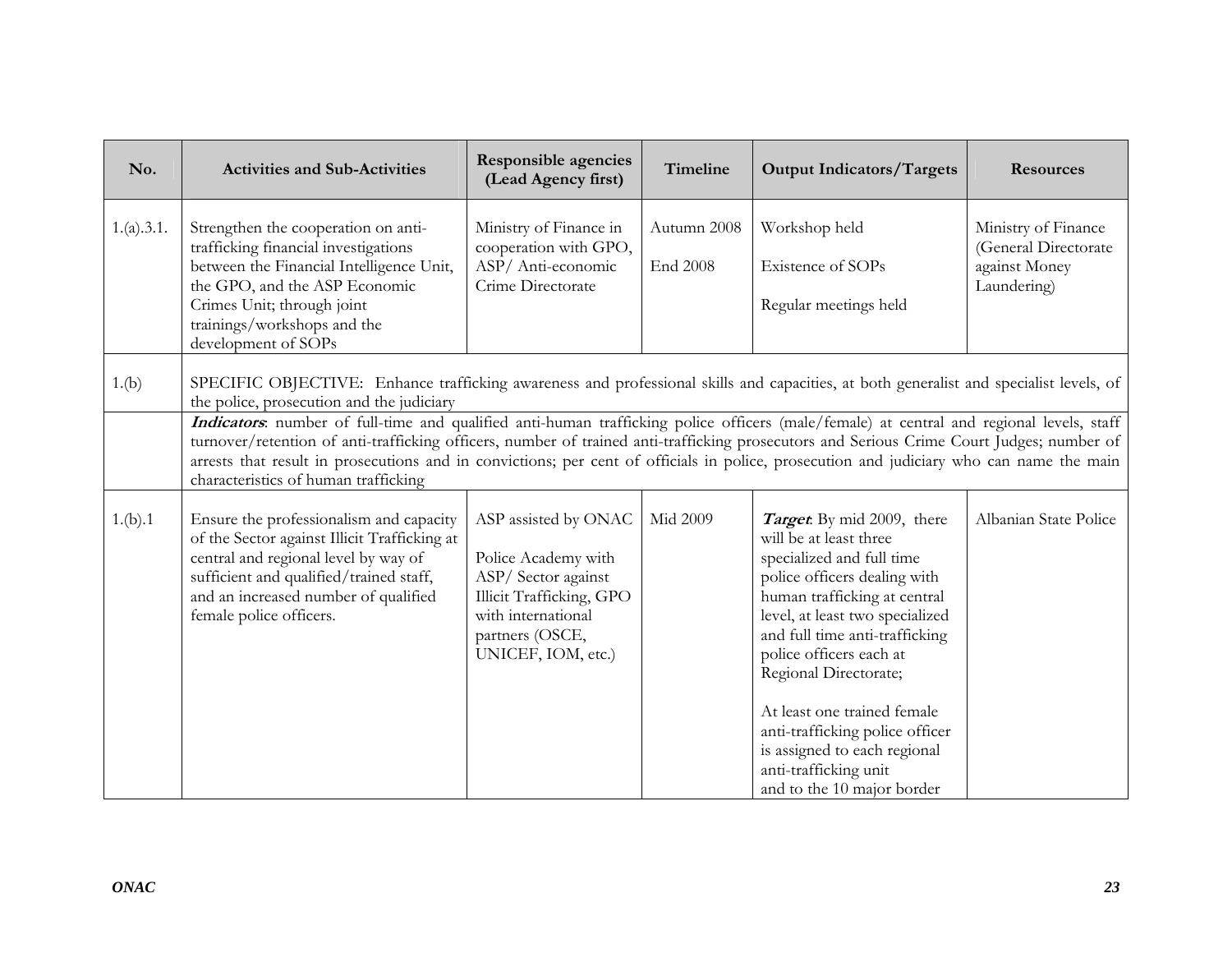| No.        | <b>Activities and Sub-Activities</b>                                                                                                                                                                                                                                                                                                                                                                                                                                      | <b>Responsible agencies</b><br>(Lead Agency first)                                                                                                           | Timeline                | <b>Output Indicators/Targets</b>                                                                                                                                                                                                                                                                                                                                                                                                    | <b>Resources</b>                                                            |  |  |
|------------|---------------------------------------------------------------------------------------------------------------------------------------------------------------------------------------------------------------------------------------------------------------------------------------------------------------------------------------------------------------------------------------------------------------------------------------------------------------------------|--------------------------------------------------------------------------------------------------------------------------------------------------------------|-------------------------|-------------------------------------------------------------------------------------------------------------------------------------------------------------------------------------------------------------------------------------------------------------------------------------------------------------------------------------------------------------------------------------------------------------------------------------|-----------------------------------------------------------------------------|--|--|
| 1.(a).3.1. | Strengthen the cooperation on anti-<br>trafficking financial investigations<br>between the Financial Intelligence Unit,<br>the GPO, and the ASP Economic<br>Crimes Unit; through joint<br>trainings/workshops and the<br>development of SOPs                                                                                                                                                                                                                              | Ministry of Finance in<br>cooperation with GPO,<br>ASP/Anti-economic<br>Crime Directorate                                                                    | Autumn 2008<br>End 2008 | Workshop held<br>Existence of SOPs<br>Regular meetings held                                                                                                                                                                                                                                                                                                                                                                         | Ministry of Finance<br>(General Directorate<br>against Money<br>Laundering) |  |  |
| 1.(b)      | SPECIFIC OBJECTIVE: Enhance trafficking awareness and professional skills and capacities, at both generalist and specialist levels, of<br>the police, prosecution and the judiciary                                                                                                                                                                                                                                                                                       |                                                                                                                                                              |                         |                                                                                                                                                                                                                                                                                                                                                                                                                                     |                                                                             |  |  |
|            | Indicators: number of full-time and qualified anti-human trafficking police officers (male/female) at central and regional levels, staff<br>turnover/retention of anti-trafficking officers, number of trained anti-trafficking prosecutors and Serious Crime Court Judges; number of<br>arrests that result in prosecutions and in convictions; per cent of officials in police, prosecution and judiciary who can name the main<br>characteristics of human trafficking |                                                                                                                                                              |                         |                                                                                                                                                                                                                                                                                                                                                                                                                                     |                                                                             |  |  |
| 1.(b).1    | Ensure the professionalism and capacity<br>of the Sector against Illicit Trafficking at<br>central and regional level by way of<br>sufficient and qualified/trained staff,<br>and an increased number of qualified<br>female police officers.                                                                                                                                                                                                                             | ASP assisted by ONAC<br>Police Academy with<br>ASP/Sector against<br>Illicit Trafficking, GPO<br>with international<br>partners (OSCE,<br>UNICEF, IOM, etc.) | Mid 2009                | Target: By mid 2009, there<br>will be at least three<br>specialized and full time<br>police officers dealing with<br>human trafficking at central<br>level, at least two specialized<br>and full time anti-trafficking<br>police officers each at<br>Regional Directorate;<br>At least one trained female<br>anti-trafficking police officer<br>is assigned to each regional<br>anti-trafficking unit<br>and to the 10 major border | Albanian State Police                                                       |  |  |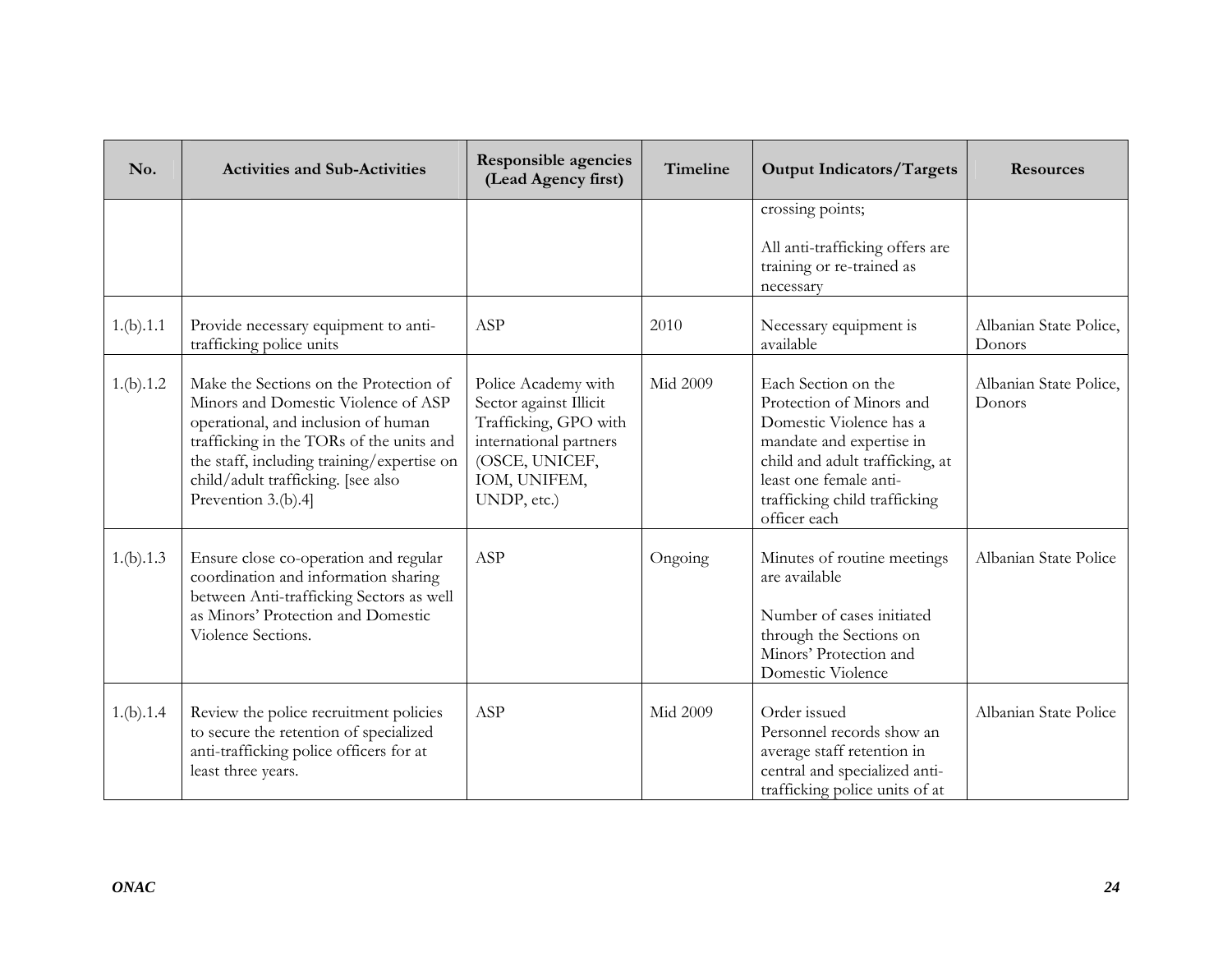| No.       | <b>Activities and Sub-Activities</b>                                                                                                                                                                                                                                        | <b>Responsible agencies</b><br>(Lead Agency first)                                                                                                | Timeline        | <b>Output Indicators/Targets</b>                                                                                                                                                                                     | <b>Resources</b>                 |
|-----------|-----------------------------------------------------------------------------------------------------------------------------------------------------------------------------------------------------------------------------------------------------------------------------|---------------------------------------------------------------------------------------------------------------------------------------------------|-----------------|----------------------------------------------------------------------------------------------------------------------------------------------------------------------------------------------------------------------|----------------------------------|
|           |                                                                                                                                                                                                                                                                             |                                                                                                                                                   |                 | crossing points;<br>All anti-trafficking offers are<br>training or re-trained as<br>necessary                                                                                                                        |                                  |
| 1.(b).1.1 | Provide necessary equipment to anti-<br>trafficking police units                                                                                                                                                                                                            | ASP                                                                                                                                               | 2010            | Necessary equipment is<br>available                                                                                                                                                                                  | Albanian State Police,<br>Donors |
| 1.(b).1.2 | Make the Sections on the Protection of<br>Minors and Domestic Violence of ASP<br>operational, and inclusion of human<br>trafficking in the TORs of the units and<br>the staff, including training/expertise on<br>child/adult trafficking. [see also<br>Prevention 3.(b).4] | Police Academy with<br>Sector against Illicit<br>Trafficking, GPO with<br>international partners<br>(OSCE, UNICEF,<br>IOM, UNIFEM,<br>UNDP, etc.) | <b>Mid 2009</b> | Each Section on the<br>Protection of Minors and<br>Domestic Violence has a<br>mandate and expertise in<br>child and adult trafficking, at<br>least one female anti-<br>trafficking child trafficking<br>officer each | Albanian State Police,<br>Donors |
| 1.(b).1.3 | Ensure close co-operation and regular<br>coordination and information sharing<br>between Anti-trafficking Sectors as well<br>as Minors' Protection and Domestic<br>Violence Sections.                                                                                       | ASP                                                                                                                                               | Ongoing         | Minutes of routine meetings<br>are available<br>Number of cases initiated<br>through the Sections on<br>Minors' Protection and<br>Domestic Violence                                                                  | Albanian State Police            |
| 1.(b).1.4 | Review the police recruitment policies<br>to secure the retention of specialized<br>anti-trafficking police officers for at<br>least three years.                                                                                                                           | ASP                                                                                                                                               | <b>Mid 2009</b> | Order issued<br>Personnel records show an<br>average staff retention in<br>central and specialized anti-<br>trafficking police units of at                                                                           | Albanian State Police            |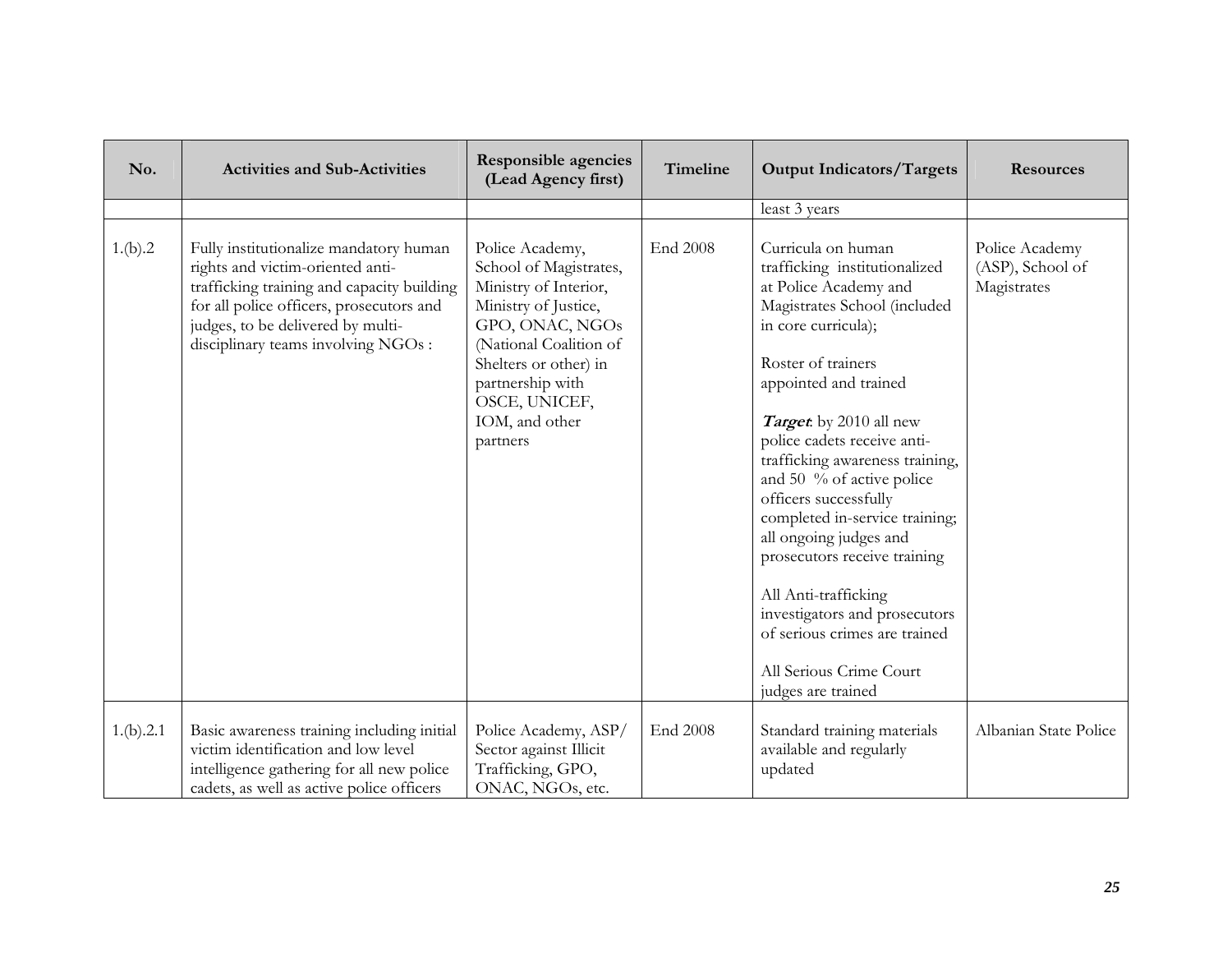| No.       | <b>Activities and Sub-Activities</b>                                                                                                                                                                                                             | <b>Responsible agencies</b><br>(Lead Agency first)                                                                                                                                                                                  | Timeline | <b>Output Indicators/Targets</b>                                                                                                                                                                                                                                                                                                                                                                                                                                                                                                                                            | <b>Resources</b>                                  |
|-----------|--------------------------------------------------------------------------------------------------------------------------------------------------------------------------------------------------------------------------------------------------|-------------------------------------------------------------------------------------------------------------------------------------------------------------------------------------------------------------------------------------|----------|-----------------------------------------------------------------------------------------------------------------------------------------------------------------------------------------------------------------------------------------------------------------------------------------------------------------------------------------------------------------------------------------------------------------------------------------------------------------------------------------------------------------------------------------------------------------------------|---------------------------------------------------|
|           |                                                                                                                                                                                                                                                  |                                                                                                                                                                                                                                     |          | least 3 years                                                                                                                                                                                                                                                                                                                                                                                                                                                                                                                                                               |                                                   |
| 1.(b).2   | Fully institutionalize mandatory human<br>rights and victim-oriented anti-<br>trafficking training and capacity building<br>for all police officers, prosecutors and<br>judges, to be delivered by multi-<br>disciplinary teams involving NGOs : | Police Academy,<br>School of Magistrates,<br>Ministry of Interior,<br>Ministry of Justice,<br>GPO, ONAC, NGOs<br>(National Coalition of<br>Shelters or other) in<br>partnership with<br>OSCE, UNICEF,<br>IOM, and other<br>partners | End 2008 | Curricula on human<br>trafficking institutionalized<br>at Police Academy and<br>Magistrates School (included<br>in core curricula);<br>Roster of trainers<br>appointed and trained<br>Target by 2010 all new<br>police cadets receive anti-<br>trafficking awareness training,<br>and 50 % of active police<br>officers successfully<br>completed in-service training;<br>all ongoing judges and<br>prosecutors receive training<br>All Anti-trafficking<br>investigators and prosecutors<br>of serious crimes are trained<br>All Serious Crime Court<br>judges are trained | Police Academy<br>(ASP), School of<br>Magistrates |
| 1.(b).2.1 | Basic awareness training including initial<br>victim identification and low level<br>intelligence gathering for all new police<br>cadets, as well as active police officers                                                                      | Police Academy, ASP/<br>Sector against Illicit<br>Trafficking, GPO,<br>ONAC, NGOs, etc.                                                                                                                                             | End 2008 | Standard training materials<br>available and regularly<br>updated                                                                                                                                                                                                                                                                                                                                                                                                                                                                                                           | Albanian State Police                             |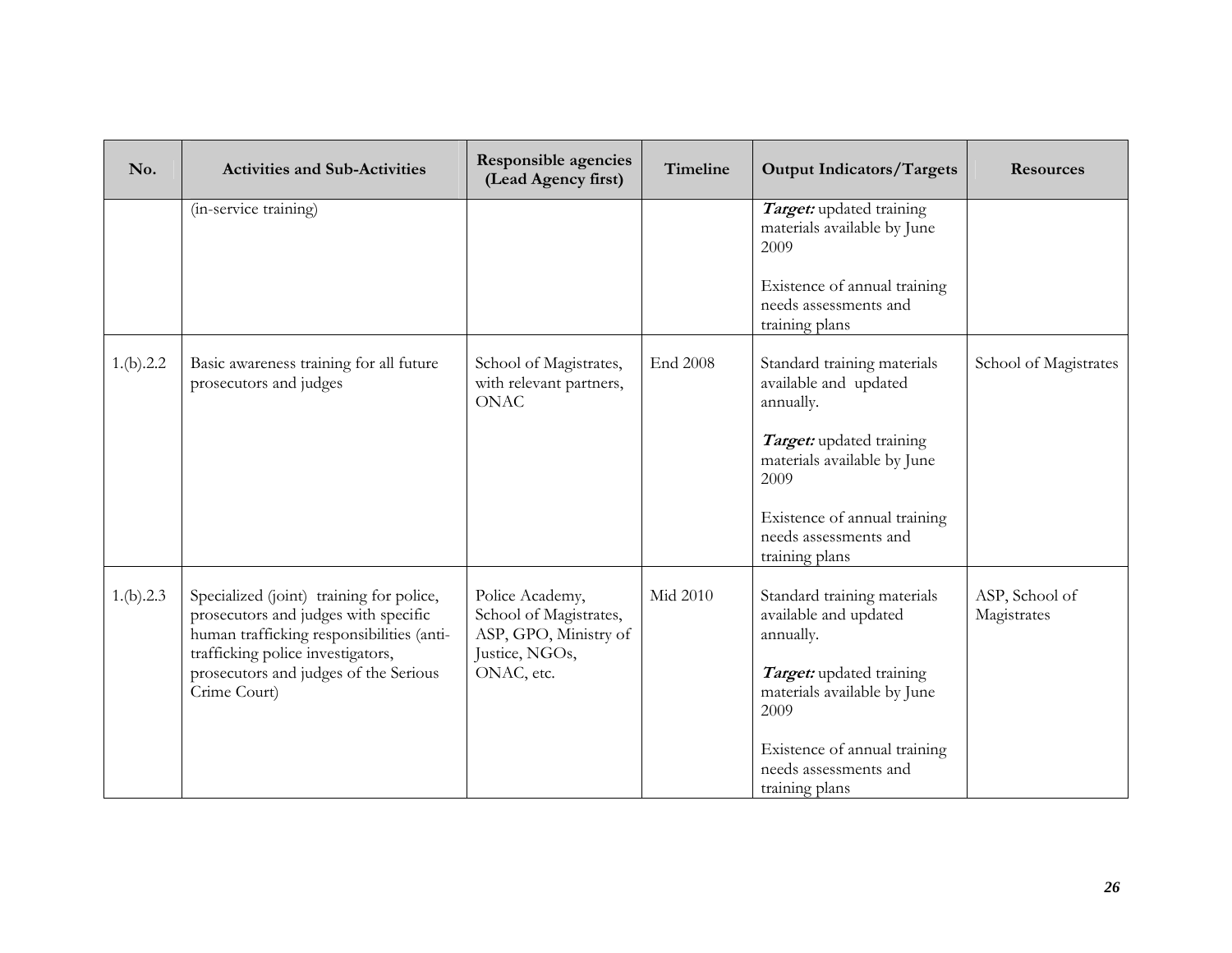| No.       | <b>Activities and Sub-Activities</b>                                                                                                                                                                                        | <b>Responsible agencies</b><br>(Lead Agency first)                                                 | <b>Timeline</b> | <b>Output Indicators/Targets</b>                                                                                                     | <b>Resources</b>              |
|-----------|-----------------------------------------------------------------------------------------------------------------------------------------------------------------------------------------------------------------------------|----------------------------------------------------------------------------------------------------|-----------------|--------------------------------------------------------------------------------------------------------------------------------------|-------------------------------|
|           | (in-service training)                                                                                                                                                                                                       |                                                                                                    |                 | Target: updated training<br>materials available by June<br>2009                                                                      |                               |
|           |                                                                                                                                                                                                                             |                                                                                                    |                 | Existence of annual training<br>needs assessments and<br>training plans                                                              |                               |
| 1.(b).2.2 | Basic awareness training for all future<br>prosecutors and judges                                                                                                                                                           | School of Magistrates,<br>with relevant partners,<br><b>ONAC</b>                                   | <b>End 2008</b> | Standard training materials<br>available and updated<br>annually.                                                                    | School of Magistrates         |
|           |                                                                                                                                                                                                                             |                                                                                                    |                 | Target: updated training<br>materials available by June<br>2009                                                                      |                               |
|           |                                                                                                                                                                                                                             |                                                                                                    |                 | Existence of annual training<br>needs assessments and<br>training plans                                                              |                               |
| 1.(b).2.3 | Specialized (joint) training for police,<br>prosecutors and judges with specific<br>human trafficking responsibilities (anti-<br>trafficking police investigators,<br>prosecutors and judges of the Serious<br>Crime Court) | Police Academy,<br>School of Magistrates,<br>ASP, GPO, Ministry of<br>Justice, NGOs,<br>ONAC, etc. | Mid 2010        | Standard training materials<br>available and updated<br>annually.<br>Target: updated training<br>materials available by June<br>2009 | ASP, School of<br>Magistrates |
|           |                                                                                                                                                                                                                             |                                                                                                    |                 | Existence of annual training<br>needs assessments and<br>training plans                                                              |                               |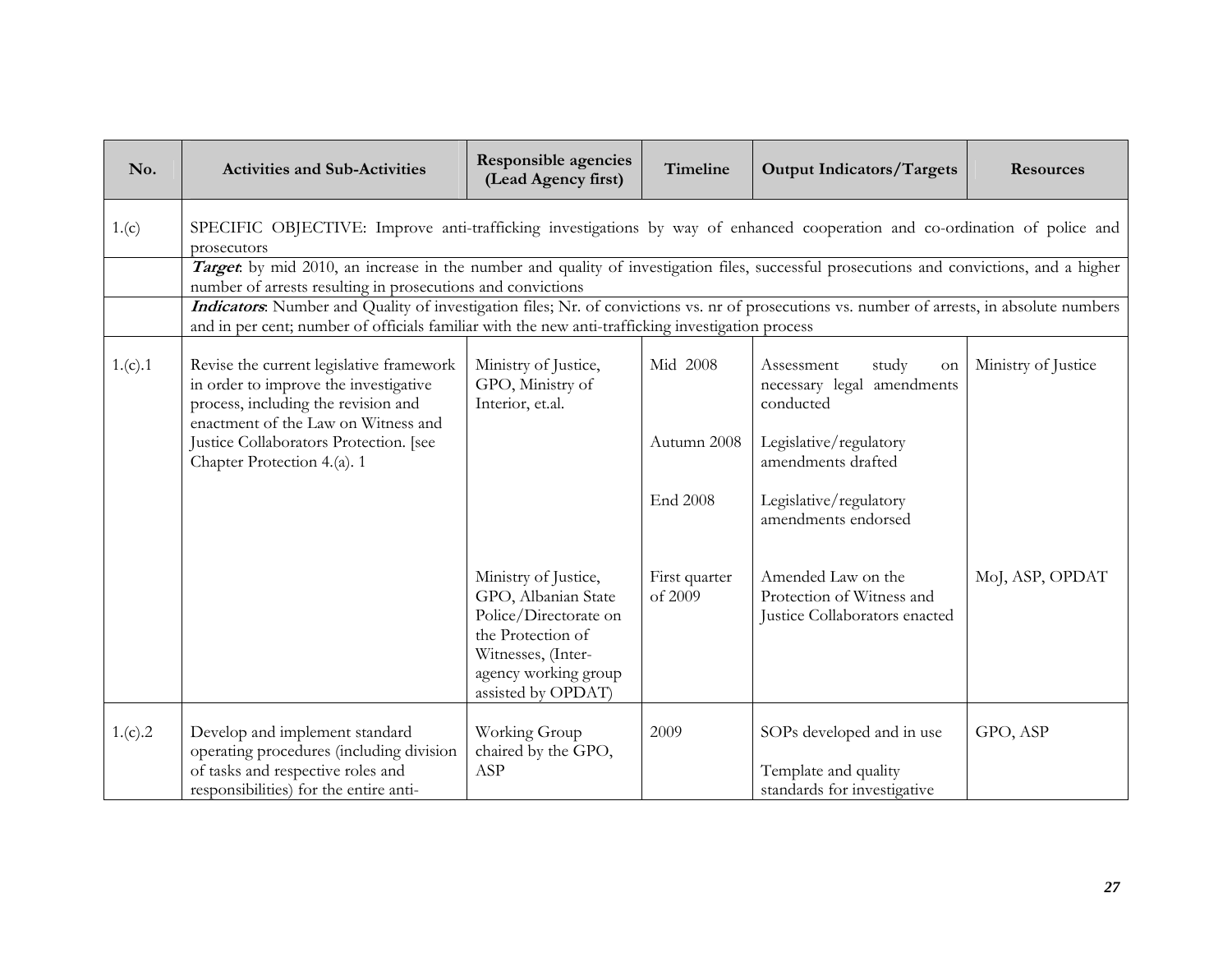| No.     | <b>Activities and Sub-Activities</b>                                                                                                                                                                                                             | <b>Responsible agencies</b><br>(Lead Agency first)                                                                                                            | Timeline                 | <b>Output Indicators/Targets</b>                                                 | <b>Resources</b>    |  |  |
|---------|--------------------------------------------------------------------------------------------------------------------------------------------------------------------------------------------------------------------------------------------------|---------------------------------------------------------------------------------------------------------------------------------------------------------------|--------------------------|----------------------------------------------------------------------------------|---------------------|--|--|
| 1.(c)   | SPECIFIC OBJECTIVE: Improve anti-trafficking investigations by way of enhanced cooperation and co-ordination of police and<br>prosecutors                                                                                                        |                                                                                                                                                               |                          |                                                                                  |                     |  |  |
|         | Target by mid 2010, an increase in the number and quality of investigation files, successful prosecutions and convictions, and a higher<br>number of arrests resulting in prosecutions and convictions                                           |                                                                                                                                                               |                          |                                                                                  |                     |  |  |
|         | Indicators: Number and Quality of investigation files; Nr. of convictions vs. nr of prosecutions vs. number of arrests, in absolute numbers<br>and in per cent; number of officials familiar with the new anti-trafficking investigation process |                                                                                                                                                               |                          |                                                                                  |                     |  |  |
| 1.(c).1 | Revise the current legislative framework<br>in order to improve the investigative<br>process, including the revision and<br>enactment of the Law on Witness and                                                                                  | Ministry of Justice,<br>GPO, Ministry of<br>Interior, et.al.                                                                                                  | Mid 2008                 | Assessment<br>study<br>on<br>necessary legal amendments<br>conducted             | Ministry of Justice |  |  |
|         | Justice Collaborators Protection. [see<br>Chapter Protection 4.(a). 1                                                                                                                                                                            |                                                                                                                                                               | Autumn 2008              | Legislative/regulatory<br>amendments drafted                                     |                     |  |  |
|         |                                                                                                                                                                                                                                                  |                                                                                                                                                               | End 2008                 | Legislative/regulatory<br>amendments endorsed                                    |                     |  |  |
|         |                                                                                                                                                                                                                                                  | Ministry of Justice,<br>GPO, Albanian State<br>Police/Directorate on<br>the Protection of<br>Witnesses, (Inter-<br>agency working group<br>assisted by OPDAT) | First quarter<br>of 2009 | Amended Law on the<br>Protection of Witness and<br>Justice Collaborators enacted | MoJ, ASP, OPDAT     |  |  |
| 1.(c).2 | Develop and implement standard<br>operating procedures (including division<br>of tasks and respective roles and<br>responsibilities) for the entire anti-                                                                                        | Working Group<br>chaired by the GPO,<br>ASP                                                                                                                   | 2009                     | SOPs developed and in use<br>Template and quality<br>standards for investigative | GPO, ASP            |  |  |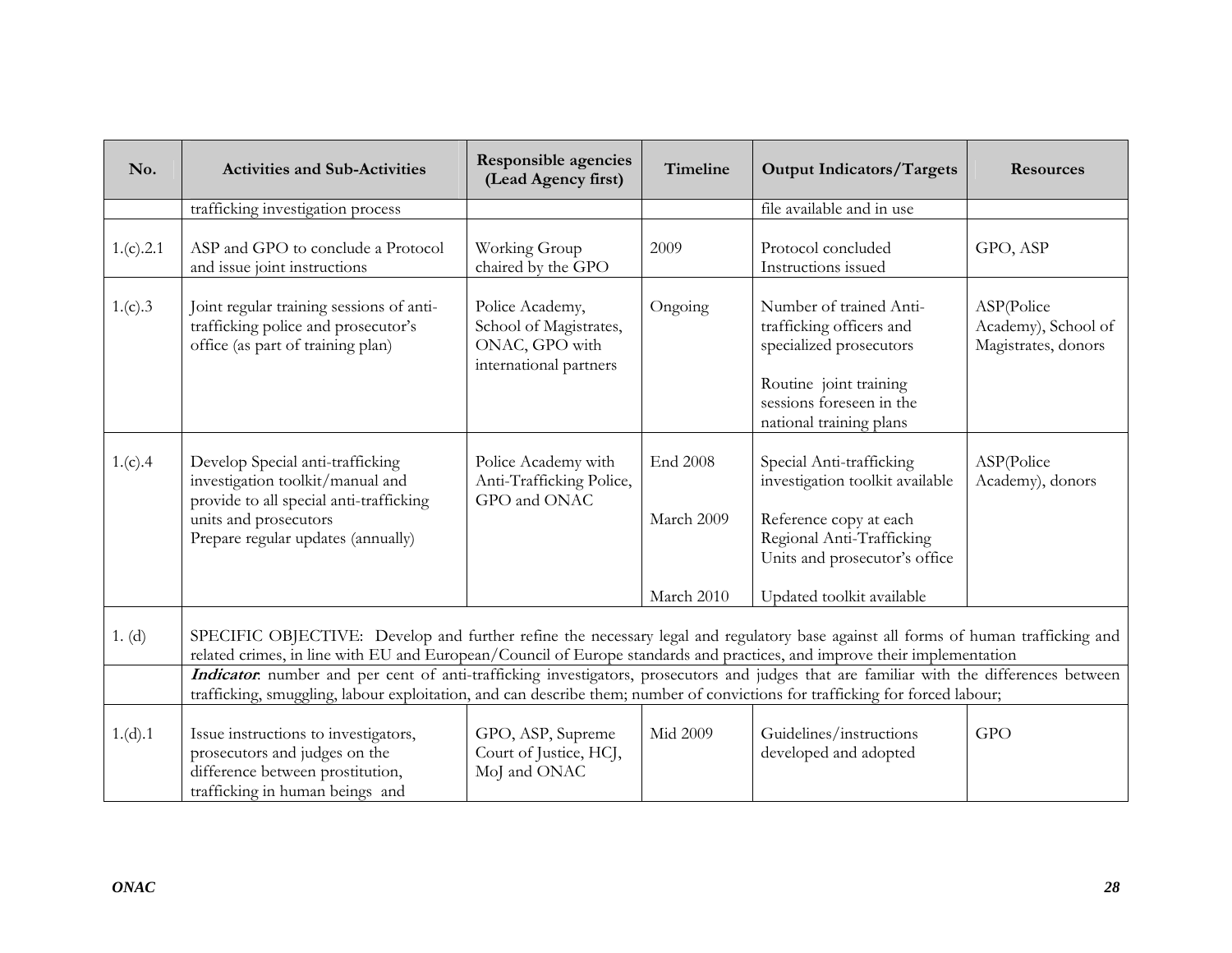| No.       | <b>Activities and Sub-Activities</b>                                                                                                                                                                                                                                    | <b>Responsible agencies</b><br>(Lead Agency first)                                    | Timeline                      | <b>Output Indicators/Targets</b>                                                                                                                                | <b>Resources</b>                                         |  |  |
|-----------|-------------------------------------------------------------------------------------------------------------------------------------------------------------------------------------------------------------------------------------------------------------------------|---------------------------------------------------------------------------------------|-------------------------------|-----------------------------------------------------------------------------------------------------------------------------------------------------------------|----------------------------------------------------------|--|--|
|           | trafficking investigation process                                                                                                                                                                                                                                       |                                                                                       |                               | file available and in use                                                                                                                                       |                                                          |  |  |
| 1.(c).2.1 | ASP and GPO to conclude a Protocol<br>and issue joint instructions                                                                                                                                                                                                      | Working Group<br>chaired by the GPO                                                   | 2009                          | Protocol concluded<br>Instructions issued                                                                                                                       | GPO, ASP                                                 |  |  |
| 1.(c).3   | Joint regular training sessions of anti-<br>trafficking police and prosecutor's<br>office (as part of training plan)                                                                                                                                                    | Police Academy,<br>School of Magistrates,<br>ONAC, GPO with<br>international partners | Ongoing                       | Number of trained Anti-<br>trafficking officers and<br>specialized prosecutors<br>Routine joint training<br>sessions foreseen in the<br>national training plans | ASP(Police<br>Academy), School of<br>Magistrates, donors |  |  |
| 1.(c).4   | Develop Special anti-trafficking<br>investigation toolkit/manual and<br>provide to all special anti-trafficking<br>units and prosecutors<br>Prepare regular updates (annually)                                                                                          | Police Academy with<br>Anti-Trafficking Police,<br>GPO and ONAC                       | <b>End 2008</b><br>March 2009 | Special Anti-trafficking<br>investigation toolkit available<br>Reference copy at each<br>Regional Anti-Trafficking<br>Units and prosecutor's office             | ASP(Police<br>Academy), donors                           |  |  |
|           |                                                                                                                                                                                                                                                                         |                                                                                       | March 2010                    | Updated toolkit available                                                                                                                                       |                                                          |  |  |
| 1. (d)    | SPECIFIC OBJECTIVE: Develop and further refine the necessary legal and regulatory base against all forms of human trafficking and<br>related crimes, in line with EU and European/Council of Europe standards and practices, and improve their implementation           |                                                                                       |                               |                                                                                                                                                                 |                                                          |  |  |
|           | Indicator. number and per cent of anti-trafficking investigators, prosecutors and judges that are familiar with the differences between<br>trafficking, smuggling, labour exploitation, and can describe them; number of convictions for trafficking for forced labour; |                                                                                       |                               |                                                                                                                                                                 |                                                          |  |  |
| 1.(d).1   | Issue instructions to investigators,<br>prosecutors and judges on the<br>difference between prostitution,<br>trafficking in human beings and                                                                                                                            | GPO, ASP, Supreme<br>Court of Justice, HCJ,<br>MoJ and ONAC                           | <b>Mid 2009</b>               | Guidelines/instructions<br>developed and adopted                                                                                                                | <b>GPO</b>                                               |  |  |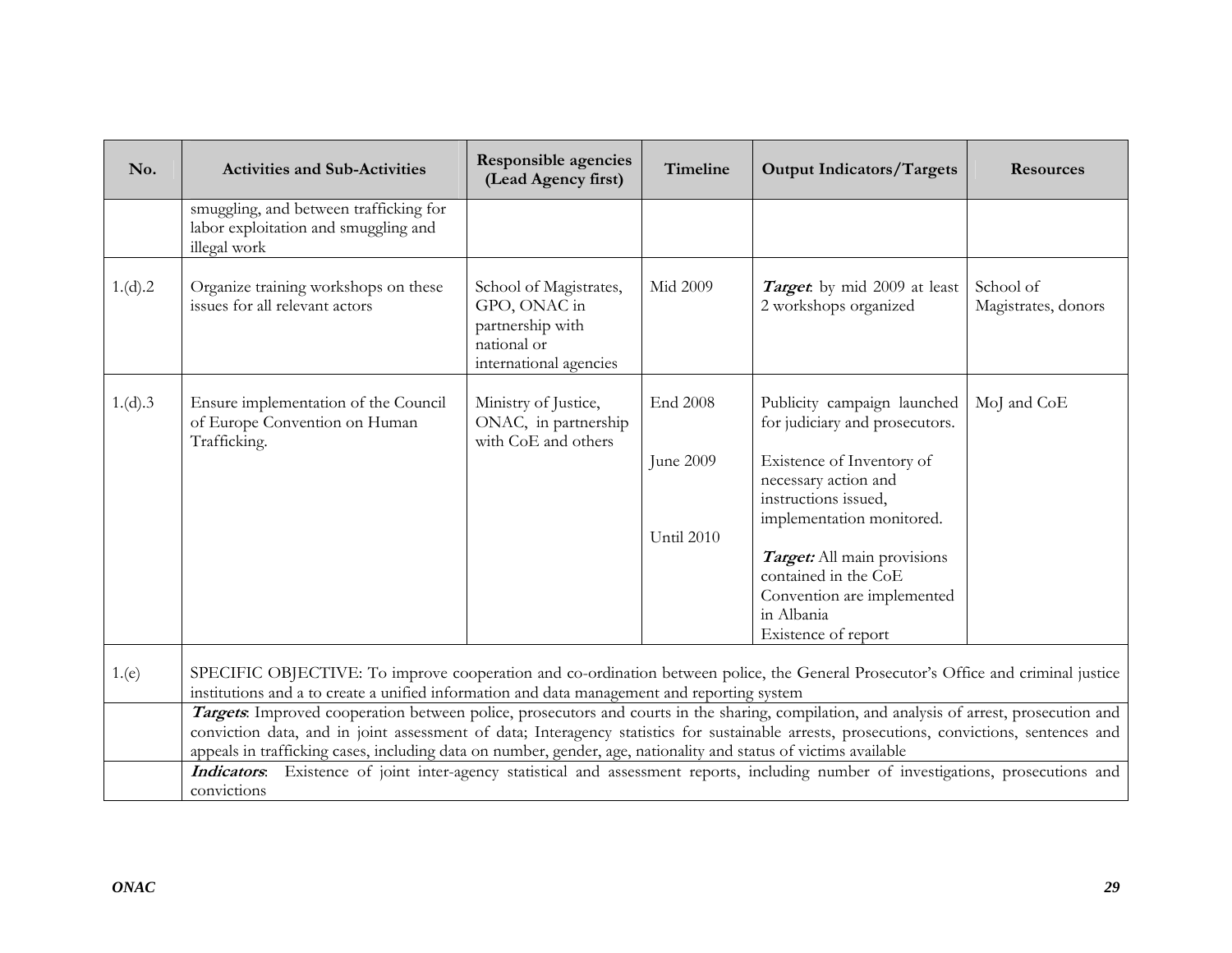| No.     | <b>Activities and Sub-Activities</b>                                                                                                                                                                                                                                                                                                                                                                                                                                                                                                                                                                                                                                                                                                                                                                   | Responsible agencies<br>(Lead Agency first)                                                         | Timeline                            | <b>Output Indicators/Targets</b>                                                                                                                                                                                                                                                                  | <b>Resources</b>                 |
|---------|--------------------------------------------------------------------------------------------------------------------------------------------------------------------------------------------------------------------------------------------------------------------------------------------------------------------------------------------------------------------------------------------------------------------------------------------------------------------------------------------------------------------------------------------------------------------------------------------------------------------------------------------------------------------------------------------------------------------------------------------------------------------------------------------------------|-----------------------------------------------------------------------------------------------------|-------------------------------------|---------------------------------------------------------------------------------------------------------------------------------------------------------------------------------------------------------------------------------------------------------------------------------------------------|----------------------------------|
|         | smuggling, and between trafficking for<br>labor exploitation and smuggling and<br>illegal work                                                                                                                                                                                                                                                                                                                                                                                                                                                                                                                                                                                                                                                                                                         |                                                                                                     |                                     |                                                                                                                                                                                                                                                                                                   |                                  |
| 1.(d).2 | Organize training workshops on these<br>issues for all relevant actors                                                                                                                                                                                                                                                                                                                                                                                                                                                                                                                                                                                                                                                                                                                                 | School of Magistrates,<br>GPO, ONAC in<br>partnership with<br>national or<br>international agencies | Mid 2009                            | <b>Target</b> : by mid 2009 at least<br>2 workshops organized                                                                                                                                                                                                                                     | School of<br>Magistrates, donors |
| 1.(d).3 | Ensure implementation of the Council<br>of Europe Convention on Human<br>Trafficking.                                                                                                                                                                                                                                                                                                                                                                                                                                                                                                                                                                                                                                                                                                                  | Ministry of Justice,<br>ONAC, in partnership<br>with CoE and others                                 | End 2008<br>June 2009<br>Until 2010 | Publicity campaign launched<br>for judiciary and prosecutors.<br>Existence of Inventory of<br>necessary action and<br>instructions issued,<br>implementation monitored.<br>Target: All main provisions<br>contained in the CoE<br>Convention are implemented<br>in Albania<br>Existence of report | MoJ and CoE                      |
| 1.(e)   | SPECIFIC OBJECTIVE: To improve cooperation and co-ordination between police, the General Prosecutor's Office and criminal justice<br>institutions and a to create a unified information and data management and reporting system<br>Targets. Improved cooperation between police, prosecutors and courts in the sharing, compilation, and analysis of arrest, prosecution and<br>conviction data, and in joint assessment of data; Interagency statistics for sustainable arrests, prosecutions, convictions, sentences and<br>appeals in trafficking cases, including data on number, gender, age, nationality and status of victims available<br>Indicators: Existence of joint inter-agency statistical and assessment reports, including number of investigations, prosecutions and<br>convictions |                                                                                                     |                                     |                                                                                                                                                                                                                                                                                                   |                                  |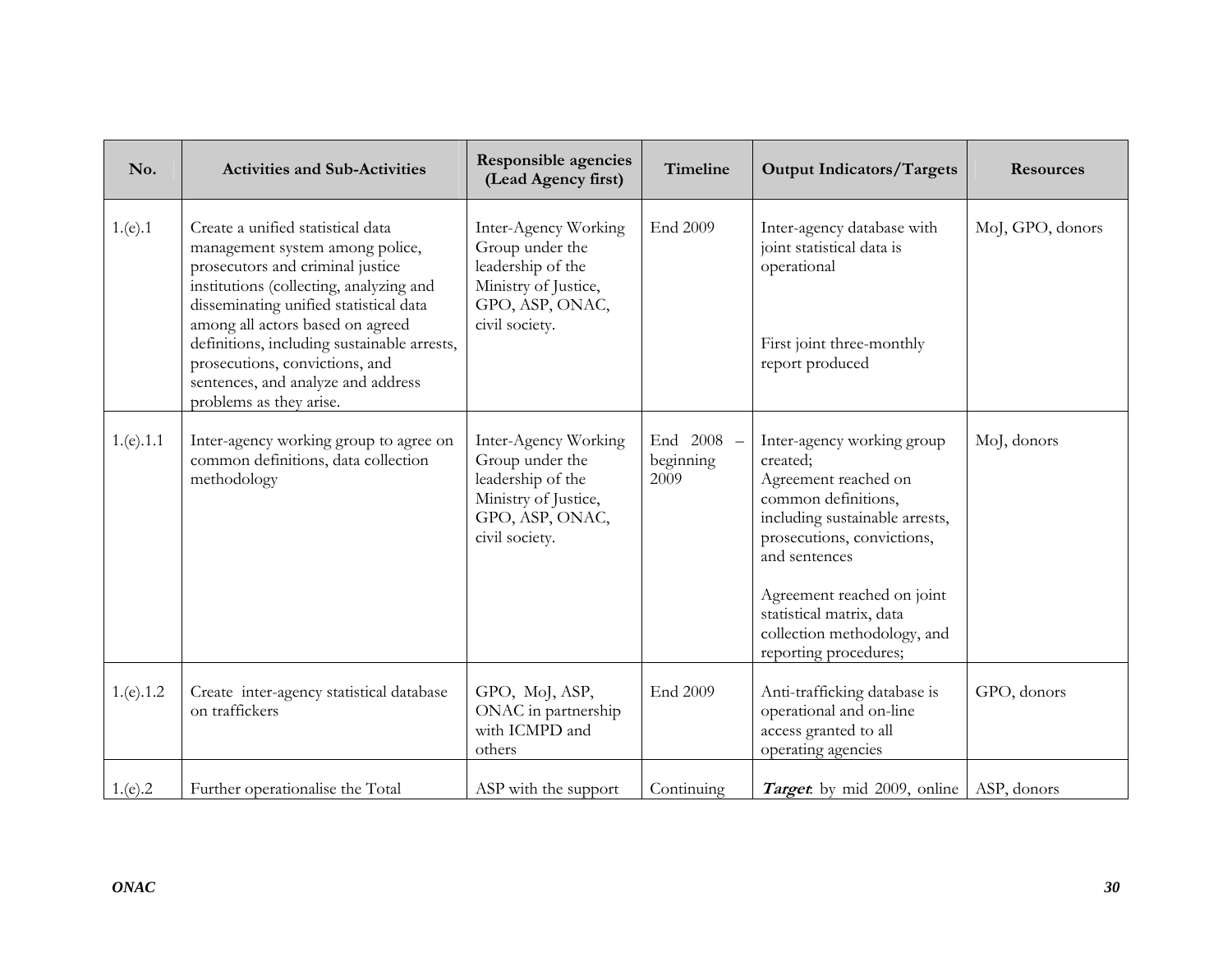| No.       | <b>Activities and Sub-Activities</b>                                                                                                                                                                                                                                                                                                                                                | <b>Responsible agencies</b><br>(Lead Agency first)                                                                        | Timeline                        | <b>Output Indicators/Targets</b>                                                                                                                                                                                                                                                         | <b>Resources</b> |
|-----------|-------------------------------------------------------------------------------------------------------------------------------------------------------------------------------------------------------------------------------------------------------------------------------------------------------------------------------------------------------------------------------------|---------------------------------------------------------------------------------------------------------------------------|---------------------------------|------------------------------------------------------------------------------------------------------------------------------------------------------------------------------------------------------------------------------------------------------------------------------------------|------------------|
| 1.(e).1   | Create a unified statistical data<br>management system among police,<br>prosecutors and criminal justice<br>institutions (collecting, analyzing and<br>disseminating unified statistical data<br>among all actors based on agreed<br>definitions, including sustainable arrests,<br>prosecutions, convictions, and<br>sentences, and analyze and address<br>problems as they arise. | Inter-Agency Working<br>Group under the<br>leadership of the<br>Ministry of Justice,<br>GPO, ASP, ONAC,<br>civil society. | End 2009                        | Inter-agency database with<br>joint statistical data is<br>operational<br>First joint three-monthly<br>report produced                                                                                                                                                                   | MoJ, GPO, donors |
| 1.(e).1.1 | Inter-agency working group to agree on<br>common definitions, data collection<br>methodology                                                                                                                                                                                                                                                                                        | Inter-Agency Working<br>Group under the<br>leadership of the<br>Ministry of Justice,<br>GPO, ASP, ONAC,<br>civil society. | End 2008 -<br>beginning<br>2009 | Inter-agency working group<br>created;<br>Agreement reached on<br>common definitions,<br>including sustainable arrests,<br>prosecutions, convictions,<br>and sentences<br>Agreement reached on joint<br>statistical matrix, data<br>collection methodology, and<br>reporting procedures; | MoJ, donors      |
| 1.(e).1.2 | Create inter-agency statistical database<br>on traffickers                                                                                                                                                                                                                                                                                                                          | GPO, MoJ, ASP,<br>ONAC in partnership<br>with ICMPD and<br>others                                                         | End 2009                        | Anti-trafficking database is<br>operational and on-line<br>access granted to all<br>operating agencies                                                                                                                                                                                   | GPO, donors      |
| 1.(e).2   | Further operationalise the Total                                                                                                                                                                                                                                                                                                                                                    | ASP with the support                                                                                                      | Continuing                      | Target by mid 2009, online                                                                                                                                                                                                                                                               | ASP, donors      |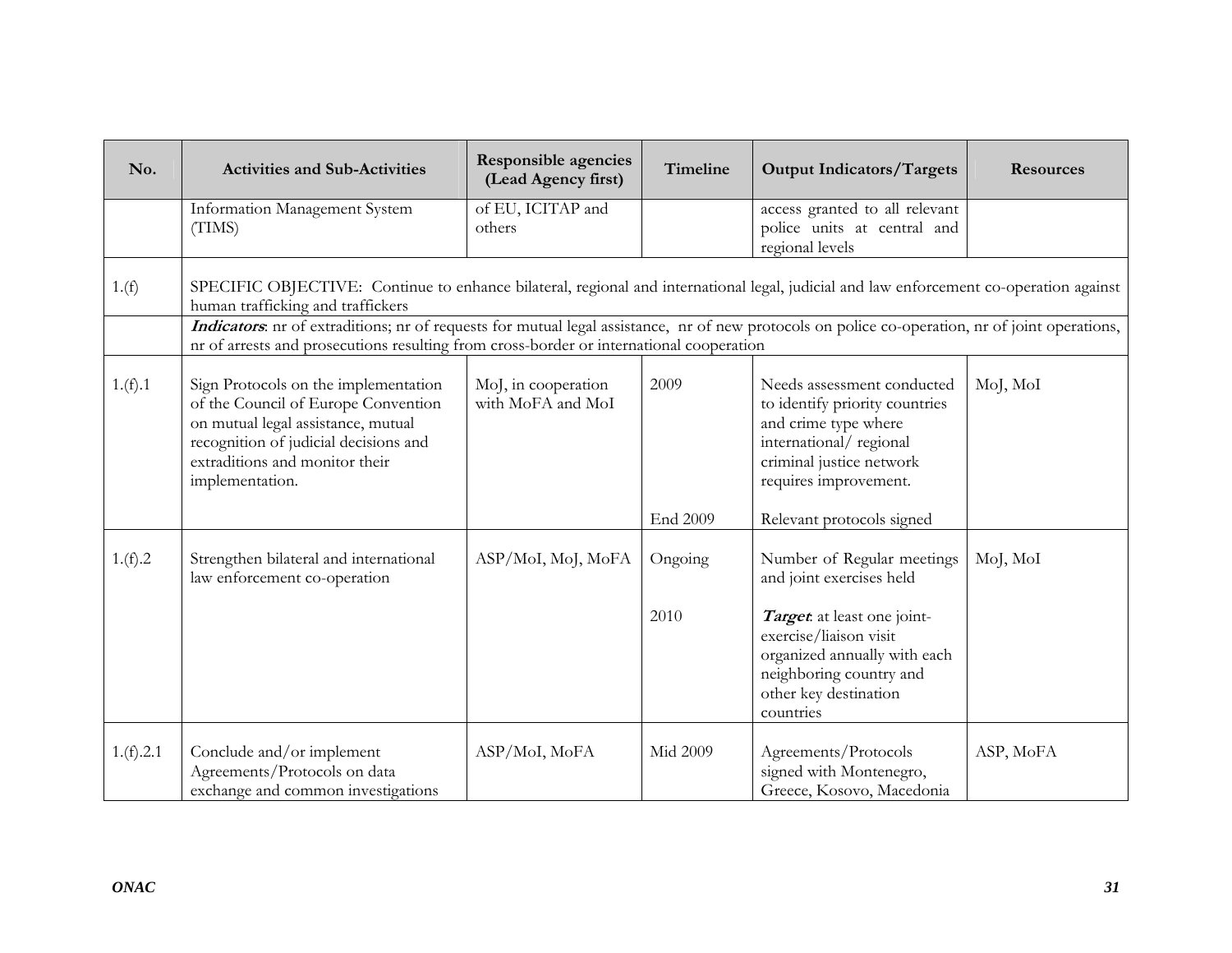| No.       | <b>Activities and Sub-Activities</b>                                                                                                                                                                                                       | <b>Responsible agencies</b><br>(Lead Agency first) | Timeline | <b>Output Indicators/Targets</b>                                                                                                                                    | <b>Resources</b> |
|-----------|--------------------------------------------------------------------------------------------------------------------------------------------------------------------------------------------------------------------------------------------|----------------------------------------------------|----------|---------------------------------------------------------------------------------------------------------------------------------------------------------------------|------------------|
|           | Information Management System<br>(TIMS)                                                                                                                                                                                                    | of EU, ICITAP and<br>others                        |          | access granted to all relevant<br>police units at central and<br>regional levels                                                                                    |                  |
| 1.(f)     | SPECIFIC OBJECTIVE: Continue to enhance bilateral, regional and international legal, judicial and law enforcement co-operation against<br>human trafficking and traffickers                                                                |                                                    |          |                                                                                                                                                                     |                  |
|           | Indicators: nr of extraditions; nr of requests for mutual legal assistance, nr of new protocols on police co-operation, nr of joint operations,<br>nr of arrests and prosecutions resulting from cross-border or international cooperation |                                                    |          |                                                                                                                                                                     |                  |
| 1.(f).1   | Sign Protocols on the implementation<br>of the Council of Europe Convention<br>on mutual legal assistance, mutual<br>recognition of judicial decisions and<br>extraditions and monitor their<br>implementation.                            | MoJ, in cooperation<br>with MoFA and MoI           | 2009     | Needs assessment conducted<br>to identify priority countries<br>and crime type where<br>international/regional<br>criminal justice network<br>requires improvement. | MoJ, MoI         |
|           |                                                                                                                                                                                                                                            |                                                    | End 2009 | Relevant protocols signed                                                                                                                                           |                  |
| 1.(f).2   | Strengthen bilateral and international<br>law enforcement co-operation                                                                                                                                                                     | ASP/MoI, MoJ, MoFA                                 | Ongoing  | Number of Regular meetings<br>and joint exercises held                                                                                                              | MoJ, MoI         |
|           |                                                                                                                                                                                                                                            |                                                    | 2010     | Target at least one joint-<br>exercise/liaison visit<br>organized annually with each<br>neighboring country and<br>other key destination<br>countries               |                  |
| 1.(f).2.1 | Conclude and/or implement<br>Agreements/Protocols on data<br>exchange and common investigations                                                                                                                                            | ASP/MoI, MoFA                                      | Mid 2009 | Agreements/Protocols<br>signed with Montenegro,<br>Greece, Kosovo, Macedonia                                                                                        | ASP, MoFA        |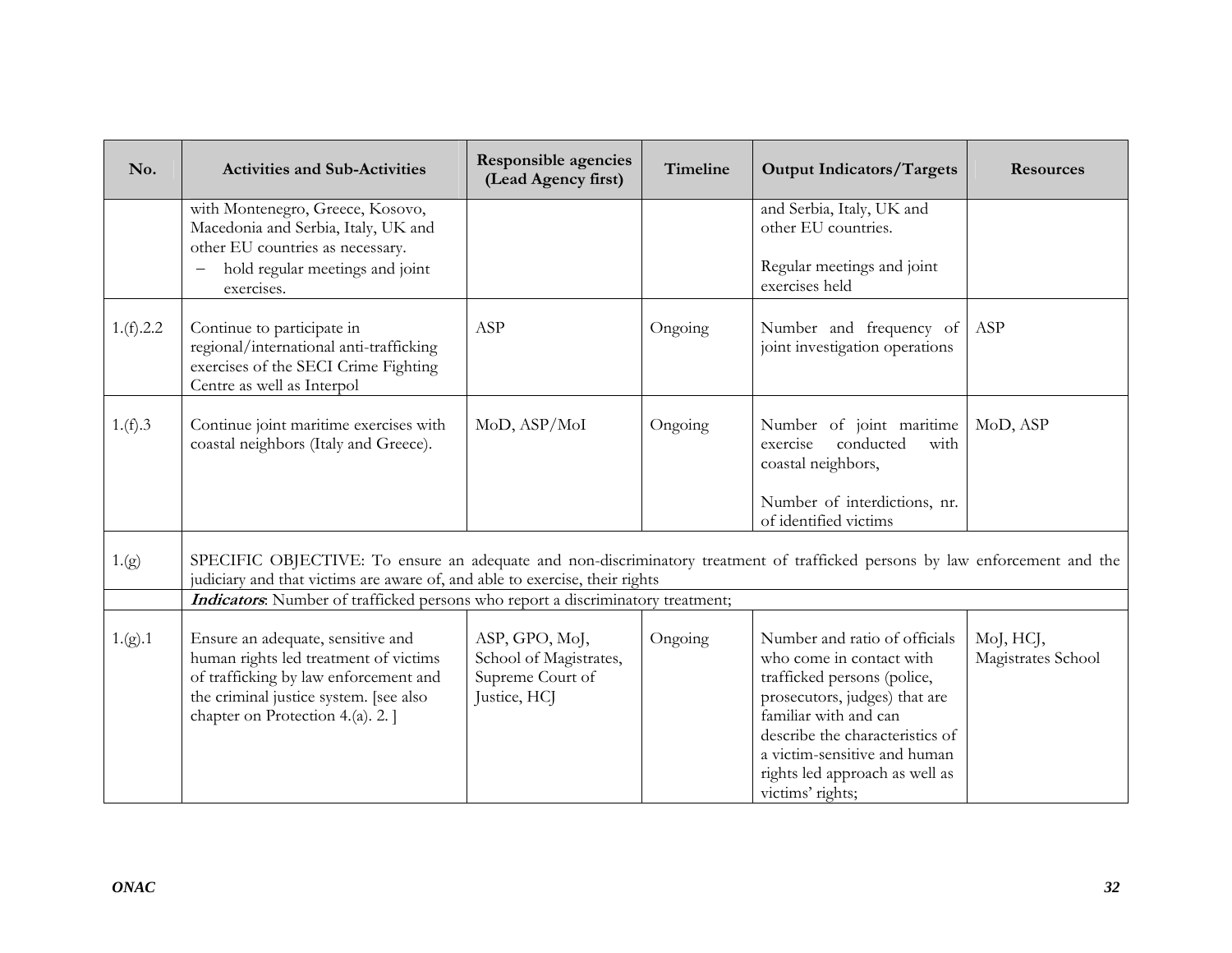| No.       | <b>Activities and Sub-Activities</b>                                                                                                                                                                       | <b>Responsible agencies</b><br>(Lead Agency first)                           | <b>Timeline</b> | <b>Output Indicators/Targets</b>                                                                                                                                                                                                                                            | <b>Resources</b>                |
|-----------|------------------------------------------------------------------------------------------------------------------------------------------------------------------------------------------------------------|------------------------------------------------------------------------------|-----------------|-----------------------------------------------------------------------------------------------------------------------------------------------------------------------------------------------------------------------------------------------------------------------------|---------------------------------|
|           | with Montenegro, Greece, Kosovo,<br>Macedonia and Serbia, Italy, UK and<br>other EU countries as necessary.                                                                                                |                                                                              |                 | and Serbia, Italy, UK and<br>other EU countries.                                                                                                                                                                                                                            |                                 |
|           | hold regular meetings and joint<br>$\qquad \qquad -$<br>exercises.                                                                                                                                         |                                                                              |                 | Regular meetings and joint<br>exercises held                                                                                                                                                                                                                                |                                 |
| 1.(f).2.2 | Continue to participate in<br>regional/international anti-trafficking<br>exercises of the SECI Crime Fighting<br>Centre as well as Interpol                                                                | ASP                                                                          | Ongoing         | Number and frequency of<br>joint investigation operations                                                                                                                                                                                                                   | ASP                             |
| 1.(f).3   | Continue joint maritime exercises with<br>coastal neighbors (Italy and Greece).                                                                                                                            | MoD, ASP/MoI                                                                 | Ongoing         | Number of joint maritime<br>conducted<br>exercise<br>with<br>coastal neighbors,                                                                                                                                                                                             | MoD, ASP                        |
|           |                                                                                                                                                                                                            |                                                                              |                 | Number of interdictions, nr.<br>of identified victims                                                                                                                                                                                                                       |                                 |
| 1.(g)     | SPECIFIC OBJECTIVE: To ensure an adequate and non-discriminatory treatment of trafficked persons by law enforcement and the<br>judiciary and that victims are aware of, and able to exercise, their rights |                                                                              |                 |                                                                                                                                                                                                                                                                             |                                 |
|           | Indicators: Number of trafficked persons who report a discriminatory treatment;                                                                                                                            |                                                                              |                 |                                                                                                                                                                                                                                                                             |                                 |
| 1.(g).1   | Ensure an adequate, sensitive and<br>human rights led treatment of victims<br>of trafficking by law enforcement and<br>the criminal justice system. [see also<br>chapter on Protection 4.(a). 2. ]         | ASP, GPO, MoJ,<br>School of Magistrates,<br>Supreme Court of<br>Justice, HCJ | Ongoing         | Number and ratio of officials<br>who come in contact with<br>trafficked persons (police,<br>prosecutors, judges) that are<br>familiar with and can<br>describe the characteristics of<br>a victim-sensitive and human<br>rights led approach as well as<br>victims' rights; | MoJ, HCJ,<br>Magistrates School |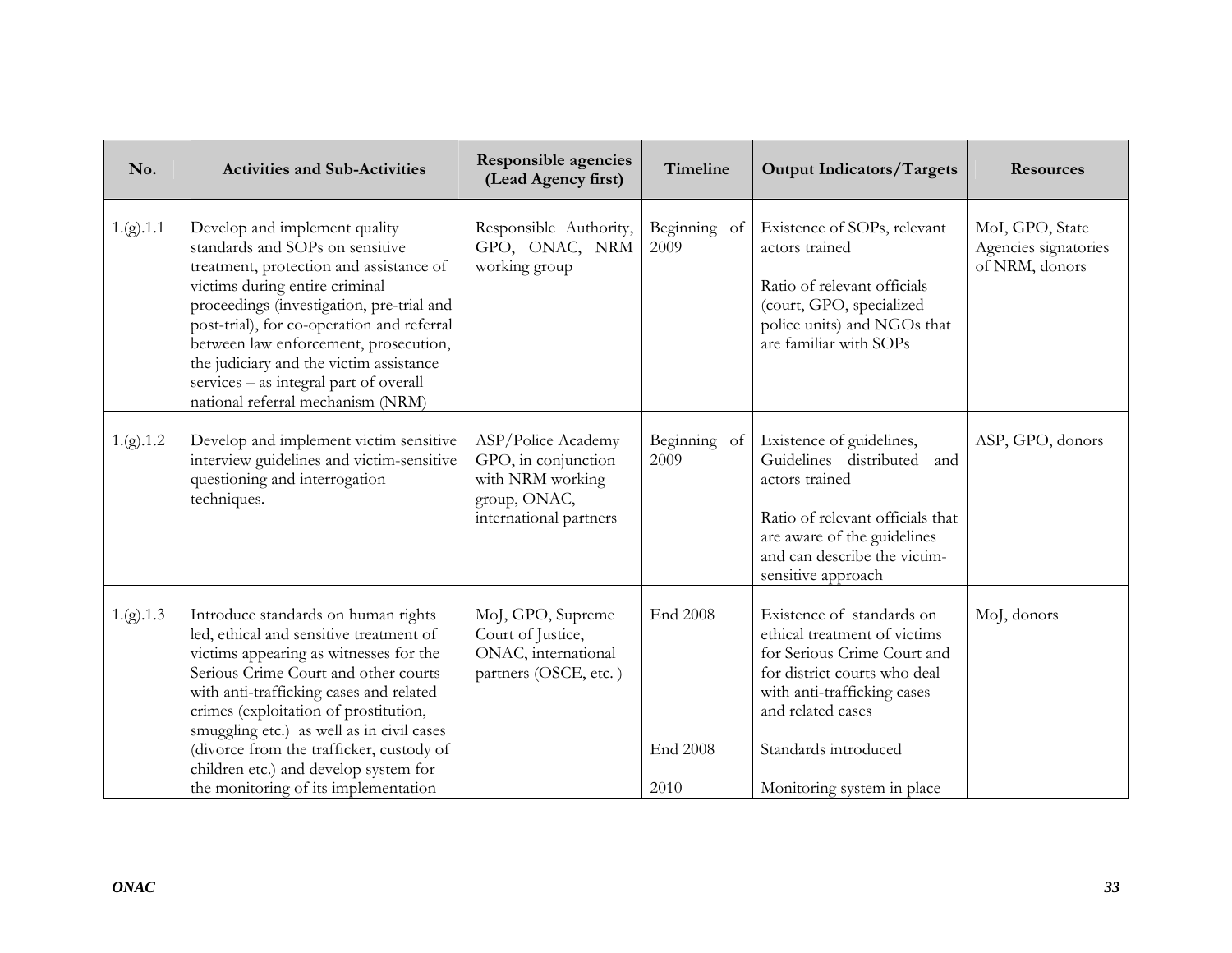| No.       | <b>Activities and Sub-Activities</b>                                                                                                                                                                                                                                                                                                                                                                                           | <b>Responsible agencies</b><br>(Lead Agency first)                                                      | Timeline                                   | <b>Output Indicators/Targets</b>                                                                                                                                                                                                   | <b>Resources</b>                                          |
|-----------|--------------------------------------------------------------------------------------------------------------------------------------------------------------------------------------------------------------------------------------------------------------------------------------------------------------------------------------------------------------------------------------------------------------------------------|---------------------------------------------------------------------------------------------------------|--------------------------------------------|------------------------------------------------------------------------------------------------------------------------------------------------------------------------------------------------------------------------------------|-----------------------------------------------------------|
| 1.(g).1.1 | Develop and implement quality<br>standards and SOPs on sensitive<br>treatment, protection and assistance of<br>victims during entire criminal<br>proceedings (investigation, pre-trial and<br>post-trial), for co-operation and referral<br>between law enforcement, prosecution,<br>the judiciary and the victim assistance<br>services - as integral part of overall<br>national referral mechanism (NRM)                    | Responsible Authority,<br>GPO, ONAC, NRM<br>working group                                               | Beginning of<br>2009                       | Existence of SOPs, relevant<br>actors trained<br>Ratio of relevant officials<br>(court, GPO, specialized<br>police units) and NGOs that<br>are familiar with SOPs                                                                  | MoI, GPO, State<br>Agencies signatories<br>of NRM, donors |
| 1.(g).1.2 | Develop and implement victim sensitive<br>interview guidelines and victim-sensitive<br>questioning and interrogation<br>techniques.                                                                                                                                                                                                                                                                                            | ASP/Police Academy<br>GPO, in conjunction<br>with NRM working<br>group, ONAC,<br>international partners | Beginning of<br>2009                       | Existence of guidelines,<br>Guidelines distributed<br>and<br>actors trained<br>Ratio of relevant officials that<br>are aware of the guidelines<br>and can describe the victim-<br>sensitive approach                               | ASP, GPO, donors                                          |
| 1.(g).1.3 | Introduce standards on human rights<br>led, ethical and sensitive treatment of<br>victims appearing as witnesses for the<br>Serious Crime Court and other courts<br>with anti-trafficking cases and related<br>crimes (exploitation of prostitution,<br>smuggling etc.) as well as in civil cases<br>(divorce from the trafficker, custody of<br>children etc.) and develop system for<br>the monitoring of its implementation | MoJ, GPO, Supreme<br>Court of Justice,<br>ONAC, international<br>partners (OSCE, etc.)                  | <b>End 2008</b><br><b>End 2008</b><br>2010 | Existence of standards on<br>ethical treatment of victims<br>for Serious Crime Court and<br>for district courts who deal<br>with anti-trafficking cases<br>and related cases<br>Standards introduced<br>Monitoring system in place | MoJ, donors                                               |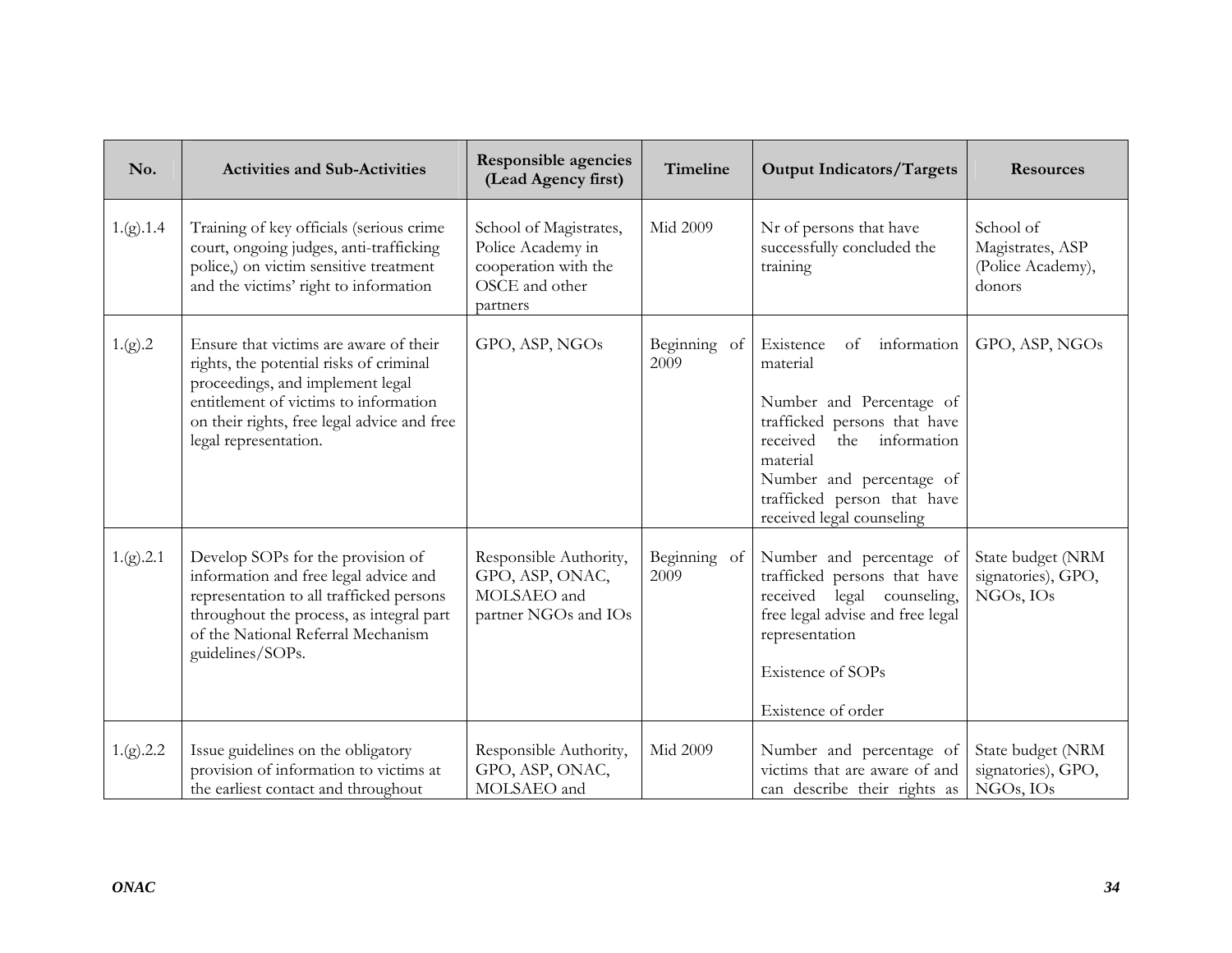| No.       | <b>Activities and Sub-Activities</b>                                                                                                                                                                                                   | <b>Responsible agencies</b><br>(Lead Agency first)                                                | Timeline             | <b>Output Indicators/Targets</b>                                                                                                                                                                                                             | <b>Resources</b>                                             |
|-----------|----------------------------------------------------------------------------------------------------------------------------------------------------------------------------------------------------------------------------------------|---------------------------------------------------------------------------------------------------|----------------------|----------------------------------------------------------------------------------------------------------------------------------------------------------------------------------------------------------------------------------------------|--------------------------------------------------------------|
| 1.(g).1.4 | Training of key officials (serious crime<br>court, ongoing judges, anti-trafficking<br>police,) on victim sensitive treatment<br>and the victims' right to information                                                                 | School of Magistrates,<br>Police Academy in<br>cooperation with the<br>OSCE and other<br>partners | Mid 2009             | Nr of persons that have<br>successfully concluded the<br>training                                                                                                                                                                            | School of<br>Magistrates, ASP<br>(Police Academy),<br>donors |
| 1.(g).2   | Ensure that victims are aware of their<br>rights, the potential risks of criminal<br>proceedings, and implement legal<br>entitlement of victims to information<br>on their rights, free legal advice and free<br>legal representation. | GPO, ASP, NGOs                                                                                    | Beginning of<br>2009 | Existence<br>information<br>of<br>material<br>Number and Percentage of<br>trafficked persons that have<br>received<br>information<br>the<br>material<br>Number and percentage of<br>trafficked person that have<br>received legal counseling | GPO, ASP, NGOs                                               |
| 1.(g).2.1 | Develop SOPs for the provision of<br>information and free legal advice and<br>representation to all trafficked persons<br>throughout the process, as integral part<br>of the National Referral Mechanism<br>guidelines/SOPs.           | Responsible Authority,<br>GPO, ASP, ONAC,<br>MOLSAEO and<br>partner NGOs and IOs                  | Beginning of<br>2009 | Number and percentage of<br>trafficked persons that have<br>received legal counseling,<br>free legal advise and free legal<br>representation<br>Existence of SOPs<br>Existence of order                                                      | State budget (NRM<br>signatories), GPO,<br>NGOs, IOs         |
| 1.(g).2.2 | Issue guidelines on the obligatory<br>provision of information to victims at<br>the earliest contact and throughout                                                                                                                    | Responsible Authority,<br>GPO, ASP, ONAC,<br>MOLSAEO and                                          | Mid 2009             | Number and percentage of<br>victims that are aware of and<br>can describe their rights as                                                                                                                                                    | State budget (NRM<br>signatories), GPO,<br>NGOs, IOs         |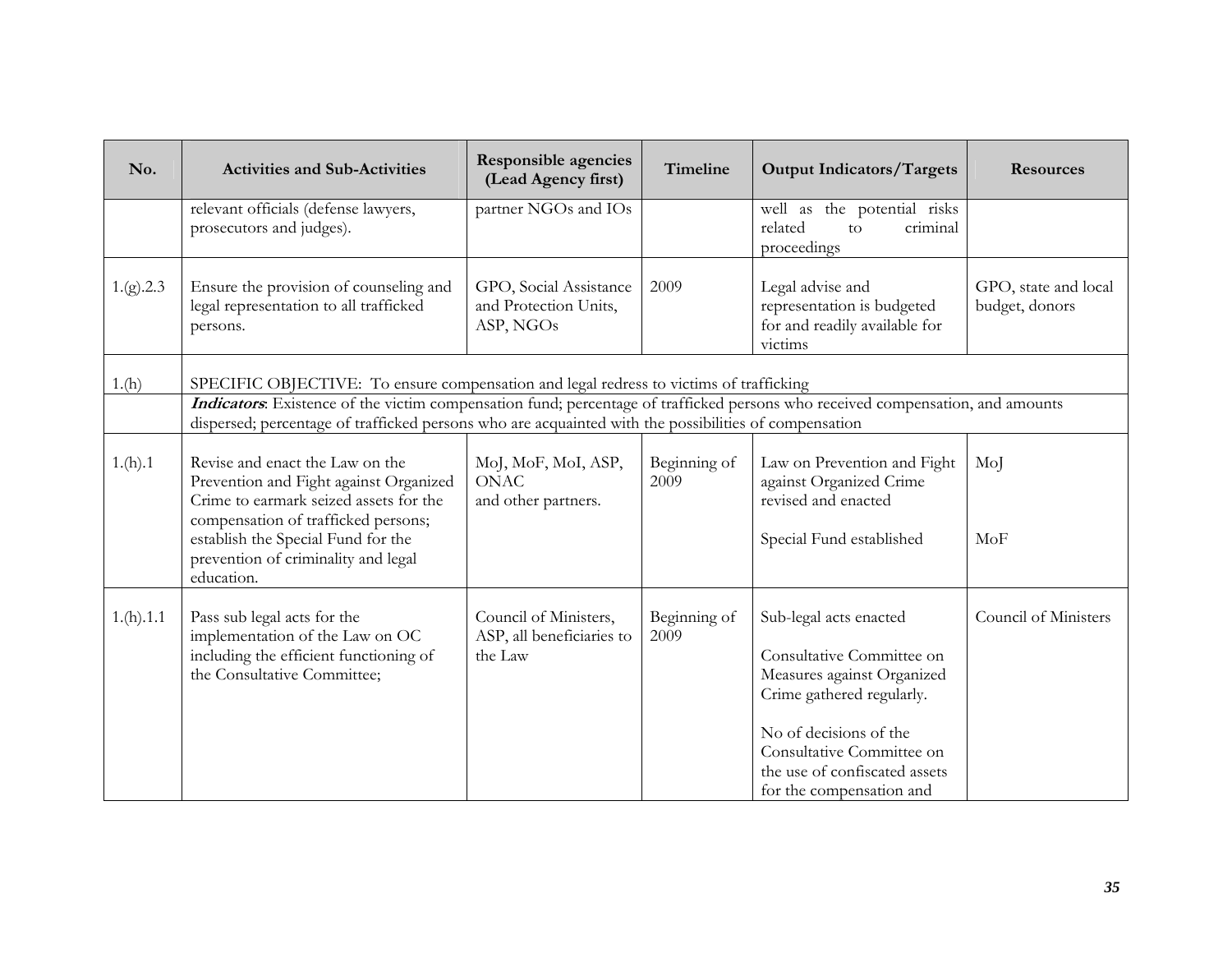| No.       | <b>Activities and Sub-Activities</b>                                                                                                                                                                                                                  | <b>Responsible agencies</b><br>(Lead Agency first)            | Timeline             | <b>Output Indicators/Targets</b>                                                                                                                                                                                                   | <b>Resources</b>                       |
|-----------|-------------------------------------------------------------------------------------------------------------------------------------------------------------------------------------------------------------------------------------------------------|---------------------------------------------------------------|----------------------|------------------------------------------------------------------------------------------------------------------------------------------------------------------------------------------------------------------------------------|----------------------------------------|
|           | relevant officials (defense lawyers,<br>prosecutors and judges).                                                                                                                                                                                      | partner NGOs and IOs                                          |                      | well as the potential risks<br>related<br>criminal<br>$\overline{10}$<br>proceedings                                                                                                                                               |                                        |
| 1.(g).2.3 | Ensure the provision of counseling and<br>legal representation to all trafficked<br>persons.                                                                                                                                                          | GPO, Social Assistance<br>and Protection Units,<br>ASP, NGOs  | 2009                 | Legal advise and<br>representation is budgeted<br>for and readily available for<br>victims                                                                                                                                         | GPO, state and local<br>budget, donors |
| 1.(h)     | SPECIFIC OBJECTIVE: To ensure compensation and legal redress to victims of trafficking                                                                                                                                                                |                                                               |                      |                                                                                                                                                                                                                                    |                                        |
|           | Indicators: Existence of the victim compensation fund; percentage of trafficked persons who received compensation, and amounts<br>dispersed; percentage of trafficked persons who are acquainted with the possibilities of compensation               |                                                               |                      |                                                                                                                                                                                                                                    |                                        |
| 1.(h).1   | Revise and enact the Law on the<br>Prevention and Fight against Organized<br>Crime to earmark seized assets for the<br>compensation of trafficked persons;<br>establish the Special Fund for the<br>prevention of criminality and legal<br>education. | MoJ, MoF, MoI, ASP,<br><b>ONAC</b><br>and other partners.     | Beginning of<br>2009 | Law on Prevention and Fight<br>against Organized Crime<br>revised and enacted<br>Special Fund established                                                                                                                          | MoJ<br>MoF                             |
| 1.(h).1.1 | Pass sub legal acts for the<br>implementation of the Law on OC<br>including the efficient functioning of<br>the Consultative Committee;                                                                                                               | Council of Ministers,<br>ASP, all beneficiaries to<br>the Law | Beginning of<br>2009 | Sub-legal acts enacted<br>Consultative Committee on<br>Measures against Organized<br>Crime gathered regularly.<br>No of decisions of the<br>Consultative Committee on<br>the use of confiscated assets<br>for the compensation and | Council of Ministers                   |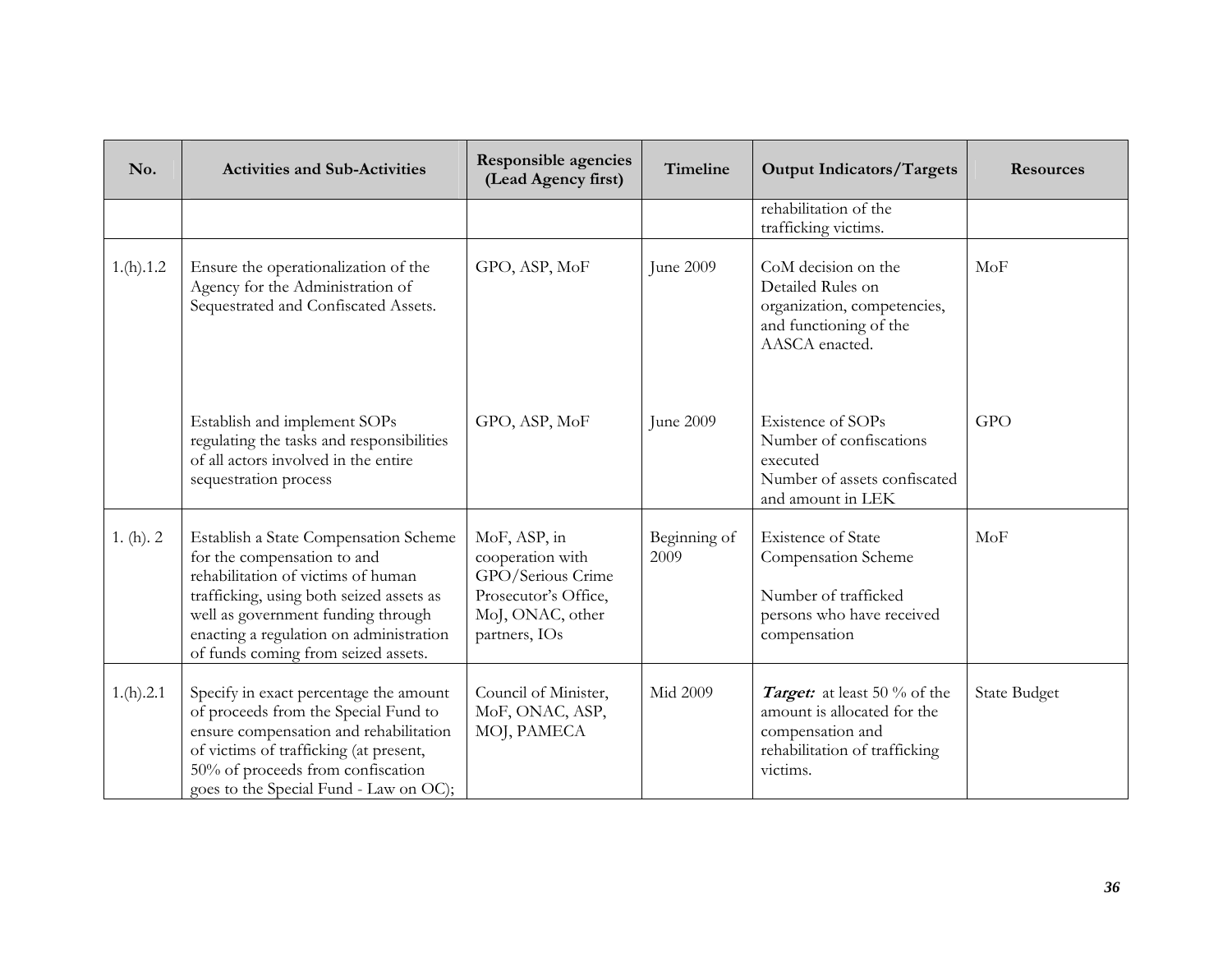| No.          | <b>Activities and Sub-Activities</b>                                                                                                                                                                                                                                           | Responsible agencies<br>(Lead Agency first)                                                                        | Timeline             | <b>Output Indicators/Targets</b>                                                                                             | <b>Resources</b>    |
|--------------|--------------------------------------------------------------------------------------------------------------------------------------------------------------------------------------------------------------------------------------------------------------------------------|--------------------------------------------------------------------------------------------------------------------|----------------------|------------------------------------------------------------------------------------------------------------------------------|---------------------|
|              |                                                                                                                                                                                                                                                                                |                                                                                                                    |                      | rehabilitation of the<br>trafficking victims.                                                                                |                     |
| 1.(h).1.2    | Ensure the operationalization of the<br>Agency for the Administration of<br>Sequestrated and Confiscated Assets.                                                                                                                                                               | GPO, ASP, MoF                                                                                                      | June 2009            | CoM decision on the<br>Detailed Rules on<br>organization, competencies,<br>and functioning of the<br>AASCA enacted.          | MoF                 |
|              | Establish and implement SOPs<br>regulating the tasks and responsibilities<br>of all actors involved in the entire<br>sequestration process                                                                                                                                     | GPO, ASP, MoF                                                                                                      | June 2009            | Existence of SOPs<br>Number of confiscations<br>executed<br>Number of assets confiscated<br>and amount in LEK                | <b>GPO</b>          |
| 1. $(h)$ . 2 | Establish a State Compensation Scheme<br>for the compensation to and<br>rehabilitation of victims of human<br>trafficking, using both seized assets as<br>well as government funding through<br>enacting a regulation on administration<br>of funds coming from seized assets. | MoF, ASP, in<br>cooperation with<br>GPO/Serious Crime<br>Prosecutor's Office,<br>MoJ, ONAC, other<br>partners, IOs | Beginning of<br>2009 | <b>Existence of State</b><br>Compensation Scheme<br>Number of trafficked<br>persons who have received<br>compensation        | MoF                 |
| 1.(h).2.1    | Specify in exact percentage the amount<br>of proceeds from the Special Fund to<br>ensure compensation and rehabilitation<br>of victims of trafficking (at present,<br>50% of proceeds from confiscation<br>goes to the Special Fund - Law on OC);                              | Council of Minister,<br>MoF, ONAC, ASP,<br>MOJ, PAMECA                                                             | Mid 2009             | Target: at least 50 % of the<br>amount is allocated for the<br>compensation and<br>rehabilitation of trafficking<br>victims. | <b>State Budget</b> |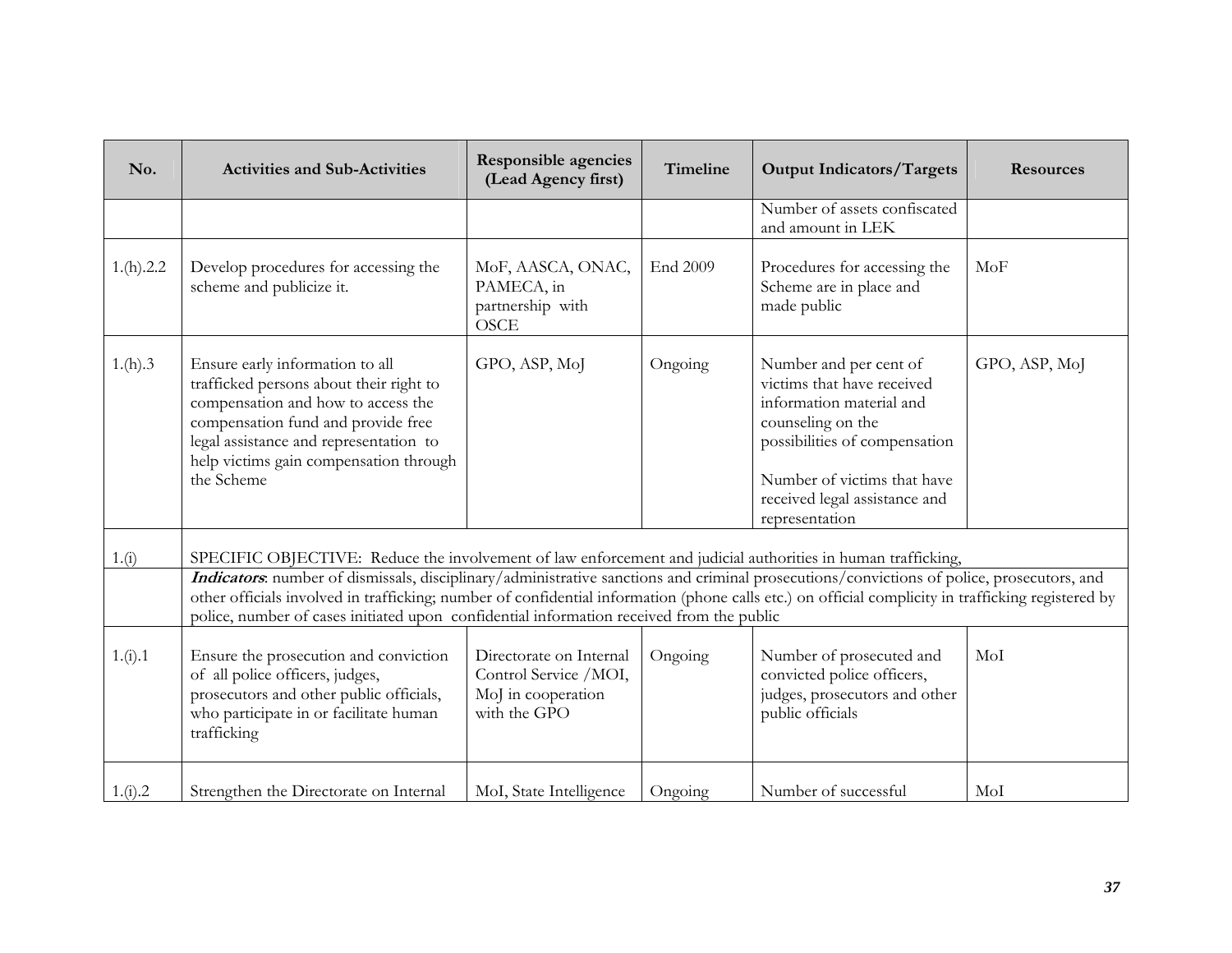| No.       | <b>Activities and Sub-Activities</b>                                                                                                                                                                                                                                                                                                                                                        | <b>Responsible agencies</b><br>(Lead Agency first)                                     | Timeline | <b>Output Indicators/Targets</b>                                                                                                                                                                                         | <b>Resources</b> |
|-----------|---------------------------------------------------------------------------------------------------------------------------------------------------------------------------------------------------------------------------------------------------------------------------------------------------------------------------------------------------------------------------------------------|----------------------------------------------------------------------------------------|----------|--------------------------------------------------------------------------------------------------------------------------------------------------------------------------------------------------------------------------|------------------|
|           |                                                                                                                                                                                                                                                                                                                                                                                             |                                                                                        |          | Number of assets confiscated<br>and amount in LEK                                                                                                                                                                        |                  |
| 1.(h).2.2 | Develop procedures for accessing the<br>scheme and publicize it.                                                                                                                                                                                                                                                                                                                            | MoF, AASCA, ONAC,<br>PAMECA, in<br>partnership with<br><b>OSCE</b>                     | End 2009 | Procedures for accessing the<br>Scheme are in place and<br>made public                                                                                                                                                   | MoF              |
| 1.(h).3   | Ensure early information to all<br>trafficked persons about their right to<br>compensation and how to access the<br>compensation fund and provide free<br>legal assistance and representation to<br>help victims gain compensation through<br>the Scheme                                                                                                                                    | GPO, ASP, MoJ                                                                          | Ongoing  | Number and per cent of<br>victims that have received<br>information material and<br>counseling on the<br>possibilities of compensation<br>Number of victims that have<br>received legal assistance and<br>representation | GPO, ASP, MoJ    |
| 1.(i)     | SPECIFIC OBJECTIVE: Reduce the involvement of law enforcement and judicial authorities in human trafficking,                                                                                                                                                                                                                                                                                |                                                                                        |          |                                                                                                                                                                                                                          |                  |
|           | Indicators: number of dismissals, disciplinary/administrative sanctions and criminal prosecutions/convictions of police, prosecutors, and<br>other officials involved in trafficking; number of confidential information (phone calls etc.) on official complicity in trafficking registered by<br>police, number of cases initiated upon confidential information received from the public |                                                                                        |          |                                                                                                                                                                                                                          |                  |
| 1.(i).1   | Ensure the prosecution and conviction<br>of all police officers, judges,<br>prosecutors and other public officials,<br>who participate in or facilitate human<br>trafficking                                                                                                                                                                                                                | Directorate on Internal<br>Control Service /MOI,<br>MoJ in cooperation<br>with the GPO | Ongoing  | Number of prosecuted and<br>convicted police officers,<br>judges, prosecutors and other<br>public officials                                                                                                              | MoI              |
| 1.(i).2   | Strengthen the Directorate on Internal                                                                                                                                                                                                                                                                                                                                                      | MoI, State Intelligence                                                                | Ongoing  | Number of successful                                                                                                                                                                                                     | MoI              |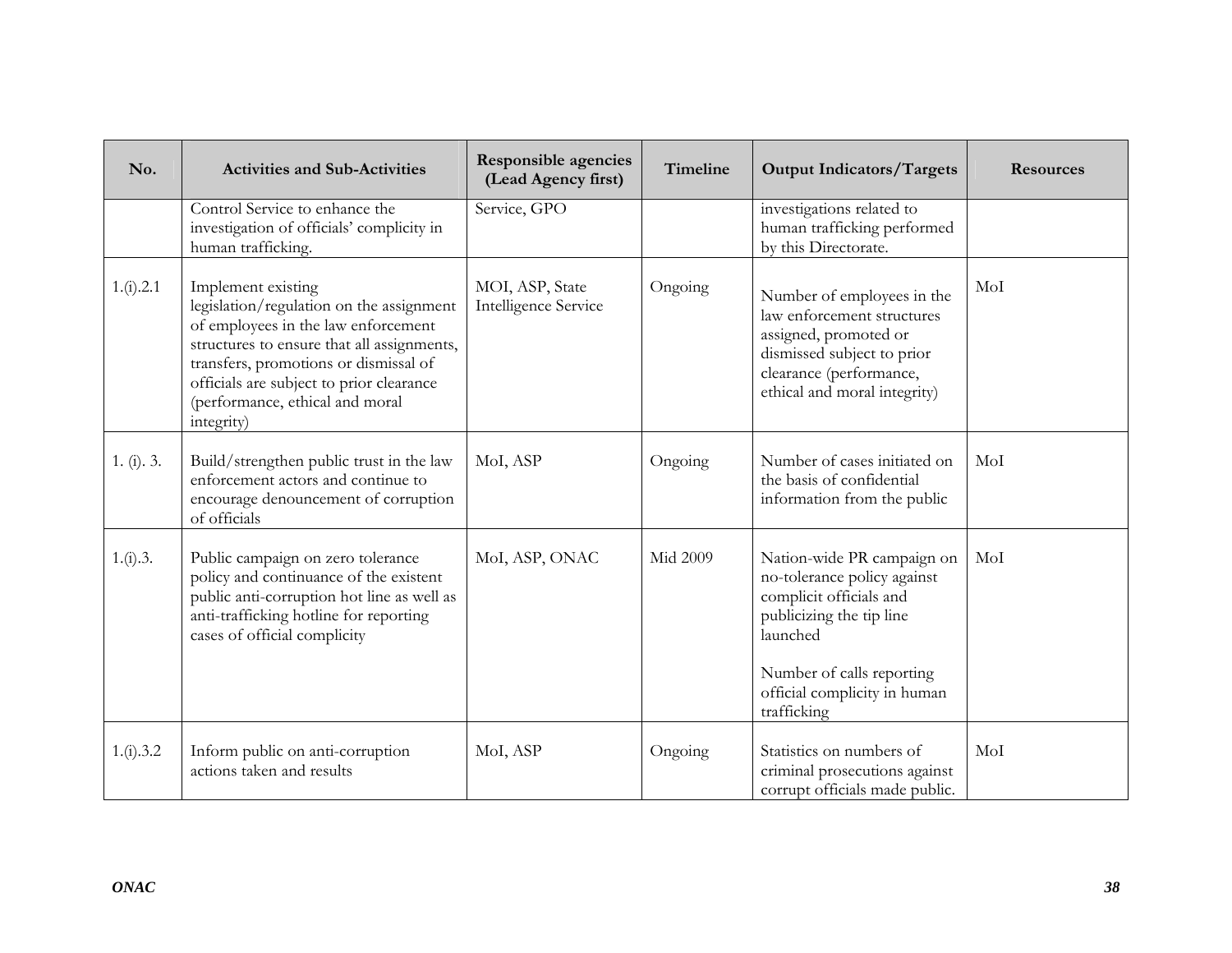| No.        | <b>Activities and Sub-Activities</b>                                                                                                                                                                                                                                                      | <b>Responsible agencies</b><br>(Lead Agency first) | Timeline        | <b>Output Indicators/Targets</b>                                                                                                                                                                         | <b>Resources</b> |
|------------|-------------------------------------------------------------------------------------------------------------------------------------------------------------------------------------------------------------------------------------------------------------------------------------------|----------------------------------------------------|-----------------|----------------------------------------------------------------------------------------------------------------------------------------------------------------------------------------------------------|------------------|
|            | Control Service to enhance the<br>investigation of officials' complicity in<br>human trafficking.                                                                                                                                                                                         | Service, GPO                                       |                 | investigations related to<br>human trafficking performed<br>by this Directorate.                                                                                                                         |                  |
| 1.(i).2.1  | Implement existing<br>legislation/regulation on the assignment<br>of employees in the law enforcement<br>structures to ensure that all assignments,<br>transfers, promotions or dismissal of<br>officials are subject to prior clearance<br>(performance, ethical and moral<br>integrity) | MOI, ASP, State<br>Intelligence Service            | Ongoing         | Number of employees in the<br>law enforcement structures<br>assigned, promoted or<br>dismissed subject to prior<br>clearance (performance,<br>ethical and moral integrity)                               | MoI              |
| 1. (i). 3. | Build/strengthen public trust in the law<br>enforcement actors and continue to<br>encourage denouncement of corruption<br>of officials                                                                                                                                                    | MoI, ASP                                           | Ongoing         | Number of cases initiated on<br>the basis of confidential<br>information from the public                                                                                                                 | MoI              |
| 1.(i).3.   | Public campaign on zero tolerance<br>policy and continuance of the existent<br>public anti-corruption hot line as well as<br>anti-trafficking hotline for reporting<br>cases of official complicity                                                                                       | MoI, ASP, ONAC                                     | <b>Mid 2009</b> | Nation-wide PR campaign on<br>no-tolerance policy against<br>complicit officials and<br>publicizing the tip line<br>launched<br>Number of calls reporting<br>official complicity in human<br>trafficking | MoI              |
| 1.(i).3.2  | Inform public on anti-corruption<br>actions taken and results                                                                                                                                                                                                                             | MoI, ASP                                           | Ongoing         | Statistics on numbers of<br>criminal prosecutions against<br>corrupt officials made public.                                                                                                              | MoI              |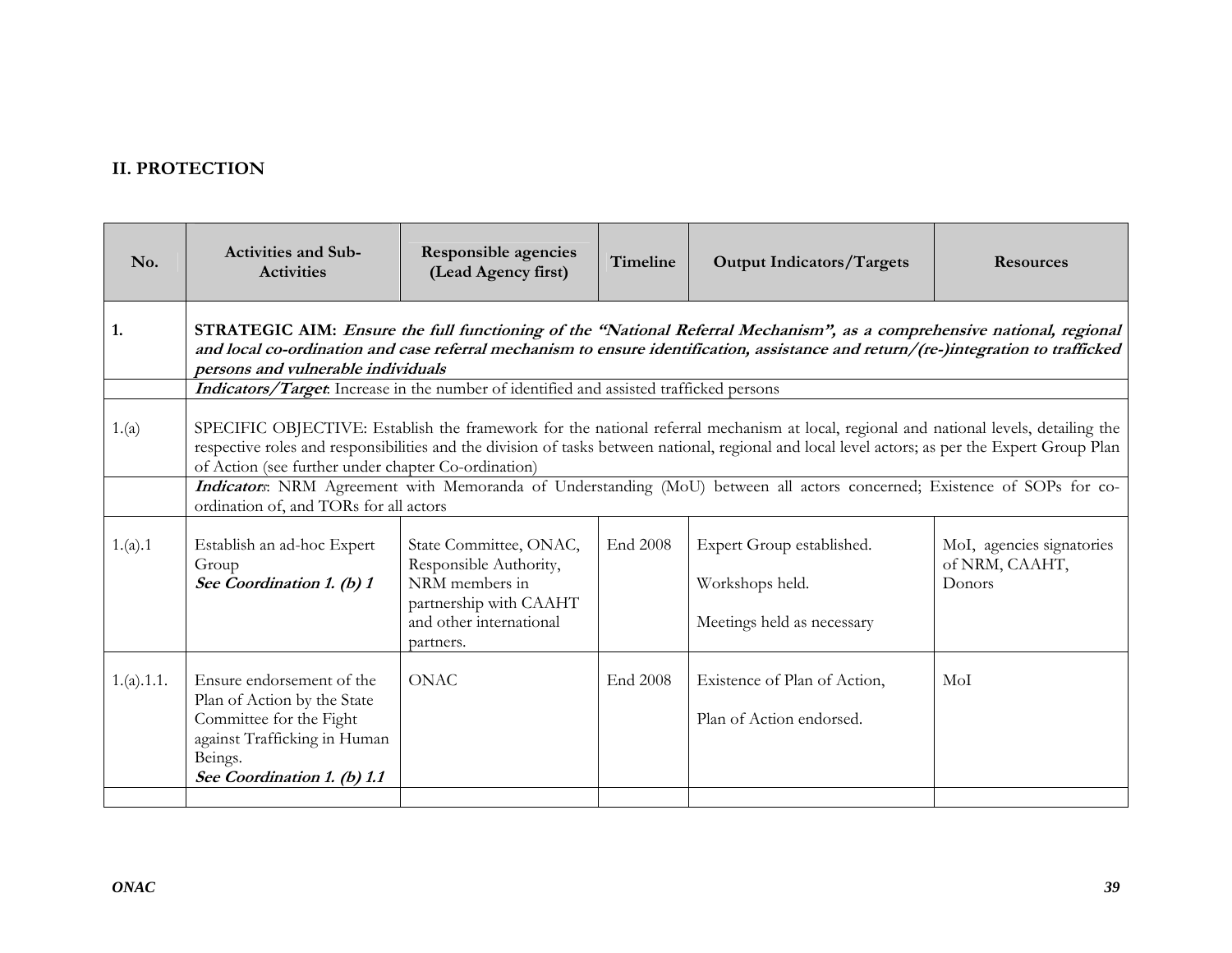## **II. PROTECTION**

| No.        | <b>Activities and Sub-</b><br><b>Activities</b>                                                                                                                                                                                                                                                                                                 | <b>Responsible agencies</b><br>(Lead Agency first)                                                                                   | <b>Timeline</b> | <b>Output Indicators/Targets</b>                                                                                        | <b>Resources</b>                                      |  |  |  |
|------------|-------------------------------------------------------------------------------------------------------------------------------------------------------------------------------------------------------------------------------------------------------------------------------------------------------------------------------------------------|--------------------------------------------------------------------------------------------------------------------------------------|-----------------|-------------------------------------------------------------------------------------------------------------------------|-------------------------------------------------------|--|--|--|
| 1.         | STRATEGIC AIM: Ensure the full functioning of the "National Referral Mechanism", as a comprehensive national, regional<br>and local co-ordination and case referral mechanism to ensure identification, assistance and return/(re-)integration to trafficked<br>persons and vulnerable individuals                                              |                                                                                                                                      |                 |                                                                                                                         |                                                       |  |  |  |
|            | Indicators/Target. Increase in the number of identified and assisted trafficked persons                                                                                                                                                                                                                                                         |                                                                                                                                      |                 |                                                                                                                         |                                                       |  |  |  |
| 1.(a)      | SPECIFIC OBJECTIVE: Establish the framework for the national referral mechanism at local, regional and national levels, detailing the<br>respective roles and responsibilities and the division of tasks between national, regional and local level actors; as per the Expert Group Plan<br>of Action (see further under chapter Co-ordination) |                                                                                                                                      |                 |                                                                                                                         |                                                       |  |  |  |
|            | ordination of, and TORs for all actors                                                                                                                                                                                                                                                                                                          |                                                                                                                                      |                 | Indicators: NRM Agreement with Memoranda of Understanding (MoU) between all actors concerned; Existence of SOPs for co- |                                                       |  |  |  |
| 1.(a).1    | Establish an ad-hoc Expert<br>Group<br>See Coordination 1. (b) 1                                                                                                                                                                                                                                                                                | State Committee, ONAC,<br>Responsible Authority,<br>NRM members in<br>partnership with CAAHT<br>and other international<br>partners. | End 2008        | Expert Group established.<br>Workshops held.<br>Meetings held as necessary                                              | MoI, agencies signatories<br>of NRM, CAAHT,<br>Donors |  |  |  |
| 1.(a).1.1. | Ensure endorsement of the<br>Plan of Action by the State<br>Committee for the Fight<br>against Trafficking in Human<br>Beings.<br>See Coordination 1. (b) 1.1                                                                                                                                                                                   | <b>ONAC</b>                                                                                                                          | End 2008        | Existence of Plan of Action,<br>Plan of Action endorsed.                                                                | MoI                                                   |  |  |  |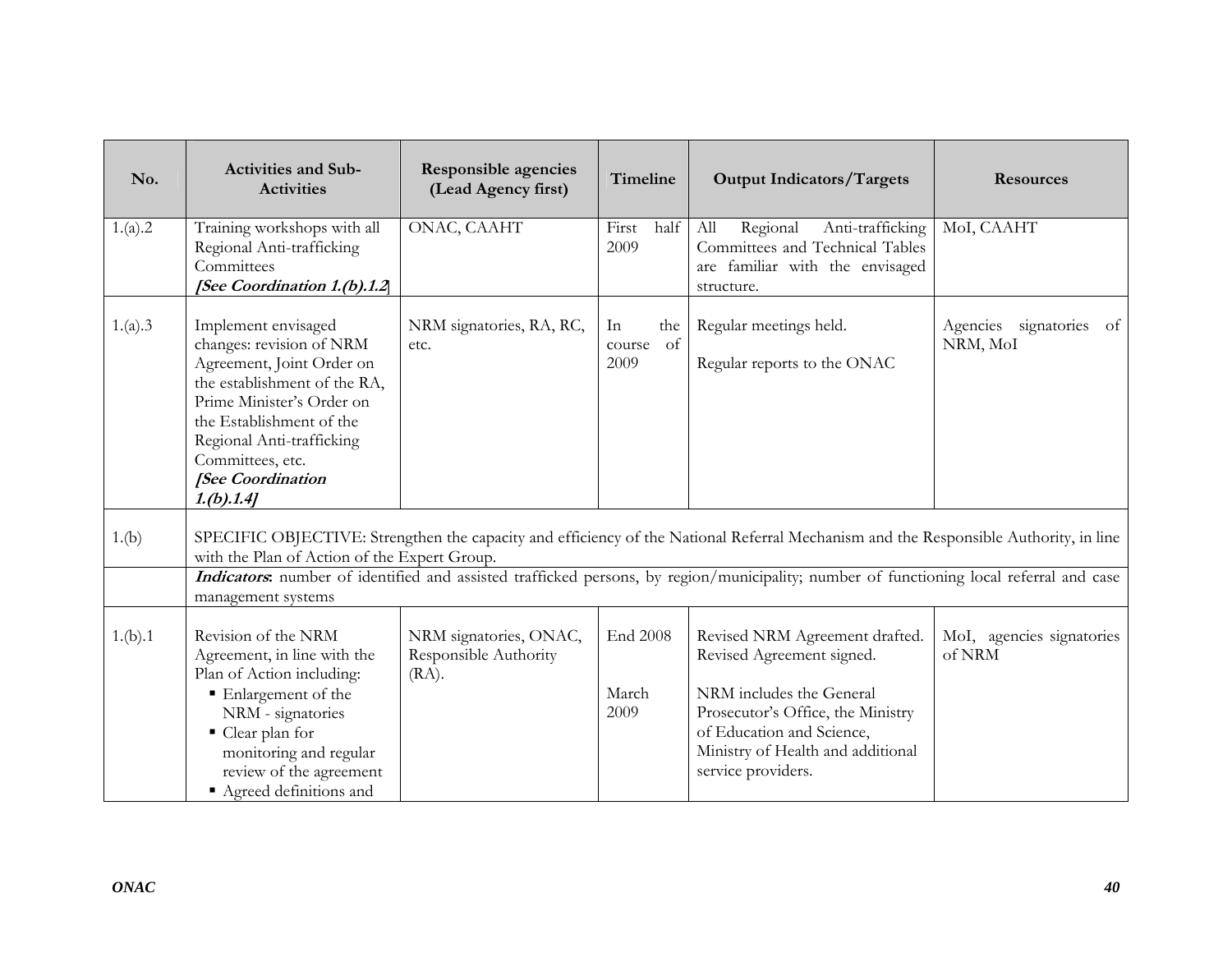| No.     | <b>Activities and Sub-</b><br><b>Activities</b>                                                                                                                                                                                                           | <b>Responsible agencies</b><br>(Lead Agency first)          | Timeline                          | <b>Output Indicators/Targets</b>                                                                                                                                                                                                                                                | <b>Resources</b>                    |
|---------|-----------------------------------------------------------------------------------------------------------------------------------------------------------------------------------------------------------------------------------------------------------|-------------------------------------------------------------|-----------------------------------|---------------------------------------------------------------------------------------------------------------------------------------------------------------------------------------------------------------------------------------------------------------------------------|-------------------------------------|
| 1.(a).2 | Training workshops with all<br>Regional Anti-trafficking<br>Committees<br>[See Coordination 1.(b).1.2                                                                                                                                                     | ONAC, CAAHT                                                 | First<br>half<br>2009             | Regional<br>Anti-trafficking<br>All<br>Committees and Technical Tables<br>are familiar with the envisaged<br>structure.                                                                                                                                                         | MoI, CAAHT                          |
| 1.(a).3 | Implement envisaged<br>changes: revision of NRM<br>Agreement, Joint Order on<br>the establishment of the RA,<br>Prime Minister's Order on<br>the Establishment of the<br>Regional Anti-trafficking<br>Committees, etc.<br>[See Coordination<br>1.(b).1.4] | NRM signatories, RA, RC,<br>etc.                            | In<br>the<br>of<br>course<br>2009 | Regular meetings held.<br>Regular reports to the ONAC                                                                                                                                                                                                                           | Agencies signatories of<br>NRM, MoI |
| 1.(b)   | with the Plan of Action of the Expert Group.<br>management systems                                                                                                                                                                                        |                                                             |                                   | SPECIFIC OBJECTIVE: Strengthen the capacity and efficiency of the National Referral Mechanism and the Responsible Authority, in line<br>Indicators: number of identified and assisted trafficked persons, by region/municipality; number of functioning local referral and case |                                     |
| 1.(b).1 | Revision of the NRM<br>Agreement, in line with the<br>Plan of Action including:<br>■ Enlargement of the<br>NRM - signatories<br>■ Clear plan for<br>monitoring and regular<br>review of the agreement<br>Agreed definitions and                           | NRM signatories, ONAC,<br>Responsible Authority<br>$(RA)$ . | End 2008<br>March<br>2009         | Revised NRM Agreement drafted.<br>Revised Agreement signed.<br>NRM includes the General<br>Prosecutor's Office, the Ministry<br>of Education and Science,<br>Ministry of Health and additional<br>service providers.                                                            | MoI, agencies signatories<br>of NRM |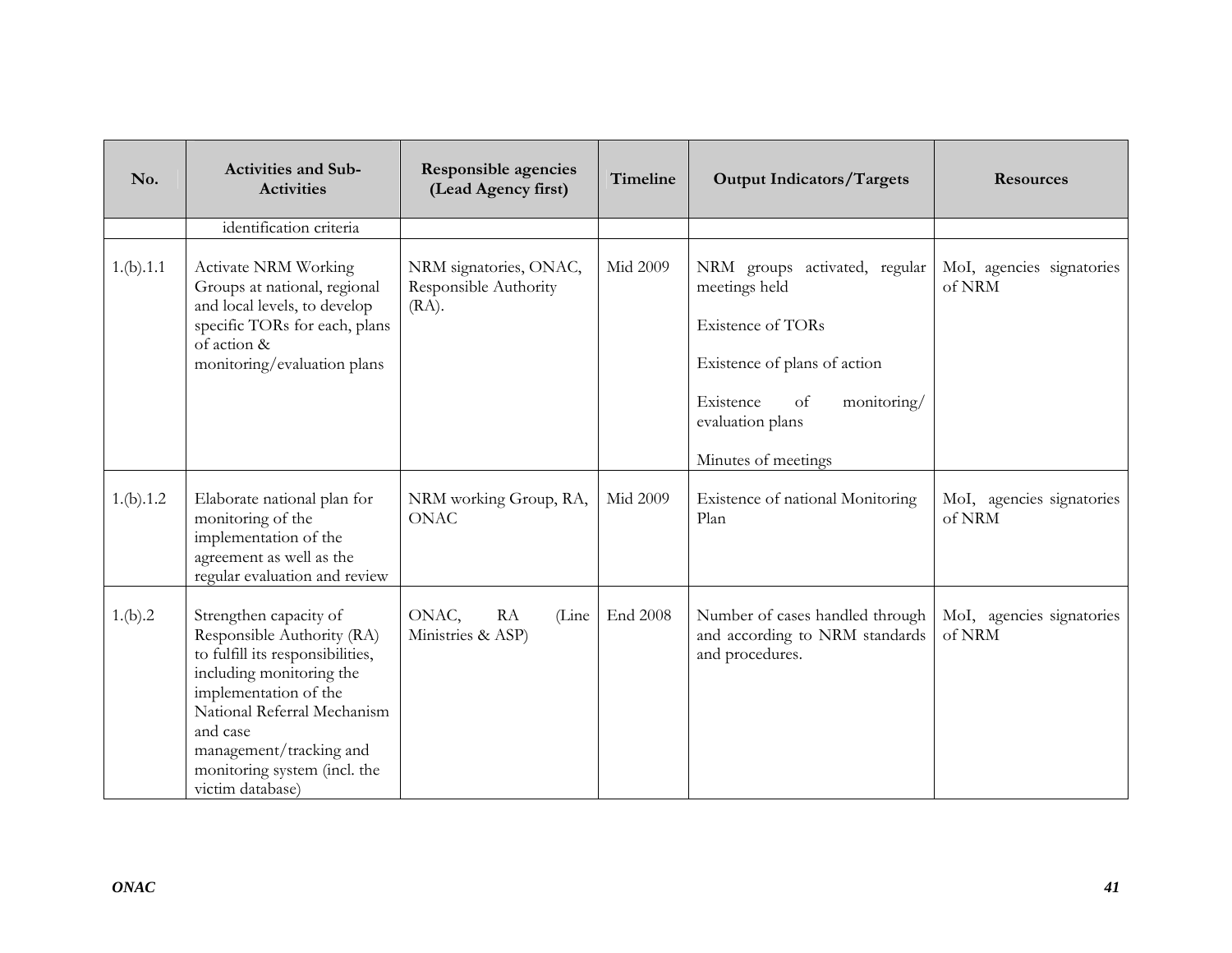| No.       | <b>Activities and Sub-</b><br><b>Activities</b>                                                                                                                                                                                                                         | <b>Responsible agencies</b><br>(Lead Agency first)          | Timeline | <b>Output Indicators/Targets</b>                                                                                                                                                                   | <b>Resources</b>                    |
|-----------|-------------------------------------------------------------------------------------------------------------------------------------------------------------------------------------------------------------------------------------------------------------------------|-------------------------------------------------------------|----------|----------------------------------------------------------------------------------------------------------------------------------------------------------------------------------------------------|-------------------------------------|
|           | identification criteria                                                                                                                                                                                                                                                 |                                                             |          |                                                                                                                                                                                                    |                                     |
| 1.(b).1.1 | <b>Activate NRM Working</b><br>Groups at national, regional<br>and local levels, to develop<br>specific TORs for each, plans<br>of action &<br>monitoring/evaluation plans                                                                                              | NRM signatories, ONAC,<br>Responsible Authority<br>$(RA)$ . | Mid 2009 | NRM groups activated, regular<br>meetings held<br><b>Existence of TORs</b><br>Existence of plans of action<br>Existence<br><sub>of</sub><br>monitoring/<br>evaluation plans<br>Minutes of meetings | MoI, agencies signatories<br>of NRM |
| 1.(b).1.2 | Elaborate national plan for<br>monitoring of the<br>implementation of the<br>agreement as well as the<br>regular evaluation and review                                                                                                                                  | NRM working Group, RA,<br><b>ONAC</b>                       | Mid 2009 | Existence of national Monitoring<br>Plan                                                                                                                                                           | MoI, agencies signatories<br>of NRM |
| 1.(b).2   | Strengthen capacity of<br>Responsible Authority (RA)<br>to fulfill its responsibilities,<br>including monitoring the<br>implementation of the<br>National Referral Mechanism<br>and case<br>management/tracking and<br>monitoring system (incl. the<br>victim database) | ${\rm RA}$<br>ONAC,<br>(Line<br>Ministries & ASP)           | End 2008 | Number of cases handled through<br>and according to NRM standards<br>and procedures.                                                                                                               | MoI, agencies signatories<br>of NRM |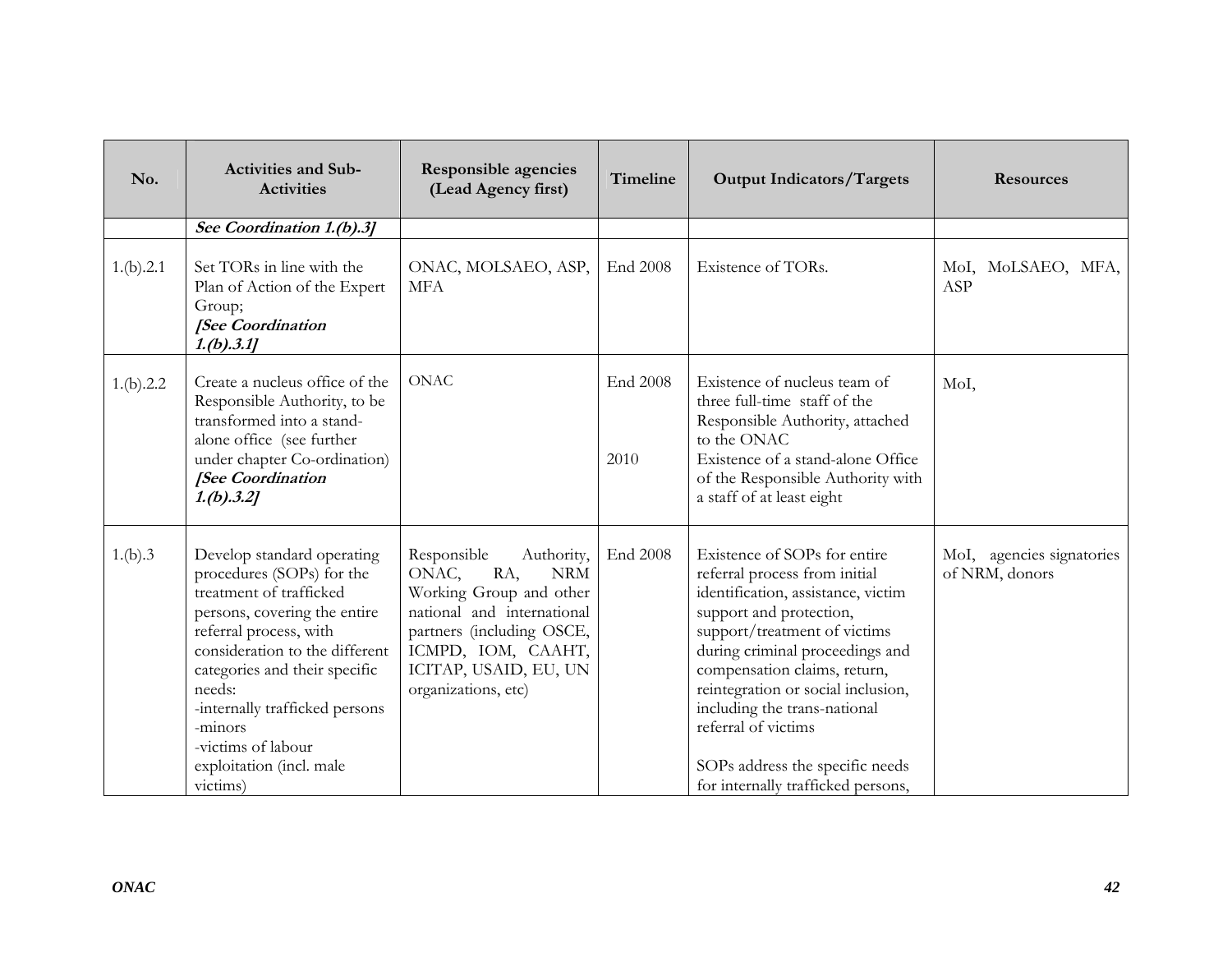| No.       | <b>Activities and Sub-</b><br><b>Activities</b>                                                                                                                                                                                                                                                                                      | <b>Responsible agencies</b><br>(Lead Agency first)                                                                                                                                                                  | Timeline         | <b>Output Indicators/Targets</b>                                                                                                                                                                                                                                                                                                                                                                        | <b>Resources</b>                            |
|-----------|--------------------------------------------------------------------------------------------------------------------------------------------------------------------------------------------------------------------------------------------------------------------------------------------------------------------------------------|---------------------------------------------------------------------------------------------------------------------------------------------------------------------------------------------------------------------|------------------|---------------------------------------------------------------------------------------------------------------------------------------------------------------------------------------------------------------------------------------------------------------------------------------------------------------------------------------------------------------------------------------------------------|---------------------------------------------|
|           | See Coordination 1.(b).3]                                                                                                                                                                                                                                                                                                            |                                                                                                                                                                                                                     |                  |                                                                                                                                                                                                                                                                                                                                                                                                         |                                             |
| 1.(b).2.1 | Set TORs in line with the<br>Plan of Action of the Expert<br>Group;<br>[See Coordination<br>1.(b).3.1]                                                                                                                                                                                                                               | ONAC, MOLSAEO, ASP,<br><b>MFA</b>                                                                                                                                                                                   | End 2008         | Existence of TORs.                                                                                                                                                                                                                                                                                                                                                                                      | MoI, MoLSAEO, MFA,<br>ASP                   |
| 1.(b).2.2 | Create a nucleus office of the<br>Responsible Authority, to be<br>transformed into a stand-<br>alone office (see further<br>under chapter Co-ordination)<br>[See Coordination<br>1.(b).3.2]                                                                                                                                          | <b>ONAC</b>                                                                                                                                                                                                         | End 2008<br>2010 | Existence of nucleus team of<br>three full-time staff of the<br>Responsible Authority, attached<br>to the ONAC<br>Existence of a stand-alone Office<br>of the Responsible Authority with<br>a staff of at least eight                                                                                                                                                                                   | MoI,                                        |
| 1.(b).3   | Develop standard operating<br>procedures (SOPs) for the<br>treatment of trafficked<br>persons, covering the entire<br>referral process, with<br>consideration to the different<br>categories and their specific<br>needs:<br>-internally trafficked persons<br>-minors<br>-victims of labour<br>exploitation (incl. male<br>victims) | Responsible<br>Authority,<br>RA,<br>ONAC,<br><b>NRM</b><br>Working Group and other<br>national and international<br>partners (including OSCE,<br>ICMPD, IOM, CAAHT,<br>ICITAP, USAID, EU, UN<br>organizations, etc) | End 2008         | Existence of SOPs for entire<br>referral process from initial<br>identification, assistance, victim<br>support and protection,<br>support/treatment of victims<br>during criminal proceedings and<br>compensation claims, return,<br>reintegration or social inclusion,<br>including the trans-national<br>referral of victims<br>SOPs address the specific needs<br>for internally trafficked persons, | MoI, agencies signatories<br>of NRM, donors |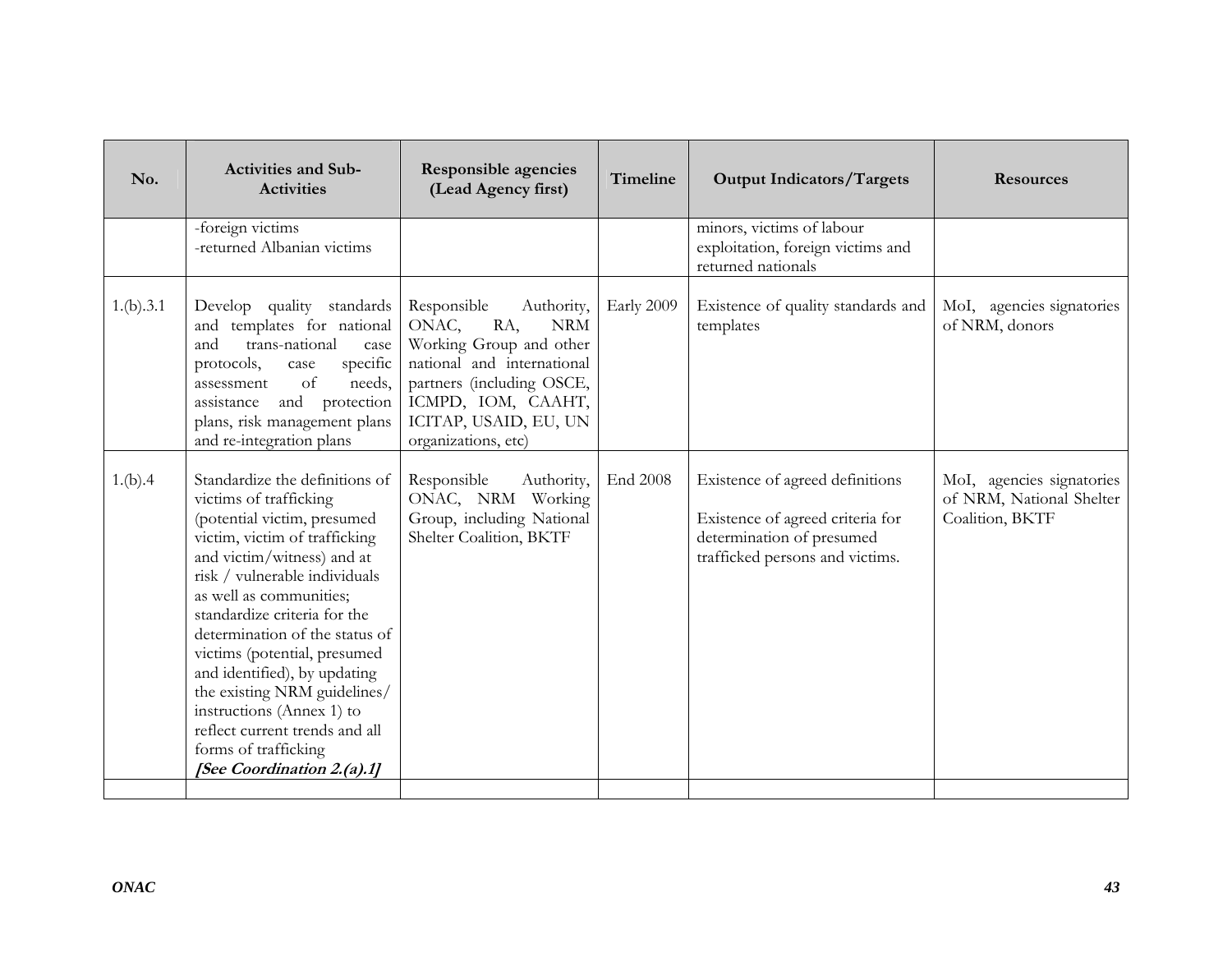| No.       | <b>Activities and Sub-</b><br><b>Activities</b>                                                                                                                                                                                                                                                                                                                                                                                                                                                           | <b>Responsible agencies</b><br>(Lead Agency first)                                                                                                                                                                  | Timeline   | <b>Output Indicators/Targets</b>                                                                                                    | <b>Resources</b>                                                         |
|-----------|-----------------------------------------------------------------------------------------------------------------------------------------------------------------------------------------------------------------------------------------------------------------------------------------------------------------------------------------------------------------------------------------------------------------------------------------------------------------------------------------------------------|---------------------------------------------------------------------------------------------------------------------------------------------------------------------------------------------------------------------|------------|-------------------------------------------------------------------------------------------------------------------------------------|--------------------------------------------------------------------------|
|           | -foreign victims<br>-returned Albanian victims                                                                                                                                                                                                                                                                                                                                                                                                                                                            |                                                                                                                                                                                                                     |            | minors, victims of labour<br>exploitation, foreign victims and<br>returned nationals                                                |                                                                          |
| 1.(b).3.1 | Develop quality standards<br>and templates for national<br>trans-national<br>and<br>case<br>specific<br>protocols,<br>case<br>of<br>needs,<br>assessment<br>and protection<br>assistance<br>plans, risk management plans<br>and re-integration plans                                                                                                                                                                                                                                                      | Responsible<br>Authority,<br>RA,<br>ONAC,<br><b>NRM</b><br>Working Group and other<br>national and international<br>partners (including OSCE,<br>ICMPD, IOM, CAAHT,<br>ICITAP, USAID, EU, UN<br>organizations, etc) | Early 2009 | Existence of quality standards and<br>templates                                                                                     | MoI, agencies signatories<br>of NRM, donors                              |
| 1.(b).4   | Standardize the definitions of<br>victims of trafficking<br>(potential victim, presumed<br>victim, victim of trafficking<br>and victim/witness) and at<br>risk / vulnerable individuals<br>as well as communities;<br>standardize criteria for the<br>determination of the status of<br>victims (potential, presumed<br>and identified), by updating<br>the existing NRM guidelines/<br>instructions (Annex 1) to<br>reflect current trends and all<br>forms of trafficking<br>[See Coordination 2.(a).1] | Responsible<br>Authority,<br>ONAC, NRM Working<br>Group, including National<br>Shelter Coalition, BKTF                                                                                                              | End 2008   | Existence of agreed definitions<br>Existence of agreed criteria for<br>determination of presumed<br>trafficked persons and victims. | MoI, agencies signatories<br>of NRM, National Shelter<br>Coalition, BKTF |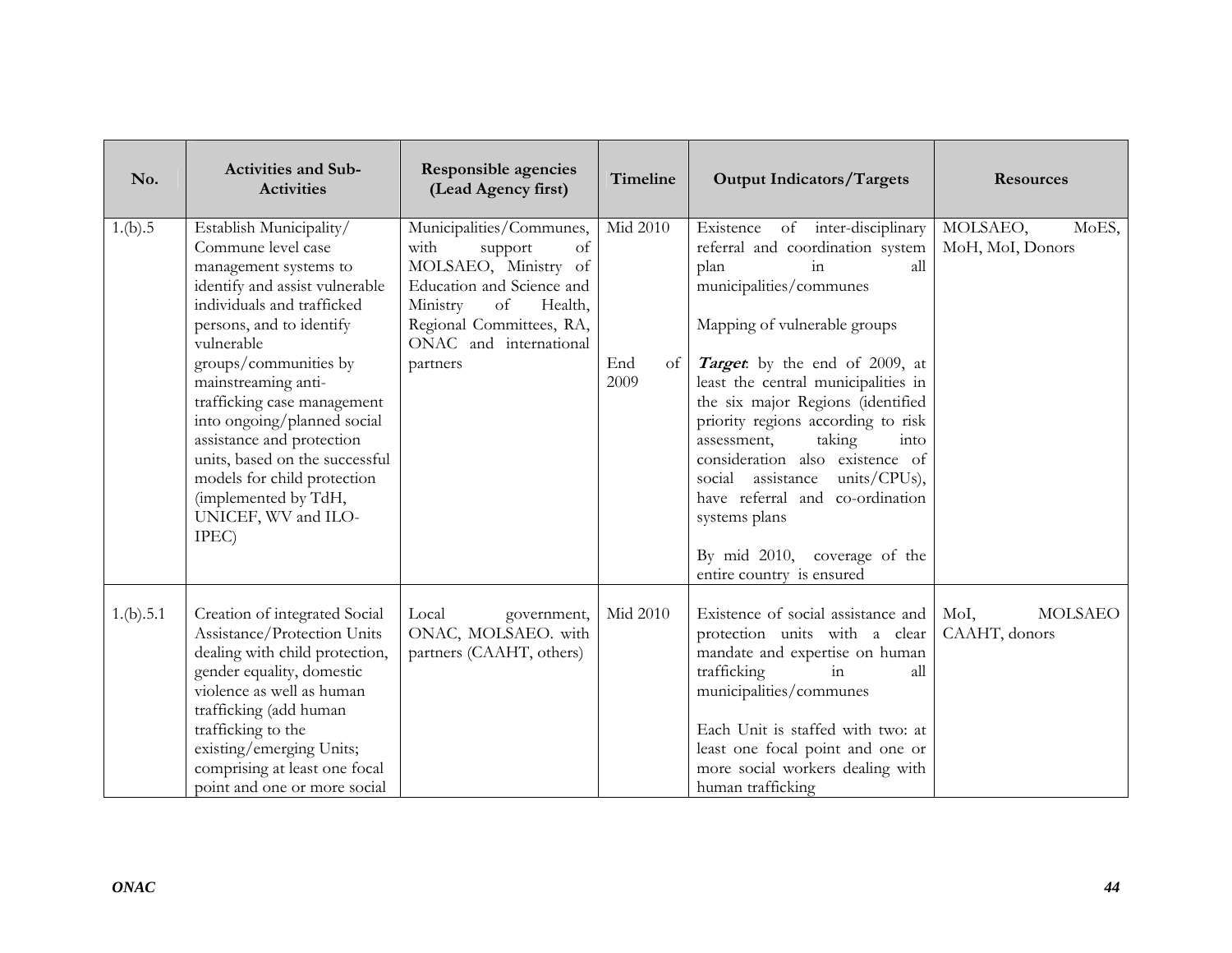| No.       | <b>Activities and Sub-</b><br><b>Activities</b>                                                                                                                                                                                                                                                                                                                                                                                                      | <b>Responsible agencies</b><br>(Lead Agency first)                                                                                                                                                    | Timeline                        | <b>Output Indicators/Targets</b>                                                                                                                                                                                                                                                                                                                                                                                                                                                                                              | <b>Resources</b>                        |
|-----------|------------------------------------------------------------------------------------------------------------------------------------------------------------------------------------------------------------------------------------------------------------------------------------------------------------------------------------------------------------------------------------------------------------------------------------------------------|-------------------------------------------------------------------------------------------------------------------------------------------------------------------------------------------------------|---------------------------------|-------------------------------------------------------------------------------------------------------------------------------------------------------------------------------------------------------------------------------------------------------------------------------------------------------------------------------------------------------------------------------------------------------------------------------------------------------------------------------------------------------------------------------|-----------------------------------------|
| 1.(b).5   | Establish Municipality/<br>Commune level case<br>management systems to<br>identify and assist vulnerable<br>individuals and trafficked<br>persons, and to identify<br>vulnerable<br>groups/communities by<br>mainstreaming anti-<br>trafficking case management<br>into ongoing/planned social<br>assistance and protection<br>units, based on the successful<br>models for child protection<br>(implemented by TdH,<br>UNICEF, WV and ILO-<br>IPEC) | Municipalities/Communes,<br>with<br>of<br>support<br>MOLSAEO, Ministry of<br>Education and Science and<br>Ministry<br>of<br>Health,<br>Regional Committees, RA,<br>ONAC and international<br>partners | Mid 2010<br>End<br>of  <br>2009 | Existence of inter-disciplinary<br>referral and coordination system<br>in<br>plan<br>all<br>municipalities/communes<br>Mapping of vulnerable groups<br>Target by the end of 2009, at<br>least the central municipalities in<br>the six major Regions (identified<br>priority regions according to risk<br>taking<br>assessment,<br>into<br>consideration also existence of<br>social assistance units/CPUs),<br>have referral and co-ordination<br>systems plans<br>By mid 2010, coverage of the<br>entire country is ensured | MOLSAEO,<br>MoES,<br>MoH, MoI, Donors   |
| 1.(b).5.1 | Creation of integrated Social<br>Assistance/Protection Units<br>dealing with child protection,<br>gender equality, domestic<br>violence as well as human<br>trafficking (add human<br>trafficking to the<br>existing/emerging Units;<br>comprising at least one focal<br>point and one or more social                                                                                                                                                | Local<br>government,<br>ONAC, MOLSAEO. with<br>partners (CAAHT, others)                                                                                                                               | Mid 2010                        | Existence of social assistance and<br>protection units with a clear<br>mandate and expertise on human<br>trafficking<br>in<br>all<br>municipalities/communes<br>Each Unit is staffed with two: at<br>least one focal point and one or<br>more social workers dealing with<br>human trafficking                                                                                                                                                                                                                                | MoI,<br><b>MOLSAEO</b><br>CAAHT, donors |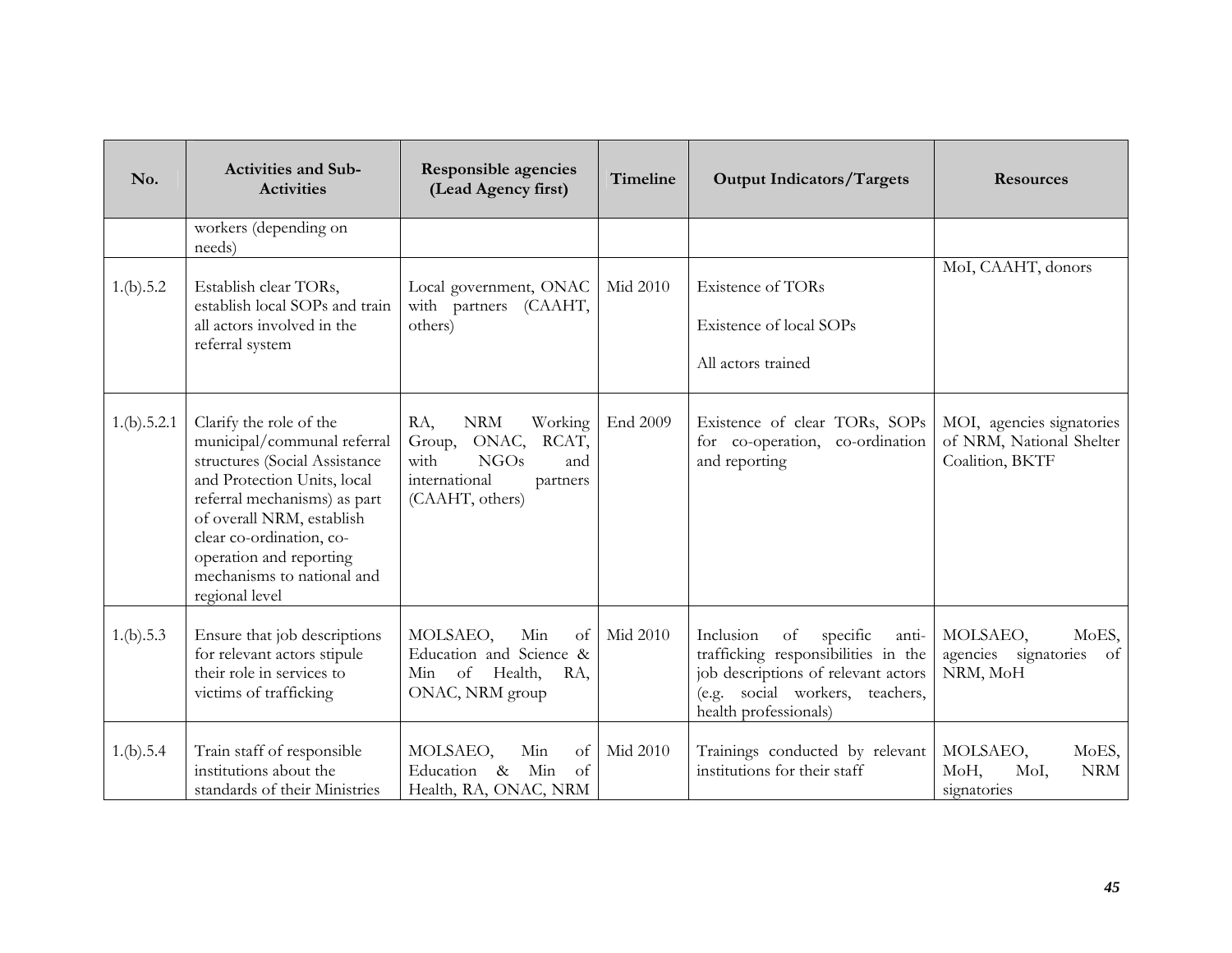| No.         | <b>Activities and Sub-</b><br><b>Activities</b>                                                                                                                                                                                                                                            | <b>Responsible agencies</b><br>(Lead Agency first)                                                                        | Timeline | <b>Output Indicators/Targets</b>                                                                                                                                               | <b>Resources</b>                                                         |
|-------------|--------------------------------------------------------------------------------------------------------------------------------------------------------------------------------------------------------------------------------------------------------------------------------------------|---------------------------------------------------------------------------------------------------------------------------|----------|--------------------------------------------------------------------------------------------------------------------------------------------------------------------------------|--------------------------------------------------------------------------|
|             | workers (depending on<br>needs)                                                                                                                                                                                                                                                            |                                                                                                                           |          |                                                                                                                                                                                |                                                                          |
| 1.(b).5.2   | Establish clear TORs,<br>establish local SOPs and train<br>all actors involved in the<br>referral system                                                                                                                                                                                   | Local government, ONAC<br>with partners (CAAHT,<br>others)                                                                | Mid 2010 | <b>Existence of TORs</b><br>Existence of local SOPs<br>All actors trained                                                                                                      | MoI, CAAHT, donors                                                       |
| 1.(b).5.2.1 | Clarify the role of the<br>municipal/communal referral<br>structures (Social Assistance<br>and Protection Units, local<br>referral mechanisms) as part<br>of overall NRM, establish<br>clear co-ordination, co-<br>operation and reporting<br>mechanisms to national and<br>regional level | <b>NRM</b><br>Working<br>RA,<br>Group, ONAC, RCAT,<br>with<br>NGOs<br>and<br>international<br>partners<br>(CAAHT, others) | End 2009 | Existence of clear TORs, SOPs<br>for co-operation, co-ordination<br>and reporting                                                                                              | MOI, agencies signatories<br>of NRM, National Shelter<br>Coalition, BKTF |
| 1.(b).5.3   | Ensure that job descriptions<br>for relevant actors stipule<br>their role in services to<br>victims of trafficking                                                                                                                                                                         | MOLSAEO,<br>Min<br>of<br>Education and Science &<br>Min of Health,<br>RA,<br>ONAC, NRM group                              | Mid 2010 | Inclusion<br>of<br>specific<br>anti-<br>trafficking responsibilities in the<br>job descriptions of relevant actors<br>(e.g. social workers, teachers,<br>health professionals) | MOLSAEO,<br>MoES,<br>agencies signatories<br>of<br>NRM, MoH              |
| 1.(b).5.4   | Train staff of responsible<br>institutions about the<br>standards of their Ministries                                                                                                                                                                                                      | MOLSAEO,<br>Min<br>of<br>Education & Min<br>of<br>Health, RA, ONAC, NRM                                                   | Mid 2010 | Trainings conducted by relevant<br>institutions for their staff                                                                                                                | MOLSAEO,<br>MoES,<br>MoH,<br>MoI,<br><b>NRM</b><br>signatories           |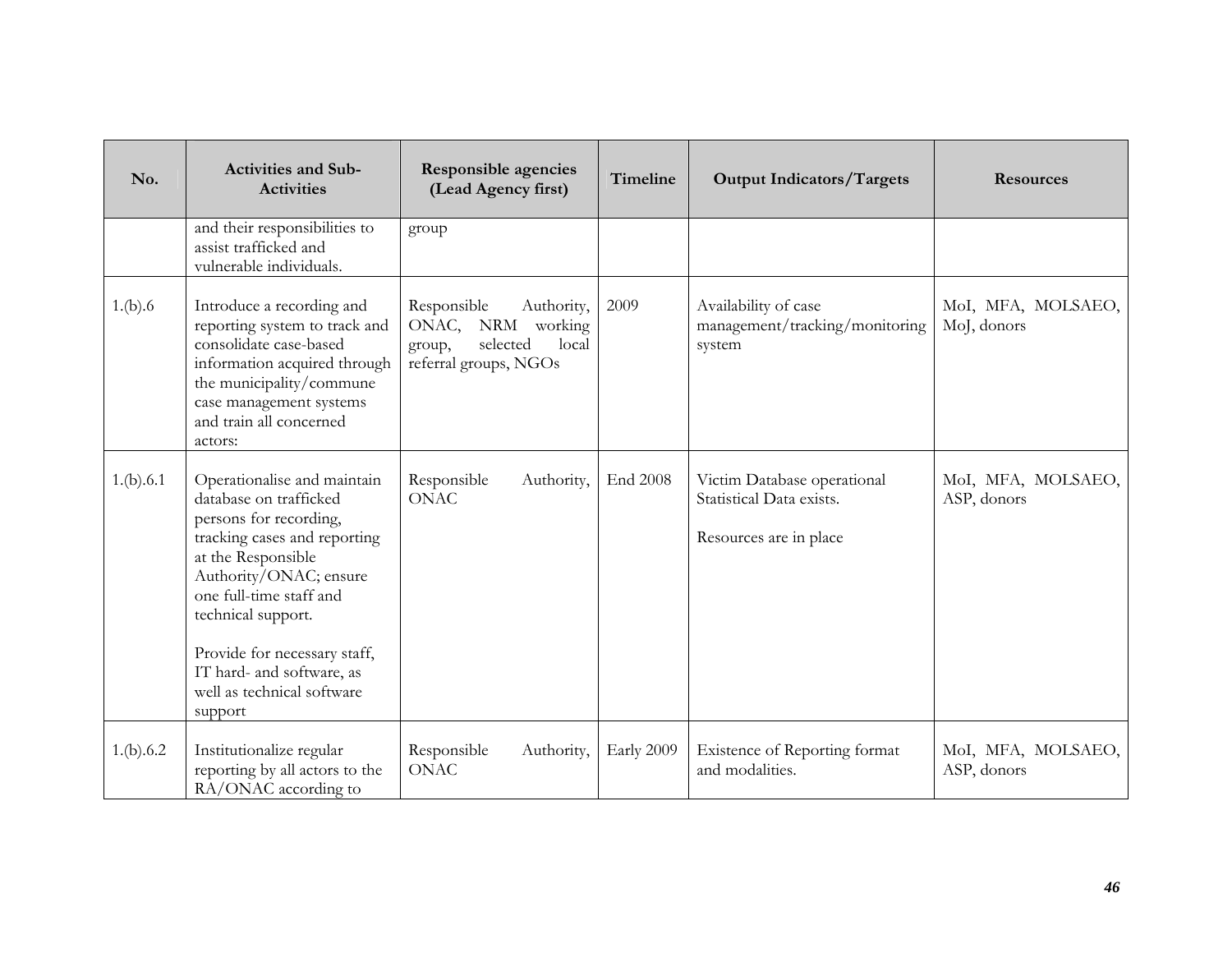| No.       | <b>Activities and Sub-</b><br><b>Activities</b>                                                                                                                                                                                                                                                                        | <b>Responsible agencies</b><br>(Lead Agency first)                                                        | Timeline   | <b>Output Indicators/Targets</b>                                                  | <b>Resources</b>                  |
|-----------|------------------------------------------------------------------------------------------------------------------------------------------------------------------------------------------------------------------------------------------------------------------------------------------------------------------------|-----------------------------------------------------------------------------------------------------------|------------|-----------------------------------------------------------------------------------|-----------------------------------|
|           | and their responsibilities to<br>assist trafficked and<br>vulnerable individuals.                                                                                                                                                                                                                                      | group                                                                                                     |            |                                                                                   |                                   |
| 1.(b).6   | Introduce a recording and<br>reporting system to track and<br>consolidate case-based<br>information acquired through<br>the municipality/commune<br>case management systems<br>and train all concerned<br>actors:                                                                                                      | Responsible<br>Authority,<br>ONAC,<br>NRM working<br>selected<br>local<br>group,<br>referral groups, NGOs | 2009       | Availability of case<br>management/tracking/monitoring<br>system                  | MoI, MFA, MOLSAEO,<br>MoJ, donors |
| 1.(b).6.1 | Operationalise and maintain<br>database on trafficked<br>persons for recording,<br>tracking cases and reporting<br>at the Responsible<br>Authority/ONAC; ensure<br>one full-time staff and<br>technical support.<br>Provide for necessary staff,<br>IT hard- and software, as<br>well as technical software<br>support | Responsible<br>Authority,<br><b>ONAC</b>                                                                  | End 2008   | Victim Database operational<br>Statistical Data exists.<br>Resources are in place | MoI, MFA, MOLSAEO,<br>ASP, donors |
| 1.(b).6.2 | Institutionalize regular<br>reporting by all actors to the<br>RA/ONAC according to                                                                                                                                                                                                                                     | Responsible<br>Authority,<br><b>ONAC</b>                                                                  | Early 2009 | Existence of Reporting format<br>and modalities.                                  | MoI, MFA, MOLSAEO,<br>ASP, donors |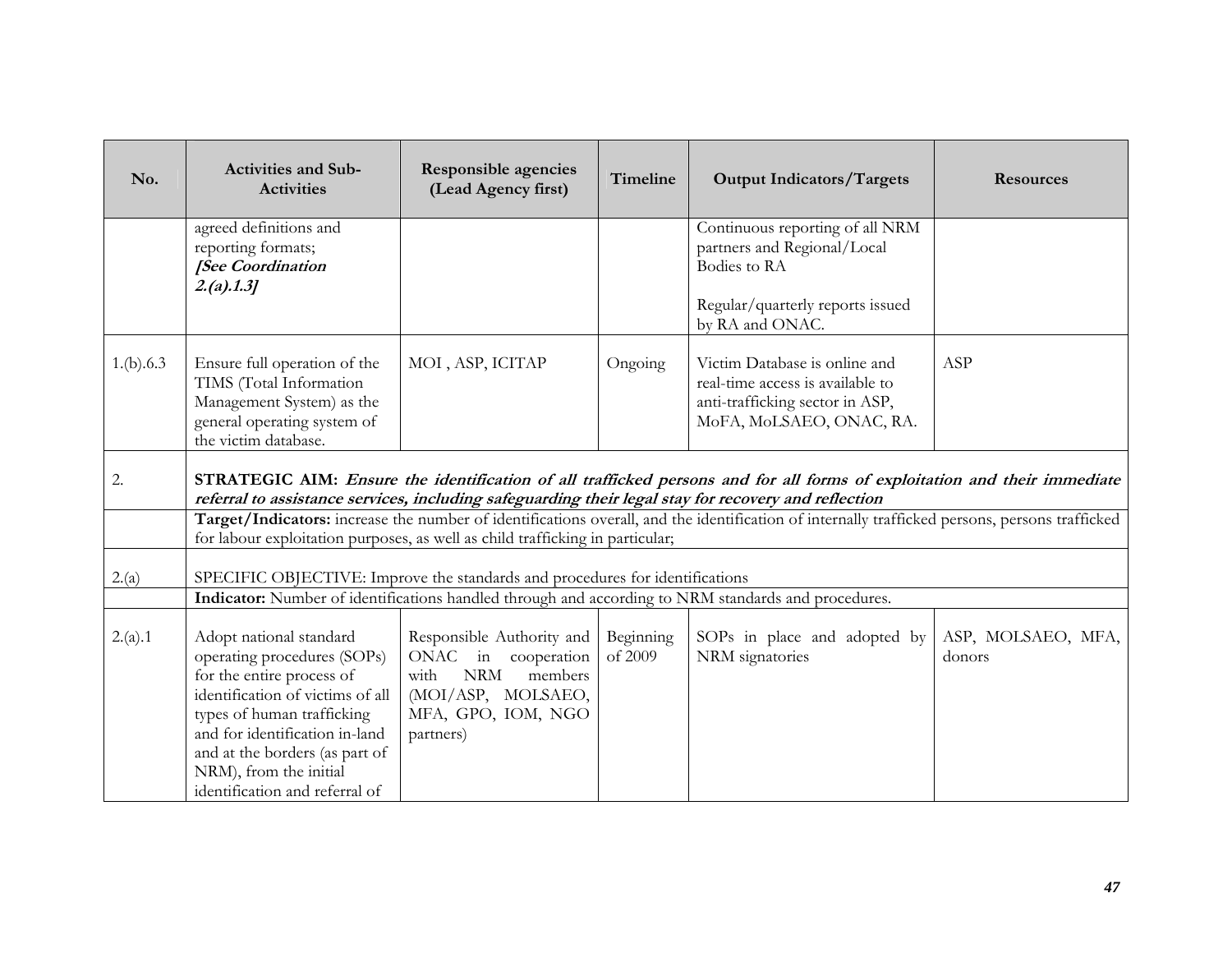| No.       | <b>Activities and Sub-</b><br><b>Activities</b>                                                                                                                                                                           | <b>Responsible agencies</b><br>(Lead Agency first)                                                                                         | Timeline             | <b>Output Indicators/Targets</b>                                                                                                               | <b>Resources</b>             |
|-----------|---------------------------------------------------------------------------------------------------------------------------------------------------------------------------------------------------------------------------|--------------------------------------------------------------------------------------------------------------------------------------------|----------------------|------------------------------------------------------------------------------------------------------------------------------------------------|------------------------------|
|           | agreed definitions and<br>reporting formats;<br>[See Coordination<br>2.(a).1.3]                                                                                                                                           |                                                                                                                                            |                      | Continuous reporting of all NRM<br>partners and Regional/Local<br>Bodies to RA                                                                 |                              |
|           |                                                                                                                                                                                                                           |                                                                                                                                            |                      | Regular/quarterly reports issued<br>by RA and ONAC.                                                                                            |                              |
| 1.(b).6.3 | Ensure full operation of the<br>TIMS (Total Information<br>Management System) as the<br>general operating system of<br>the victim database.                                                                               | MOI, ASP, ICITAP                                                                                                                           | Ongoing              | Victim Database is online and<br>real-time access is available to<br>anti-trafficking sector in ASP,<br>MoFA, MoLSAEO, ONAC, RA.               | ASP                          |
| 2.        | referral to assistance services, including safeguarding their legal stay for recovery and reflection                                                                                                                      |                                                                                                                                            |                      | STRATEGIC AIM: Ensure the identification of all trafficked persons and for all forms of exploitation and their immediate                       |                              |
|           | for labour exploitation purposes, as well as child trafficking in particular;                                                                                                                                             |                                                                                                                                            |                      | Target/Indicators: increase the number of identifications overall, and the identification of internally trafficked persons, persons trafficked |                              |
| 2.(a)     | SPECIFIC OBJECTIVE: Improve the standards and procedures for identifications                                                                                                                                              |                                                                                                                                            |                      |                                                                                                                                                |                              |
|           |                                                                                                                                                                                                                           |                                                                                                                                            |                      | Indicator: Number of identifications handled through and according to NRM standards and procedures.                                            |                              |
| 2.(a).1   | Adopt national standard<br>operating procedures (SOPs)<br>for the entire process of<br>identification of victims of all<br>types of human trafficking<br>and for identification in-land<br>and at the borders (as part of | Responsible Authority and<br>ONAC in cooperation<br><b>NRM</b><br>with<br>members<br>(MOI/ASP, MOLSAEO,<br>MFA, GPO, IOM, NGO<br>partners) | Beginning<br>of 2009 | SOPs in place and adopted by<br>NRM signatories                                                                                                | ASP, MOLSAEO, MFA,<br>donors |
|           | NRM), from the initial<br>identification and referral of                                                                                                                                                                  |                                                                                                                                            |                      |                                                                                                                                                |                              |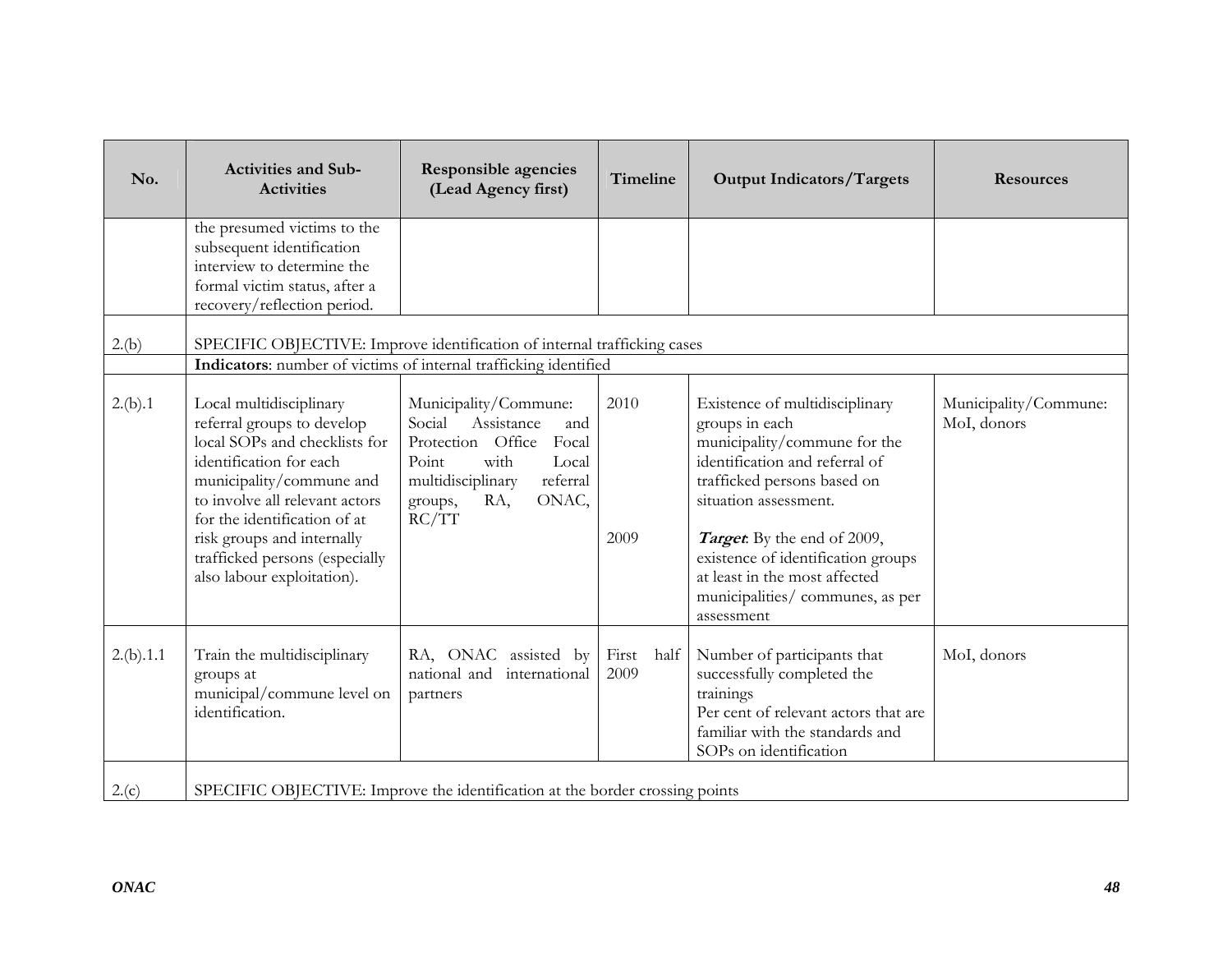| No.       | <b>Activities and Sub-</b><br><b>Activities</b>                                                                                                                                                                                                                                                               | <b>Responsible agencies</b><br>(Lead Agency first)                                                                                                                                | Timeline              | <b>Output Indicators/Targets</b>                                                                                                                                                                                                                                                                                                          | <b>Resources</b>                     |
|-----------|---------------------------------------------------------------------------------------------------------------------------------------------------------------------------------------------------------------------------------------------------------------------------------------------------------------|-----------------------------------------------------------------------------------------------------------------------------------------------------------------------------------|-----------------------|-------------------------------------------------------------------------------------------------------------------------------------------------------------------------------------------------------------------------------------------------------------------------------------------------------------------------------------------|--------------------------------------|
|           | the presumed victims to the<br>subsequent identification<br>interview to determine the<br>formal victim status, after a<br>recovery/reflection period.                                                                                                                                                        |                                                                                                                                                                                   |                       |                                                                                                                                                                                                                                                                                                                                           |                                      |
| 2.(b)     | SPECIFIC OBJECTIVE: Improve identification of internal trafficking cases<br>Indicators: number of victims of internal trafficking identified                                                                                                                                                                  |                                                                                                                                                                                   |                       |                                                                                                                                                                                                                                                                                                                                           |                                      |
| 2.(b).1   | Local multidisciplinary<br>referral groups to develop<br>local SOPs and checklists for<br>identification for each<br>municipality/commune and<br>to involve all relevant actors<br>for the identification of at<br>risk groups and internally<br>trafficked persons (especially<br>also labour exploitation). | Municipality/Commune:<br>Assistance<br>Social<br>and<br>Protection Office<br>Focal<br>with<br>Point<br>Local<br>multidisciplinary<br>referral<br>ONAC,<br>RA,<br>groups,<br>RC/TT | 2010<br>2009          | Existence of multidisciplinary<br>groups in each<br>municipality/commune for the<br>identification and referral of<br>trafficked persons based on<br>situation assessment.<br><b>Target</b> : By the end of 2009,<br>existence of identification groups<br>at least in the most affected<br>municipalities/communes, as per<br>assessment | Municipality/Commune:<br>MoI, donors |
| 2.(b).1.1 | Train the multidisciplinary<br>groups at<br>municipal/commune level on<br>identification.                                                                                                                                                                                                                     | RA, ONAC assisted by<br>national and<br>international<br>partners                                                                                                                 | First<br>half<br>2009 | Number of participants that<br>successfully completed the<br>trainings<br>Per cent of relevant actors that are<br>familiar with the standards and<br>SOPs on identification                                                                                                                                                               | MoI, donors                          |
| 2.(c)     | SPECIFIC OBJECTIVE: Improve the identification at the border crossing points                                                                                                                                                                                                                                  |                                                                                                                                                                                   |                       |                                                                                                                                                                                                                                                                                                                                           |                                      |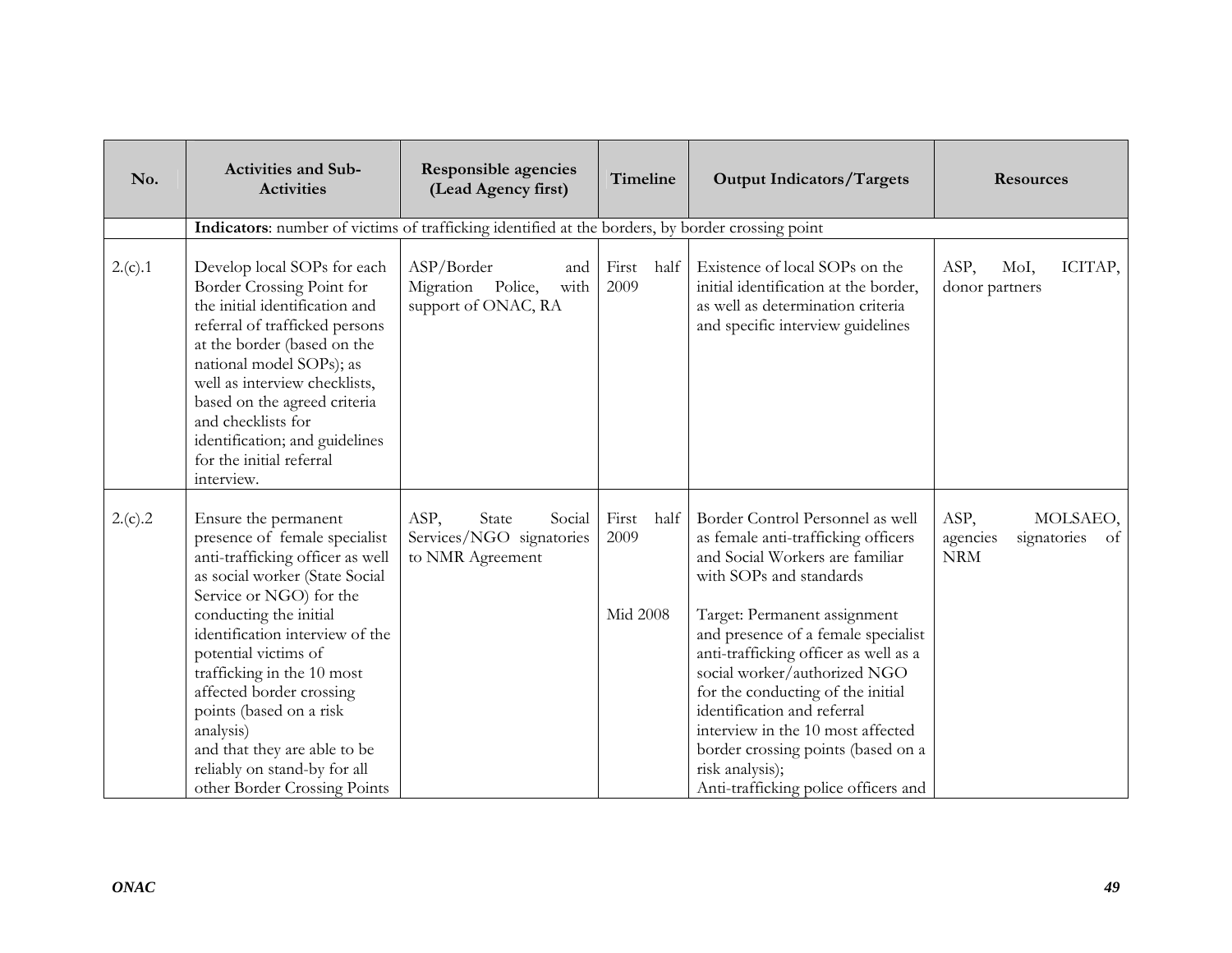| No.     | <b>Activities and Sub-</b><br><b>Activities</b>                                                                                                                                                                                                                                                                                                                                                                                               | <b>Responsible agencies</b><br>(Lead Agency first)                      | Timeline                          | <b>Output Indicators/Targets</b>                                                                                                                                                                                                                                                                                                                                                                                                                                                                | <b>Resources</b>                                                           |
|---------|-----------------------------------------------------------------------------------------------------------------------------------------------------------------------------------------------------------------------------------------------------------------------------------------------------------------------------------------------------------------------------------------------------------------------------------------------|-------------------------------------------------------------------------|-----------------------------------|-------------------------------------------------------------------------------------------------------------------------------------------------------------------------------------------------------------------------------------------------------------------------------------------------------------------------------------------------------------------------------------------------------------------------------------------------------------------------------------------------|----------------------------------------------------------------------------|
|         | Indicators: number of victims of trafficking identified at the borders, by border crossing point                                                                                                                                                                                                                                                                                                                                              |                                                                         |                                   |                                                                                                                                                                                                                                                                                                                                                                                                                                                                                                 |                                                                            |
| 2.(c).1 | Develop local SOPs for each<br>Border Crossing Point for<br>the initial identification and<br>referral of trafficked persons<br>at the border (based on the<br>national model SOPs); as<br>well as interview checklists,<br>based on the agreed criteria<br>and checklists for<br>identification; and guidelines<br>for the initial referral<br>interview.                                                                                    | ASP/Border<br>and<br>Migration Police,<br>with<br>support of ONAC, RA   | First<br>half<br>2009             | Existence of local SOPs on the<br>initial identification at the border,<br>as well as determination criteria<br>and specific interview guidelines                                                                                                                                                                                                                                                                                                                                               | ASP,<br>ICITAP,<br>MoI,<br>donor partners                                  |
| 2.(c).2 | Ensure the permanent<br>presence of female specialist<br>anti-trafficking officer as well<br>as social worker (State Social<br>Service or NGO) for the<br>conducting the initial<br>identification interview of the<br>potential victims of<br>trafficking in the 10 most<br>affected border crossing<br>points (based on a risk<br>analysis)<br>and that they are able to be<br>reliably on stand-by for all<br>other Border Crossing Points | ASP,<br>Social<br>State<br>Services/NGO signatories<br>to NMR Agreement | First<br>half<br>2009<br>Mid 2008 | Border Control Personnel as well<br>as female anti-trafficking officers<br>and Social Workers are familiar<br>with SOPs and standards<br>Target: Permanent assignment<br>and presence of a female specialist<br>anti-trafficking officer as well as a<br>social worker/authorized NGO<br>for the conducting of the initial<br>identification and referral<br>interview in the 10 most affected<br>border crossing points (based on a<br>risk analysis);<br>Anti-trafficking police officers and | ASP,<br>MOLSAEO,<br>signatories<br>agencies<br><sub>of</sub><br><b>NRM</b> |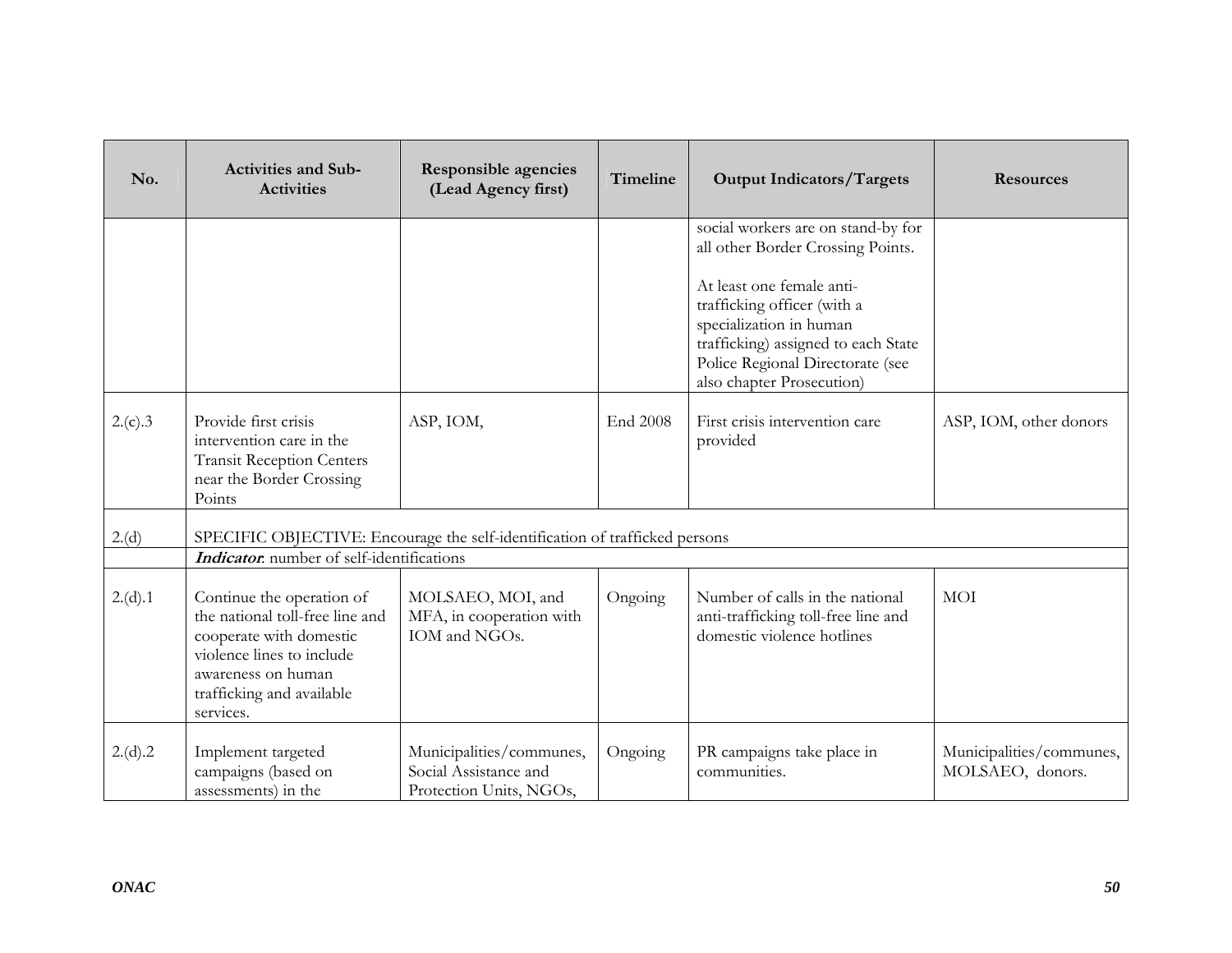| No.     | <b>Activities and Sub-</b><br><b>Activities</b>                                                                                                                                      | <b>Responsible agencies</b><br>(Lead Agency first)                           | <b>Timeline</b> | <b>Output Indicators/Targets</b>                                                                                                                                                            | <b>Resources</b>                             |
|---------|--------------------------------------------------------------------------------------------------------------------------------------------------------------------------------------|------------------------------------------------------------------------------|-----------------|---------------------------------------------------------------------------------------------------------------------------------------------------------------------------------------------|----------------------------------------------|
|         |                                                                                                                                                                                      |                                                                              |                 | social workers are on stand-by for<br>all other Border Crossing Points.                                                                                                                     |                                              |
|         |                                                                                                                                                                                      |                                                                              |                 | At least one female anti-<br>trafficking officer (with a<br>specialization in human<br>trafficking) assigned to each State<br>Police Regional Directorate (see<br>also chapter Prosecution) |                                              |
| 2.(c).3 | Provide first crisis<br>intervention care in the<br><b>Transit Reception Centers</b><br>near the Border Crossing<br>Points                                                           | ASP, IOM,                                                                    | End 2008        | First crisis intervention care<br>provided                                                                                                                                                  | ASP, IOM, other donors                       |
| 2.(d)   | SPECIFIC OBJECTIVE: Encourage the self-identification of trafficked persons                                                                                                          |                                                                              |                 |                                                                                                                                                                                             |                                              |
|         | Indicator. number of self-identifications                                                                                                                                            |                                                                              |                 |                                                                                                                                                                                             |                                              |
| 2.(d).1 | Continue the operation of<br>the national toll-free line and<br>cooperate with domestic<br>violence lines to include<br>awareness on human<br>trafficking and available<br>services. | MOLSAEO, MOI, and<br>MFA, in cooperation with<br>IOM and NGOs.               | Ongoing         | Number of calls in the national<br>anti-trafficking toll-free line and<br>domestic violence hotlines                                                                                        | <b>MOI</b>                                   |
| 2.(d).2 | Implement targeted<br>campaigns (based on<br>assessments) in the                                                                                                                     | Municipalities/communes,<br>Social Assistance and<br>Protection Units, NGOs, | Ongoing         | PR campaigns take place in<br>communities.                                                                                                                                                  | Municipalities/communes,<br>MOLSAEO, donors. |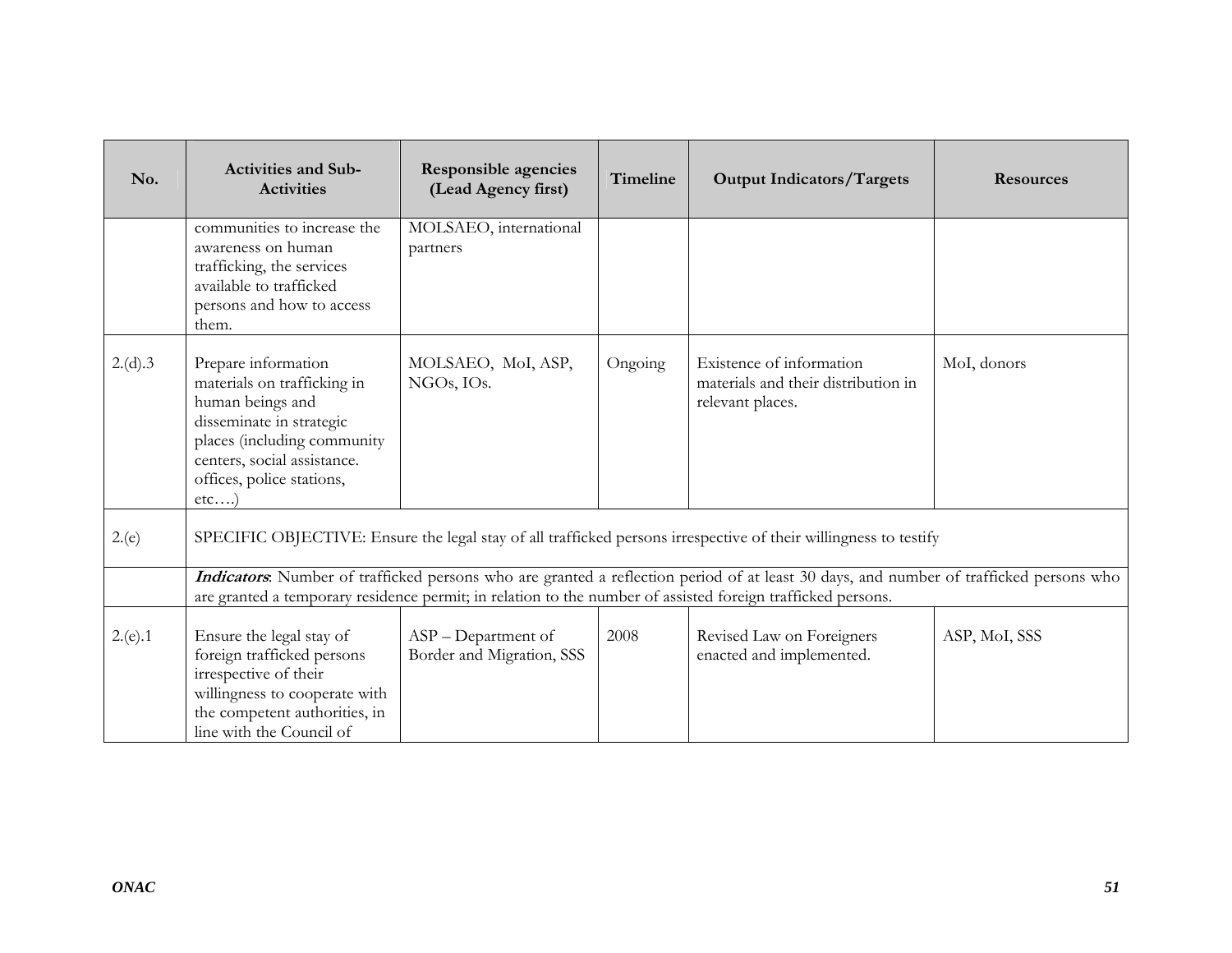| No.     | <b>Activities and Sub-</b><br><b>Activities</b>                                                                                                                                                          | <b>Responsible agencies</b><br>(Lead Agency first) | <b>Timeline</b> | <b>Output Indicators/Targets</b>                                                                                                                                                                                                                      | <b>Resources</b> |
|---------|----------------------------------------------------------------------------------------------------------------------------------------------------------------------------------------------------------|----------------------------------------------------|-----------------|-------------------------------------------------------------------------------------------------------------------------------------------------------------------------------------------------------------------------------------------------------|------------------|
|         | communities to increase the<br>awareness on human<br>trafficking, the services<br>available to trafficked<br>persons and how to access<br>them.                                                          | MOLSAEO, international<br>partners                 |                 |                                                                                                                                                                                                                                                       |                  |
| 2.(d).3 | Prepare information<br>materials on trafficking in<br>human beings and<br>disseminate in strategic<br>places (including community<br>centers, social assistance.<br>offices, police stations,<br>$etc$ ) | MOLSAEO, MoI, ASP,<br>NGOs, IOs.                   | Ongoing         | Existence of information<br>materials and their distribution in<br>relevant places.                                                                                                                                                                   | MoI, donors      |
| 2(e)    |                                                                                                                                                                                                          |                                                    |                 | SPECIFIC OBJECTIVE: Ensure the legal stay of all trafficked persons irrespective of their willingness to testify                                                                                                                                      |                  |
|         |                                                                                                                                                                                                          |                                                    |                 | Indicators. Number of trafficked persons who are granted a reflection period of at least 30 days, and number of trafficked persons who<br>are granted a temporary residence permit; in relation to the number of assisted foreign trafficked persons. |                  |
| 2(e).1  | Ensure the legal stay of<br>foreign trafficked persons<br>irrespective of their<br>willingness to cooperate with<br>the competent authorities, in<br>line with the Council of                            | ASP - Department of<br>Border and Migration, SSS   | 2008            | Revised Law on Foreigners<br>enacted and implemented.                                                                                                                                                                                                 | ASP, MoI, SSS    |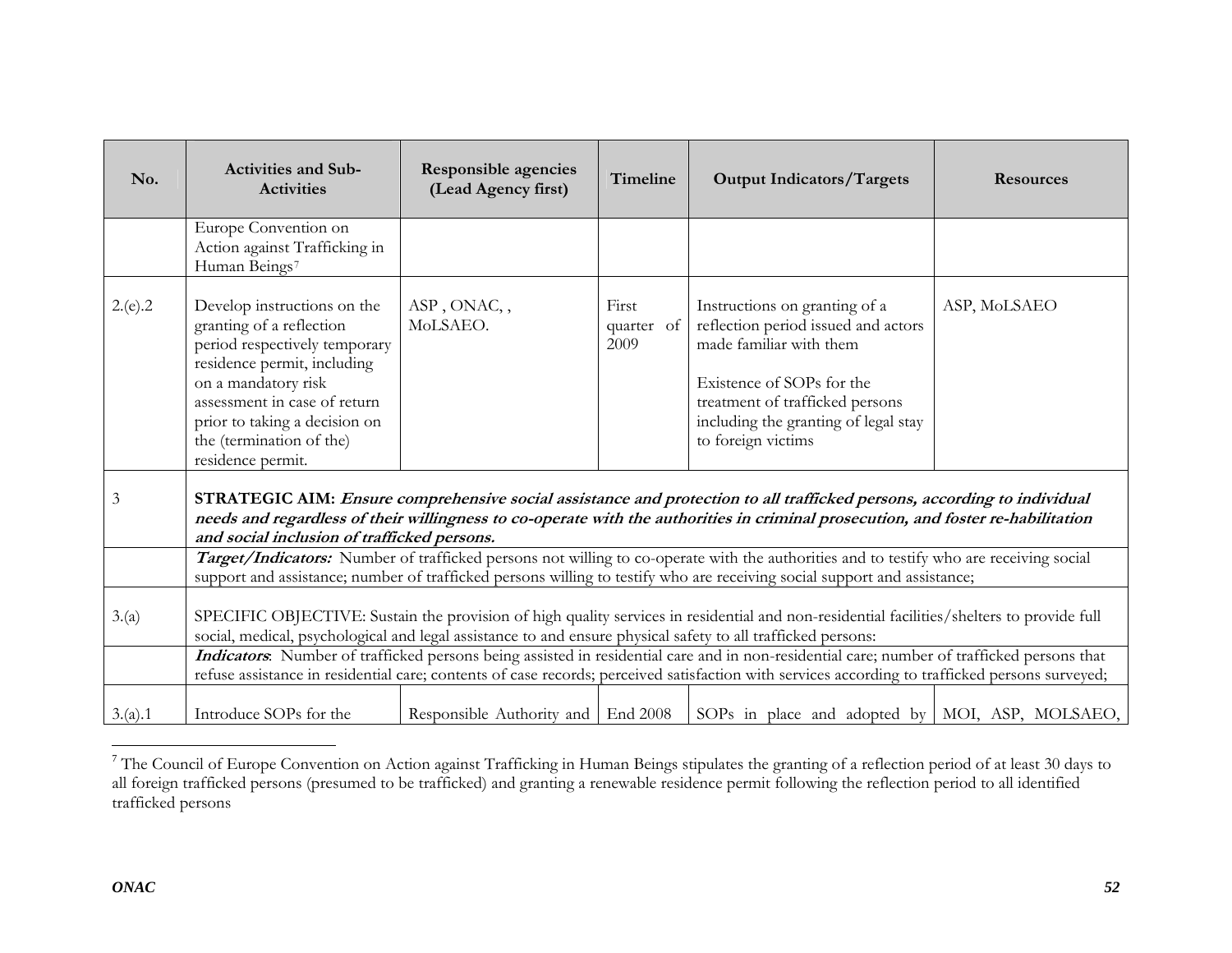| No.     | <b>Activities and Sub-</b><br><b>Activities</b>                                                                                                                                                                                                                                                                                                                                       | Responsible agencies<br>(Lead Agency first) | Timeline                    | <b>Output Indicators/Targets</b>                                                                                                                                                                                                                                                              | <b>Resources</b> |  |  |
|---------|---------------------------------------------------------------------------------------------------------------------------------------------------------------------------------------------------------------------------------------------------------------------------------------------------------------------------------------------------------------------------------------|---------------------------------------------|-----------------------------|-----------------------------------------------------------------------------------------------------------------------------------------------------------------------------------------------------------------------------------------------------------------------------------------------|------------------|--|--|
|         | Europe Convention on<br>Action against Trafficking in<br>Human Beings7                                                                                                                                                                                                                                                                                                                |                                             |                             |                                                                                                                                                                                                                                                                                               |                  |  |  |
| 2(e).2  | Develop instructions on the<br>granting of a reflection<br>period respectively temporary<br>residence permit, including<br>on a mandatory risk<br>assessment in case of return<br>prior to taking a decision on<br>the (termination of the)<br>residence permit.                                                                                                                      | ASP, ONAC,,<br>MoLSAEO.                     | First<br>quarter of<br>2009 | Instructions on granting of a<br>reflection period issued and actors<br>made familiar with them<br>Existence of SOPs for the<br>treatment of trafficked persons<br>including the granting of legal stay<br>to foreign victims                                                                 | ASP, MoLSAEO     |  |  |
| 3       | and social inclusion of trafficked persons.                                                                                                                                                                                                                                                                                                                                           |                                             |                             | STRATEGIC AIM: Ensure comprehensive social assistance and protection to all trafficked persons, according to individual<br>needs and regardless of their willingness to co-operate with the authorities in criminal prosecution, and foster re-habilitation                                   |                  |  |  |
|         |                                                                                                                                                                                                                                                                                                                                                                                       |                                             |                             | Target/Indicators: Number of trafficked persons not willing to co-operate with the authorities and to testify who are receiving social                                                                                                                                                        |                  |  |  |
| 3.(a)   | support and assistance; number of trafficked persons willing to testify who are receiving social support and assistance;<br>SPECIFIC OBJECTIVE: Sustain the provision of high quality services in residential and non-residential facilities/shelters to provide full<br>social, medical, psychological and legal assistance to and ensure physical safety to all trafficked persons: |                                             |                             |                                                                                                                                                                                                                                                                                               |                  |  |  |
|         |                                                                                                                                                                                                                                                                                                                                                                                       |                                             |                             | Indicators. Number of trafficked persons being assisted in residential care and in non-residential care; number of trafficked persons that<br>refuse assistance in residential care; contents of case records; perceived satisfaction with services according to trafficked persons surveyed; |                  |  |  |
| 3.(a).1 | Introduce SOPs for the                                                                                                                                                                                                                                                                                                                                                                | Responsible Authority and End 2008          |                             | SOPs in place and adopted by   MOI, ASP, MOLSAEO,                                                                                                                                                                                                                                             |                  |  |  |

<span id="page-51-0"></span><sup>&</sup>lt;sup>7</sup> The Council of Europe Convention on Action against Trafficking in Human Beings stipulates the granting of a reflection period of at least 30 days to all foreign trafficked persons (presumed to be trafficked) and granting a renewable residence permit following the reflection period to all identified trafficked persons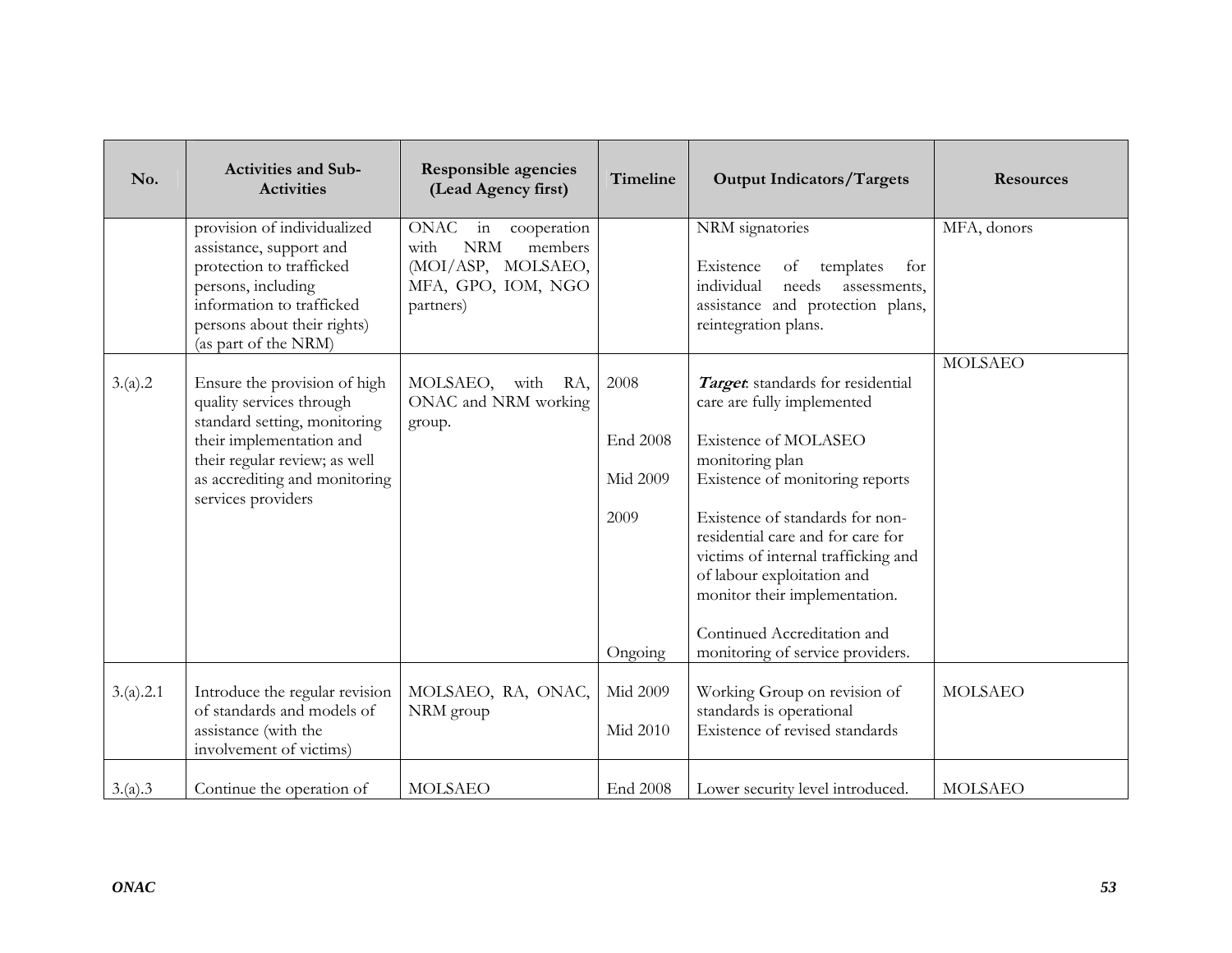| No.       | <b>Activities and Sub-</b><br><b>Activities</b>                                                                                                                                                              | <b>Responsible agencies</b><br>(Lead Agency first)                                                                  | Timeline                                        | <b>Output Indicators/Targets</b>                                                                                                                                                                                                                                                                                                                                                              | <b>Resources</b> |
|-----------|--------------------------------------------------------------------------------------------------------------------------------------------------------------------------------------------------------------|---------------------------------------------------------------------------------------------------------------------|-------------------------------------------------|-----------------------------------------------------------------------------------------------------------------------------------------------------------------------------------------------------------------------------------------------------------------------------------------------------------------------------------------------------------------------------------------------|------------------|
|           | provision of individualized<br>assistance, support and<br>protection to trafficked<br>persons, including<br>information to trafficked<br>persons about their rights)<br>(as part of the NRM)                 | ONAC<br>in<br>cooperation<br><b>NRM</b><br>with<br>members<br>(MOI/ASP, MOLSAEO,<br>MFA, GPO, IOM, NGO<br>partners) |                                                 | NRM signatories<br>Existence<br>of<br>templates<br>for<br>individual<br>needs<br>assessments,<br>assistance and protection plans,<br>reintegration plans.                                                                                                                                                                                                                                     | MFA, donors      |
| 3.(a).2   | Ensure the provision of high<br>quality services through<br>standard setting, monitoring<br>their implementation and<br>their regular review; as well<br>as accrediting and monitoring<br>services providers | MOLSAEO, with RA,<br>ONAC and NRM working<br>group.                                                                 | 2008<br>End 2008<br>Mid 2009<br>2009<br>Ongoing | Target standards for residential<br>care are fully implemented<br>Existence of MOLASEO<br>monitoring plan<br>Existence of monitoring reports<br>Existence of standards for non-<br>residential care and for care for<br>victims of internal trafficking and<br>of labour exploitation and<br>monitor their implementation.<br>Continued Accreditation and<br>monitoring of service providers. | <b>MOLSAEO</b>   |
| 3.(a).2.1 | Introduce the regular revision<br>of standards and models of<br>assistance (with the<br>involvement of victims)                                                                                              | MOLSAEO, RA, ONAC,<br>NRM group                                                                                     | Mid 2009<br>Mid 2010                            | Working Group on revision of<br>standards is operational<br>Existence of revised standards                                                                                                                                                                                                                                                                                                    | <b>MOLSAEO</b>   |
| 3.(a).3   | Continue the operation of                                                                                                                                                                                    | <b>MOLSAEO</b>                                                                                                      | End 2008                                        | Lower security level introduced.                                                                                                                                                                                                                                                                                                                                                              | <b>MOLSAEO</b>   |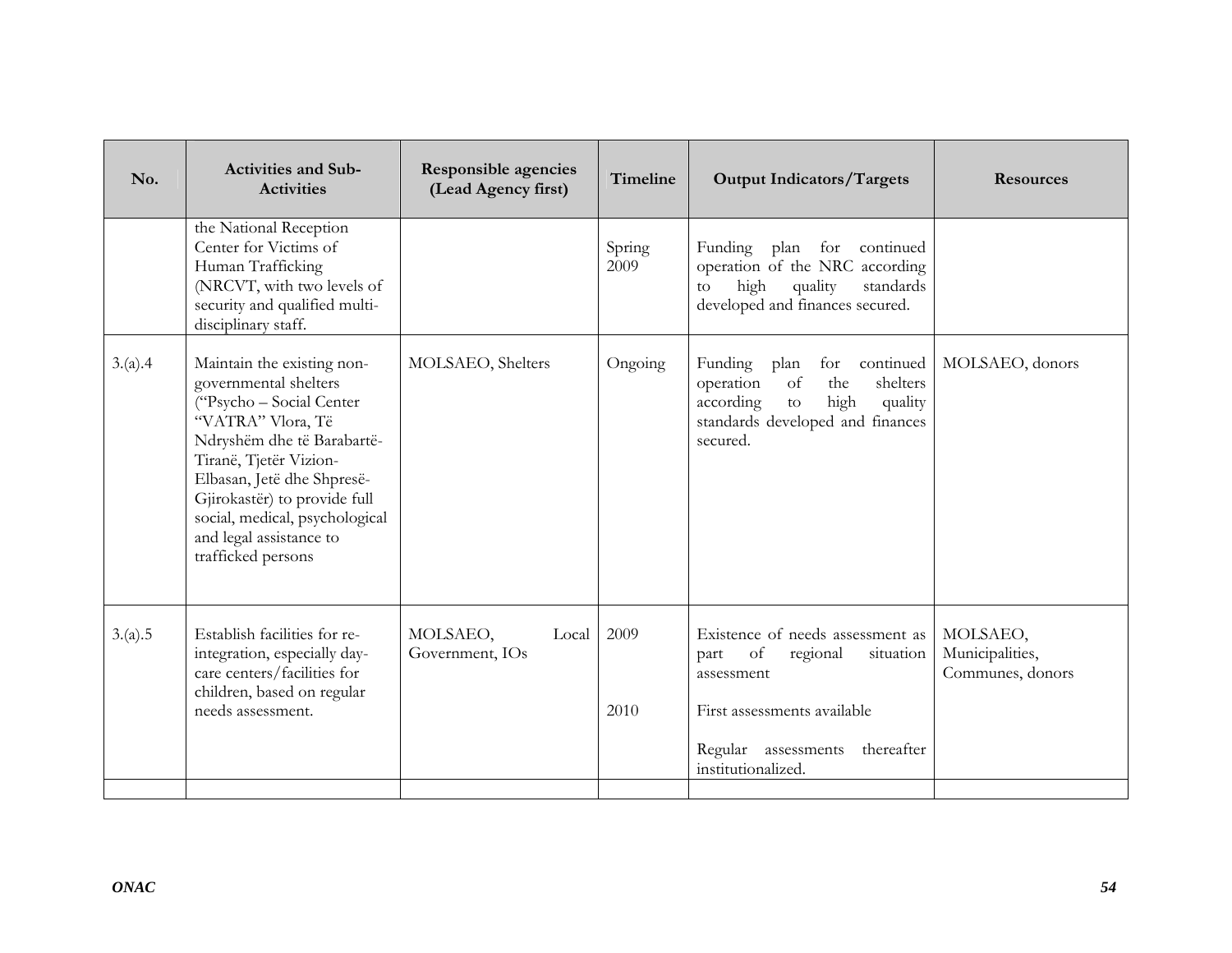| No.     | <b>Activities and Sub-</b><br><b>Activities</b>                                                                                                                                                                                                                                                               | <b>Responsible agencies</b><br>(Lead Agency first) | Timeline       | <b>Output Indicators/Targets</b>                                                                                                                                                | <b>Resources</b>                                |
|---------|---------------------------------------------------------------------------------------------------------------------------------------------------------------------------------------------------------------------------------------------------------------------------------------------------------------|----------------------------------------------------|----------------|---------------------------------------------------------------------------------------------------------------------------------------------------------------------------------|-------------------------------------------------|
|         | the National Reception<br>Center for Victims of<br>Human Trafficking<br>(NRCVT, with two levels of<br>security and qualified multi-<br>disciplinary staff.                                                                                                                                                    |                                                    | Spring<br>2009 | plan for continued<br>Funding<br>operation of the NRC according<br>high<br>quality<br>standards<br>to<br>developed and finances secured.                                        |                                                 |
| 3.(a).4 | Maintain the existing non-<br>governmental shelters<br>("Psycho - Social Center<br>"VATRA" Vlora, Të<br>Ndryshëm dhe të Barabartë-<br>Tiranë, Tjetër Vizion-<br>Elbasan, Jetë dhe Shpresë-<br>Gjirokastër) to provide full<br>social, medical, psychological<br>and legal assistance to<br>trafficked persons | MOLSAEO, Shelters                                  | Ongoing        | Funding<br>for continued<br>plan<br>of<br>the<br>operation<br>shelters<br>high<br>according<br>quality<br>$\rm{to}$<br>standards developed and finances<br>secured.             | MOLSAEO, donors                                 |
| 3.(a).5 | Establish facilities for re-<br>integration, especially day-<br>care centers/facilities for<br>children, based on regular<br>needs assessment.                                                                                                                                                                | MOLSAEO,<br>Local<br>Government, IOs               | 2009<br>2010   | Existence of needs assessment as<br>of<br>regional<br>part<br>situation<br>assessment<br>First assessments available<br>Regular assessments<br>thereafter<br>institutionalized. | MOLSAEO,<br>Municipalities,<br>Communes, donors |
|         |                                                                                                                                                                                                                                                                                                               |                                                    |                |                                                                                                                                                                                 |                                                 |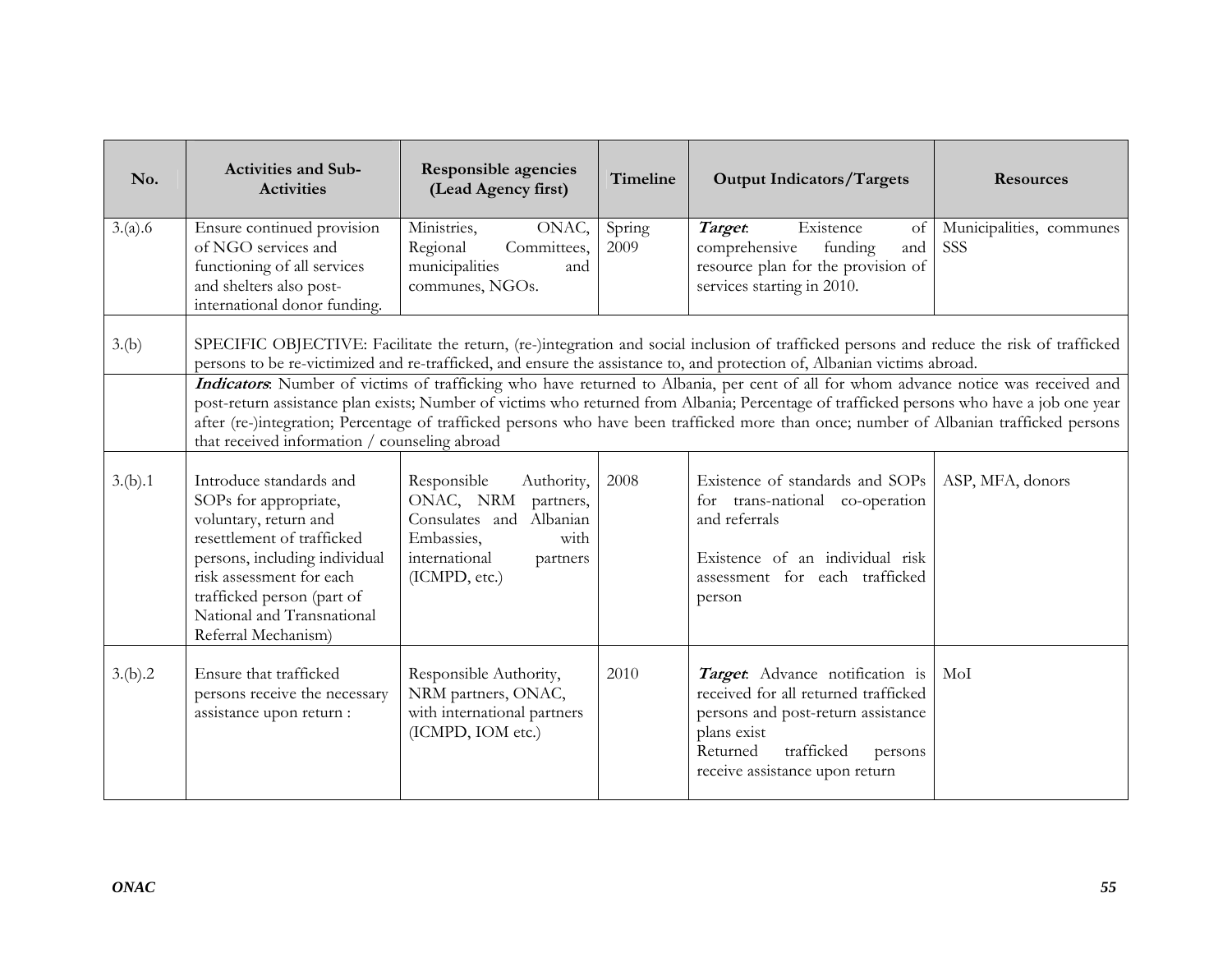| No.     | <b>Activities and Sub-</b><br><b>Activities</b>                                                                                                                                                                                                                                                                                                                                                                                                                                                                                                                                                                                                                                                                                                      | <b>Responsible agencies</b><br>(Lead Agency first)                                                                                              | Timeline       | <b>Output Indicators/Targets</b>                                                                                                                                                                    | <b>Resources</b>                |  |
|---------|------------------------------------------------------------------------------------------------------------------------------------------------------------------------------------------------------------------------------------------------------------------------------------------------------------------------------------------------------------------------------------------------------------------------------------------------------------------------------------------------------------------------------------------------------------------------------------------------------------------------------------------------------------------------------------------------------------------------------------------------------|-------------------------------------------------------------------------------------------------------------------------------------------------|----------------|-----------------------------------------------------------------------------------------------------------------------------------------------------------------------------------------------------|---------------------------------|--|
| 3.(a).6 | Ensure continued provision<br>of NGO services and<br>functioning of all services<br>and shelters also post-<br>international donor funding.                                                                                                                                                                                                                                                                                                                                                                                                                                                                                                                                                                                                          | Ministries,<br>ONAC,<br>Regional<br>Committees,<br>municipalities<br>and<br>communes, NGOs.                                                     | Spring<br>2009 | Existence<br>Target.<br>of<br>comprehensive<br>funding<br>and<br>resource plan for the provision of<br>services starting in 2010.                                                                   | Municipalities, communes<br>SSS |  |
| 3.(b)   | SPECIFIC OBJECTIVE: Facilitate the return, (re-)integration and social inclusion of trafficked persons and reduce the risk of trafficked<br>persons to be re-victimized and re-trafficked, and ensure the assistance to, and protection of, Albanian victims abroad.<br>Indicators. Number of victims of trafficking who have returned to Albania, per cent of all for whom advance notice was received and<br>post-return assistance plan exists; Number of victims who returned from Albania; Percentage of trafficked persons who have a job one year<br>after (re-)integration; Percentage of trafficked persons who have been trafficked more than once; number of Albanian trafficked persons<br>that received information / counseling abroad |                                                                                                                                                 |                |                                                                                                                                                                                                     |                                 |  |
| 3.(b).1 | Introduce standards and<br>SOPs for appropriate,<br>voluntary, return and<br>resettlement of trafficked<br>persons, including individual<br>risk assessment for each<br>trafficked person (part of<br>National and Transnational<br>Referral Mechanism)                                                                                                                                                                                                                                                                                                                                                                                                                                                                                              | Responsible<br>Authority,<br>ONAC, NRM partners,<br>Consulates and Albanian<br>Embassies,<br>with<br>international<br>partners<br>(ICMPD, etc.) | 2008           | Existence of standards and SOPs<br>for trans-national co-operation<br>and referrals<br>Existence of an individual risk<br>assessment for each trafficked<br>person                                  | ASP, MFA, donors                |  |
| 3.(b).2 | Ensure that trafficked<br>persons receive the necessary<br>assistance upon return :                                                                                                                                                                                                                                                                                                                                                                                                                                                                                                                                                                                                                                                                  | Responsible Authority,<br>NRM partners, ONAC,<br>with international partners<br>(ICMPD, IOM etc.)                                               | 2010           | Target. Advance notification is<br>received for all returned trafficked<br>persons and post-return assistance<br>plans exist<br>Returned<br>trafficked<br>persons<br>receive assistance upon return | MoI                             |  |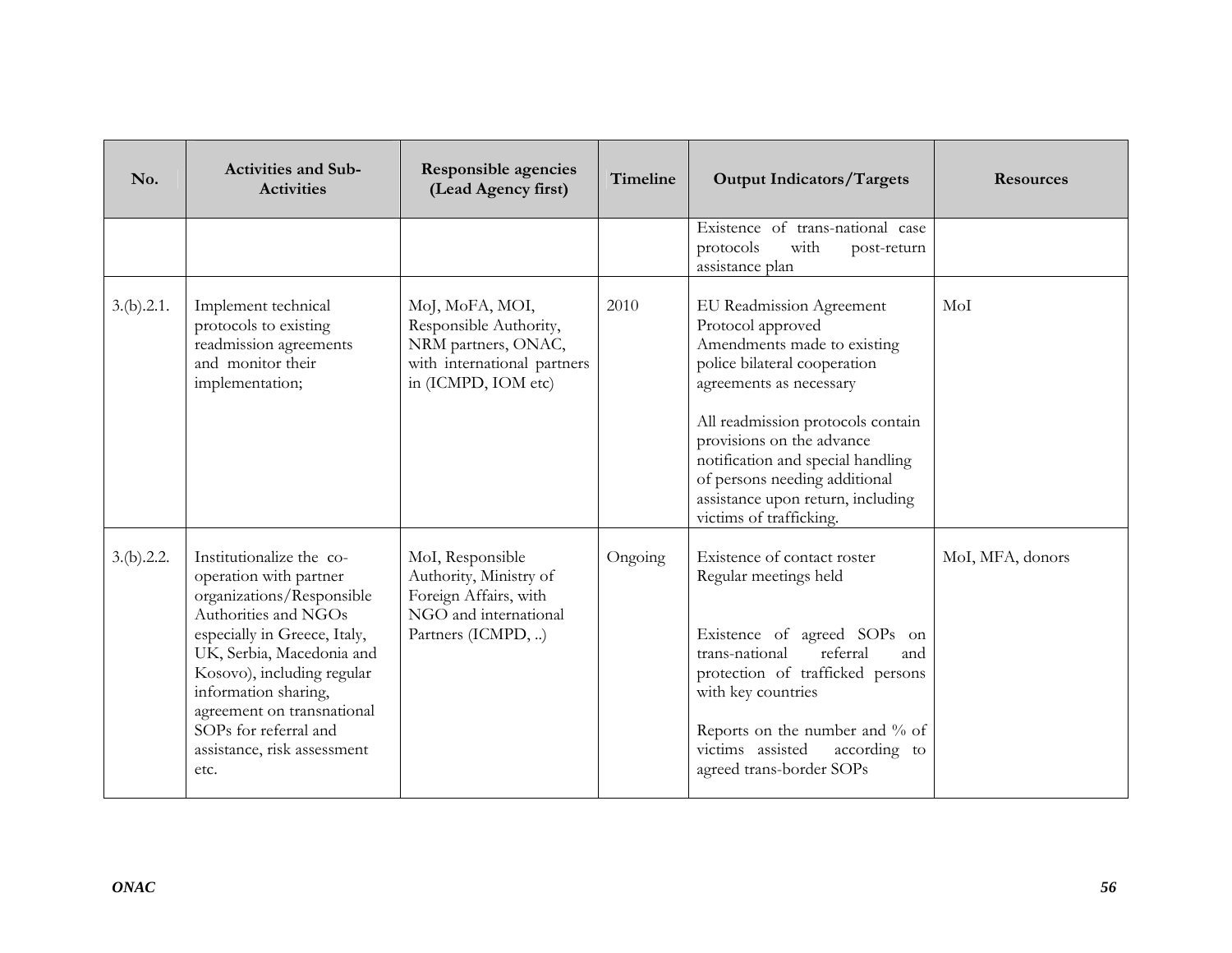| No.        | <b>Activities and Sub-</b><br><b>Activities</b>                                                                                                                                                                                                                                                                          | <b>Responsible agencies</b><br>(Lead Agency first)                                                                     | Timeline | <b>Output Indicators/Targets</b>                                                                                                                                                                                                                                                                                                                | <b>Resources</b> |
|------------|--------------------------------------------------------------------------------------------------------------------------------------------------------------------------------------------------------------------------------------------------------------------------------------------------------------------------|------------------------------------------------------------------------------------------------------------------------|----------|-------------------------------------------------------------------------------------------------------------------------------------------------------------------------------------------------------------------------------------------------------------------------------------------------------------------------------------------------|------------------|
|            |                                                                                                                                                                                                                                                                                                                          |                                                                                                                        |          | Existence of trans-national case<br>protocols<br>with<br>post-return<br>assistance plan                                                                                                                                                                                                                                                         |                  |
| 3.(b).2.1. | Implement technical<br>protocols to existing<br>readmission agreements<br>and monitor their<br>implementation;                                                                                                                                                                                                           | MoJ, MoFA, MOI,<br>Responsible Authority,<br>NRM partners, ONAC,<br>with international partners<br>in (ICMPD, IOM etc) | 2010     | EU Readmission Agreement<br>Protocol approved<br>Amendments made to existing<br>police bilateral cooperation<br>agreements as necessary<br>All readmission protocols contain<br>provisions on the advance<br>notification and special handling<br>of persons needing additional<br>assistance upon return, including<br>victims of trafficking. | MoI              |
| 3.(b).2.2. | Institutionalize the co-<br>operation with partner<br>organizations/Responsible<br>Authorities and NGOs<br>especially in Greece, Italy,<br>UK, Serbia, Macedonia and<br>Kosovo), including regular<br>information sharing,<br>agreement on transnational<br>SOPs for referral and<br>assistance, risk assessment<br>etc. | MoI, Responsible<br>Authority, Ministry of<br>Foreign Affairs, with<br>NGO and international<br>Partners (ICMPD, )     | Ongoing  | Existence of contact roster<br>Regular meetings held<br>Existence of agreed SOPs on<br>referral<br>trans-national<br>and<br>protection of trafficked persons<br>with key countries<br>Reports on the number and % of<br>victims assisted<br>according to<br>agreed trans-border SOPs                                                            | MoI, MFA, donors |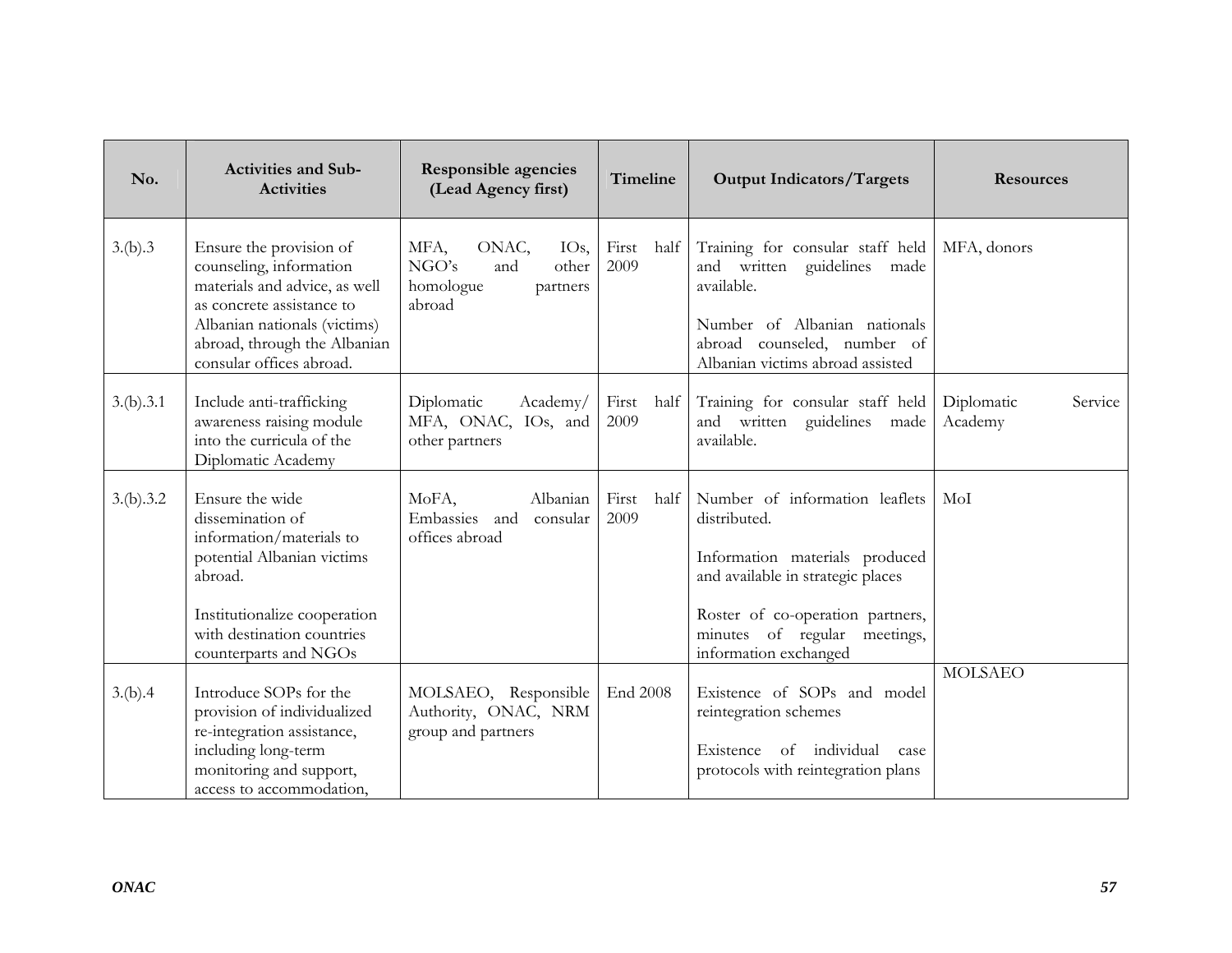| No.       | <b>Activities and Sub-</b><br><b>Activities</b>                                                                                                                                                              | <b>Responsible agencies</b><br>(Lead Agency first)                                           | Timeline              | <b>Output Indicators/Targets</b>                                                                                                                                                             | <b>Resources</b>                 |
|-----------|--------------------------------------------------------------------------------------------------------------------------------------------------------------------------------------------------------------|----------------------------------------------------------------------------------------------|-----------------------|----------------------------------------------------------------------------------------------------------------------------------------------------------------------------------------------|----------------------------------|
| 3.(b).3   | Ensure the provision of<br>counseling, information<br>materials and advice, as well<br>as concrete assistance to<br>Albanian nationals (victims)<br>abroad, through the Albanian<br>consular offices abroad. | ONAC,<br>MFA,<br>IO <sub>s</sub><br>NGO's<br>and<br>other<br>homologue<br>partners<br>abroad | First<br>half<br>2009 | Training for consular staff held<br>and written guidelines<br>made<br>available.<br>Number of Albanian nationals<br>abroad counseled, number of<br>Albanian victims abroad assisted          | MFA, donors                      |
| 3.(b).3.1 | Include anti-trafficking<br>awareness raising module<br>into the curricula of the<br>Diplomatic Academy                                                                                                      | Diplomatic<br>Academy/<br>MFA, ONAC, IOs, and<br>other partners                              | First half<br>2009    | Training for consular staff held<br>and written guidelines<br>made<br>available.                                                                                                             | Diplomatic<br>Service<br>Academy |
| 3.(b).3.2 | Ensure the wide<br>dissemination of<br>information/materials to<br>potential Albanian victims<br>abroad.<br>Institutionalize cooperation<br>with destination countries                                       | MoFA,<br>Albanian<br>Embassies<br>and<br>consular<br>offices abroad                          | First<br>half<br>2009 | Number of information leaflets<br>distributed.<br>Information materials produced<br>and available in strategic places<br>Roster of co-operation partners,<br>minutes of regular<br>meetings, | MoI                              |
| 3.(b).4   | counterparts and NGOs<br>Introduce SOPs for the<br>provision of individualized<br>re-integration assistance,<br>including long-term<br>monitoring and support,<br>access to accommodation,                   | MOLSAEO, Responsible<br>Authority, ONAC, NRM<br>group and partners                           | End 2008              | information exchanged<br>Existence of SOPs and model<br>reintegration schemes<br>Existence of individual<br>case<br>protocols with reintegration plans                                       | <b>MOLSAEO</b>                   |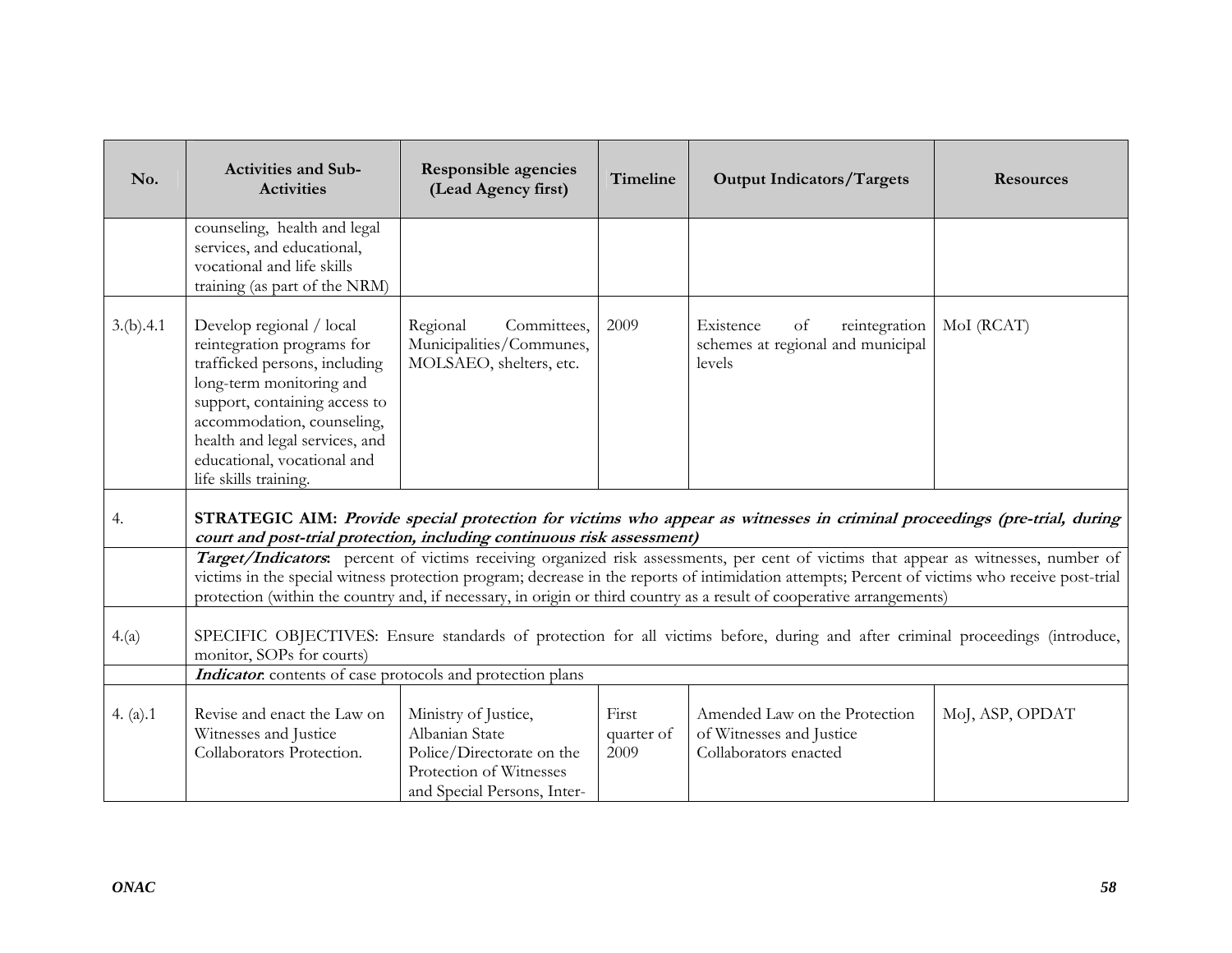| No.        | <b>Activities and Sub-</b><br><b>Activities</b>                                                                                                                                                                                                                              | <b>Responsible agencies</b><br>(Lead Agency first)                                                                            | Timeline                    | <b>Output Indicators/Targets</b>                                                                                                                                                                                                                                                                                                                                                                               | <b>Resources</b> |
|------------|------------------------------------------------------------------------------------------------------------------------------------------------------------------------------------------------------------------------------------------------------------------------------|-------------------------------------------------------------------------------------------------------------------------------|-----------------------------|----------------------------------------------------------------------------------------------------------------------------------------------------------------------------------------------------------------------------------------------------------------------------------------------------------------------------------------------------------------------------------------------------------------|------------------|
|            | counseling, health and legal<br>services, and educational,<br>vocational and life skills<br>training (as part of the NRM)                                                                                                                                                    |                                                                                                                               |                             |                                                                                                                                                                                                                                                                                                                                                                                                                |                  |
| 3.(b).4.1  | Develop regional / local<br>reintegration programs for<br>trafficked persons, including<br>long-term monitoring and<br>support, containing access to<br>accommodation, counseling,<br>health and legal services, and<br>educational, vocational and<br>life skills training. | Regional<br>Committees,<br>Municipalities/Communes,<br>MOLSAEO, shelters, etc.                                                | 2009                        | Existence<br>reintegration<br>of<br>schemes at regional and municipal<br>levels                                                                                                                                                                                                                                                                                                                                | MoI (RCAT)       |
| 4.         | court and post-trial protection, including continuous risk assessment)                                                                                                                                                                                                       |                                                                                                                               |                             | STRATEGIC AIM: Provide special protection for victims who appear as witnesses in criminal proceedings (pre-trial, during                                                                                                                                                                                                                                                                                       |                  |
|            |                                                                                                                                                                                                                                                                              |                                                                                                                               |                             | Target/Indicators: percent of victims receiving organized risk assessments, per cent of victims that appear as witnesses, number of<br>victims in the special witness protection program; decrease in the reports of intimidation attempts; Percent of victims who receive post-trial<br>protection (within the country and, if necessary, in origin or third country as a result of cooperative arrangements) |                  |
| 4.(a)      | monitor, SOPs for courts)                                                                                                                                                                                                                                                    |                                                                                                                               |                             | SPECIFIC OBJECTIVES: Ensure standards of protection for all victims before, during and after criminal proceedings (introduce,                                                                                                                                                                                                                                                                                  |                  |
|            | Indicator: contents of case protocols and protection plans                                                                                                                                                                                                                   |                                                                                                                               |                             |                                                                                                                                                                                                                                                                                                                                                                                                                |                  |
| 4. $(a).1$ | Revise and enact the Law on<br>Witnesses and Justice<br>Collaborators Protection.                                                                                                                                                                                            | Ministry of Justice,<br>Albanian State<br>Police/Directorate on the<br>Protection of Witnesses<br>and Special Persons, Inter- | First<br>quarter of<br>2009 | Amended Law on the Protection<br>of Witnesses and Justice<br>Collaborators enacted                                                                                                                                                                                                                                                                                                                             | MoJ, ASP, OPDAT  |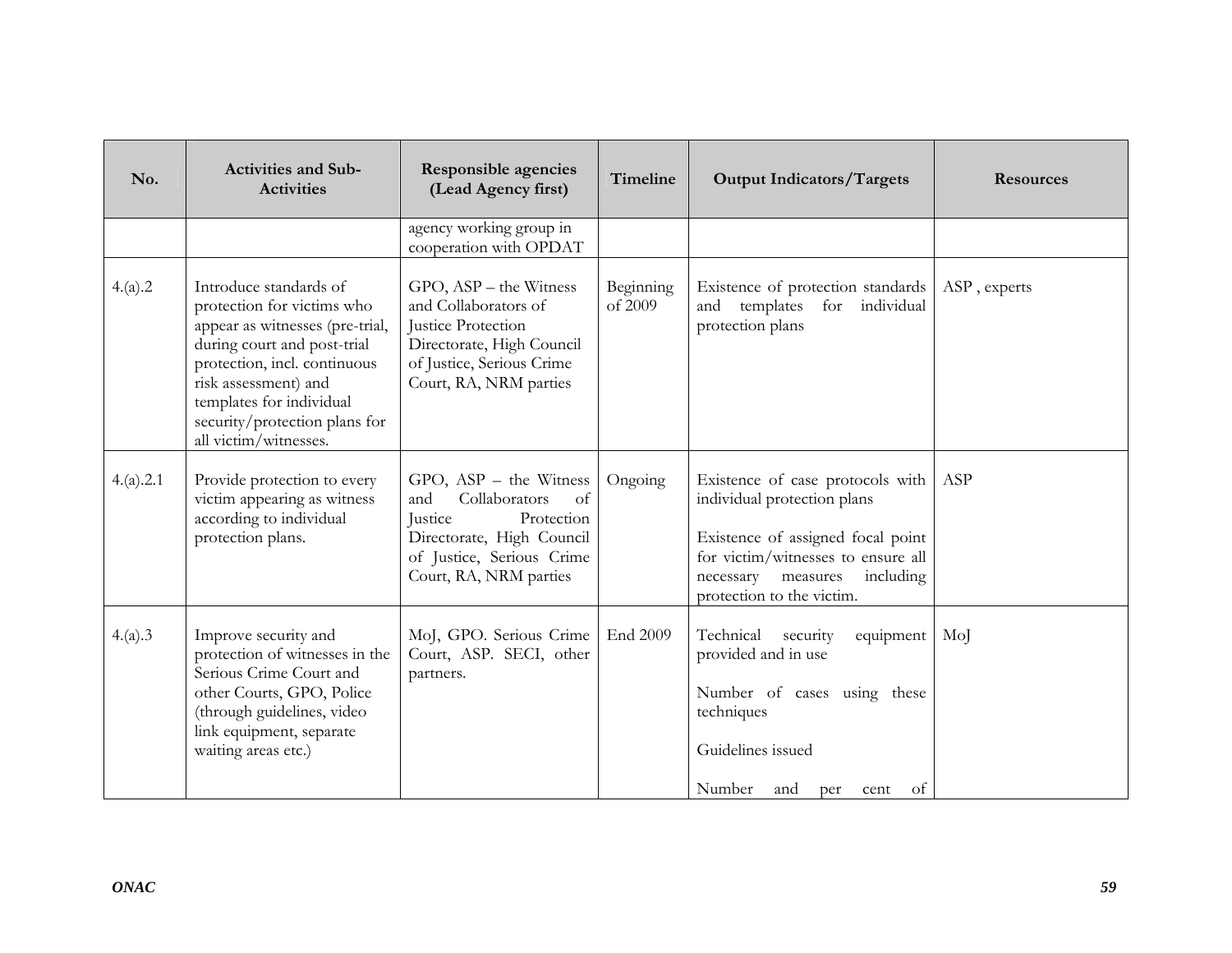| No.       | <b>Activities and Sub-</b><br><b>Activities</b>                                                                                                                                                                                                                      | <b>Responsible agencies</b><br>(Lead Agency first)                                                                                                                  | Timeline             | <b>Output Indicators/Targets</b>                                                                                                                                                                           | <b>Resources</b> |
|-----------|----------------------------------------------------------------------------------------------------------------------------------------------------------------------------------------------------------------------------------------------------------------------|---------------------------------------------------------------------------------------------------------------------------------------------------------------------|----------------------|------------------------------------------------------------------------------------------------------------------------------------------------------------------------------------------------------------|------------------|
|           |                                                                                                                                                                                                                                                                      | agency working group in<br>cooperation with OPDAT                                                                                                                   |                      |                                                                                                                                                                                                            |                  |
| 4.(a).2   | Introduce standards of<br>protection for victims who<br>appear as witnesses (pre-trial,<br>during court and post-trial<br>protection, incl. continuous<br>risk assessment) and<br>templates for individual<br>security/protection plans for<br>all victim/witnesses. | GPO, ASP - the Witness<br>and Collaborators of<br><b>Justice Protection</b><br>Directorate, High Council<br>of Justice, Serious Crime<br>Court, RA, NRM parties     | Beginning<br>of 2009 | Existence of protection standards<br>templates<br>for individual<br>and<br>protection plans                                                                                                                | ASP, experts     |
| 4.(a).2.1 | Provide protection to every<br>victim appearing as witness<br>according to individual<br>protection plans.                                                                                                                                                           | $GPO, ASP - the Witness$<br>Collaborators<br>and<br>of<br>Justice<br>Protection<br>Directorate, High Council<br>of Justice, Serious Crime<br>Court, RA, NRM parties | Ongoing              | Existence of case protocols with<br>individual protection plans<br>Existence of assigned focal point<br>for victim/witnesses to ensure all<br>necessary measures<br>including<br>protection to the victim. | ASP              |
| 4.(a).3   | Improve security and<br>protection of witnesses in the<br>Serious Crime Court and<br>other Courts, GPO, Police<br>(through guidelines, video<br>link equipment, separate<br>waiting areas etc.)                                                                      | MoJ, GPO. Serious Crime<br>Court, ASP. SECI, other<br>partners.                                                                                                     | End 2009             | Technical security<br>equipment<br>provided and in use<br>Number of cases using these<br>techniques<br>Guidelines issued<br>Number and<br><sub>of</sub><br>per<br>cent                                     | MoJ              |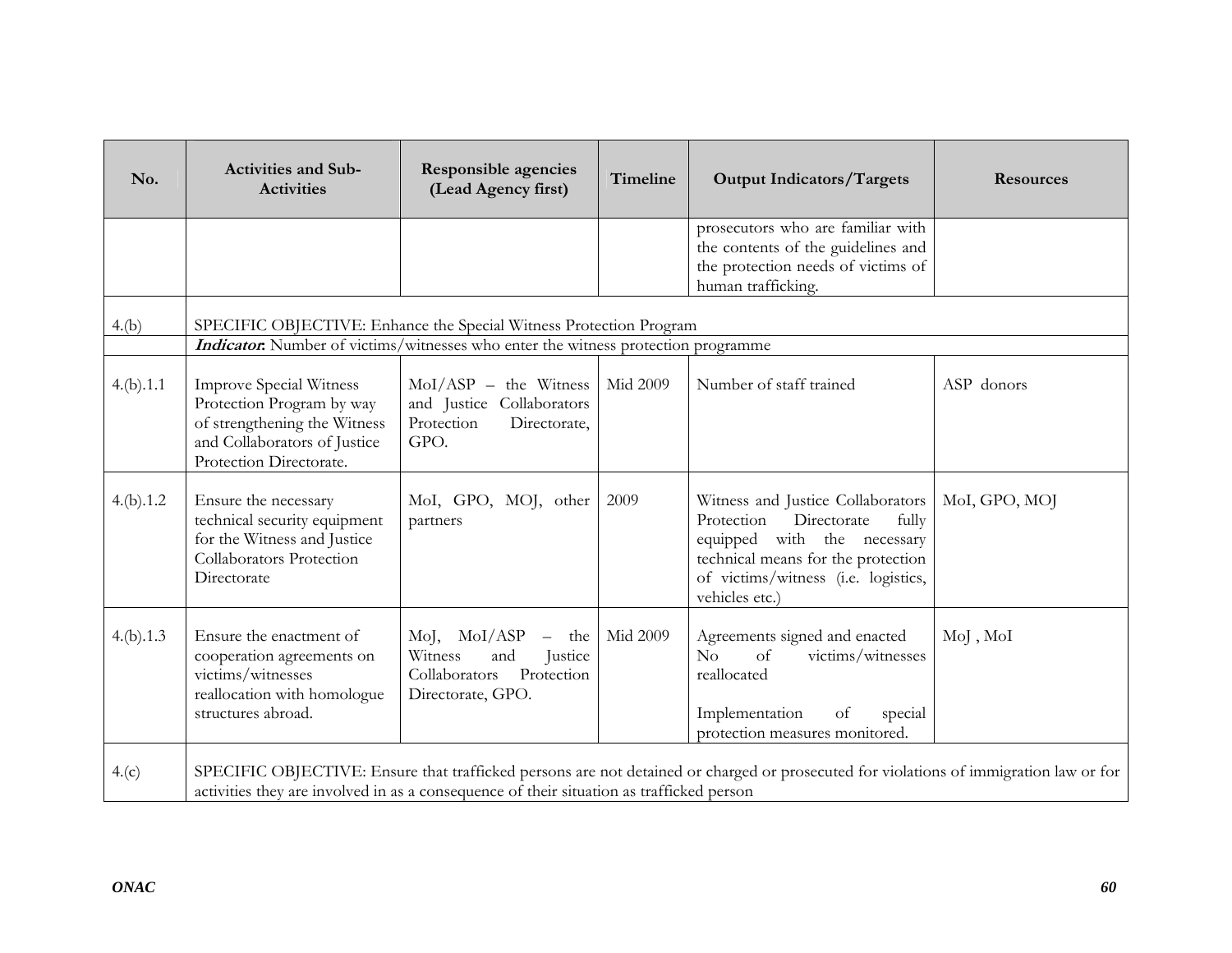| No.       | <b>Activities and Sub-</b><br><b>Activities</b>                                                                                                         | <b>Responsible agencies</b><br>(Lead Agency first)                                                    | Timeline | <b>Output Indicators/Targets</b>                                                                                                                                                                      | <b>Resources</b> |
|-----------|---------------------------------------------------------------------------------------------------------------------------------------------------------|-------------------------------------------------------------------------------------------------------|----------|-------------------------------------------------------------------------------------------------------------------------------------------------------------------------------------------------------|------------------|
|           |                                                                                                                                                         |                                                                                                       |          | prosecutors who are familiar with<br>the contents of the guidelines and<br>the protection needs of victims of<br>human trafficking.                                                                   |                  |
| 4.(b)     | SPECIFIC OBJECTIVE: Enhance the Special Witness Protection Program<br>Indicator: Number of victims/witnesses who enter the witness protection programme |                                                                                                       |          |                                                                                                                                                                                                       |                  |
| 4.(b).1.1 | <b>Improve Special Witness</b><br>Protection Program by way<br>of strengthening the Witness<br>and Collaborators of Justice<br>Protection Directorate.  | $MoI/ASP$ – the Witness<br>and Justice Collaborators<br>Protection<br>Directorate,<br>GPO.            | Mid 2009 | Number of staff trained                                                                                                                                                                               | ASP donors       |
| 4.(b).1.2 | Ensure the necessary<br>technical security equipment<br>for the Witness and Justice<br>Collaborators Protection<br>Directorate                          | MoI, GPO, MOJ, other<br>partners                                                                      | 2009     | Witness and Justice Collaborators<br>Protection<br>Directorate<br>fully<br>equipped with the necessary<br>technical means for the protection<br>of victims/witness (i.e. logistics,<br>vehicles etc.) | MoI, GPO, MOJ    |
| 4.(b).1.3 | Ensure the enactment of<br>cooperation agreements on<br>victims/witnesses<br>reallocation with homologue<br>structures abroad.                          | MoJ, MoI/ASP<br>$-$ the<br>Witness<br>and<br>Justice<br>Collaborators Protection<br>Directorate, GPO. | Mid 2009 | Agreements signed and enacted<br>No<br>victims/witnesses<br><sub>of</sub><br>reallocated<br>Implementation<br>of<br>special<br>protection measures monitored.                                         | MoJ, MoI         |
| 4.(c)     | activities they are involved in as a consequence of their situation as trafficked person                                                                |                                                                                                       |          | SPECIFIC OBJECTIVE: Ensure that trafficked persons are not detained or charged or prosecuted for violations of immigration law or for                                                                 |                  |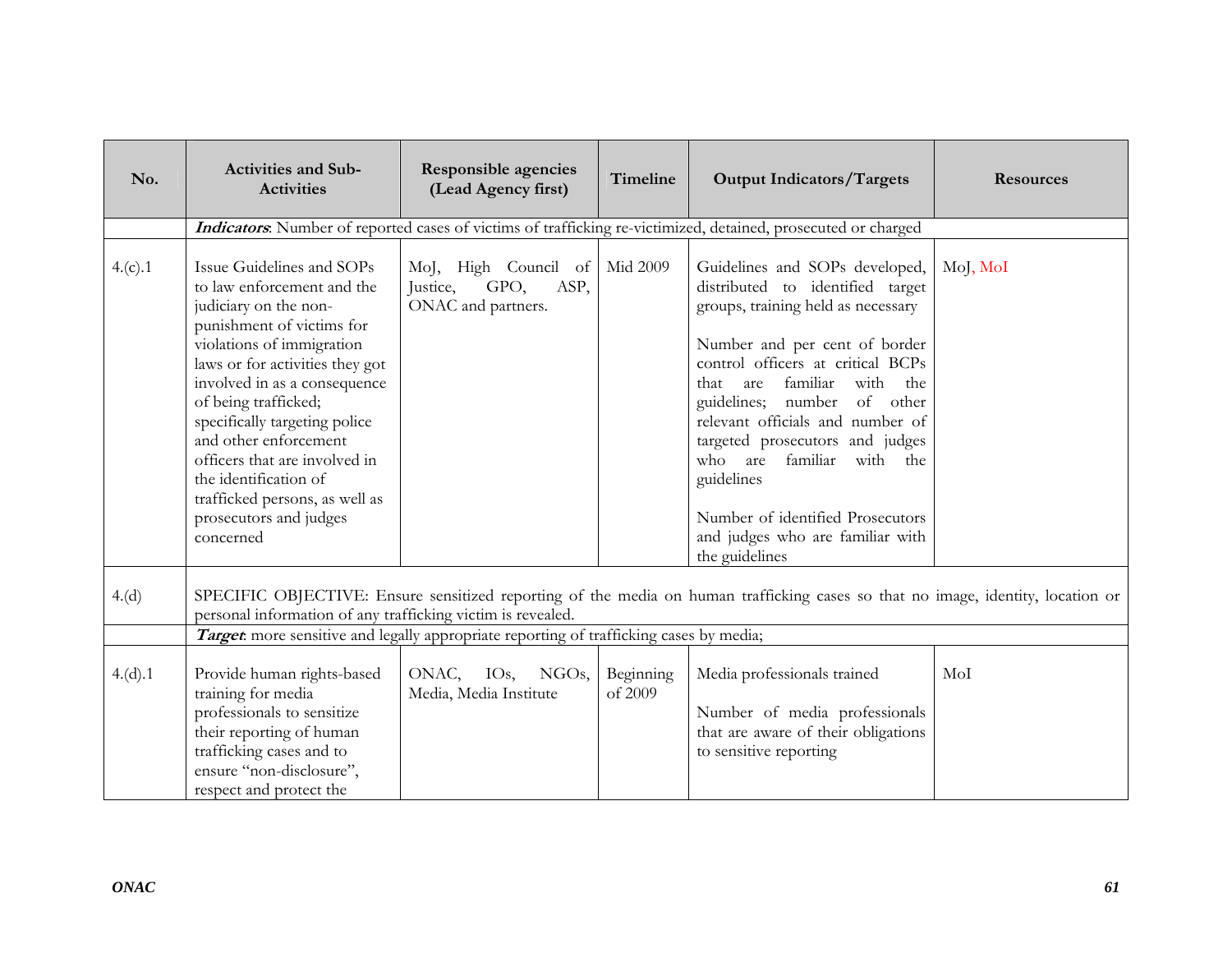| No.     | <b>Activities and Sub-</b><br><b>Activities</b>                                                                                                                                                                                                                                                                                                                                                                                    | <b>Responsible agencies</b><br>(Lead Agency first)                     | Timeline             | <b>Output Indicators/Targets</b>                                                                                                                                                                                                                                                                                                                                                                                                                                             | <b>Resources</b> |
|---------|------------------------------------------------------------------------------------------------------------------------------------------------------------------------------------------------------------------------------------------------------------------------------------------------------------------------------------------------------------------------------------------------------------------------------------|------------------------------------------------------------------------|----------------------|------------------------------------------------------------------------------------------------------------------------------------------------------------------------------------------------------------------------------------------------------------------------------------------------------------------------------------------------------------------------------------------------------------------------------------------------------------------------------|------------------|
|         |                                                                                                                                                                                                                                                                                                                                                                                                                                    |                                                                        |                      | Indicators. Number of reported cases of victims of trafficking re-victimized, detained, prosecuted or charged                                                                                                                                                                                                                                                                                                                                                                |                  |
| 4.(c).1 | Issue Guidelines and SOPs<br>to law enforcement and the<br>judiciary on the non-<br>punishment of victims for<br>violations of immigration<br>laws or for activities they got<br>involved in as a consequence<br>of being trafficked;<br>specifically targeting police<br>and other enforcement<br>officers that are involved in<br>the identification of<br>trafficked persons, as well as<br>prosecutors and judges<br>concerned | MoJ, High Council of<br>ASP,<br>Justice,<br>GPO,<br>ONAC and partners. | Mid 2009             | Guidelines and SOPs developed,<br>distributed to identified target<br>groups, training held as necessary<br>Number and per cent of border<br>control officers at critical BCPs<br>familiar<br>with<br>that<br>are<br>the<br>guidelines; number of other<br>relevant officials and number of<br>targeted prosecutors and judges<br>who are<br>familiar<br>with<br>the<br>guidelines<br>Number of identified Prosecutors<br>and judges who are familiar with<br>the guidelines | MoJ, MoI         |
| 4.(d)   | personal information of any trafficking victim is revealed.                                                                                                                                                                                                                                                                                                                                                                        |                                                                        |                      | SPECIFIC OBJECTIVE: Ensure sensitized reporting of the media on human trafficking cases so that no image, identity, location or                                                                                                                                                                                                                                                                                                                                              |                  |
|         | Target more sensitive and legally appropriate reporting of trafficking cases by media;                                                                                                                                                                                                                                                                                                                                             |                                                                        |                      |                                                                                                                                                                                                                                                                                                                                                                                                                                                                              |                  |
| 4.(d).1 | Provide human rights-based<br>training for media<br>professionals to sensitize<br>their reporting of human<br>trafficking cases and to<br>ensure "non-disclosure",<br>respect and protect the                                                                                                                                                                                                                                      | ONAC, IOs,<br>NGOs,<br>Media, Media Institute                          | Beginning<br>of 2009 | Media professionals trained<br>Number of media professionals<br>that are aware of their obligations<br>to sensitive reporting                                                                                                                                                                                                                                                                                                                                                | MoI              |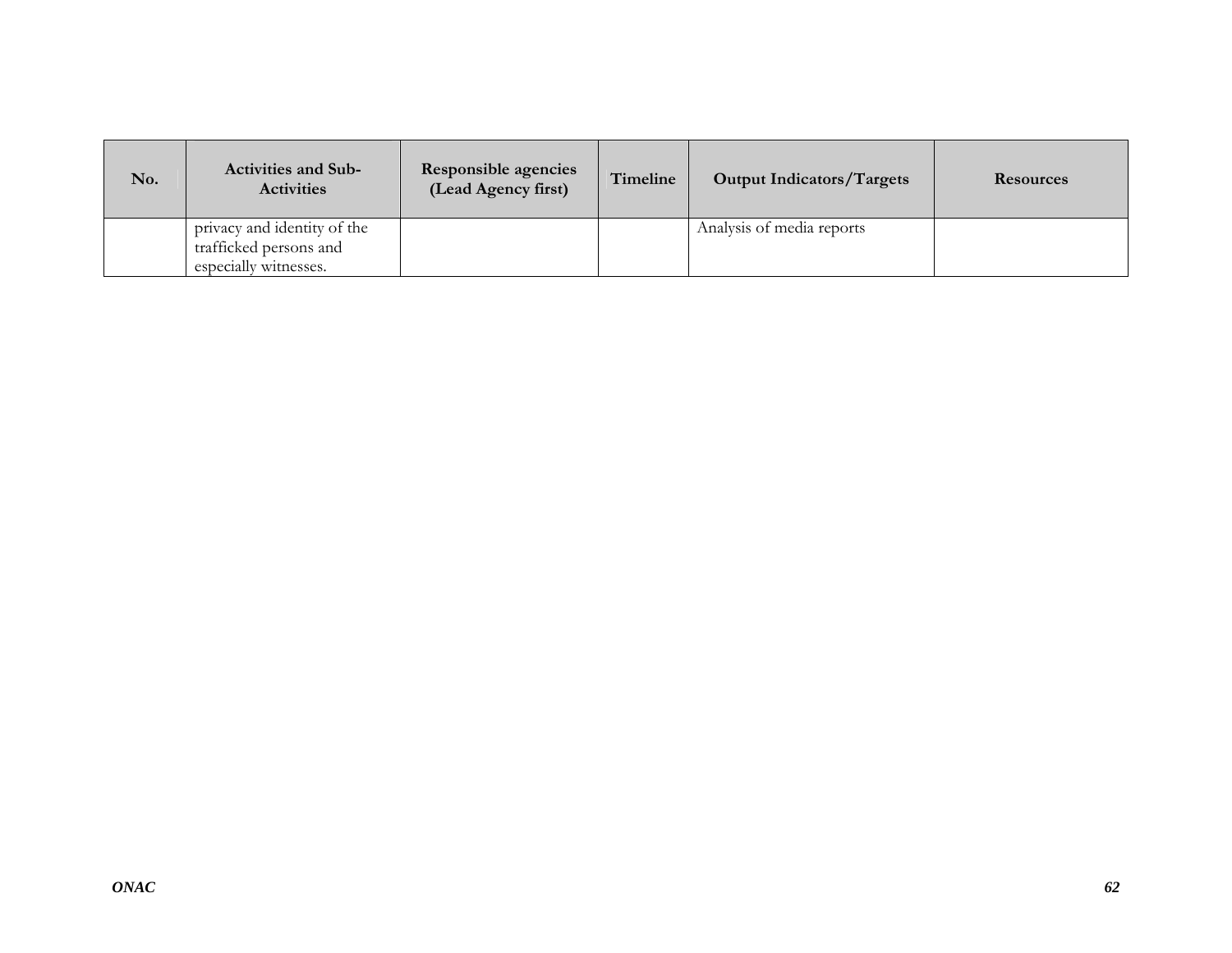| No. | <b>Activities and Sub-</b><br><b>Activities</b>                                | Responsible agencies<br>(Lead Agency first) | Timeline | <b>Output Indicators/Targets</b> | <b>Resources</b> |
|-----|--------------------------------------------------------------------------------|---------------------------------------------|----------|----------------------------------|------------------|
|     | privacy and identity of the<br>trafficked persons and<br>especially witnesses. |                                             |          | Analysis of media reports        |                  |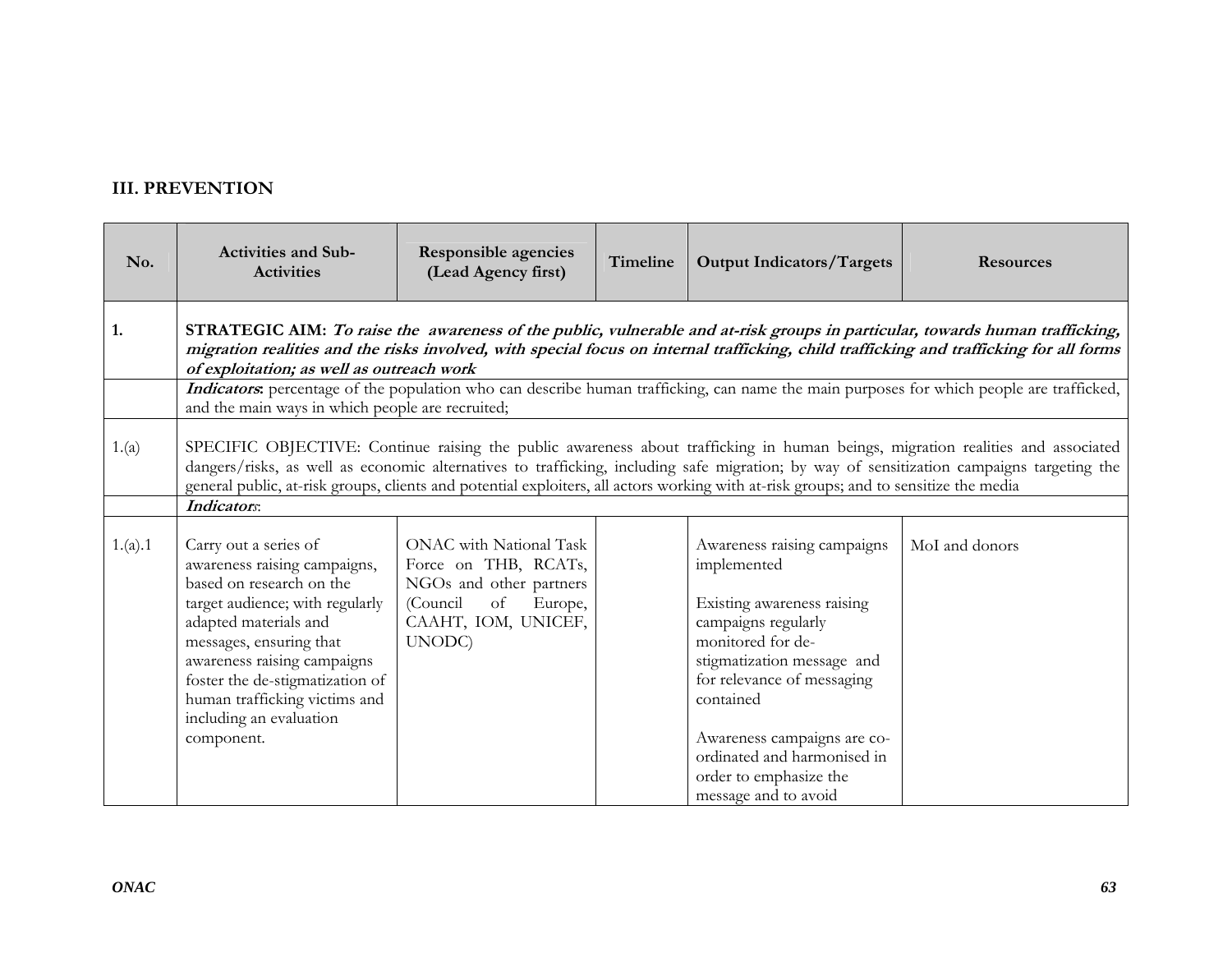## **III. PREVENTION**

| No.     | <b>Activities and Sub-</b><br><b>Activities</b>                                                                                                                                                                                                                                                                                                                                                                                                                  | <b>Responsible agencies</b><br>(Lead Agency first)                                                                                       | Timeline | <b>Output Indicators/Targets</b>                                                                                                                                                                                                                            | <b>Resources</b> |  |  |
|---------|------------------------------------------------------------------------------------------------------------------------------------------------------------------------------------------------------------------------------------------------------------------------------------------------------------------------------------------------------------------------------------------------------------------------------------------------------------------|------------------------------------------------------------------------------------------------------------------------------------------|----------|-------------------------------------------------------------------------------------------------------------------------------------------------------------------------------------------------------------------------------------------------------------|------------------|--|--|
| 1.      | STRATEGIC AIM: To raise the awareness of the public, vulnerable and at-risk groups in particular, towards human trafficking,<br>migration realities and the risks involved, with special focus on internal trafficking, child trafficking and trafficking for all forms<br>of exploitation; as well as outreach work<br>Indicators: percentage of the population who can describe human trafficking, can name the main purposes for which people are trafficked, |                                                                                                                                          |          |                                                                                                                                                                                                                                                             |                  |  |  |
|         | and the main ways in which people are recruited;                                                                                                                                                                                                                                                                                                                                                                                                                 |                                                                                                                                          |          |                                                                                                                                                                                                                                                             |                  |  |  |
| 1.(a)   | SPECIFIC OBJECTIVE: Continue raising the public awareness about trafficking in human beings, migration realities and associated<br>dangers/risks, as well as economic alternatives to trafficking, including safe migration; by way of sensitization campaigns targeting the<br>general public, at-risk groups, clients and potential exploiters, all actors working with at-risk groups; and to sensitize the media                                             |                                                                                                                                          |          |                                                                                                                                                                                                                                                             |                  |  |  |
|         | Indicators:                                                                                                                                                                                                                                                                                                                                                                                                                                                      |                                                                                                                                          |          |                                                                                                                                                                                                                                                             |                  |  |  |
| 1.(a).1 | Carry out a series of<br>awareness raising campaigns,<br>based on research on the<br>target audience; with regularly<br>adapted materials and<br>messages, ensuring that<br>awareness raising campaigns<br>foster the de-stigmatization of<br>human trafficking victims and<br>including an evaluation<br>component.                                                                                                                                             | ONAC with National Task<br>Force on THB, RCATs,<br>NGOs and other partners<br>(Council<br>of<br>Europe,<br>CAAHT, IOM, UNICEF,<br>UNODC) |          | Awareness raising campaigns<br>implemented<br>Existing awareness raising<br>campaigns regularly<br>monitored for de-<br>stigmatization message and<br>for relevance of messaging<br>contained<br>Awareness campaigns are co-<br>ordinated and harmonised in | MoI and donors   |  |  |
|         |                                                                                                                                                                                                                                                                                                                                                                                                                                                                  |                                                                                                                                          |          | order to emphasize the<br>message and to avoid                                                                                                                                                                                                              |                  |  |  |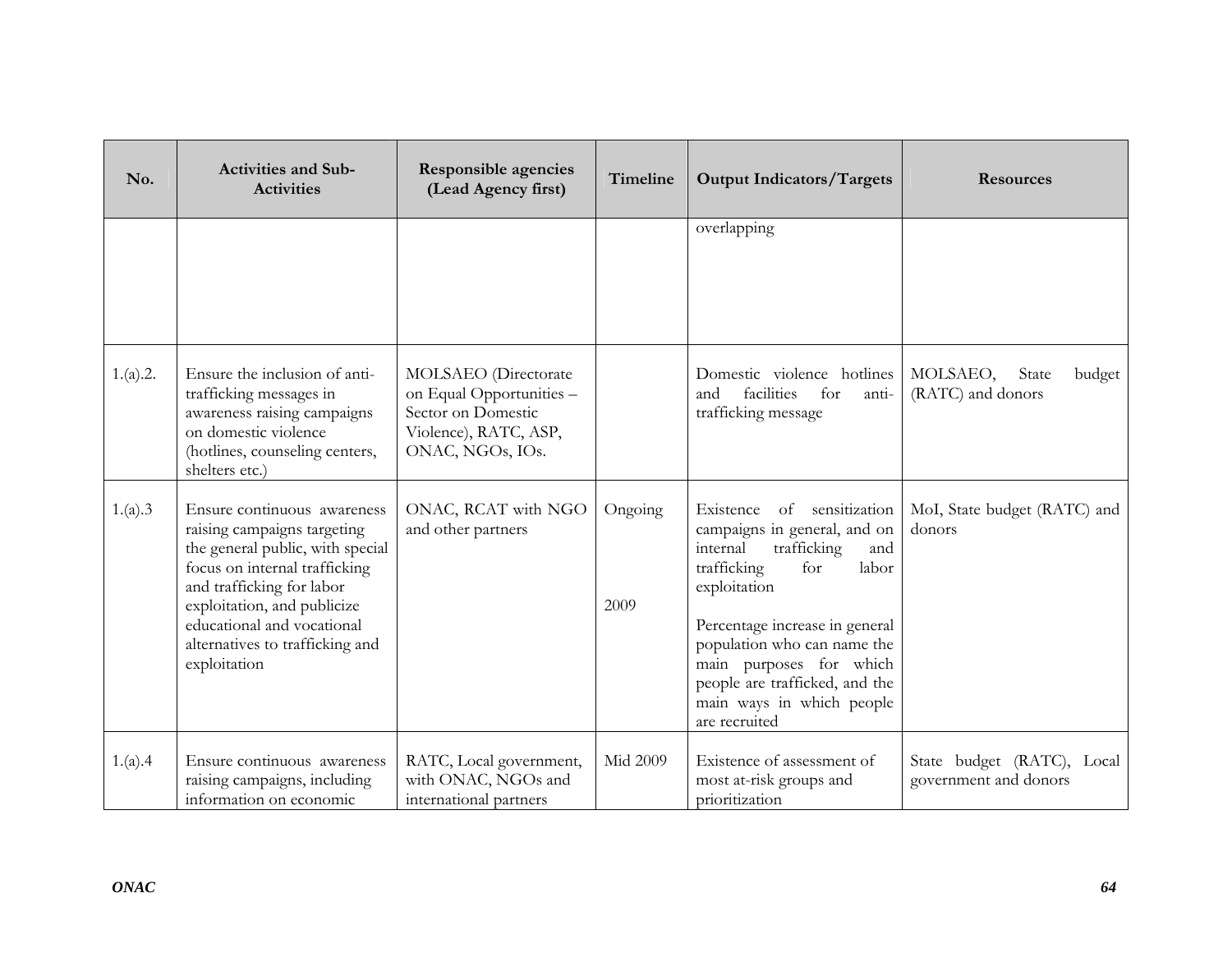| No.      | <b>Activities and Sub-</b><br><b>Activities</b>                                                                                                                                                                                                                              | Responsible agencies<br>(Lead Agency first)                                                                         | Timeline        | <b>Output Indicators/Targets</b>                                                                                                                                                                                                                                                                                        | <b>Resources</b>                                    |
|----------|------------------------------------------------------------------------------------------------------------------------------------------------------------------------------------------------------------------------------------------------------------------------------|---------------------------------------------------------------------------------------------------------------------|-----------------|-------------------------------------------------------------------------------------------------------------------------------------------------------------------------------------------------------------------------------------------------------------------------------------------------------------------------|-----------------------------------------------------|
|          |                                                                                                                                                                                                                                                                              |                                                                                                                     |                 | overlapping                                                                                                                                                                                                                                                                                                             |                                                     |
| 1.(a).2. | Ensure the inclusion of anti-<br>trafficking messages in<br>awareness raising campaigns<br>on domestic violence<br>(hotlines, counseling centers,<br>shelters etc.)                                                                                                          | MOLSAEO (Directorate<br>on Equal Opportunities -<br>Sector on Domestic<br>Violence), RATC, ASP,<br>ONAC, NGOs, IOs. |                 | Domestic violence hotlines<br>facilities<br>for<br>and<br>anti-<br>trafficking message                                                                                                                                                                                                                                  | MOLSAEO,<br>State<br>budget<br>(RATC) and donors    |
| 1.(a).3  | Ensure continuous awareness<br>raising campaigns targeting<br>the general public, with special<br>focus on internal trafficking<br>and trafficking for labor<br>exploitation, and publicize<br>educational and vocational<br>alternatives to trafficking and<br>exploitation | ONAC, RCAT with NGO<br>and other partners                                                                           | Ongoing<br>2009 | Existence of sensitization<br>campaigns in general, and on<br>internal<br>trafficking<br>and<br>trafficking<br>for<br>labor<br>exploitation<br>Percentage increase in general<br>population who can name the<br>main purposes for which<br>people are trafficked, and the<br>main ways in which people<br>are recruited | MoI, State budget (RATC) and<br>donors              |
| 1.(a).4  | Ensure continuous awareness<br>raising campaigns, including<br>information on economic                                                                                                                                                                                       | RATC, Local government,<br>with ONAC, NGOs and<br>international partners                                            | <b>Mid 2009</b> | Existence of assessment of<br>most at-risk groups and<br>prioritization                                                                                                                                                                                                                                                 | State budget (RATC), Local<br>government and donors |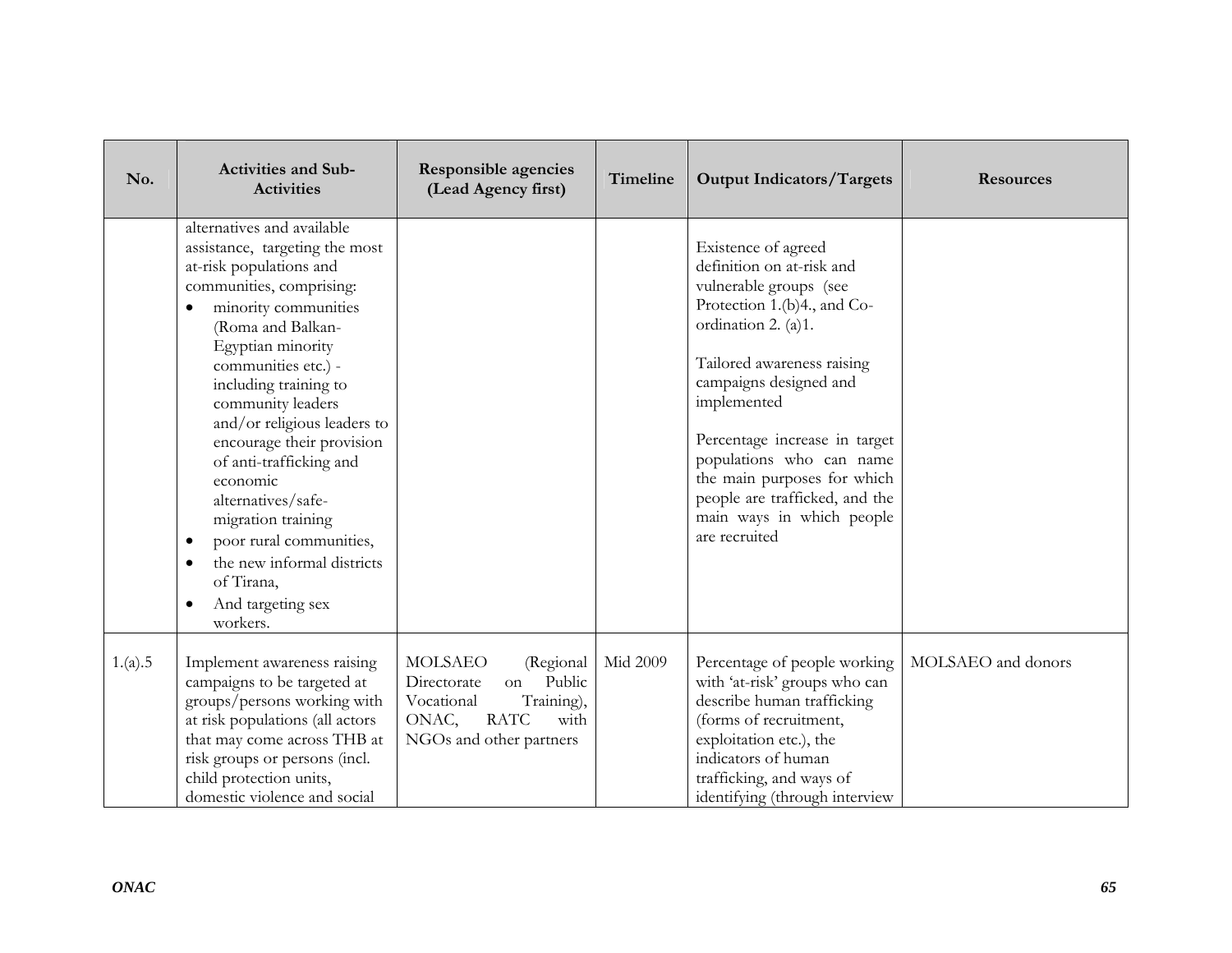| No.     | <b>Activities and Sub-</b><br><b>Activities</b>                                                                                                                                                                                                                                                                                                                                                                                                                                                                                                                       | <b>Responsible agencies</b><br>(Lead Agency first)                                                                                                | Timeline | <b>Output Indicators/Targets</b>                                                                                                                                                                                                                                                                                                                                                    | <b>Resources</b>   |
|---------|-----------------------------------------------------------------------------------------------------------------------------------------------------------------------------------------------------------------------------------------------------------------------------------------------------------------------------------------------------------------------------------------------------------------------------------------------------------------------------------------------------------------------------------------------------------------------|---------------------------------------------------------------------------------------------------------------------------------------------------|----------|-------------------------------------------------------------------------------------------------------------------------------------------------------------------------------------------------------------------------------------------------------------------------------------------------------------------------------------------------------------------------------------|--------------------|
|         | alternatives and available<br>assistance, targeting the most<br>at-risk populations and<br>communities, comprising:<br>minority communities<br>$\bullet$<br>(Roma and Balkan-<br>Egyptian minority<br>communities etc.) -<br>including training to<br>community leaders<br>and/or religious leaders to<br>encourage their provision<br>of anti-trafficking and<br>economic<br>alternatives/safe-<br>migration training<br>poor rural communities,<br>$\bullet$<br>the new informal districts<br>$\bullet$<br>of Tirana,<br>And targeting sex<br>$\bullet$<br>workers. |                                                                                                                                                   |          | Existence of agreed<br>definition on at-risk and<br>vulnerable groups (see<br>Protection 1.(b)4., and Co-<br>ordination 2. (a)1.<br>Tailored awareness raising<br>campaigns designed and<br>implemented<br>Percentage increase in target<br>populations who can name<br>the main purposes for which<br>people are trafficked, and the<br>main ways in which people<br>are recruited |                    |
| 1.(a).5 | Implement awareness raising<br>campaigns to be targeted at<br>groups/persons working with<br>at risk populations (all actors<br>that may come across THB at<br>risk groups or persons (incl.<br>child protection units,<br>domestic violence and social                                                                                                                                                                                                                                                                                                               | <b>MOLSAEO</b><br>(Regional<br>Public<br>Directorate<br>on<br>Training),<br>Vocational<br><b>RATC</b><br>ONAC,<br>with<br>NGOs and other partners | Mid 2009 | Percentage of people working<br>with 'at-risk' groups who can<br>describe human trafficking<br>(forms of recruitment,<br>exploitation etc.), the<br>indicators of human<br>trafficking, and ways of<br>identifying (through interview                                                                                                                                               | MOLSAEO and donors |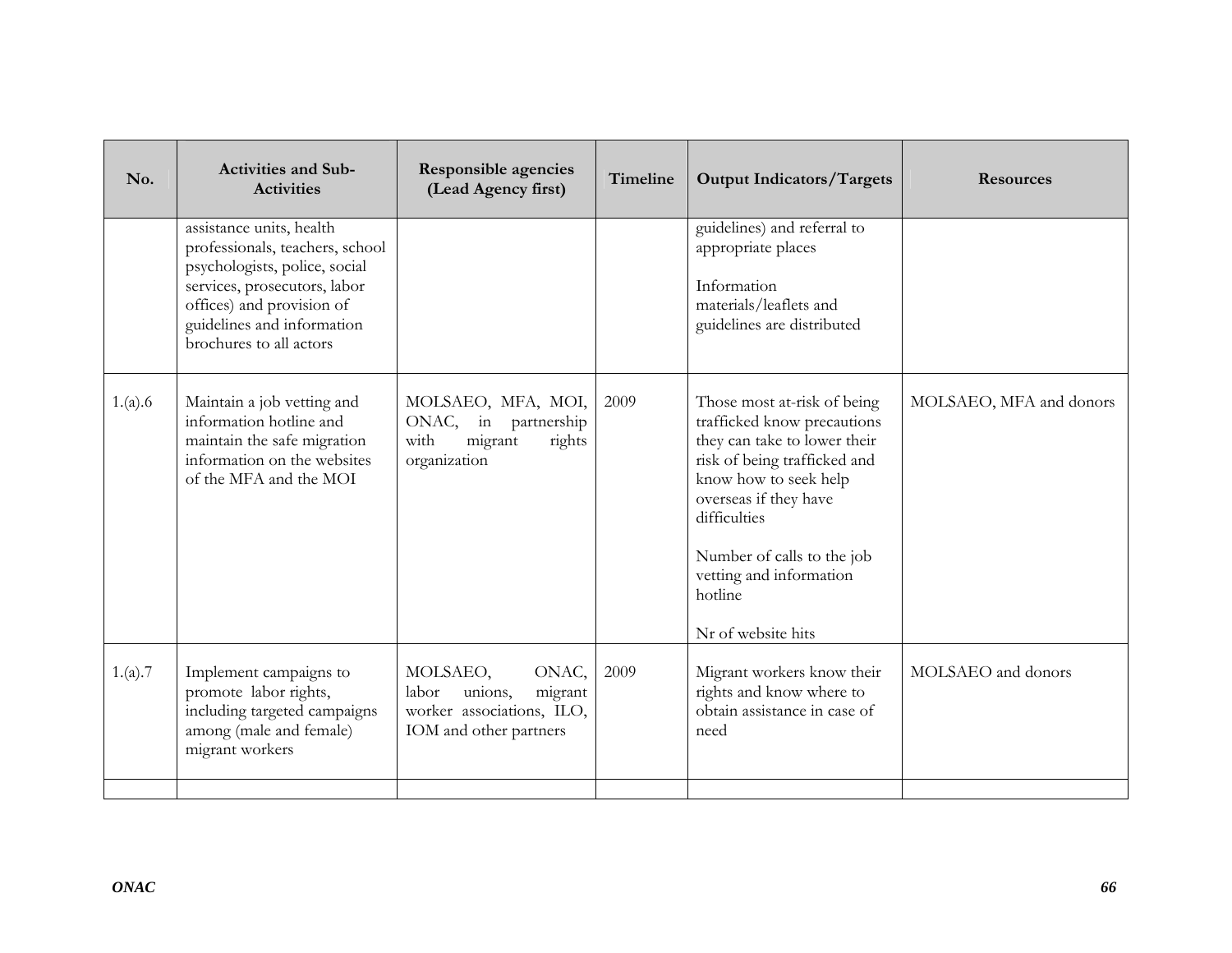| No.     | <b>Activities and Sub-</b><br><b>Activities</b>                                                                                                                                                                    | Responsible agencies<br>(Lead Agency first)                                                             | Timeline | <b>Output Indicators/Targets</b>                                                                                                                                                                                                                                                       | <b>Resources</b>        |
|---------|--------------------------------------------------------------------------------------------------------------------------------------------------------------------------------------------------------------------|---------------------------------------------------------------------------------------------------------|----------|----------------------------------------------------------------------------------------------------------------------------------------------------------------------------------------------------------------------------------------------------------------------------------------|-------------------------|
|         | assistance units, health<br>professionals, teachers, school<br>psychologists, police, social<br>services, prosecutors, labor<br>offices) and provision of<br>guidelines and information<br>brochures to all actors |                                                                                                         |          | guidelines) and referral to<br>appropriate places<br>Information<br>materials/leaflets and<br>guidelines are distributed                                                                                                                                                               |                         |
| 1.(a).6 | Maintain a job vetting and<br>information hotline and<br>maintain the safe migration<br>information on the websites<br>of the MFA and the MOI                                                                      | MOLSAEO, MFA, MOI,<br>ONAC, in<br>partnership<br>migrant<br>rights<br>with<br>organization              | 2009     | Those most at-risk of being<br>trafficked know precautions<br>they can take to lower their<br>risk of being trafficked and<br>know how to seek help<br>overseas if they have<br>difficulties<br>Number of calls to the job<br>vetting and information<br>hotline<br>Nr of website hits | MOLSAEO, MFA and donors |
| 1.(a).7 | Implement campaigns to<br>promote labor rights,<br>including targeted campaigns<br>among (male and female)<br>migrant workers                                                                                      | MOLSAEO,<br>ONAC,<br>unions,<br>migrant<br>labor<br>worker associations, ILO,<br>IOM and other partners | 2009     | Migrant workers know their<br>rights and know where to<br>obtain assistance in case of<br>need                                                                                                                                                                                         | MOLSAEO and donors      |
|         |                                                                                                                                                                                                                    |                                                                                                         |          |                                                                                                                                                                                                                                                                                        |                         |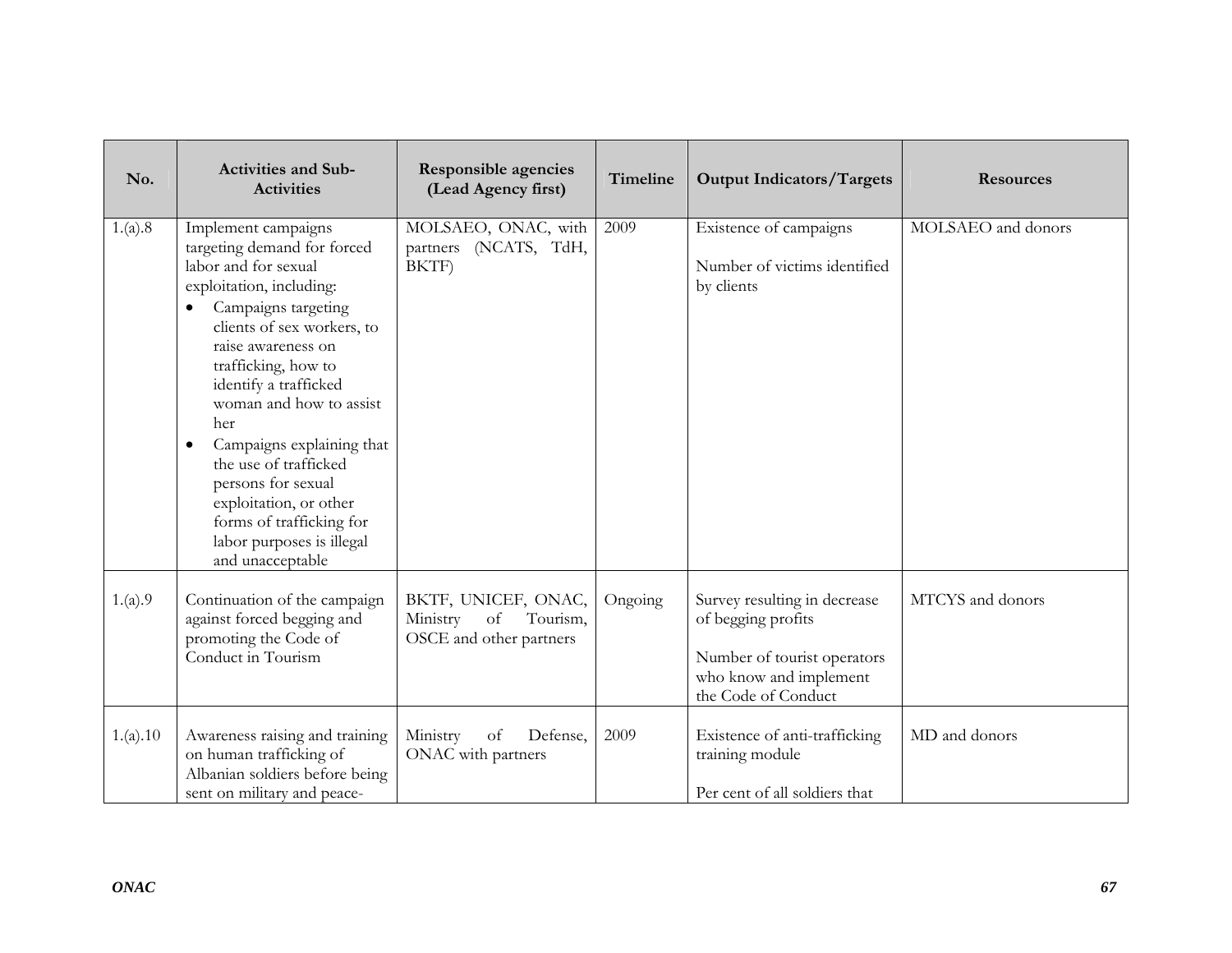| No.      | <b>Activities and Sub-</b><br><b>Activities</b>                                                                                                                                                                                                                                                                                                                                                                                                                     | <b>Responsible agencies</b><br>(Lead Agency first)                           | Timeline | <b>Output Indicators/Targets</b>                                                                                                   | <b>Resources</b>   |
|----------|---------------------------------------------------------------------------------------------------------------------------------------------------------------------------------------------------------------------------------------------------------------------------------------------------------------------------------------------------------------------------------------------------------------------------------------------------------------------|------------------------------------------------------------------------------|----------|------------------------------------------------------------------------------------------------------------------------------------|--------------------|
| 1.(a).8  | Implement campaigns<br>targeting demand for forced<br>labor and for sexual<br>exploitation, including:<br>Campaigns targeting<br>clients of sex workers, to<br>raise awareness on<br>trafficking, how to<br>identify a trafficked<br>woman and how to assist<br>her<br>Campaigns explaining that<br>$\bullet$<br>the use of trafficked<br>persons for sexual<br>exploitation, or other<br>forms of trafficking for<br>labor purposes is illegal<br>and unacceptable | MOLSAEO, ONAC, with<br>partners (NCATS, TdH,<br>BKTF)                        | 2009     | Existence of campaigns<br>Number of victims identified<br>by clients                                                               | MOLSAEO and donors |
| 1.(a).9  | Continuation of the campaign<br>against forced begging and<br>promoting the Code of<br>Conduct in Tourism                                                                                                                                                                                                                                                                                                                                                           | BKTF, UNICEF, ONAC,<br>of<br>Tourism,<br>Ministry<br>OSCE and other partners | Ongoing  | Survey resulting in decrease<br>of begging profits<br>Number of tourist operators<br>who know and implement<br>the Code of Conduct | MTCYS and donors   |
| 1.(a).10 | Awareness raising and training<br>on human trafficking of<br>Albanian soldiers before being<br>sent on military and peace-                                                                                                                                                                                                                                                                                                                                          | Ministry<br>Defense,<br>of<br>ONAC with partners                             | 2009     | Existence of anti-trafficking<br>training module<br>Per cent of all soldiers that                                                  | MD and donors      |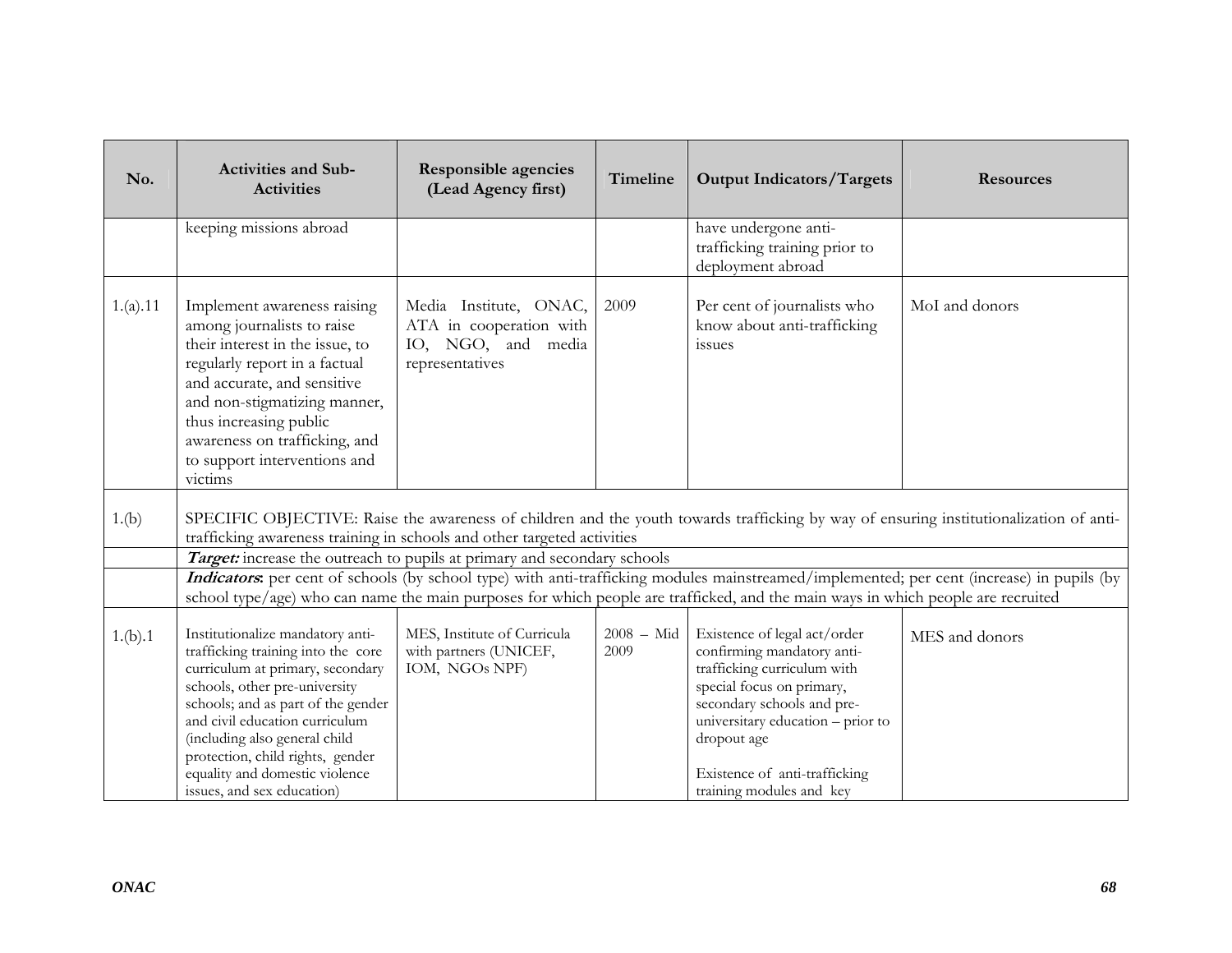| <b>Activities and Sub-</b><br><b>Activities</b>                                                                                                                                                                                                                                                                            | Responsible agencies<br>(Lead Agency first)                                                | Timeline             | <b>Output Indicators/Targets</b>                                                                                                                                                                                                          | <b>Resources</b>                                                                                                                                                                                                                                                                                                                                                                                                                                     |
|----------------------------------------------------------------------------------------------------------------------------------------------------------------------------------------------------------------------------------------------------------------------------------------------------------------------------|--------------------------------------------------------------------------------------------|----------------------|-------------------------------------------------------------------------------------------------------------------------------------------------------------------------------------------------------------------------------------------|------------------------------------------------------------------------------------------------------------------------------------------------------------------------------------------------------------------------------------------------------------------------------------------------------------------------------------------------------------------------------------------------------------------------------------------------------|
| keeping missions abroad                                                                                                                                                                                                                                                                                                    |                                                                                            |                      | have undergone anti-<br>trafficking training prior to<br>deployment abroad                                                                                                                                                                |                                                                                                                                                                                                                                                                                                                                                                                                                                                      |
| Implement awareness raising<br>among journalists to raise<br>their interest in the issue, to<br>regularly report in a factual<br>and accurate, and sensitive<br>and non-stigmatizing manner,<br>thus increasing public<br>awareness on trafficking, and<br>to support interventions and<br>victims                         | Media Institute, ONAC,<br>ATA in cooperation with<br>IO, NGO, and media<br>representatives | 2009                 | Per cent of journalists who<br>know about anti-trafficking<br>issues                                                                                                                                                                      | MoI and donors                                                                                                                                                                                                                                                                                                                                                                                                                                       |
|                                                                                                                                                                                                                                                                                                                            |                                                                                            |                      |                                                                                                                                                                                                                                           |                                                                                                                                                                                                                                                                                                                                                                                                                                                      |
|                                                                                                                                                                                                                                                                                                                            |                                                                                            |                      |                                                                                                                                                                                                                                           |                                                                                                                                                                                                                                                                                                                                                                                                                                                      |
|                                                                                                                                                                                                                                                                                                                            |                                                                                            |                      |                                                                                                                                                                                                                                           |                                                                                                                                                                                                                                                                                                                                                                                                                                                      |
| Institutionalize mandatory anti-<br>trafficking training into the core<br>curriculum at primary, secondary<br>schools, other pre-university<br>schools; and as part of the gender<br>and civil education curriculum<br>(including also general child<br>protection, child rights, gender<br>equality and domestic violence | MES, Institute of Curricula<br>with partners (UNICEF,<br>IOM, NGOs NPF)                    | $2008 - Mid$<br>2009 | Existence of legal act/order<br>confirming mandatory anti-<br>trafficking curriculum with<br>special focus on primary,<br>secondary schools and pre-<br>universitary education - prior to<br>dropout age<br>Existence of anti-trafficking | MES and donors                                                                                                                                                                                                                                                                                                                                                                                                                                       |
|                                                                                                                                                                                                                                                                                                                            | issues, and sex education)                                                                 |                      | trafficking awareness training in schools and other targeted activities<br>Target: increase the outreach to pupils at primary and secondary schools                                                                                       | SPECIFIC OBJECTIVE: Raise the awareness of children and the youth towards trafficking by way of ensuring institutionalization of anti-<br>Indicators: per cent of schools (by school type) with anti-trafficking modules mainstreamed/implemented; per cent (increase) in pupils (by<br>school type/age) who can name the main purposes for which people are trafficked, and the main ways in which people are recruited<br>training modules and key |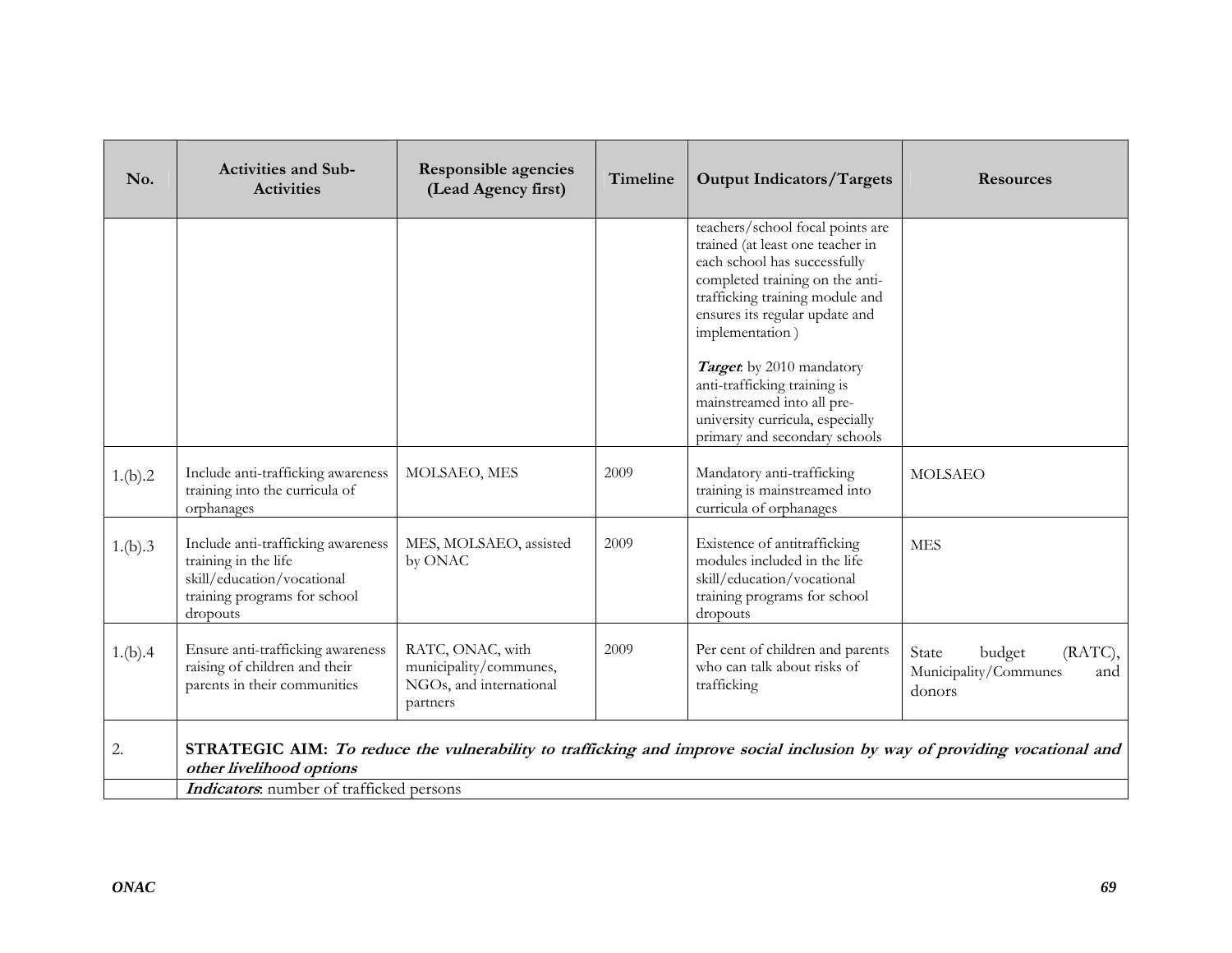| No.     | <b>Activities and Sub-</b><br><b>Activities</b>                                                                                      | Responsible agencies<br>(Lead Agency first)                                       | Timeline | <b>Output Indicators/Targets</b>                                                                                                                                                                                                | <b>Resources</b>                                                                                                          |
|---------|--------------------------------------------------------------------------------------------------------------------------------------|-----------------------------------------------------------------------------------|----------|---------------------------------------------------------------------------------------------------------------------------------------------------------------------------------------------------------------------------------|---------------------------------------------------------------------------------------------------------------------------|
|         |                                                                                                                                      |                                                                                   |          | teachers/school focal points are<br>trained (at least one teacher in<br>each school has successfully<br>completed training on the anti-<br>trafficking training module and<br>ensures its regular update and<br>implementation) |                                                                                                                           |
|         |                                                                                                                                      |                                                                                   |          | Target by 2010 mandatory<br>anti-trafficking training is<br>mainstreamed into all pre-<br>university curricula, especially<br>primary and secondary schools                                                                     |                                                                                                                           |
| 1.(b).2 | Include anti-trafficking awareness<br>training into the curricula of<br>orphanages                                                   | MOLSAEO, MES                                                                      | 2009     | Mandatory anti-trafficking<br>training is mainstreamed into<br>curricula of orphanages                                                                                                                                          | <b>MOLSAEO</b>                                                                                                            |
| 1.(b).3 | Include anti-trafficking awareness<br>training in the life<br>skill/education/vocational<br>training programs for school<br>dropouts | MES, MOLSAEO, assisted<br>by ONAC                                                 | 2009     | Existence of antitrafficking<br>modules included in the life<br>skill/education/vocational<br>training programs for school<br>dropouts                                                                                          | <b>MES</b>                                                                                                                |
| 1.(b).4 | Ensure anti-trafficking awareness<br>raising of children and their<br>parents in their communities                                   | RATC, ONAC, with<br>municipality/communes,<br>NGOs, and international<br>partners | 2009     | Per cent of children and parents<br>who can talk about risks of<br>trafficking                                                                                                                                                  | (RATC),<br>State<br>budget<br>Municipality/Communes<br>and<br>donors                                                      |
| 2.      | other livelihood options                                                                                                             |                                                                                   |          |                                                                                                                                                                                                                                 | STRATEGIC AIM: To reduce the vulnerability to trafficking and improve social inclusion by way of providing vocational and |
|         | <b>Indicators</b> : number of trafficked persons                                                                                     |                                                                                   |          |                                                                                                                                                                                                                                 |                                                                                                                           |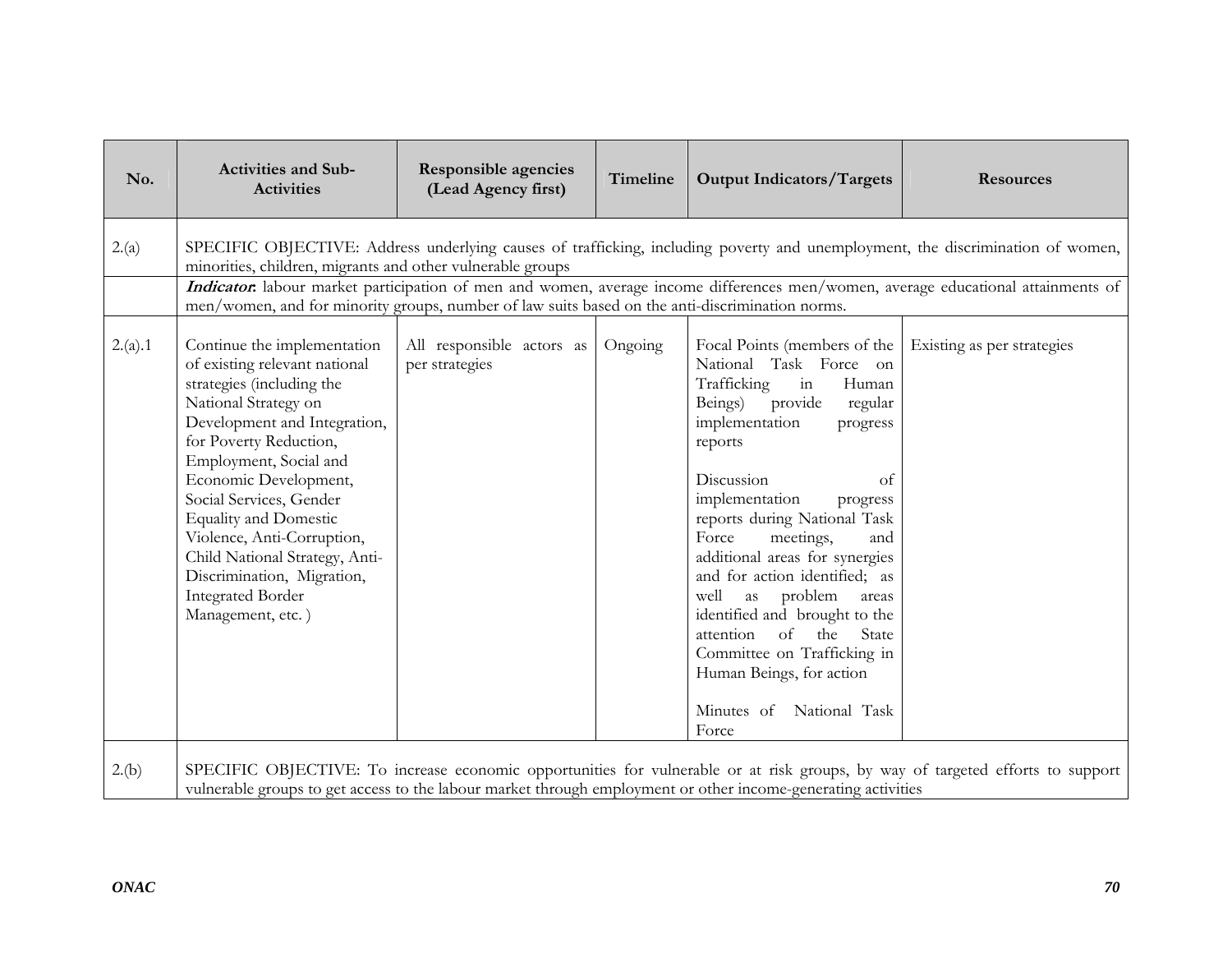| No.     | <b>Activities and Sub-</b><br><b>Activities</b>                                                                                                                                                                                                                                                                                                                                                                                          | <b>Responsible agencies</b><br>(Lead Agency first) | Timeline | <b>Output Indicators/Targets</b>                                                                                                                                                                                                                                                                                                                                                                                                                                                                                                                               | <b>Resources</b>                                                                                                               |  |  |  |
|---------|------------------------------------------------------------------------------------------------------------------------------------------------------------------------------------------------------------------------------------------------------------------------------------------------------------------------------------------------------------------------------------------------------------------------------------------|----------------------------------------------------|----------|----------------------------------------------------------------------------------------------------------------------------------------------------------------------------------------------------------------------------------------------------------------------------------------------------------------------------------------------------------------------------------------------------------------------------------------------------------------------------------------------------------------------------------------------------------------|--------------------------------------------------------------------------------------------------------------------------------|--|--|--|
| 2.(a)   | SPECIFIC OBJECTIVE: Address underlying causes of trafficking, including poverty and unemployment, the discrimination of women,<br>minorities, children, migrants and other vulnerable groups<br>Indicator: labour market participation of men and women, average income differences men/women, average educational attainments of<br>men/women, and for minority groups, number of law suits based on the anti-discrimination norms.     |                                                    |          |                                                                                                                                                                                                                                                                                                                                                                                                                                                                                                                                                                |                                                                                                                                |  |  |  |
| 2.(a).1 | Continue the implementation<br>of existing relevant national<br>strategies (including the<br>National Strategy on<br>Development and Integration,<br>for Poverty Reduction,<br>Employment, Social and<br>Economic Development,<br>Social Services, Gender<br><b>Equality and Domestic</b><br>Violence, Anti-Corruption,<br>Child National Strategy, Anti-<br>Discrimination, Migration,<br><b>Integrated Border</b><br>Management, etc.) | All responsible actors as<br>per strategies        | Ongoing  | Focal Points (members of the<br>National Task Force on<br>$\operatorname{in}$<br>Trafficking<br>Human<br>provide<br>Beings)<br>regular<br>implementation<br>progress<br>reports<br>Discussion<br>of<br>implementation<br>progress<br>reports during National Task<br>Force<br>meetings,<br>and<br>additional areas for synergies<br>and for action identified; as<br>well as problem<br>areas<br>identified and brought to the<br>attention<br>of the<br>State<br>Committee on Trafficking in<br>Human Beings, for action<br>Minutes of National Task<br>Force | Existing as per strategies                                                                                                     |  |  |  |
| 2.(b)   |                                                                                                                                                                                                                                                                                                                                                                                                                                          |                                                    |          | vulnerable groups to get access to the labour market through employment or other income-generating activities                                                                                                                                                                                                                                                                                                                                                                                                                                                  | SPECIFIC OBJECTIVE: To increase economic opportunities for vulnerable or at risk groups, by way of targeted efforts to support |  |  |  |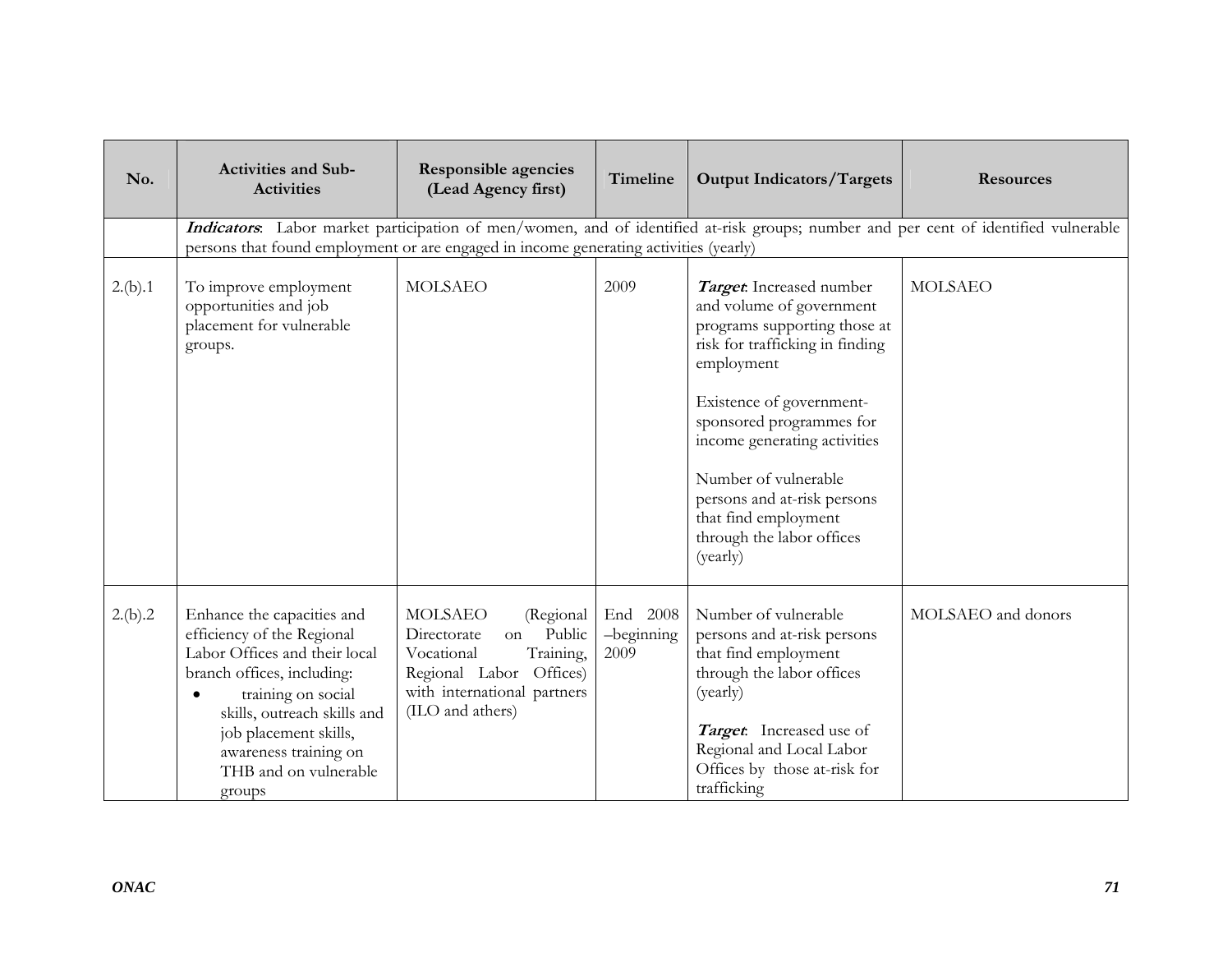| No.     | <b>Activities and Sub-</b><br><b>Activities</b>                                                                                                                                                                                                                                | Responsible agencies<br>(Lead Agency first)                                                                                                                         | Timeline                       | <b>Output Indicators/Targets</b>                                                                                                                                                                                                                                                                                                                      | <b>Resources</b>                                                                                                                    |
|---------|--------------------------------------------------------------------------------------------------------------------------------------------------------------------------------------------------------------------------------------------------------------------------------|---------------------------------------------------------------------------------------------------------------------------------------------------------------------|--------------------------------|-------------------------------------------------------------------------------------------------------------------------------------------------------------------------------------------------------------------------------------------------------------------------------------------------------------------------------------------------------|-------------------------------------------------------------------------------------------------------------------------------------|
|         | persons that found employment or are engaged in income generating activities (yearly)                                                                                                                                                                                          |                                                                                                                                                                     |                                |                                                                                                                                                                                                                                                                                                                                                       | Indicators. Labor market participation of men/women, and of identified at-risk groups; number and per cent of identified vulnerable |
| 2.(b).1 | To improve employment<br>opportunities and job<br>placement for vulnerable<br>groups.                                                                                                                                                                                          | <b>MOLSAEO</b>                                                                                                                                                      | 2009                           | Target. Increased number<br>and volume of government<br>programs supporting those at<br>risk for trafficking in finding<br>employment<br>Existence of government-<br>sponsored programmes for<br>income generating activities<br>Number of vulnerable<br>persons and at-risk persons<br>that find employment<br>through the labor offices<br>(yearly) | <b>MOLSAEO</b>                                                                                                                      |
| 2.(b).2 | Enhance the capacities and<br>efficiency of the Regional<br>Labor Offices and their local<br>branch offices, including:<br>training on social<br>$\bullet$<br>skills, outreach skills and<br>job placement skills,<br>awareness training on<br>THB and on vulnerable<br>groups | <b>MOLSAEO</b><br>(Regional<br>Public<br>Directorate<br>on<br>Training,<br>Vocational<br>Regional Labor Offices)<br>with international partners<br>(ILO and athers) | End 2008<br>-beginning<br>2009 | Number of vulnerable<br>persons and at-risk persons<br>that find employment<br>through the labor offices<br>(yearly)<br>Target: Increased use of<br>Regional and Local Labor<br>Offices by those at-risk for<br>trafficking                                                                                                                           | MOLSAEO and donors                                                                                                                  |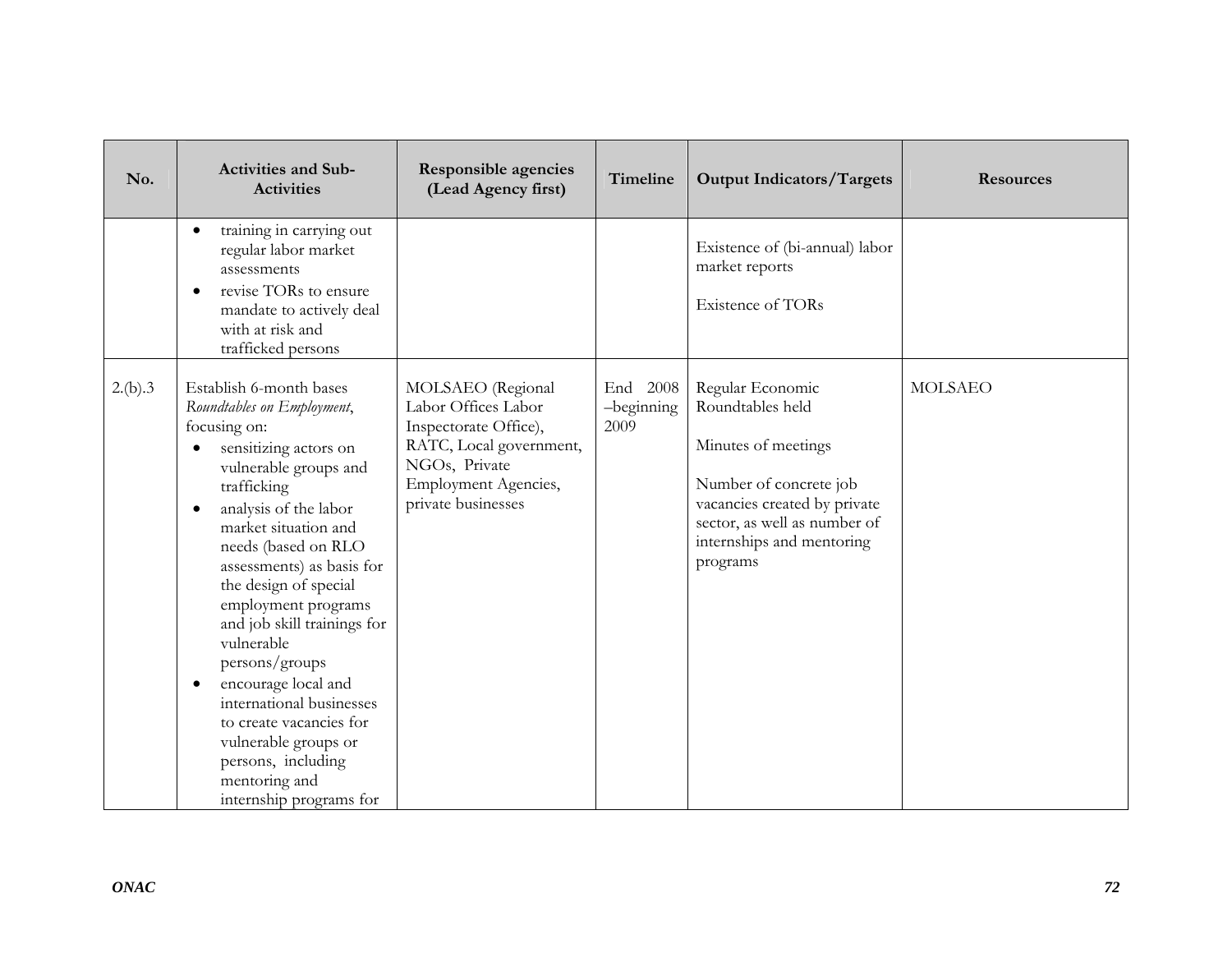| No.     | <b>Activities and Sub-</b><br><b>Activities</b>                                                                                                                                                                                                                                                                                                                                                                                                                                                                                                              | Responsible agencies<br>(Lead Agency first)                                                                                                                 | Timeline                       | <b>Output Indicators/Targets</b>                                                                                                                                                               | <b>Resources</b> |
|---------|--------------------------------------------------------------------------------------------------------------------------------------------------------------------------------------------------------------------------------------------------------------------------------------------------------------------------------------------------------------------------------------------------------------------------------------------------------------------------------------------------------------------------------------------------------------|-------------------------------------------------------------------------------------------------------------------------------------------------------------|--------------------------------|------------------------------------------------------------------------------------------------------------------------------------------------------------------------------------------------|------------------|
|         | training in carrying out<br>regular labor market<br>assessments<br>revise TORs to ensure<br>$\bullet$<br>mandate to actively deal<br>with at risk and<br>trafficked persons                                                                                                                                                                                                                                                                                                                                                                                  |                                                                                                                                                             |                                | Existence of (bi-annual) labor<br>market reports<br><b>Existence of TORs</b>                                                                                                                   |                  |
| 2.(b).3 | Establish 6-month bases<br>Roundtables on Employment,<br>focusing on:<br>sensitizing actors on<br>vulnerable groups and<br>trafficking<br>analysis of the labor<br>$\bullet$<br>market situation and<br>needs (based on RLO<br>assessments) as basis for<br>the design of special<br>employment programs<br>and job skill trainings for<br>vulnerable<br>persons/groups<br>encourage local and<br>$\bullet$<br>international businesses<br>to create vacancies for<br>vulnerable groups or<br>persons, including<br>mentoring and<br>internship programs for | MOLSAEO (Regional<br>Labor Offices Labor<br>Inspectorate Office),<br>RATC, Local government,<br>NGOs, Private<br>Employment Agencies,<br>private businesses | End 2008<br>-beginning<br>2009 | Regular Economic<br>Roundtables held<br>Minutes of meetings<br>Number of concrete job<br>vacancies created by private<br>sector, as well as number of<br>internships and mentoring<br>programs | <b>MOLSAEO</b>   |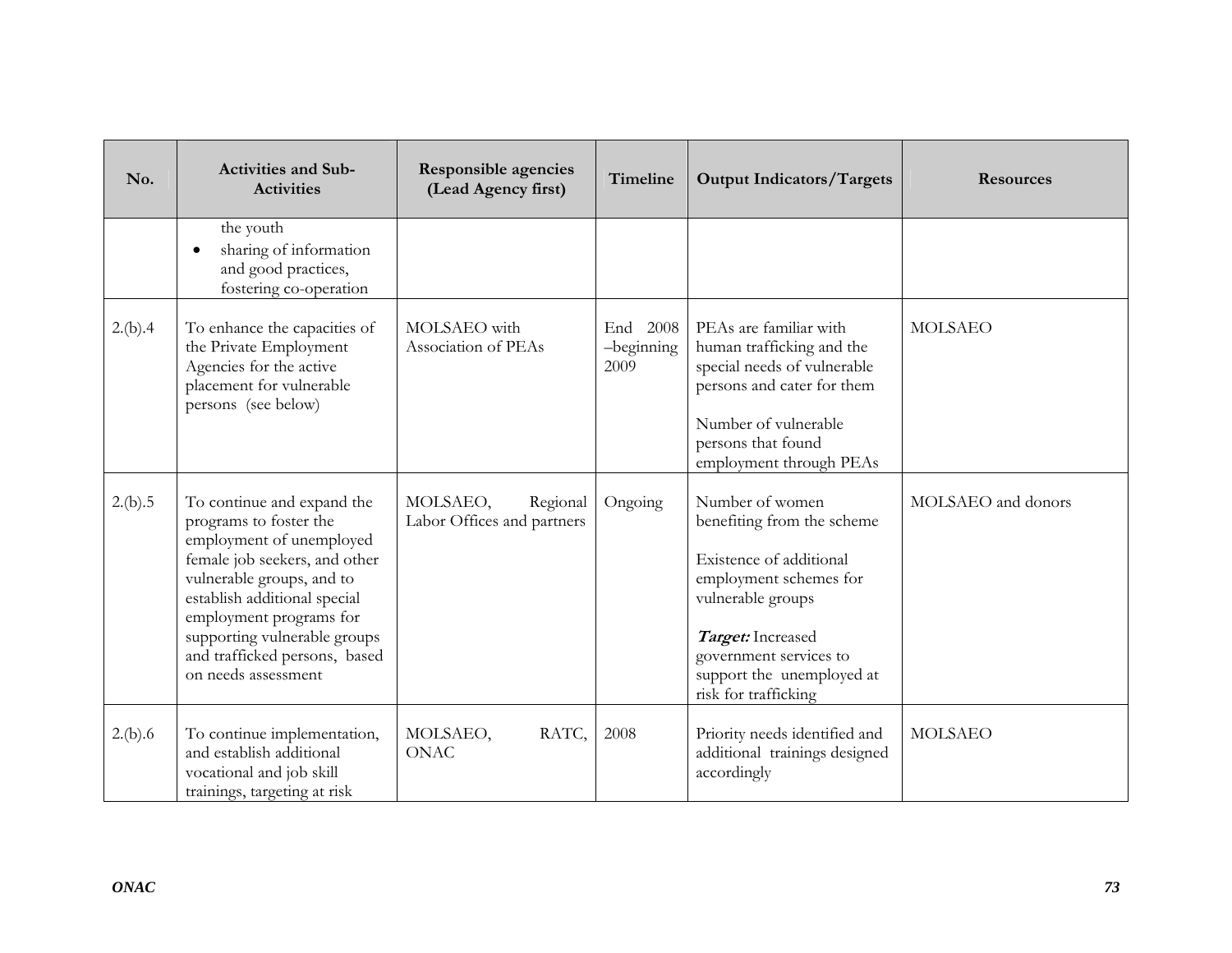| No.     | <b>Activities and Sub-</b><br><b>Activities</b>                                                                                                                                                                                                                                                   | <b>Responsible agencies</b><br>(Lead Agency first) | Timeline                       | <b>Output Indicators/Targets</b>                                                                                                                                                                                            | <b>Resources</b>   |
|---------|---------------------------------------------------------------------------------------------------------------------------------------------------------------------------------------------------------------------------------------------------------------------------------------------------|----------------------------------------------------|--------------------------------|-----------------------------------------------------------------------------------------------------------------------------------------------------------------------------------------------------------------------------|--------------------|
|         | the youth<br>sharing of information<br>$\bullet$<br>and good practices,<br>fostering co-operation                                                                                                                                                                                                 |                                                    |                                |                                                                                                                                                                                                                             |                    |
| 2.(b).4 | To enhance the capacities of<br>the Private Employment<br>Agencies for the active<br>placement for vulnerable<br>persons (see below)                                                                                                                                                              | MOLSAEO with<br>Association of PEAs                | End 2008<br>-beginning<br>2009 | PEAs are familiar with<br>human trafficking and the<br>special needs of vulnerable<br>persons and cater for them<br>Number of vulnerable<br>persons that found<br>employment through PEAs                                   | <b>MOLSAEO</b>     |
| 2.(b).5 | To continue and expand the<br>programs to foster the<br>employment of unemployed<br>female job seekers, and other<br>vulnerable groups, and to<br>establish additional special<br>employment programs for<br>supporting vulnerable groups<br>and trafficked persons, based<br>on needs assessment | MOLSAEO,<br>Regional<br>Labor Offices and partners | Ongoing                        | Number of women<br>benefiting from the scheme<br>Existence of additional<br>employment schemes for<br>vulnerable groups<br>Target: Increased<br>government services to<br>support the unemployed at<br>risk for trafficking | MOLSAEO and donors |
| 2.(b).6 | To continue implementation,<br>and establish additional<br>vocational and job skill<br>trainings, targeting at risk                                                                                                                                                                               | MOLSAEO,<br>RATC,<br><b>ONAC</b>                   | 2008                           | Priority needs identified and<br>additional trainings designed<br>accordingly                                                                                                                                               | <b>MOLSAEO</b>     |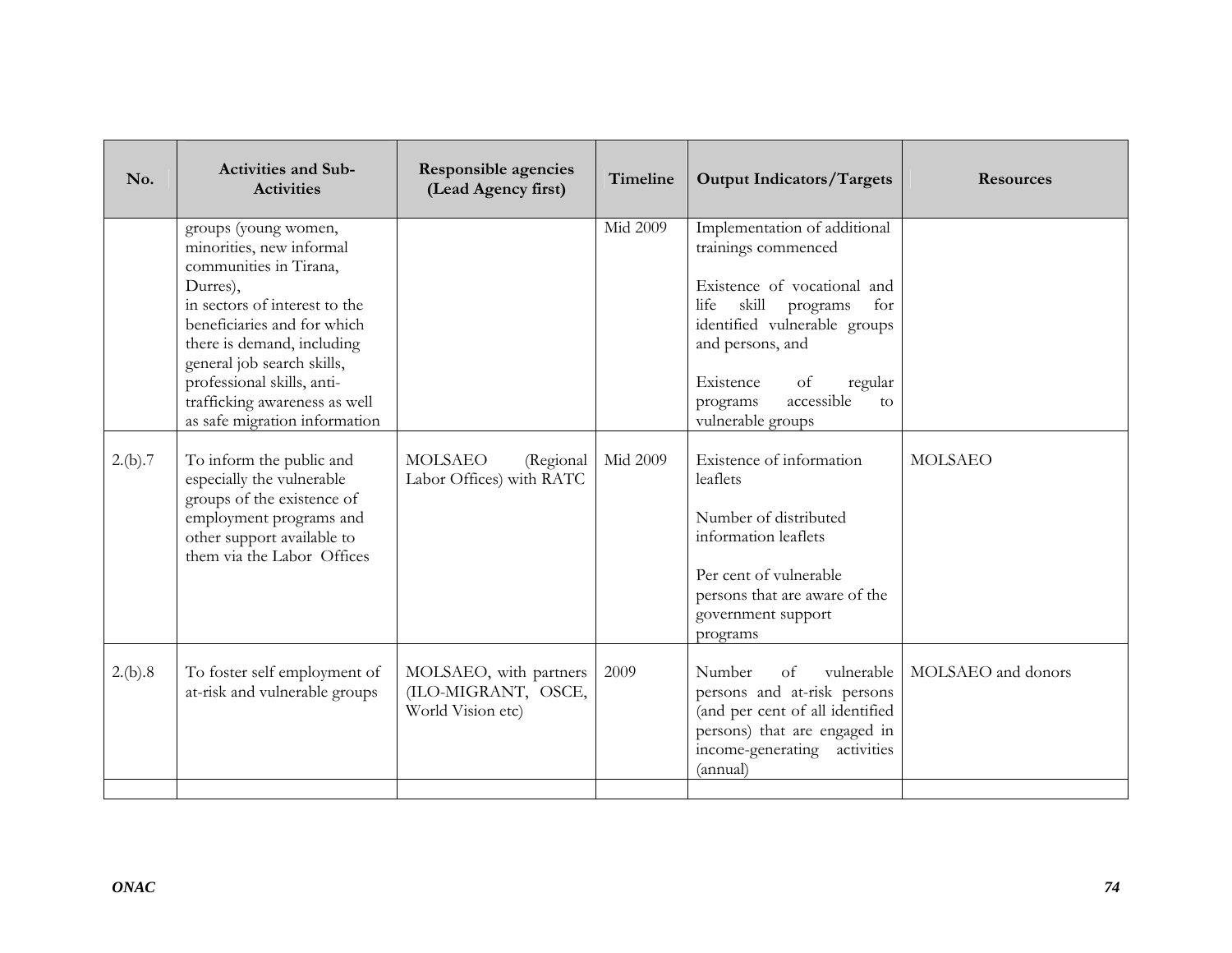| No.     | <b>Activities and Sub-</b><br><b>Activities</b>                                                                                                                                                                                                                                                                    | <b>Responsible agencies</b><br>(Lead Agency first)                 | Timeline        | <b>Output Indicators/Targets</b>                                                                                                                                                                                                                              | <b>Resources</b>   |
|---------|--------------------------------------------------------------------------------------------------------------------------------------------------------------------------------------------------------------------------------------------------------------------------------------------------------------------|--------------------------------------------------------------------|-----------------|---------------------------------------------------------------------------------------------------------------------------------------------------------------------------------------------------------------------------------------------------------------|--------------------|
|         | groups (young women,<br>minorities, new informal<br>communities in Tirana,<br>Durres),<br>in sectors of interest to the<br>beneficiaries and for which<br>there is demand, including<br>general job search skills,<br>professional skills, anti-<br>trafficking awareness as well<br>as safe migration information |                                                                    | <b>Mid 2009</b> | Implementation of additional<br>trainings commenced<br>Existence of vocational and<br>skill<br>life<br>for<br>programs<br>identified vulnerable groups<br>and persons, and<br>Existence<br>of<br>regular<br>accessible<br>programs<br>to<br>vulnerable groups |                    |
| 2.(b).7 | To inform the public and<br>especially the vulnerable<br>groups of the existence of<br>employment programs and<br>other support available to<br>them via the Labor Offices                                                                                                                                         | <b>MOLSAEO</b><br>(Regional<br>Labor Offices) with RATC            | Mid 2009        | Existence of information<br>leaflets<br>Number of distributed<br>information leaflets<br>Per cent of vulnerable<br>persons that are aware of the<br>government support<br>programs                                                                            | <b>MOLSAEO</b>     |
| 2.(b).8 | To foster self employment of<br>at-risk and vulnerable groups                                                                                                                                                                                                                                                      | MOLSAEO, with partners<br>(ILO-MIGRANT, OSCE,<br>World Vision etc) | 2009            | Number<br><sub>of</sub><br>vulnerable<br>persons and at-risk persons<br>(and per cent of all identified<br>persons) that are engaged in<br>income-generating activities<br>(annual)                                                                           | MOLSAEO and donors |
|         |                                                                                                                                                                                                                                                                                                                    |                                                                    |                 |                                                                                                                                                                                                                                                               |                    |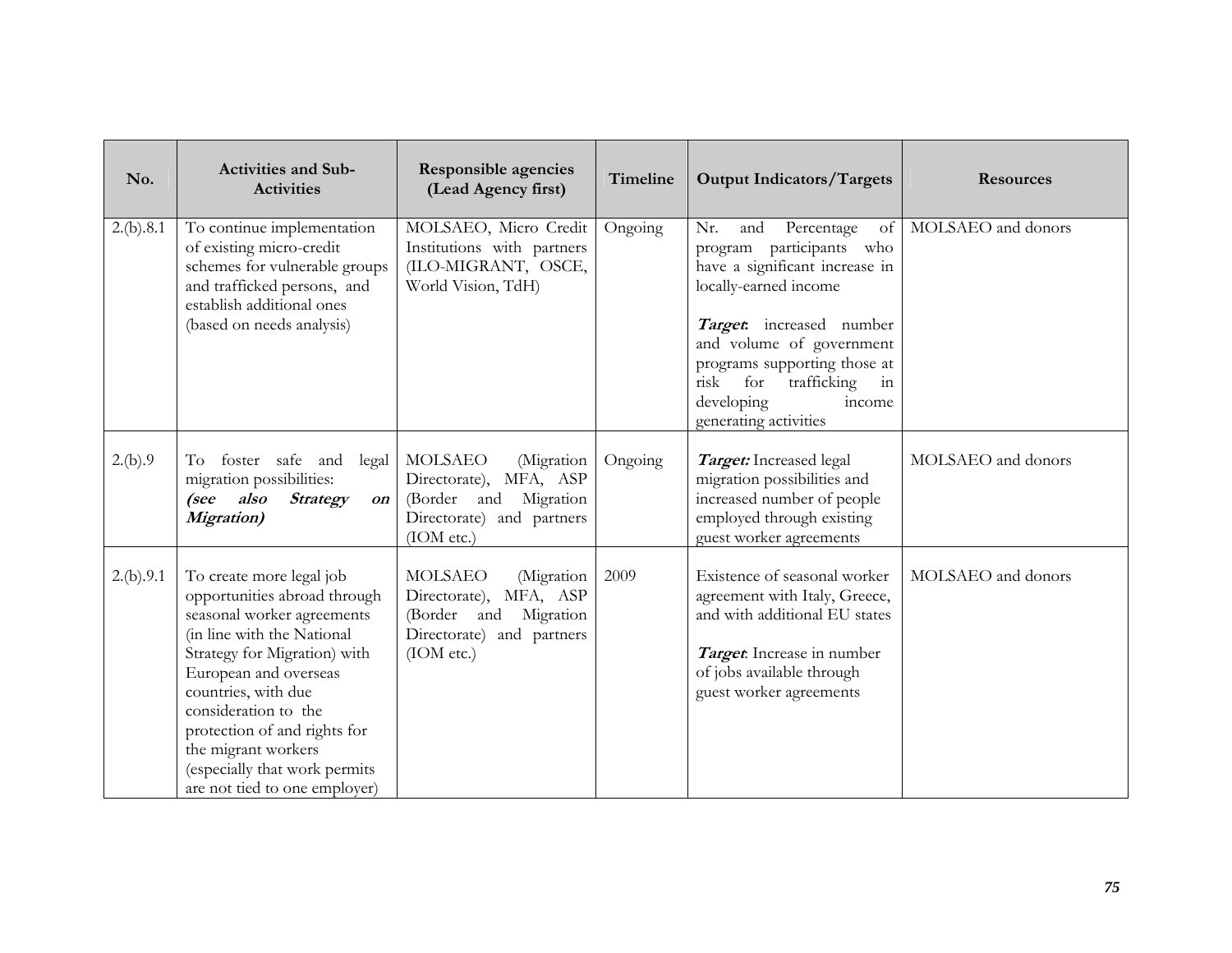| No.       | <b>Activities and Sub-</b><br><b>Activities</b>                                                                                                                                                                                                                                                                                                       | <b>Responsible agencies</b><br>(Lead Agency first)                                                                                | Timeline | <b>Output Indicators/Targets</b>                                                                                                                                                                                                                                                                   | <b>Resources</b>   |
|-----------|-------------------------------------------------------------------------------------------------------------------------------------------------------------------------------------------------------------------------------------------------------------------------------------------------------------------------------------------------------|-----------------------------------------------------------------------------------------------------------------------------------|----------|----------------------------------------------------------------------------------------------------------------------------------------------------------------------------------------------------------------------------------------------------------------------------------------------------|--------------------|
| 2.(b).8.1 | To continue implementation<br>of existing micro-credit<br>schemes for vulnerable groups<br>and trafficked persons, and<br>establish additional ones<br>(based on needs analysis)                                                                                                                                                                      | MOLSAEO, Micro Credit<br>Institutions with partners<br>(ILO-MIGRANT, OSCE,<br>World Vision, TdH)                                  | Ongoing  | Nr.<br>Percentage<br>and<br>of<br>program participants who<br>have a significant increase in<br>locally-earned income<br>Target: increased number<br>and volume of government<br>programs supporting those at<br>risk<br>trafficking<br>for<br>in<br>developing<br>income<br>generating activities | MOLSAEO and donors |
| 2.(b).9   | foster safe and legal<br>To<br>migration possibilities:<br>(see also<br><b>Strategy</b><br>on<br><b>Migration</b> )                                                                                                                                                                                                                                   | MOLSAEO<br>(Migration<br>MFA, ASP<br>Directorate),<br>Migration<br>(Border and<br>Directorate) and partners<br>(IOM etc.)         | Ongoing  | Target: Increased legal<br>migration possibilities and<br>increased number of people<br>employed through existing<br>guest worker agreements                                                                                                                                                       | MOLSAEO and donors |
| 2.(b).9.1 | To create more legal job<br>opportunities abroad through<br>seasonal worker agreements<br>(in line with the National<br>Strategy for Migration) with<br>European and overseas<br>countries, with due<br>consideration to the<br>protection of and rights for<br>the migrant workers<br>(especially that work permits<br>are not tied to one employer) | <b>MOLSAEO</b><br>(Migration<br>MFA, ASP<br>Directorate),<br>Migration<br>(Border and<br>Directorate) and partners<br>( IOM etc.) | 2009     | Existence of seasonal worker<br>agreement with Italy, Greece,<br>and with additional EU states<br>Target: Increase in number<br>of jobs available through<br>guest worker agreements                                                                                                               | MOLSAEO and donors |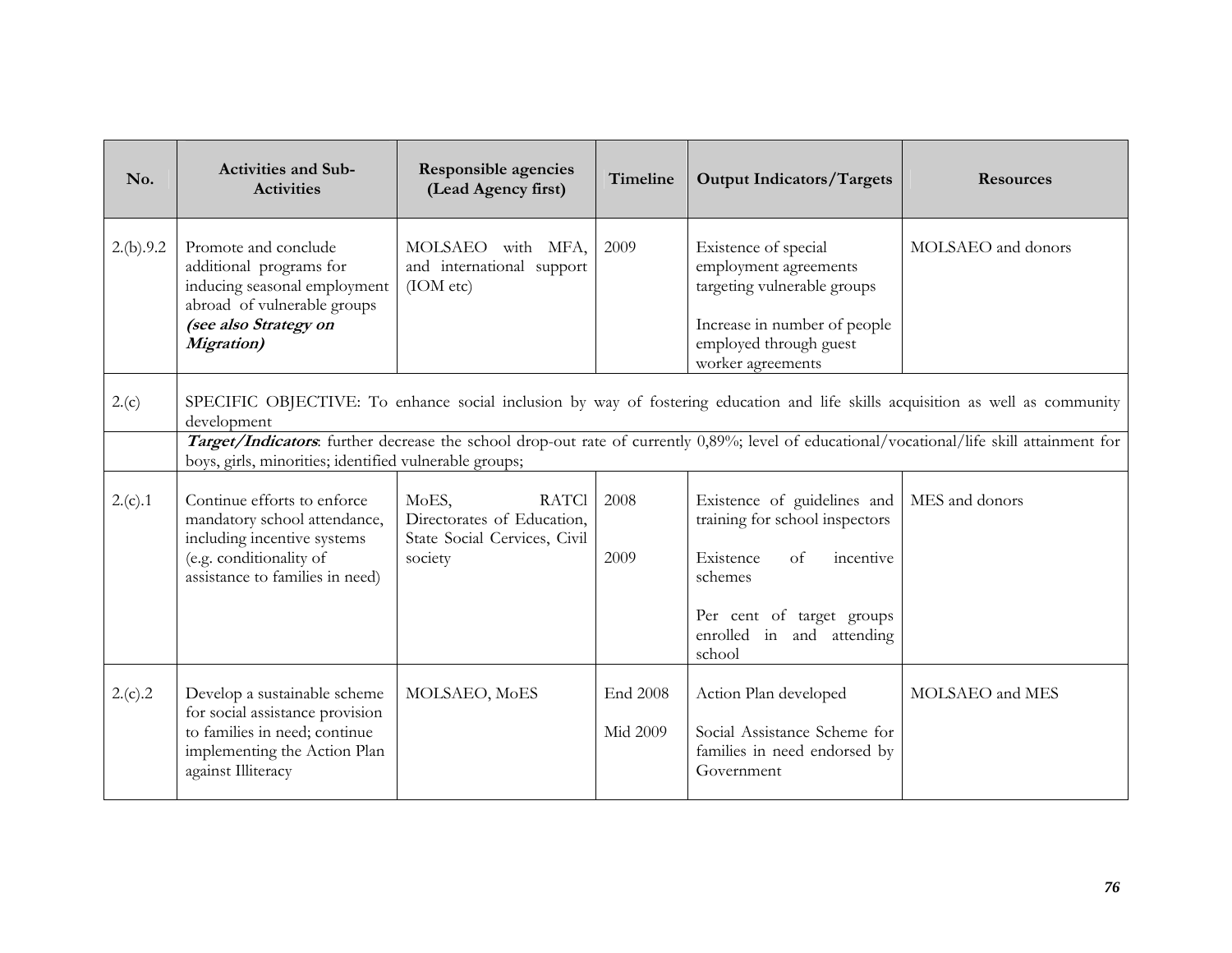| No.       | <b>Activities and Sub-</b><br><b>Activities</b>                                                                                                               | <b>Responsible agencies</b><br>(Lead Agency first)                                             | Timeline                    | <b>Output Indicators/Targets</b>                                                                                                                            | <b>Resources</b>                                                                                                                           |
|-----------|---------------------------------------------------------------------------------------------------------------------------------------------------------------|------------------------------------------------------------------------------------------------|-----------------------------|-------------------------------------------------------------------------------------------------------------------------------------------------------------|--------------------------------------------------------------------------------------------------------------------------------------------|
| 2.(b).9.2 | Promote and conclude<br>additional programs for<br>inducing seasonal employment<br>abroad of vulnerable groups<br>(see also Strategy on<br><b>Migration</b> ) | MOLSAEO with MFA,<br>and international support<br>(IOM etc)                                    | 2009                        | Existence of special<br>employment agreements<br>targeting vulnerable groups<br>Increase in number of people<br>employed through guest<br>worker agreements | MOLSAEO and donors                                                                                                                         |
| 2.(c)     | development                                                                                                                                                   |                                                                                                |                             |                                                                                                                                                             | SPECIFIC OBJECTIVE: To enhance social inclusion by way of fostering education and life skills acquisition as well as community             |
|           | boys, girls, minorities; identified vulnerable groups;                                                                                                        |                                                                                                |                             |                                                                                                                                                             | Target/Indicators: further decrease the school drop-out rate of currently 0,89%; level of educational/vocational/life skill attainment for |
| 2.(c).1   | Continue efforts to enforce<br>mandatory school attendance,<br>including incentive systems<br>(e.g. conditionality of<br>assistance to families in need)      | MoES,<br><b>RATCI</b><br>Directorates of Education,<br>State Social Cervices, Civil<br>society | 2008<br>2009                | Existence of guidelines and<br>training for school inspectors<br>Existence<br>incentive<br>of<br>schemes<br>Per cent of target groups                       | MES and donors                                                                                                                             |
|           |                                                                                                                                                               |                                                                                                |                             | enrolled in and attending<br>school                                                                                                                         |                                                                                                                                            |
| 2.(c).2   | Develop a sustainable scheme<br>for social assistance provision<br>to families in need; continue<br>implementing the Action Plan<br>against Illiteracy        | MOLSAEO, MoES                                                                                  | End 2008<br><b>Mid 2009</b> | Action Plan developed<br>Social Assistance Scheme for<br>families in need endorsed by<br>Government                                                         | MOLSAEO and MES                                                                                                                            |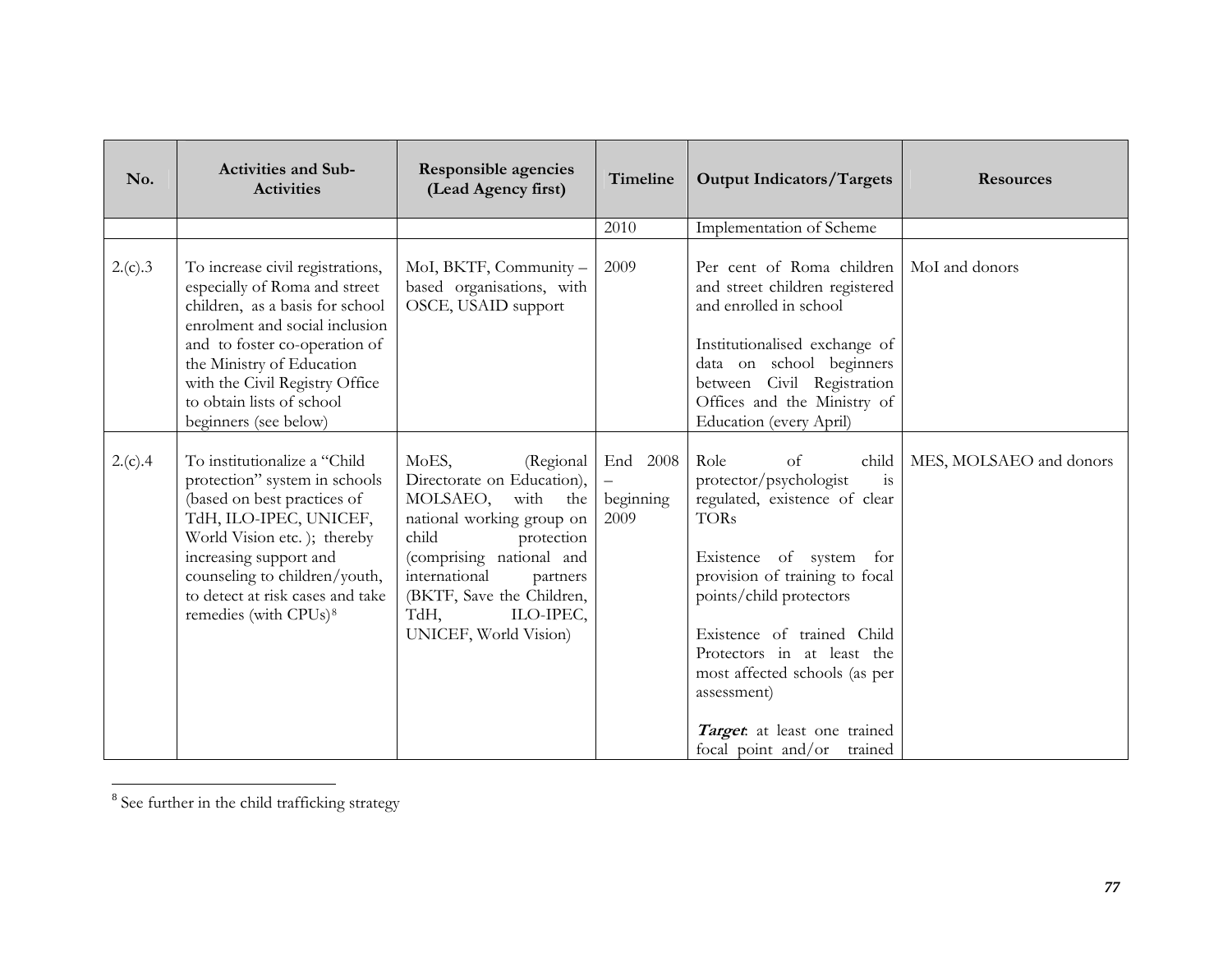| No.     | <b>Activities and Sub-</b><br><b>Activities</b>                                                                                                                                                                                                                                              | <b>Responsible agencies</b><br>(Lead Agency first)                                                                                                                                                                                                               | Timeline                      | <b>Output Indicators/Targets</b>                                                                                                                                                                                                                                                                                                                                     | <b>Resources</b>        |
|---------|----------------------------------------------------------------------------------------------------------------------------------------------------------------------------------------------------------------------------------------------------------------------------------------------|------------------------------------------------------------------------------------------------------------------------------------------------------------------------------------------------------------------------------------------------------------------|-------------------------------|----------------------------------------------------------------------------------------------------------------------------------------------------------------------------------------------------------------------------------------------------------------------------------------------------------------------------------------------------------------------|-------------------------|
|         |                                                                                                                                                                                                                                                                                              |                                                                                                                                                                                                                                                                  | 2010                          | Implementation of Scheme                                                                                                                                                                                                                                                                                                                                             |                         |
| 2.(c).3 | To increase civil registrations,<br>especially of Roma and street<br>children, as a basis for school<br>enrolment and social inclusion<br>and to foster co-operation of<br>the Ministry of Education<br>with the Civil Registry Office<br>to obtain lists of school<br>beginners (see below) | MoI, BKTF, Community -<br>based organisations, with<br>OSCE, USAID support                                                                                                                                                                                       | 2009                          | Per cent of Roma children<br>and street children registered<br>and enrolled in school<br>Institutionalised exchange of<br>data on school beginners<br>between Civil Registration<br>Offices and the Ministry of<br>Education (every April)                                                                                                                           | MoI and donors          |
| 2.(c).4 | To institutionalize a "Child<br>protection" system in schools<br>(based on best practices of<br>TdH, ILO-IPEC, UNICEF,<br>World Vision etc.); thereby<br>increasing support and<br>counseling to children/youth,<br>to detect at risk cases and take<br>remedies (with CPUs) <sup>8</sup>    | MoES,<br>(Regional<br>Directorate on Education),<br>MOLSAEO,<br>with the<br>national working group on<br>child<br>protection<br>(comprising national and<br>international<br>partners<br>(BKTF, Save the Children,<br>TdH,<br>ILO-IPEC,<br>UNICEF, World Vision) | End 2008<br>beginning<br>2009 | Role<br>of<br>child<br>protector/psychologist<br>is<br>regulated, existence of clear<br><b>TORs</b><br>Existence of system for<br>provision of training to focal<br>points/child protectors<br>Existence of trained Child<br>Protectors in at least the<br>most affected schools (as per<br>assessment)<br>Target at least one trained<br>focal point and/or trained | MES, MOLSAEO and donors |

<span id="page-76-0"></span><sup>8</sup> See further in the child trafficking strategy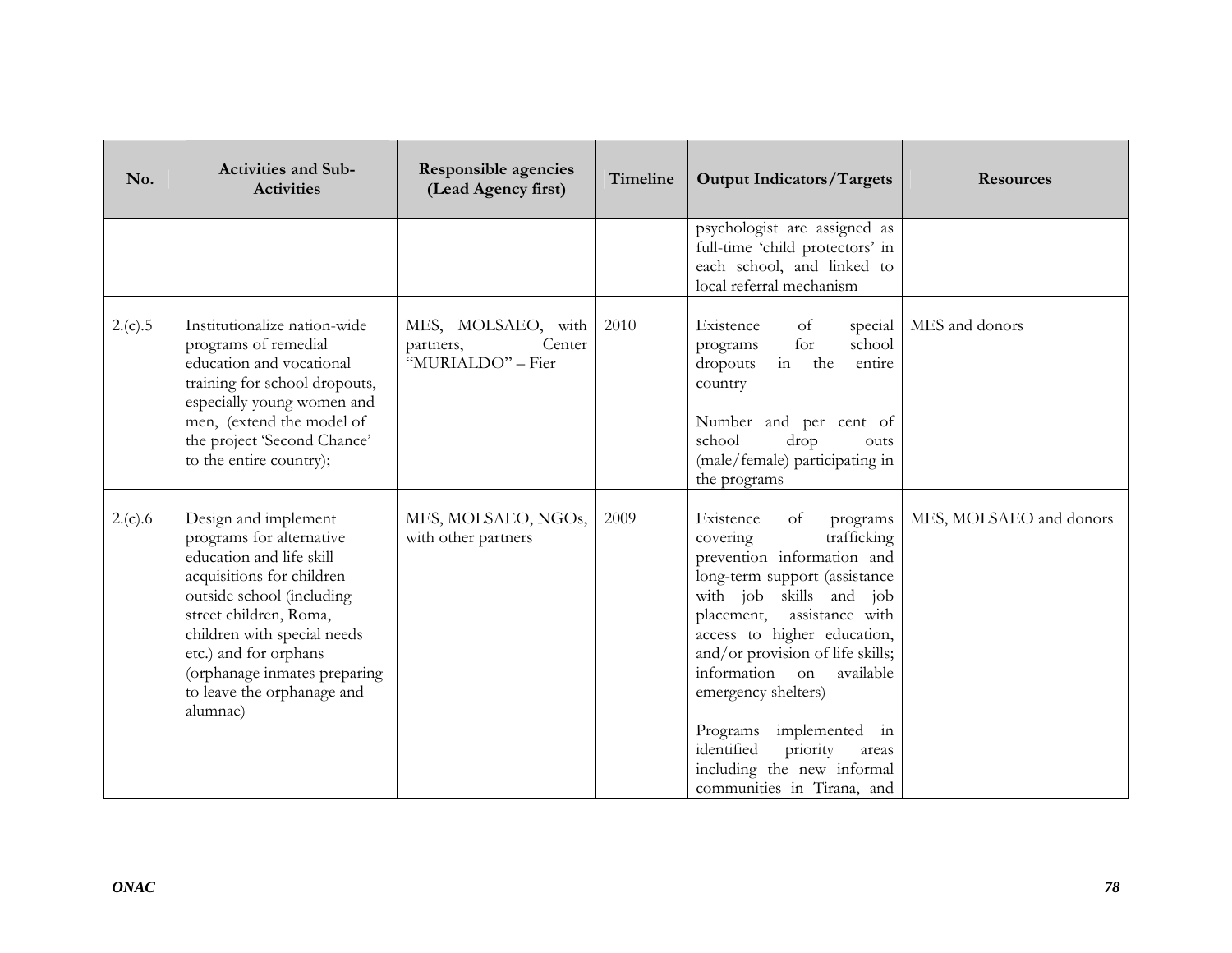| No.     | <b>Activities and Sub-</b><br><b>Activities</b>                                                                                                                                                                                                                                                    | <b>Responsible agencies</b><br>(Lead Agency first)             | Timeline | <b>Output Indicators/Targets</b>                                                                                                                                                                                                                                                                                                                                                                                                     | <b>Resources</b>        |
|---------|----------------------------------------------------------------------------------------------------------------------------------------------------------------------------------------------------------------------------------------------------------------------------------------------------|----------------------------------------------------------------|----------|--------------------------------------------------------------------------------------------------------------------------------------------------------------------------------------------------------------------------------------------------------------------------------------------------------------------------------------------------------------------------------------------------------------------------------------|-------------------------|
|         |                                                                                                                                                                                                                                                                                                    |                                                                |          | psychologist are assigned as<br>full-time 'child protectors' in<br>each school, and linked to<br>local referral mechanism                                                                                                                                                                                                                                                                                                            |                         |
| 2.(c).5 | Institutionalize nation-wide<br>programs of remedial<br>education and vocational<br>training for school dropouts,<br>especially young women and<br>men, (extend the model of<br>the project 'Second Chance'<br>to the entire country);                                                             | MES, MOLSAEO, with<br>Center<br>partners,<br>"MURIALDO" - Fier | 2010     | Existence<br>of<br>special<br>for<br>school<br>programs<br>in the<br>dropouts<br>entire<br>country<br>Number and per cent of<br>school<br>drop<br>outs<br>(male/female) participating in<br>the programs                                                                                                                                                                                                                             | MES and donors          |
| 2.(c).6 | Design and implement<br>programs for alternative<br>education and life skill<br>acquisitions for children<br>outside school (including<br>street children, Roma,<br>children with special needs<br>etc.) and for orphans<br>(orphanage inmates preparing<br>to leave the orphanage and<br>alumnae) | MES, MOLSAEO, NGOs,<br>with other partners                     | 2009     | Existence<br>of<br>programs<br>covering<br>trafficking<br>prevention information and<br>long-term support (assistance<br>with job skills and job<br>assistance with<br>placement,<br>access to higher education,<br>and/or provision of life skills;<br>information on<br>available<br>emergency shelters)<br>Programs implemented in<br>identified<br>priority<br>areas<br>including the new informal<br>communities in Tirana, and | MES, MOLSAEO and donors |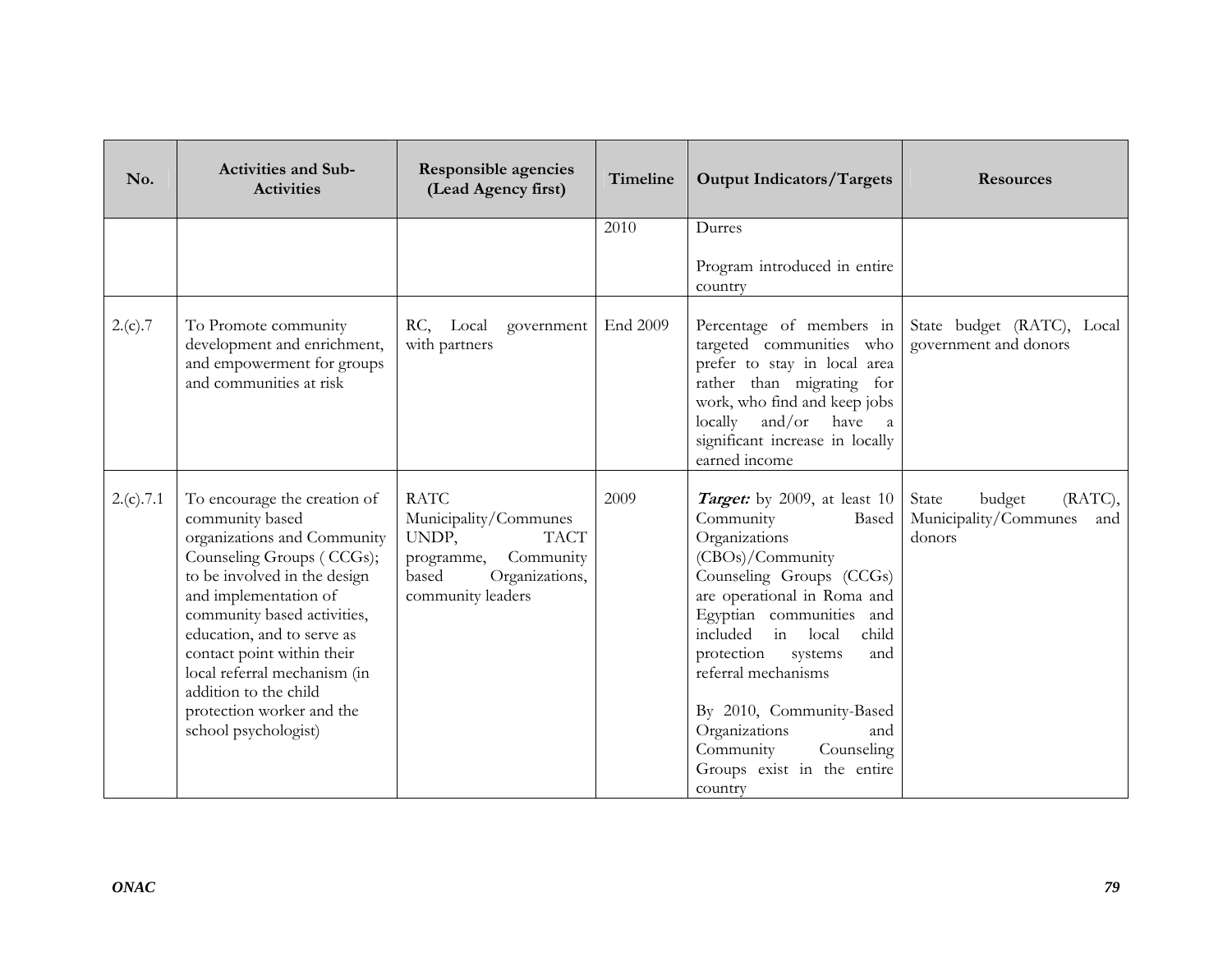| No.       | <b>Activities and Sub-</b><br><b>Activities</b>                                                                                                                                                                                                                                                                                                                               | <b>Responsible agencies</b><br>(Lead Agency first)                                                                                      | Timeline | <b>Output Indicators/Targets</b>                                                                                                                                                                                                                                                                                                                                                                         | <b>Resources</b>                                                     |
|-----------|-------------------------------------------------------------------------------------------------------------------------------------------------------------------------------------------------------------------------------------------------------------------------------------------------------------------------------------------------------------------------------|-----------------------------------------------------------------------------------------------------------------------------------------|----------|----------------------------------------------------------------------------------------------------------------------------------------------------------------------------------------------------------------------------------------------------------------------------------------------------------------------------------------------------------------------------------------------------------|----------------------------------------------------------------------|
|           |                                                                                                                                                                                                                                                                                                                                                                               |                                                                                                                                         | 2010     | Durres<br>Program introduced in entire<br>country                                                                                                                                                                                                                                                                                                                                                        |                                                                      |
| 2.(c).7   | To Promote community<br>development and enrichment,<br>and empowerment for groups<br>and communities at risk                                                                                                                                                                                                                                                                  | RC, Local<br>government<br>with partners                                                                                                | End 2009 | Percentage of members in<br>targeted communities who<br>prefer to stay in local area<br>rather than migrating for<br>work, who find and keep jobs<br>and/or have<br>locally<br><sub>a</sub><br>significant increase in locally<br>earned income                                                                                                                                                          | State budget (RATC), Local<br>government and donors                  |
| 2.(c).7.1 | To encourage the creation of<br>community based<br>organizations and Community<br>Counseling Groups (CCGs);<br>to be involved in the design<br>and implementation of<br>community based activities,<br>education, and to serve as<br>contact point within their<br>local referral mechanism (in<br>addition to the child<br>protection worker and the<br>school psychologist) | <b>RATC</b><br>Municipality/Communes<br>UNDP,<br><b>TACT</b><br>programme,<br>Community<br>based<br>Organizations,<br>community leaders | 2009     | <i>Target:</i> by 2009, at least 10<br>Community<br>Based<br>Organizations<br>(CBOs)/Community<br>Counseling Groups (CCGs)<br>are operational in Roma and<br>Egyptian communities and<br>in<br>included<br>local<br>child<br>protection<br>systems<br>and<br>referral mechanisms<br>By 2010, Community-Based<br>Organizations<br>and<br>Community<br>Counseling<br>Groups exist in the entire<br>country | State<br>(RATC),<br>budget<br>Municipality/Communes<br>and<br>donors |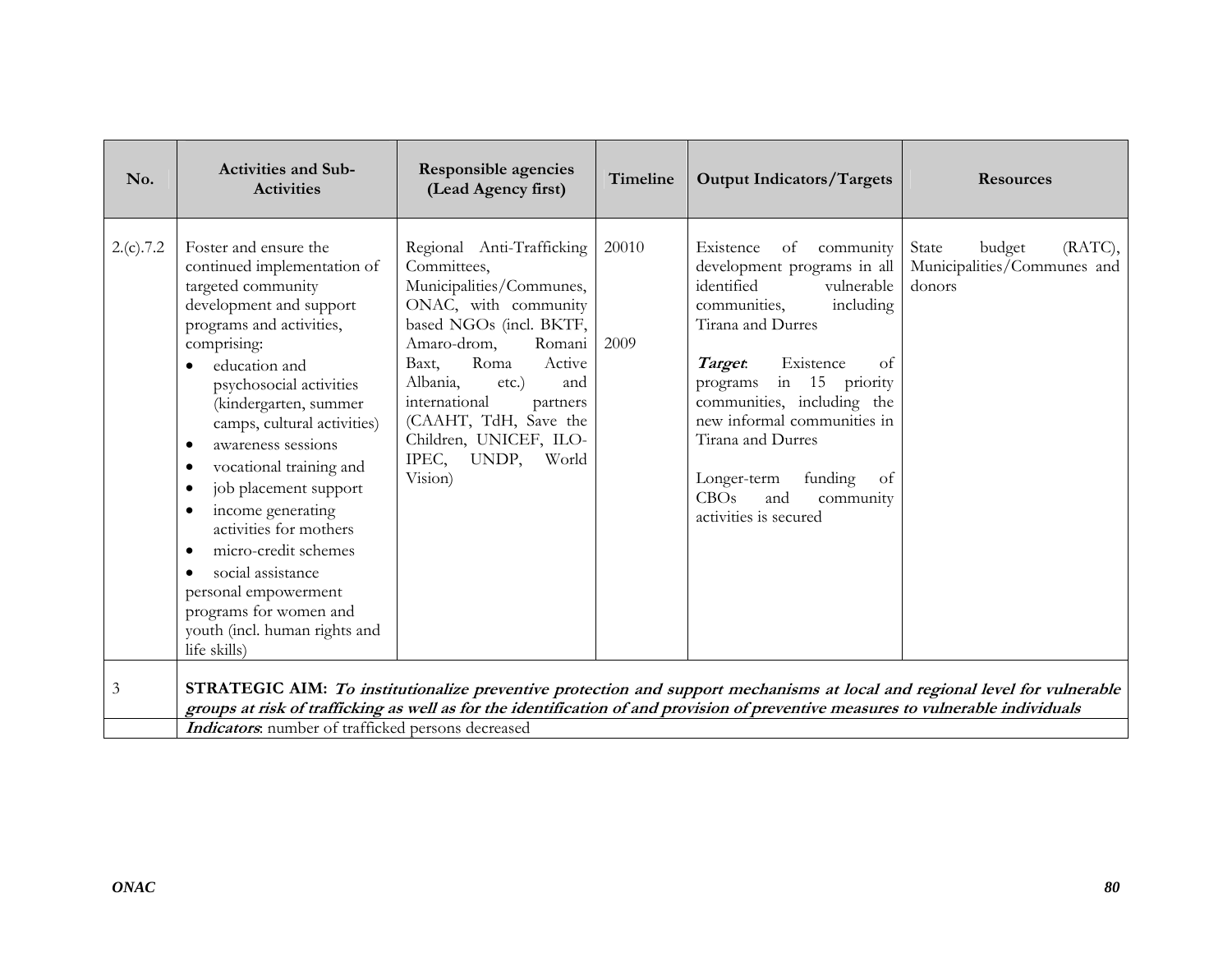| No.            | <b>Activities and Sub-</b><br><b>Activities</b>                                                                                                                                                                                                                                                                                                                                                                                                                                                                                                   | <b>Responsible agencies</b><br>(Lead Agency first)                                                                                                                                                                                                                                                                            | Timeline      | <b>Output Indicators/Targets</b>                                                                                                                                                                                                                                                                                                                                          | <b>Resources</b>                                                                                                           |
|----------------|---------------------------------------------------------------------------------------------------------------------------------------------------------------------------------------------------------------------------------------------------------------------------------------------------------------------------------------------------------------------------------------------------------------------------------------------------------------------------------------------------------------------------------------------------|-------------------------------------------------------------------------------------------------------------------------------------------------------------------------------------------------------------------------------------------------------------------------------------------------------------------------------|---------------|---------------------------------------------------------------------------------------------------------------------------------------------------------------------------------------------------------------------------------------------------------------------------------------------------------------------------------------------------------------------------|----------------------------------------------------------------------------------------------------------------------------|
| 2.(c).7.2      | Foster and ensure the<br>continued implementation of<br>targeted community<br>development and support<br>programs and activities,<br>comprising:<br>education and<br>psychosocial activities<br>(kindergarten, summer<br>camps, cultural activities)<br>awareness sessions<br>vocational training and<br>٠<br>job placement support<br>٠<br>income generating<br>٠<br>activities for mothers<br>micro-credit schemes<br>٠<br>social assistance<br>personal empowerment<br>programs for women and<br>youth (incl. human rights and<br>life skills) | Regional Anti-Trafficking<br>Committees,<br>Municipalities/Communes,<br>ONAC, with community<br>based NGOs (incl. BKTF,<br>Amaro-drom,<br>Romani<br>Roma<br>Active<br>Baxt,<br>Albania,<br>etc.)<br>and<br>international<br>partners<br>(CAAHT, TdH, Save the<br>Children, UNICEF, ILO-<br>IPEC,<br>UNDP,<br>World<br>Vision) | 20010<br>2009 | Existence<br>of<br>community<br>development programs in all<br>identified<br>vulnerable<br>including<br>communities,<br>Tirana and Durres<br>Target.<br>Existence<br>of<br>programs in 15 priority<br>communities, including the<br>new informal communities in<br>Tirana and Durres<br>Longer-term<br>funding<br>of<br>CBOs<br>and<br>community<br>activities is secured | (RATC),<br>State<br>budget<br>Municipalities/Communes and<br>donors                                                        |
| $\mathfrak{Z}$ | Indicators: number of trafficked persons decreased                                                                                                                                                                                                                                                                                                                                                                                                                                                                                                |                                                                                                                                                                                                                                                                                                                               |               | groups at risk of trafficking as well as for the identification of and provision of preventive measures to vulnerable individuals                                                                                                                                                                                                                                         | STRATEGIC AIM: To institutionalize preventive protection and support mechanisms at local and regional level for vulnerable |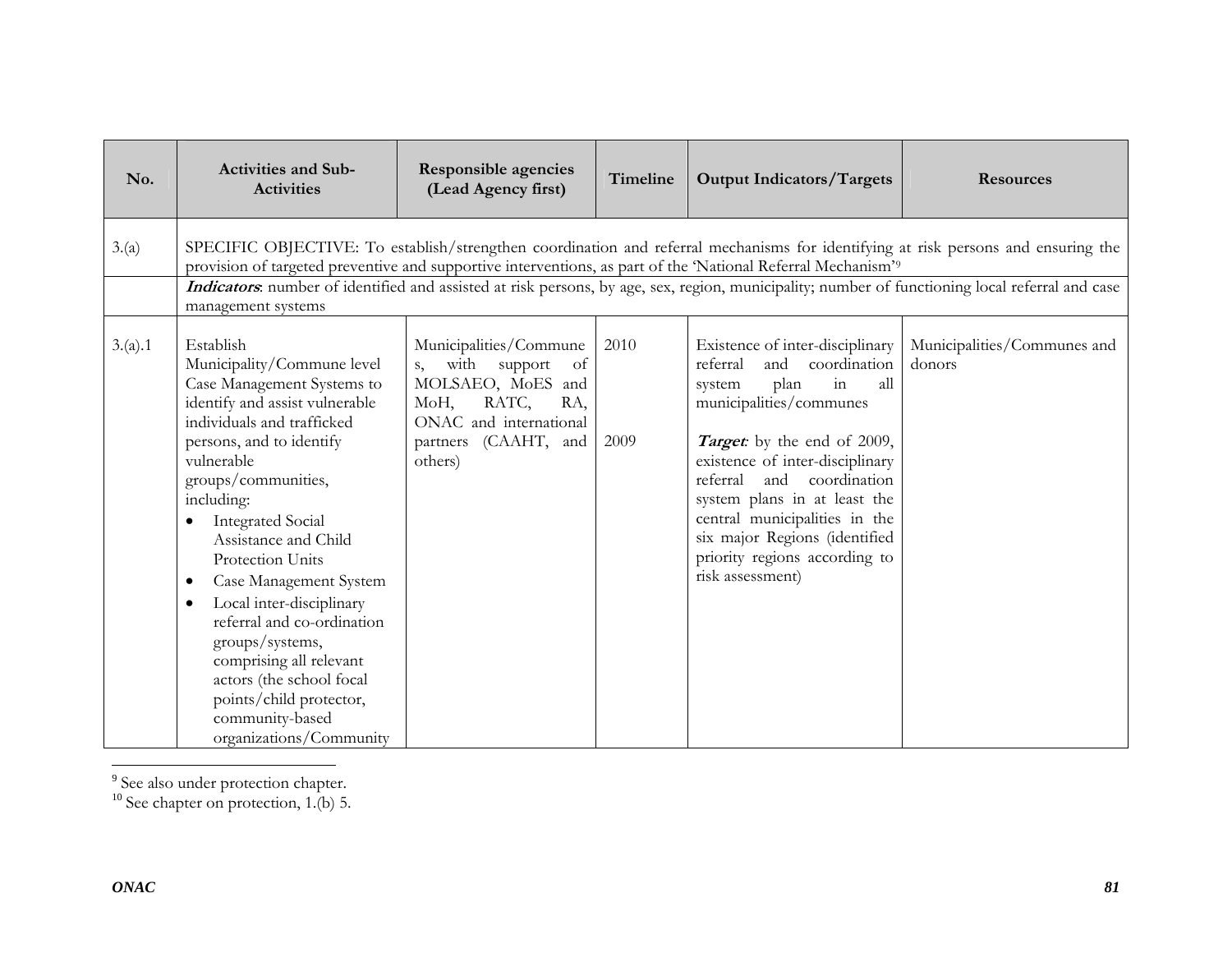| No.     | <b>Activities and Sub-</b><br><b>Activities</b>                                                                                                                                                                                                                                                                                                                                                                                                                                                                                                               | <b>Responsible agencies</b><br>(Lead Agency first)                                                                                                        | Timeline     | <b>Output Indicators/Targets</b>                                                                                                                                                                                                                                                                                                                                                         | <b>Resources</b>                                                                                                                                                                                                                                                                     |
|---------|---------------------------------------------------------------------------------------------------------------------------------------------------------------------------------------------------------------------------------------------------------------------------------------------------------------------------------------------------------------------------------------------------------------------------------------------------------------------------------------------------------------------------------------------------------------|-----------------------------------------------------------------------------------------------------------------------------------------------------------|--------------|------------------------------------------------------------------------------------------------------------------------------------------------------------------------------------------------------------------------------------------------------------------------------------------------------------------------------------------------------------------------------------------|--------------------------------------------------------------------------------------------------------------------------------------------------------------------------------------------------------------------------------------------------------------------------------------|
| 3.(a)   | provision of targeted preventive and supportive interventions, as part of the 'National Referral Mechanism' <sup>9</sup><br>management systems                                                                                                                                                                                                                                                                                                                                                                                                                |                                                                                                                                                           |              |                                                                                                                                                                                                                                                                                                                                                                                          | SPECIFIC OBJECTIVE: To establish/strengthen coordination and referral mechanisms for identifying at risk persons and ensuring the<br>Indicators: number of identified and assisted at risk persons, by age, sex, region, municipality; number of functioning local referral and case |
| 3.(a).1 | Establish<br>Municipality/Commune level<br>Case Management Systems to<br>identify and assist vulnerable<br>individuals and trafficked<br>persons, and to identify<br>vulnerable<br>groups/communities,<br>including:<br><b>Integrated Social</b><br>Assistance and Child<br>Protection Units<br>Case Management System<br>$\bullet$<br>Local inter-disciplinary<br>$\bullet$<br>referral and co-ordination<br>groups/systems,<br>comprising all relevant<br>actors (the school focal<br>points/child protector,<br>community-based<br>organizations/Community | Municipalities/Commune<br>s, with support<br>of<br>MOLSAEO, MoES and<br>RATC,<br>MoH,<br>RA,<br>ONAC and international<br>partners (CAAHT, and<br>others) | 2010<br>2009 | Existence of inter-disciplinary<br>coordination<br>referral<br>and<br>plan<br>in<br>all<br>system<br>municipalities/communes<br>Target: by the end of 2009,<br>existence of inter-disciplinary<br>coordination<br>referral<br>and<br>system plans in at least the<br>central municipalities in the<br>six major Regions (identified<br>priority regions according to<br>risk assessment) | Municipalities/Communes and<br>donors                                                                                                                                                                                                                                                |

<span id="page-80-0"></span>

 $\overline{\phantom{a}}$ 

<sup>9</sup> See also under protection chapter.<br><sup>10</sup> See chapter on protection, 1.(b) 5.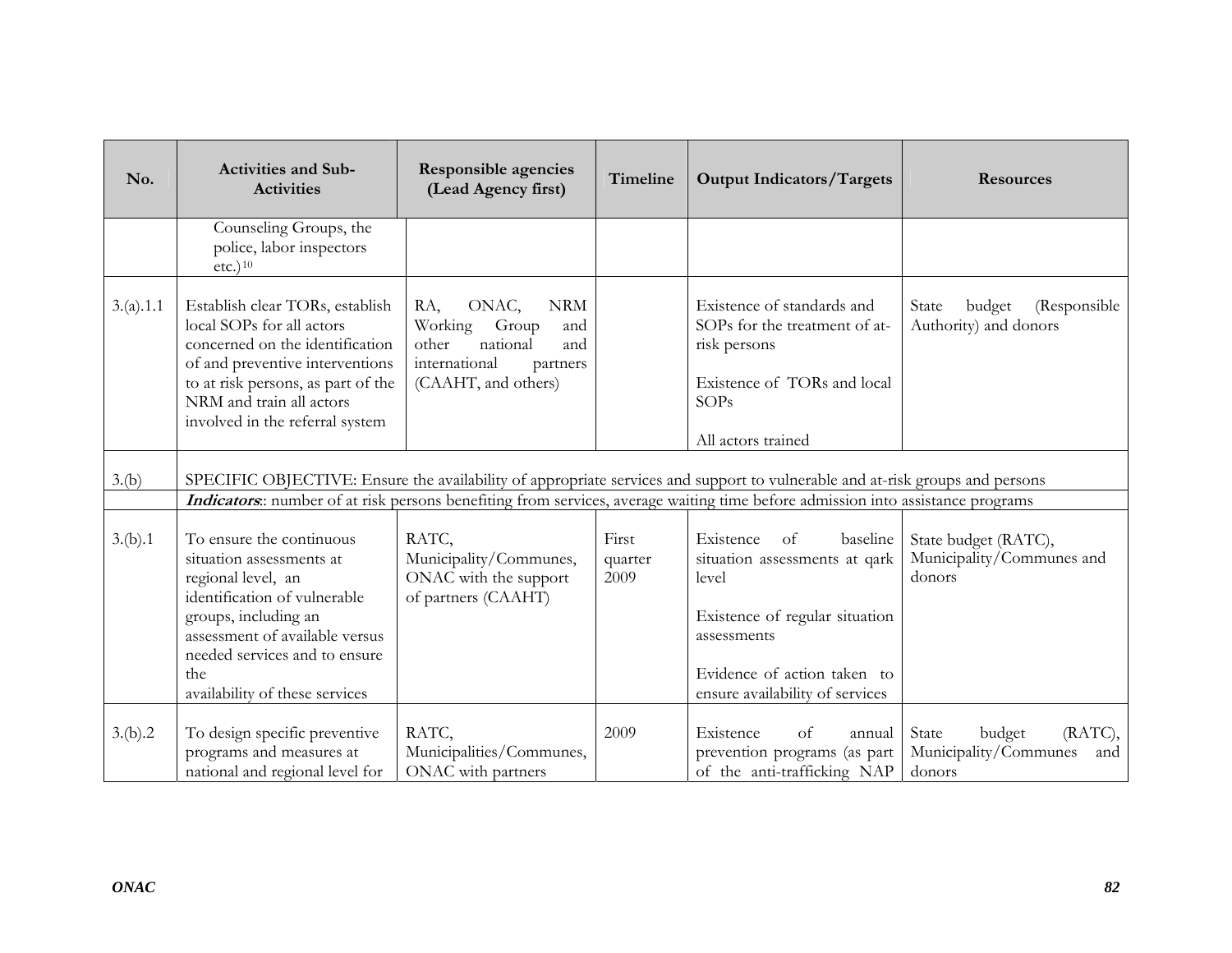| No.       | <b>Activities and Sub-</b><br><b>Activities</b>                                                                                                                                                                                                | Responsible agencies<br>(Lead Agency first)                                                                                        | Timeline                 | <b>Output Indicators/Targets</b>                                                                                                                                                          | <b>Resources</b>                                                     |
|-----------|------------------------------------------------------------------------------------------------------------------------------------------------------------------------------------------------------------------------------------------------|------------------------------------------------------------------------------------------------------------------------------------|--------------------------|-------------------------------------------------------------------------------------------------------------------------------------------------------------------------------------------|----------------------------------------------------------------------|
|           | Counseling Groups, the<br>police, labor inspectors<br>etc.) <sup>10</sup>                                                                                                                                                                      |                                                                                                                                    |                          |                                                                                                                                                                                           |                                                                      |
| 3.(a).1.1 | Establish clear TORs, establish<br>local SOPs for all actors<br>concerned on the identification<br>of and preventive interventions<br>to at risk persons, as part of the<br>NRM and train all actors<br>involved in the referral system        | RA,<br>ONAC,<br><b>NRM</b><br>Working Group<br>and<br>other<br>national<br>and<br>international<br>partners<br>(CAAHT, and others) |                          | Existence of standards and<br>SOPs for the treatment of at-<br>risk persons<br>Existence of TORs and local<br>SOPs<br>All actors trained                                                  | State<br>budget<br>(Responsible)<br>Authority) and donors            |
| 3.(b)     |                                                                                                                                                                                                                                                |                                                                                                                                    |                          | SPECIFIC OBJECTIVE: Ensure the availability of appropriate services and support to vulnerable and at-risk groups and persons                                                              |                                                                      |
|           |                                                                                                                                                                                                                                                |                                                                                                                                    |                          | Indicators: number of at risk persons benefiting from services, average waiting time before admission into assistance programs                                                            |                                                                      |
| 3.(b).1   | To ensure the continuous<br>situation assessments at<br>regional level, an<br>identification of vulnerable<br>groups, including an<br>assessment of available versus<br>needed services and to ensure<br>the<br>availability of these services | RATC,<br>Municipality/Communes,<br>ONAC with the support<br>of partners (CAAHT)                                                    | First<br>quarter<br>2009 | Existence<br>baseline<br>-of<br>situation assessments at qark<br>level<br>Existence of regular situation<br>assessments<br>Evidence of action taken to<br>ensure availability of services | State budget (RATC),<br>Municipality/Communes and<br>donors          |
| 3.(b).2   | To design specific preventive<br>programs and measures at<br>national and regional level for                                                                                                                                                   | RATC,<br>Municipalities/Communes,<br>ONAC with partners                                                                            | 2009                     | Existence<br>$\alpha$ f<br>annual<br>prevention programs (as part<br>of the anti-trafficking NAP                                                                                          | State<br>budget<br>(RATC),<br>Municipality/Communes<br>and<br>donors |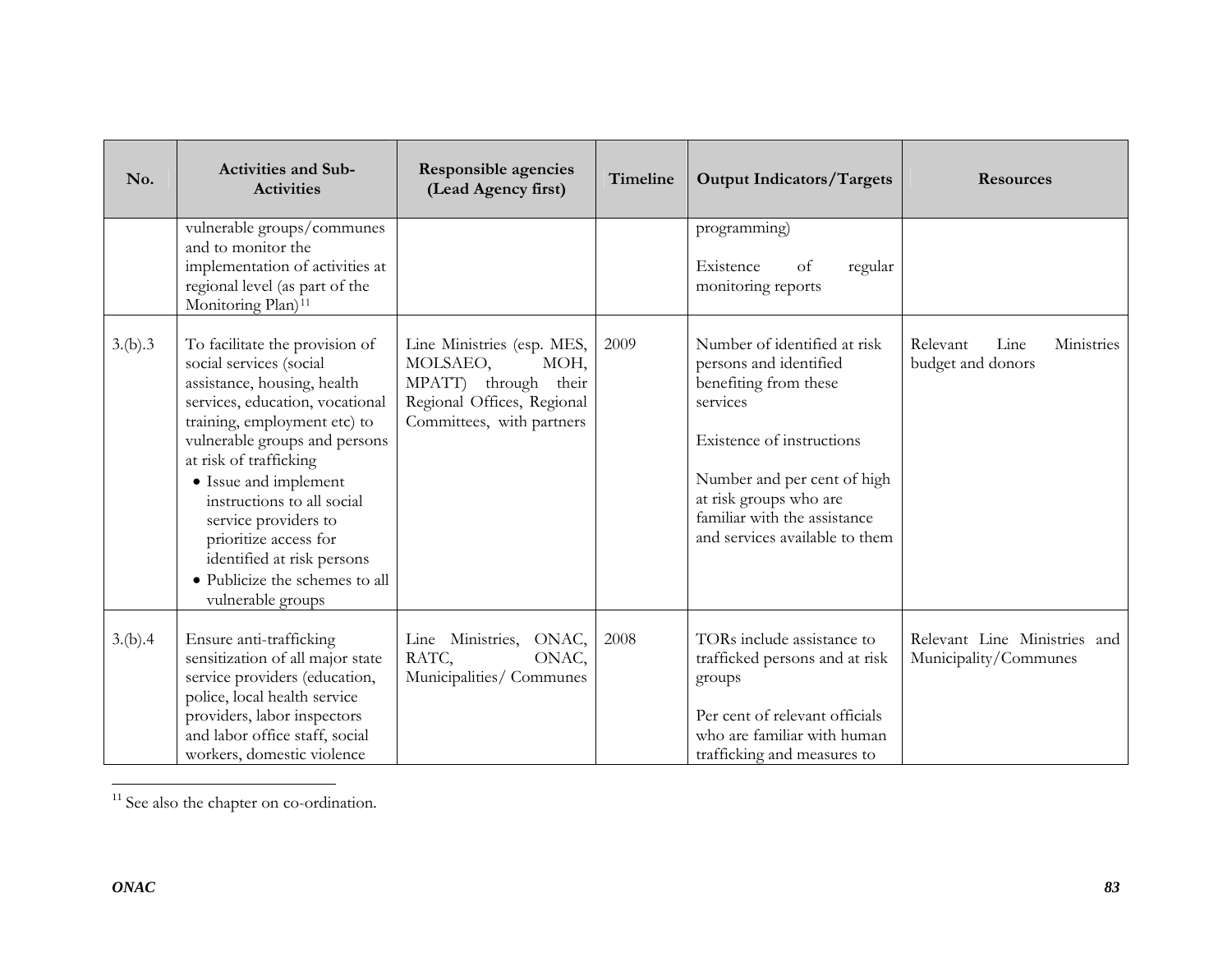| No.     | <b>Activities and Sub-</b><br><b>Activities</b>                                                                                                                                                                                                                                                                                                                                                                     | <b>Responsible agencies</b><br>(Lead Agency first)                                                                                | Timeline | <b>Output Indicators/Targets</b>                                                                                                                                                                                                                    | <b>Resources</b>                                      |
|---------|---------------------------------------------------------------------------------------------------------------------------------------------------------------------------------------------------------------------------------------------------------------------------------------------------------------------------------------------------------------------------------------------------------------------|-----------------------------------------------------------------------------------------------------------------------------------|----------|-----------------------------------------------------------------------------------------------------------------------------------------------------------------------------------------------------------------------------------------------------|-------------------------------------------------------|
|         | vulnerable groups/communes<br>and to monitor the<br>implementation of activities at<br>regional level (as part of the<br>Monitoring Plan) <sup>11</sup>                                                                                                                                                                                                                                                             |                                                                                                                                   |          | programming)<br>Existence<br>of<br>regular<br>monitoring reports                                                                                                                                                                                    |                                                       |
| 3.(b).3 | To facilitate the provision of<br>social services (social<br>assistance, housing, health<br>services, education, vocational<br>training, employment etc) to<br>vulnerable groups and persons<br>at risk of trafficking<br>• Issue and implement<br>instructions to all social<br>service providers to<br>prioritize access for<br>identified at risk persons<br>• Publicize the schemes to all<br>vulnerable groups | Line Ministries (esp. MES,<br>MOLSAEO,<br>MOH,<br>MPATT) through their<br>Regional Offices, Regional<br>Committees, with partners | 2009     | Number of identified at risk<br>persons and identified<br>benefiting from these<br>services<br>Existence of instructions<br>Number and per cent of high<br>at risk groups who are<br>familiar with the assistance<br>and services available to them | Relevant<br>Line<br>Ministries<br>budget and donors   |
| 3.(b).4 | Ensure anti-trafficking<br>sensitization of all major state<br>service providers (education,<br>police, local health service<br>providers, labor inspectors<br>and labor office staff, social<br>workers, domestic violence                                                                                                                                                                                         | Line Ministries, ONAC,<br>RATC,<br>ONAC,<br>Municipalities/ Communes                                                              | 2008     | TORs include assistance to<br>trafficked persons and at risk<br>groups<br>Per cent of relevant officials<br>who are familiar with human<br>trafficking and measures to                                                                              | Relevant Line Ministries and<br>Municipality/Communes |

<span id="page-82-0"></span><sup>11</sup> See also the chapter on co-ordination.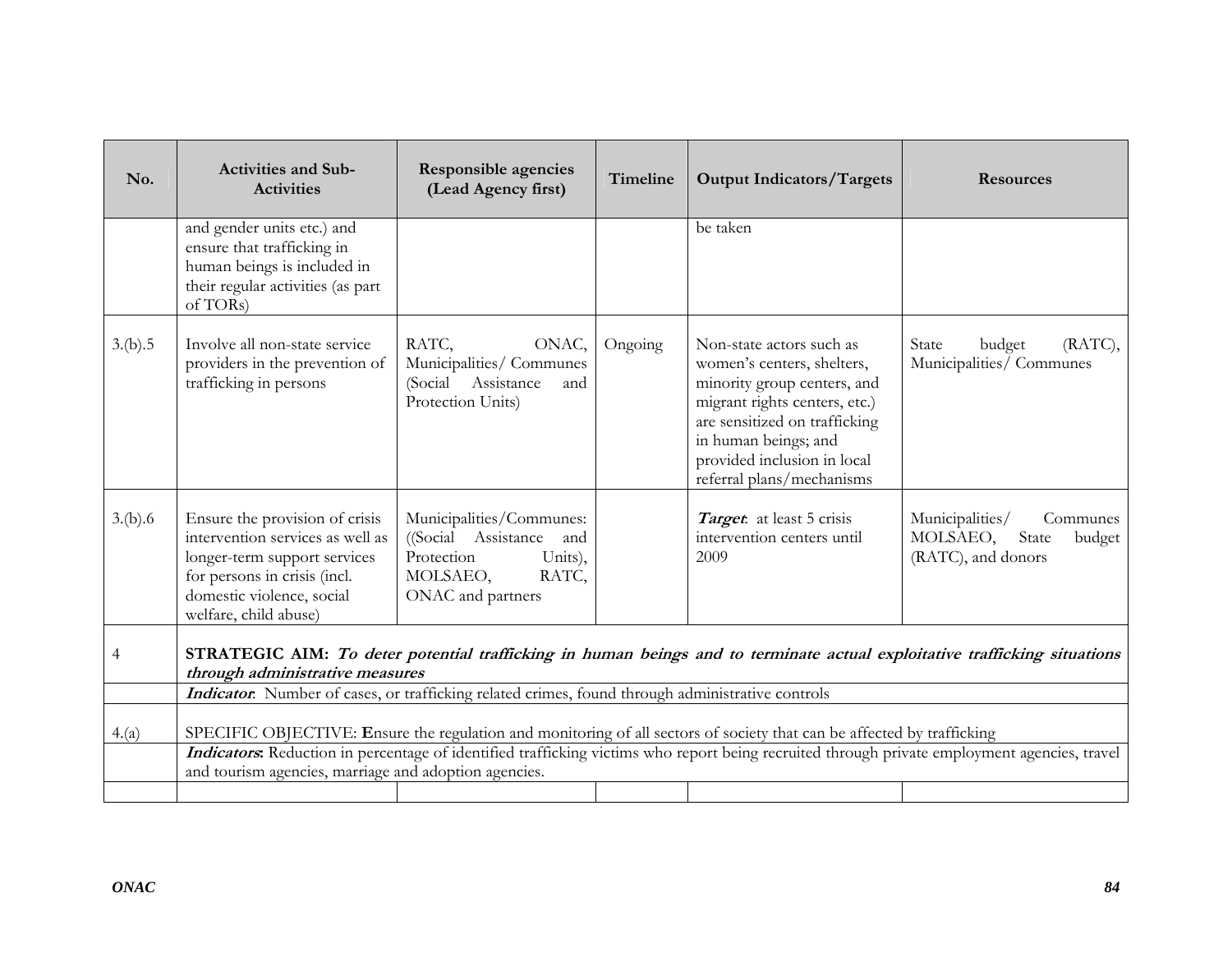| No.     | <b>Activities and Sub-</b><br><b>Activities</b>                                                                                                                                          | <b>Responsible agencies</b><br>(Lead Agency first)                                                                     | Timeline | <b>Output Indicators/Targets</b>                                                                                                                                                                                                            | <b>Resources</b>                                                                                                                             |
|---------|------------------------------------------------------------------------------------------------------------------------------------------------------------------------------------------|------------------------------------------------------------------------------------------------------------------------|----------|---------------------------------------------------------------------------------------------------------------------------------------------------------------------------------------------------------------------------------------------|----------------------------------------------------------------------------------------------------------------------------------------------|
|         | and gender units etc.) and<br>ensure that trafficking in<br>human beings is included in<br>their regular activities (as part<br>of TORs)                                                 |                                                                                                                        |          | be taken                                                                                                                                                                                                                                    |                                                                                                                                              |
| 3.(b).5 | Involve all non-state service<br>providers in the prevention of<br>trafficking in persons                                                                                                | RATC,<br>ONAC,<br>Municipalities/ Communes<br>(Social Assistance<br>and<br>Protection Units)                           | Ongoing  | Non-state actors such as<br>women's centers, shelters,<br>minority group centers, and<br>migrant rights centers, etc.)<br>are sensitized on trafficking<br>in human beings; and<br>provided inclusion in local<br>referral plans/mechanisms | State<br>budget<br>(RATC),<br>Municipalities/ Communes                                                                                       |
| 3.(b).6 | Ensure the provision of crisis<br>intervention services as well as<br>longer-term support services<br>for persons in crisis (incl.<br>domestic violence, social<br>welfare, child abuse) | Municipalities/Communes:<br>((Social Assistance and<br>Protection<br>Units),<br>RATC,<br>MOLSAEO,<br>ONAC and partners |          | Target: at least 5 crisis<br>intervention centers until<br>2009                                                                                                                                                                             | Municipalities/<br>Communes<br>MOLSAEO,<br>State<br>budget<br>(RATC), and donors                                                             |
| 4       | through administrative measures                                                                                                                                                          |                                                                                                                        |          |                                                                                                                                                                                                                                             | STRATEGIC AIM: To deter potential trafficking in human beings and to terminate actual exploitative trafficking situations                    |
|         | Indicator. Number of cases, or trafficking related crimes, found through administrative controls                                                                                         |                                                                                                                        |          |                                                                                                                                                                                                                                             |                                                                                                                                              |
| 4.(a)   |                                                                                                                                                                                          |                                                                                                                        |          | SPECIFIC OBJECTIVE: Ensure the regulation and monitoring of all sectors of society that can be affected by trafficking                                                                                                                      |                                                                                                                                              |
|         | and tourism agencies, marriage and adoption agencies.                                                                                                                                    |                                                                                                                        |          |                                                                                                                                                                                                                                             | Indicators: Reduction in percentage of identified trafficking victims who report being recruited through private employment agencies, travel |
|         |                                                                                                                                                                                          |                                                                                                                        |          |                                                                                                                                                                                                                                             |                                                                                                                                              |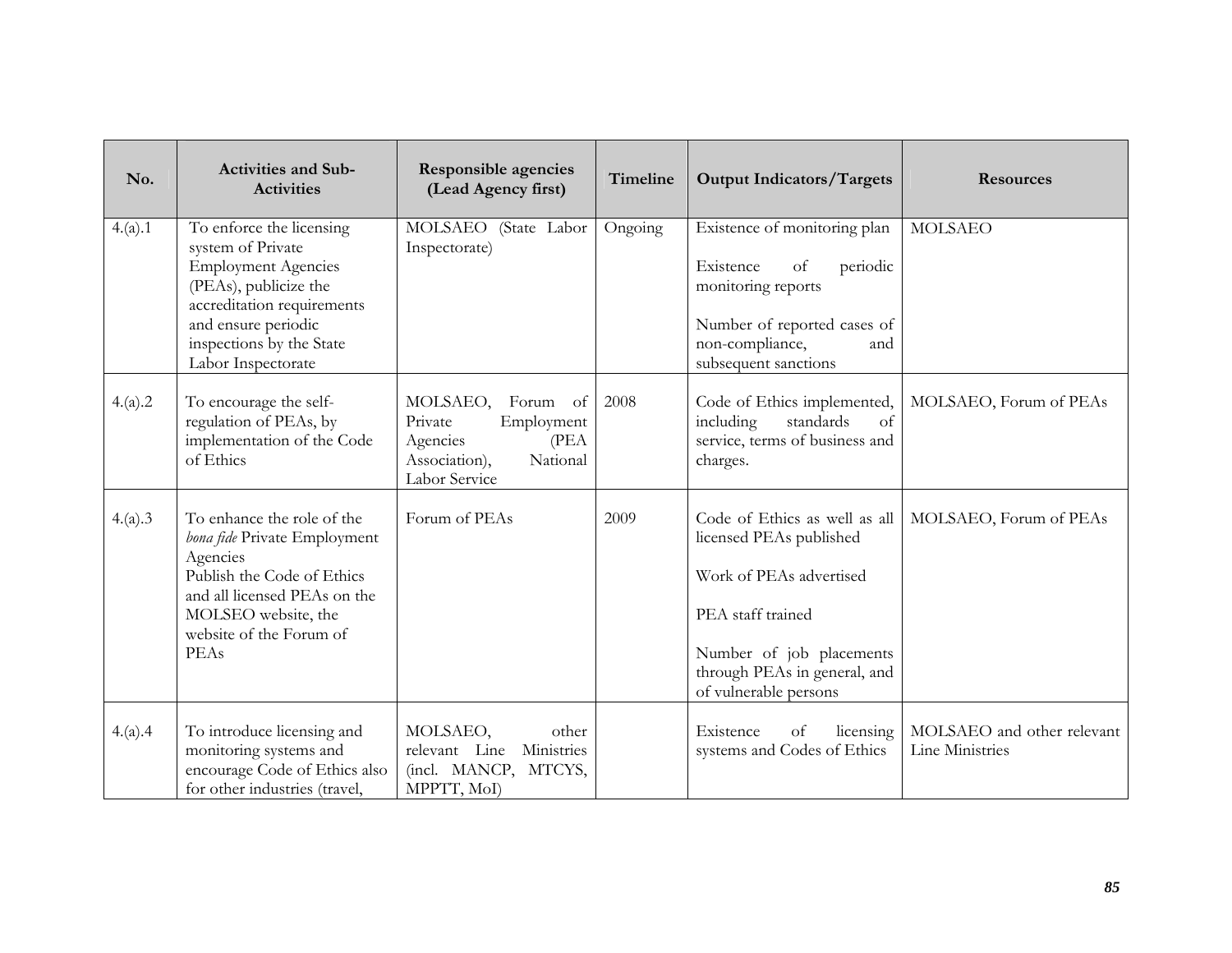| No.     | <b>Activities and Sub-</b><br><b>Activities</b>                                                                                                                                                             | <b>Responsible agencies</b><br>(Lead Agency first)                                                              | Timeline | <b>Output Indicators/Targets</b>                                                                                                                                                              | <b>Resources</b>                              |
|---------|-------------------------------------------------------------------------------------------------------------------------------------------------------------------------------------------------------------|-----------------------------------------------------------------------------------------------------------------|----------|-----------------------------------------------------------------------------------------------------------------------------------------------------------------------------------------------|-----------------------------------------------|
| 4.(a).1 | To enforce the licensing<br>system of Private<br><b>Employment Agencies</b><br>(PEAs), publicize the<br>accreditation requirements<br>and ensure periodic<br>inspections by the State<br>Labor Inspectorate | MOLSAEO (State Labor<br>Inspectorate)                                                                           | Ongoing  | Existence of monitoring plan<br>Existence<br>periodic<br>of<br>monitoring reports<br>Number of reported cases of<br>non-compliance,<br>and<br>subsequent sanctions                            | <b>MOLSAEO</b>                                |
| 4.(a).2 | To encourage the self-<br>regulation of PEAs, by<br>implementation of the Code<br>of Ethics                                                                                                                 | MOLSAEO,<br>Forum of<br>Private<br>Employment<br>Agencies<br>(PEA<br>Association),<br>National<br>Labor Service | 2008     | Code of Ethics implemented,<br>including<br>standards<br>of<br>service, terms of business and<br>charges.                                                                                     | MOLSAEO, Forum of PEAs                        |
| 4.(a).3 | To enhance the role of the<br>bona fide Private Employment<br>Agencies<br>Publish the Code of Ethics<br>and all licensed PEAs on the<br>MOLSEO website, the<br>website of the Forum of<br>PEAs              | Forum of PEAs                                                                                                   | 2009     | Code of Ethics as well as all<br>licensed PEAs published<br>Work of PEAs advertised<br>PEA staff trained<br>Number of job placements<br>through PEAs in general, and<br>of vulnerable persons | MOLSAEO, Forum of PEAs                        |
| 4.(a).4 | To introduce licensing and<br>monitoring systems and<br>encourage Code of Ethics also<br>for other industries (travel,                                                                                      | MOLSAEO,<br>other<br>Ministries<br>relevant Line<br>(incl. MANCP, MTCYS,<br>MPPTT, MoI)                         |          | Existence<br>of<br>licensing<br>systems and Codes of Ethics                                                                                                                                   | MOLSAEO and other relevant<br>Line Ministries |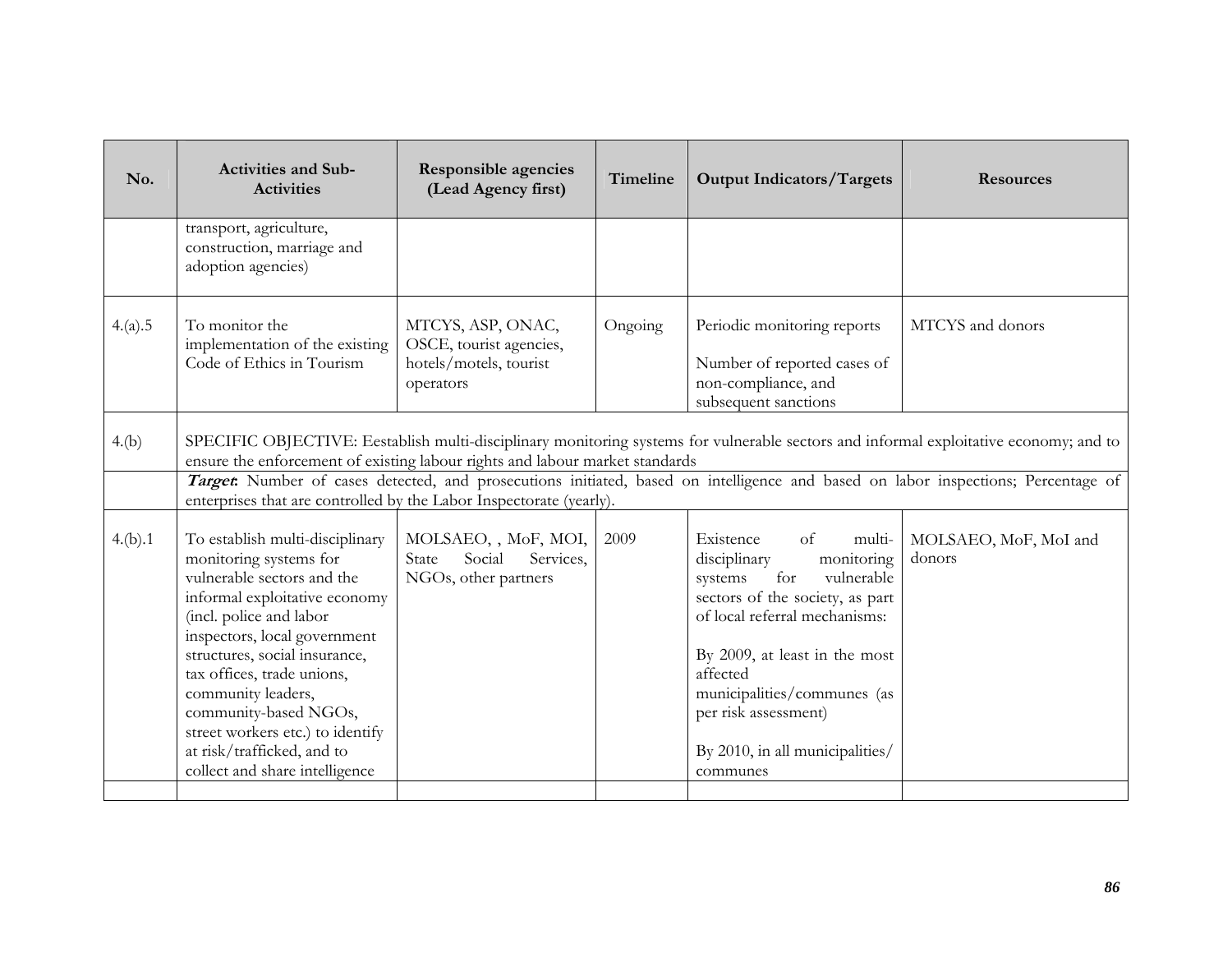| No.     | <b>Activities and Sub-</b><br><b>Activities</b>                                                                                                                                                                                                                                                                                                                                                       | <b>Responsible agencies</b><br>(Lead Agency first)                                  | Timeline | <b>Output Indicators/Targets</b>                                                                                                                                                                                                                                                                                       | <b>Resources</b>                                                                                                                                                                                                                                                           |
|---------|-------------------------------------------------------------------------------------------------------------------------------------------------------------------------------------------------------------------------------------------------------------------------------------------------------------------------------------------------------------------------------------------------------|-------------------------------------------------------------------------------------|----------|------------------------------------------------------------------------------------------------------------------------------------------------------------------------------------------------------------------------------------------------------------------------------------------------------------------------|----------------------------------------------------------------------------------------------------------------------------------------------------------------------------------------------------------------------------------------------------------------------------|
|         | transport, agriculture,<br>construction, marriage and<br>adoption agencies)                                                                                                                                                                                                                                                                                                                           |                                                                                     |          |                                                                                                                                                                                                                                                                                                                        |                                                                                                                                                                                                                                                                            |
| 4.(a).5 | To monitor the<br>implementation of the existing<br>Code of Ethics in Tourism                                                                                                                                                                                                                                                                                                                         | MTCYS, ASP, ONAC,<br>OSCE, tourist agencies,<br>hotels/motels, tourist<br>operators | Ongoing  | Periodic monitoring reports<br>Number of reported cases of<br>non-compliance, and<br>subsequent sanctions                                                                                                                                                                                                              | MTCYS and donors                                                                                                                                                                                                                                                           |
| 4.(b)   | ensure the enforcement of existing labour rights and labour market standards<br>enterprises that are controlled by the Labor Inspectorate (yearly).                                                                                                                                                                                                                                                   |                                                                                     |          |                                                                                                                                                                                                                                                                                                                        | SPECIFIC OBJECTIVE: Eestablish multi-disciplinary monitoring systems for vulnerable sectors and informal exploitative economy; and to<br>Target: Number of cases detected, and prosecutions initiated, based on intelligence and based on labor inspections; Percentage of |
| 4.(b).1 | To establish multi-disciplinary<br>monitoring systems for<br>vulnerable sectors and the<br>informal exploitative economy<br>(incl. police and labor<br>inspectors, local government<br>structures, social insurance,<br>tax offices, trade unions,<br>community leaders,<br>community-based NGOs,<br>street workers etc.) to identify<br>at risk/trafficked, and to<br>collect and share intelligence | MOLSAEO, , MoF, MOI,<br>Social<br>Services,<br>State<br>NGOs, other partners        | 2009     | Existence<br>$\alpha$ f<br>multi-<br>disciplinary<br>monitoring<br>for<br>vulnerable<br>systems<br>sectors of the society, as part<br>of local referral mechanisms:<br>By 2009, at least in the most<br>affected<br>municipalities/communes (as<br>per risk assessment)<br>By 2010, in all municipalities/<br>communes | MOLSAEO, MoF, MoI and<br>donors                                                                                                                                                                                                                                            |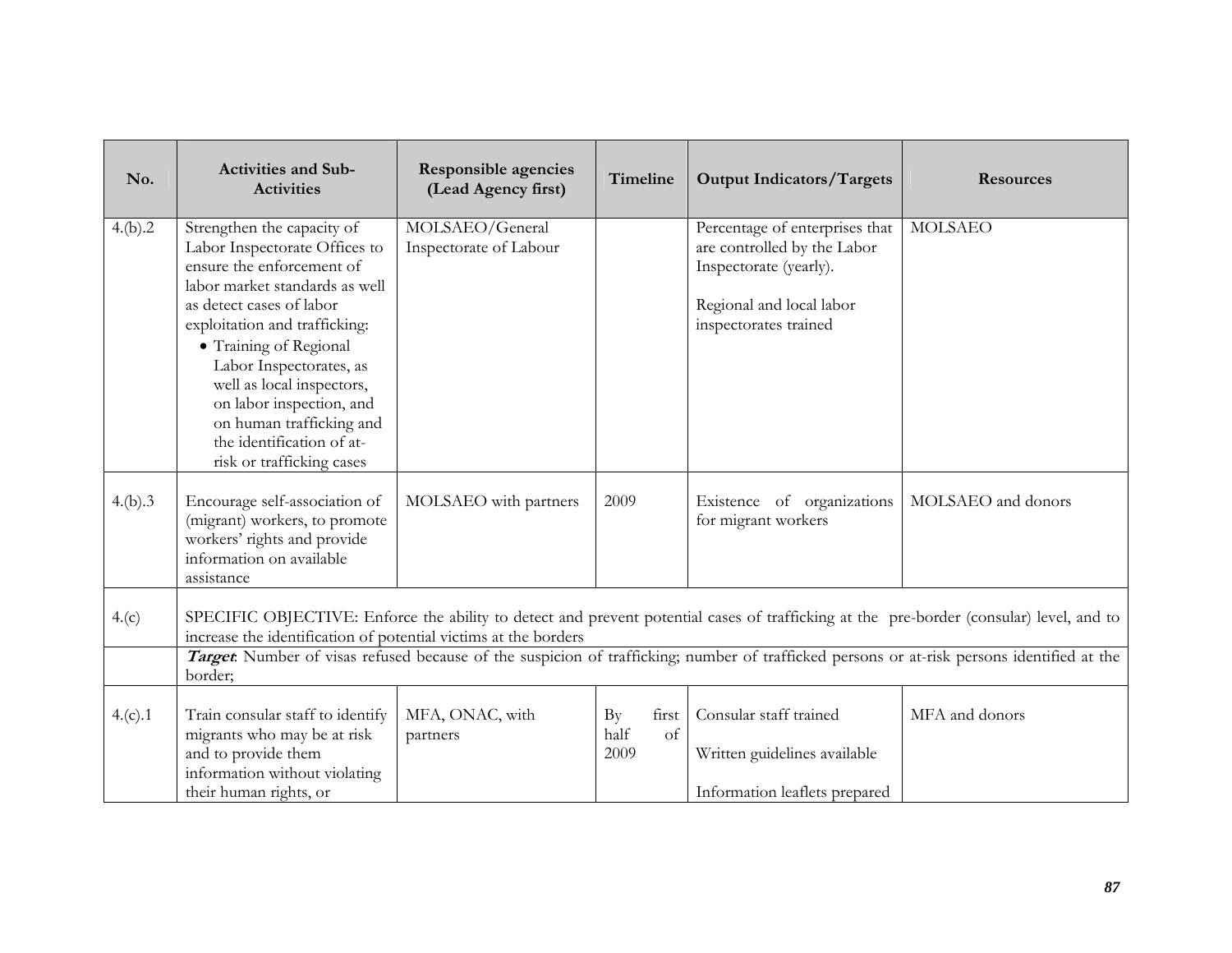| No.     | <b>Activities and Sub-</b><br><b>Activities</b>                                                                                                                                                                                                                                                                                                                                             | <b>Responsible agencies</b><br>(Lead Agency first) | Timeline                          | <b>Output Indicators/Targets</b>                                                                                                             | <b>Resources</b>   |  |  |
|---------|---------------------------------------------------------------------------------------------------------------------------------------------------------------------------------------------------------------------------------------------------------------------------------------------------------------------------------------------------------------------------------------------|----------------------------------------------------|-----------------------------------|----------------------------------------------------------------------------------------------------------------------------------------------|--------------------|--|--|
| 4.(b).2 | Strengthen the capacity of<br>Labor Inspectorate Offices to<br>ensure the enforcement of<br>labor market standards as well<br>as detect cases of labor<br>exploitation and trafficking:<br>· Training of Regional<br>Labor Inspectorates, as<br>well as local inspectors,<br>on labor inspection, and<br>on human trafficking and<br>the identification of at-<br>risk or trafficking cases | MOLSAEO/General<br>Inspectorate of Labour          |                                   | Percentage of enterprises that<br>are controlled by the Labor<br>Inspectorate (yearly).<br>Regional and local labor<br>inspectorates trained | <b>MOLSAEO</b>     |  |  |
| 4.(b).3 | Encourage self-association of<br>(migrant) workers, to promote<br>workers' rights and provide<br>information on available<br>assistance                                                                                                                                                                                                                                                     | MOLSAEO with partners                              | 2009                              | Existence of organizations<br>for migrant workers                                                                                            | MOLSAEO and donors |  |  |
| 4.(c)   | SPECIFIC OBJECTIVE: Enforce the ability to detect and prevent potential cases of trafficking at the pre-border (consular) level, and to<br>increase the identification of potential victims at the borders<br>Target. Number of visas refused because of the suspicion of trafficking; number of trafficked persons or at-risk persons identified at the                                    |                                                    |                                   |                                                                                                                                              |                    |  |  |
| 4.(c).1 | border;<br>Train consular staff to identify<br>migrants who may be at risk<br>and to provide them<br>information without violating<br>their human rights, or                                                                                                                                                                                                                                | MFA, ONAC, with<br>partners                        | By<br>first<br>half<br>of<br>2009 | Consular staff trained<br>Written guidelines available<br>Information leaflets prepared                                                      | MFA and donors     |  |  |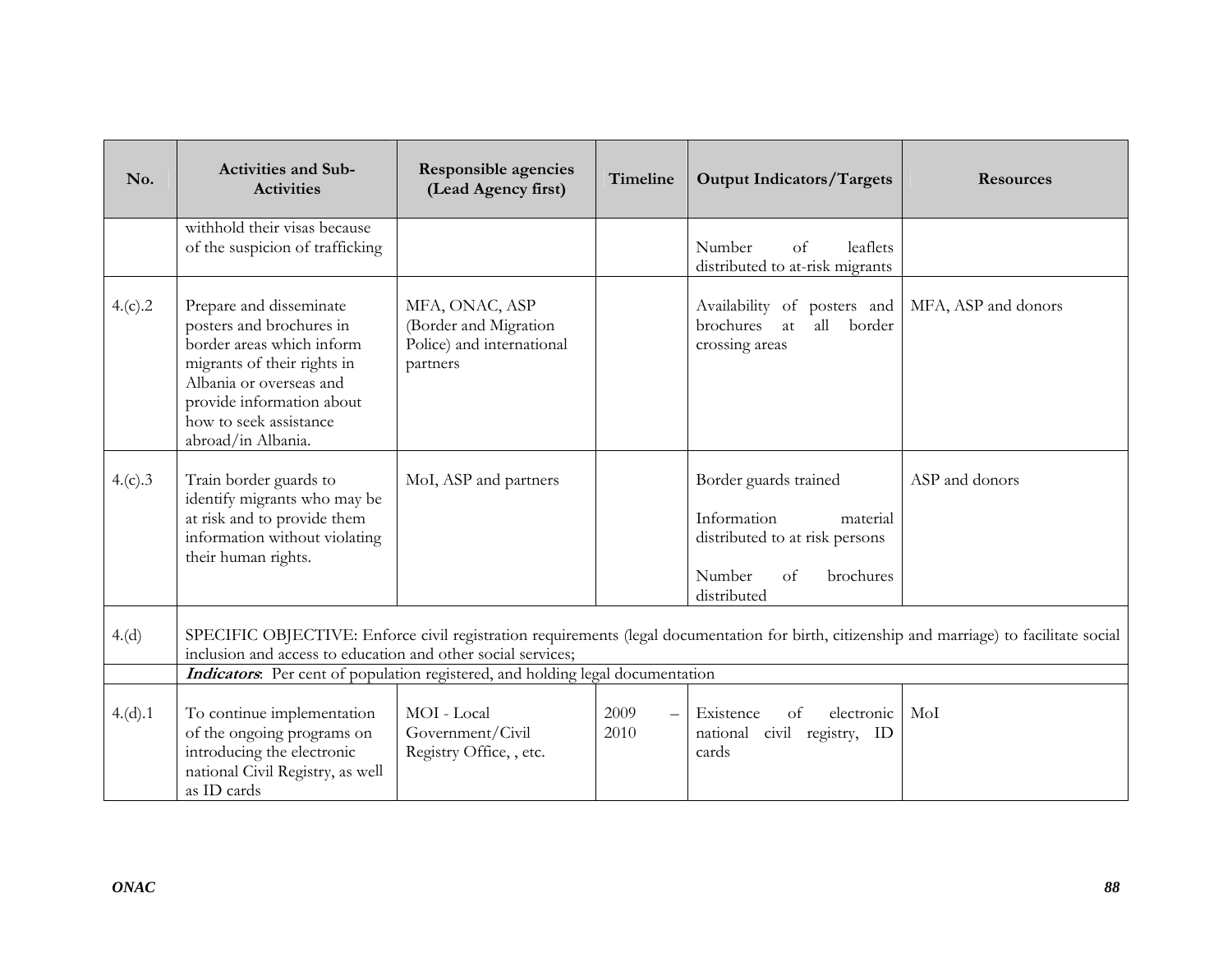| No.     | <b>Activities and Sub-</b><br><b>Activities</b>                                                                                                                                                                         | <b>Responsible agencies</b><br>(Lead Agency first)                               | Timeline     | <b>Output Indicators/Targets</b>                                                                                                       | <b>Resources</b>                                                                                                                           |
|---------|-------------------------------------------------------------------------------------------------------------------------------------------------------------------------------------------------------------------------|----------------------------------------------------------------------------------|--------------|----------------------------------------------------------------------------------------------------------------------------------------|--------------------------------------------------------------------------------------------------------------------------------------------|
|         | withhold their visas because<br>of the suspicion of trafficking                                                                                                                                                         |                                                                                  |              | Number<br>leaflets<br>of<br>distributed to at-risk migrants                                                                            |                                                                                                                                            |
| 4.(c).2 | Prepare and disseminate<br>posters and brochures in<br>border areas which inform<br>migrants of their rights in<br>Albania or overseas and<br>provide information about<br>how to seek assistance<br>abroad/in Albania. | MFA, ONAC, ASP<br>(Border and Migration<br>Police) and international<br>partners |              | Availability of posters and<br>brochures at<br>all<br>border<br>crossing areas                                                         | MFA, ASP and donors                                                                                                                        |
| 4.(c).3 | Train border guards to<br>identify migrants who may be<br>at risk and to provide them<br>information without violating<br>their human rights.                                                                           | MoI, ASP and partners                                                            |              | Border guards trained<br>Information<br>material<br>distributed to at risk persons<br>Number<br>brochures<br>$\alpha$ f<br>distributed | ASP and donors                                                                                                                             |
| 4.(d)   | inclusion and access to education and other social services;                                                                                                                                                            |                                                                                  |              |                                                                                                                                        | SPECIFIC OBJECTIVE: Enforce civil registration requirements (legal documentation for birth, citizenship and marriage) to facilitate social |
|         | Indicators. Per cent of population registered, and holding legal documentation                                                                                                                                          |                                                                                  |              |                                                                                                                                        |                                                                                                                                            |
| 4.(d).1 | To continue implementation<br>of the ongoing programs on<br>introducing the electronic<br>national Civil Registry, as well<br>as ID cards                                                                               | MOI - Local<br>Government/Civil<br>Registry Office, , etc.                       | 2009<br>2010 | electronic<br>Existence<br><sub>of</sub><br>national civil registry, ID<br>cards                                                       | MoI                                                                                                                                        |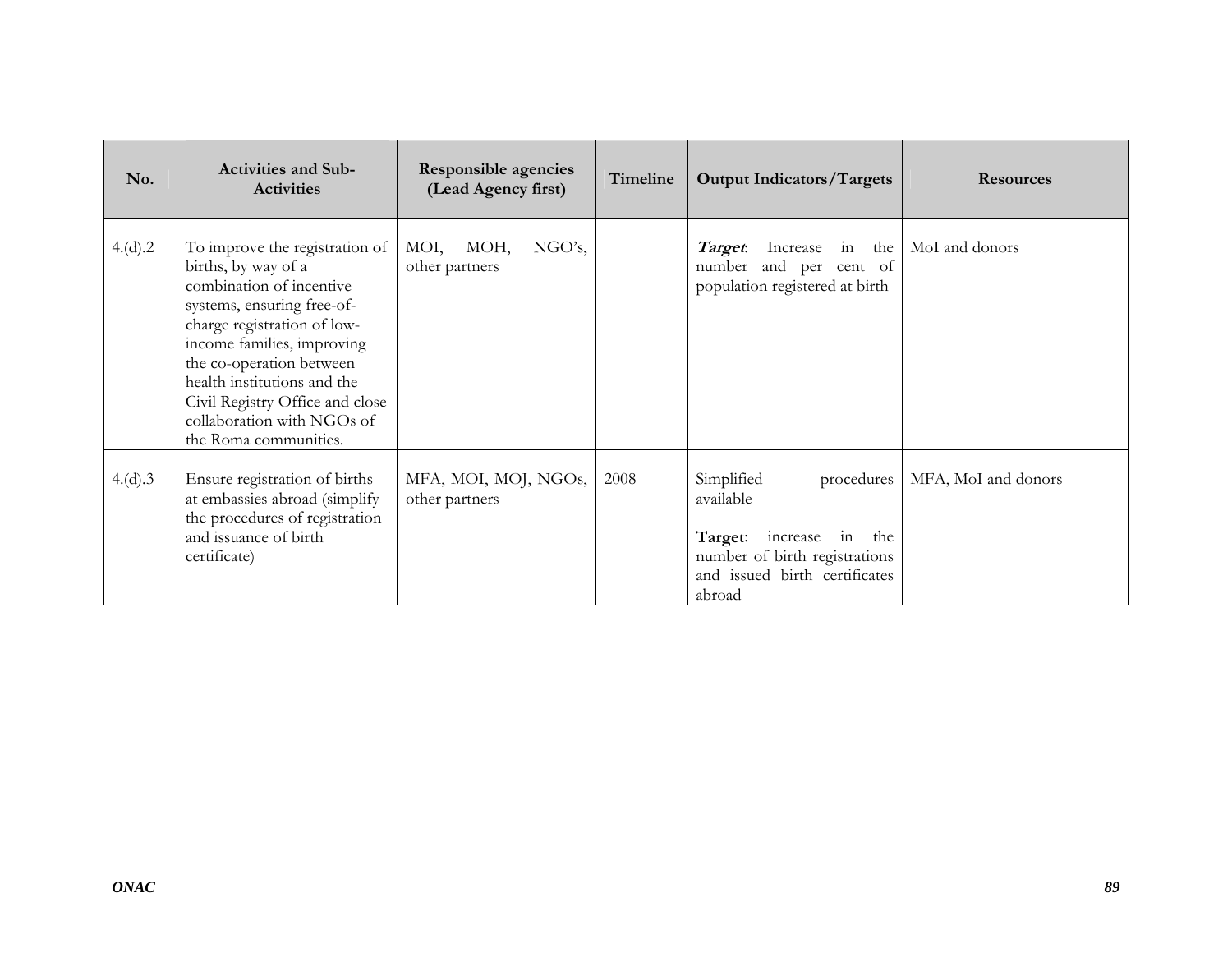| No.     | <b>Activities and Sub-</b><br><b>Activities</b>                                                                                                                                                                                                                                                                                   | <b>Responsible agencies</b><br>(Lead Agency first) | Timeline | <b>Output Indicators/Targets</b>                                                                                                                | <b>Resources</b>    |
|---------|-----------------------------------------------------------------------------------------------------------------------------------------------------------------------------------------------------------------------------------------------------------------------------------------------------------------------------------|----------------------------------------------------|----------|-------------------------------------------------------------------------------------------------------------------------------------------------|---------------------|
| 4.(d).2 | To improve the registration of<br>births, by way of a<br>combination of incentive<br>systems, ensuring free-of-<br>charge registration of low-<br>income families, improving<br>the co-operation between<br>health institutions and the<br>Civil Registry Office and close<br>collaboration with NGOs of<br>the Roma communities. | MOI, MOH,<br>NGO's,<br>other partners              |          | <b>Target</b> : Increase in the MoI and donors<br>number and per cent of<br>population registered at birth                                      |                     |
| 4.(d).3 | Ensure registration of births<br>at embassies abroad (simplify<br>the procedures of registration<br>and issuance of birth<br>certificate)                                                                                                                                                                                         | MFA, MOI, MOJ, NGOs,<br>other partners             | 2008     | Simplified<br>procedures<br>available<br>Target: increase in<br>the<br>number of birth registrations<br>and issued birth certificates<br>abroad | MFA, MoI and donors |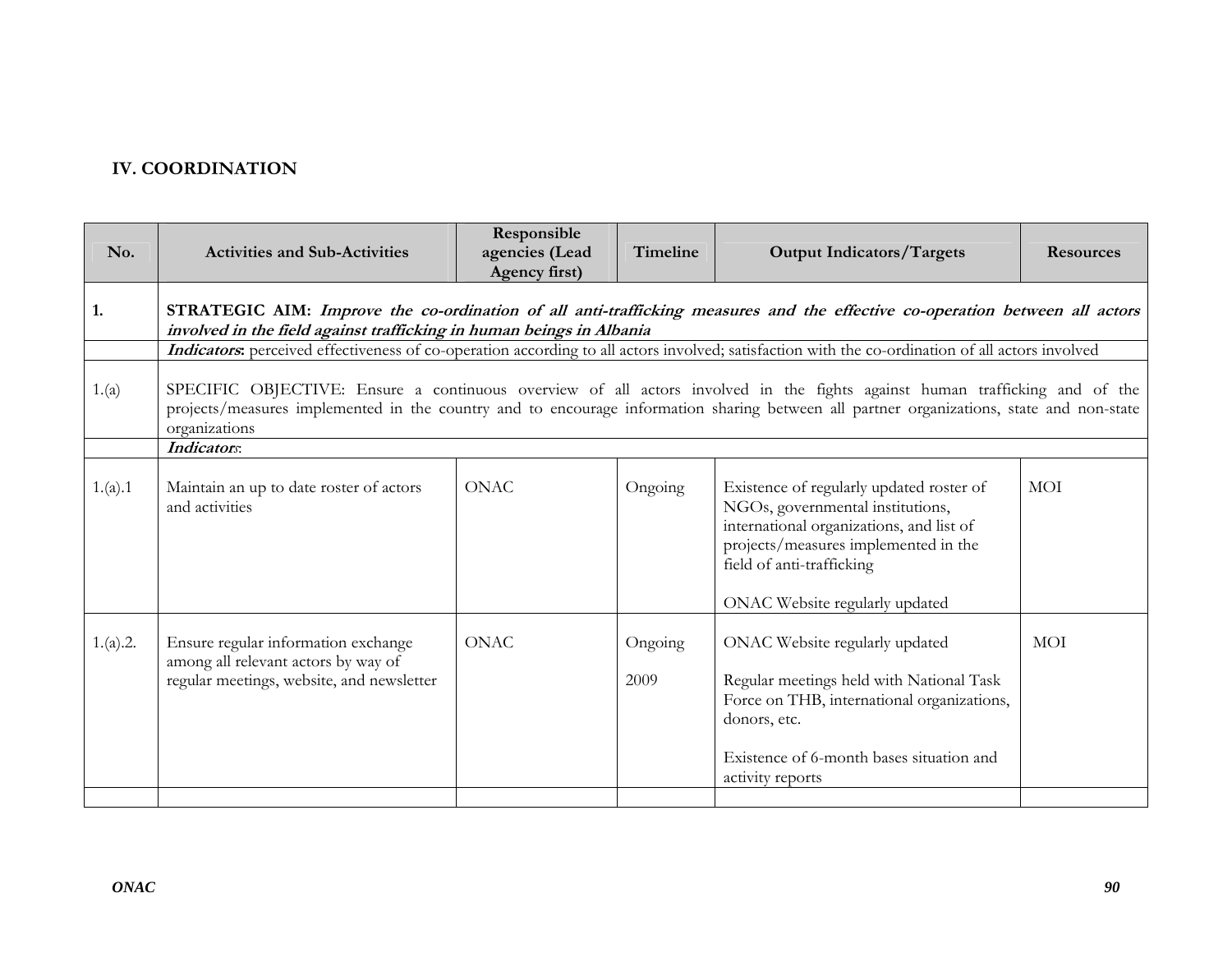## **IV. COORDINATION**

| No.      | <b>Activities and Sub-Activities</b>                                                                                                                                                                | Responsible<br>agencies (Lead<br>Agency first) | <b>Timeline</b> | <b>Output Indicators/Targets</b>                                                                                                                                                                                                                                       | <b>Resources</b> |  |  |  |
|----------|-----------------------------------------------------------------------------------------------------------------------------------------------------------------------------------------------------|------------------------------------------------|-----------------|------------------------------------------------------------------------------------------------------------------------------------------------------------------------------------------------------------------------------------------------------------------------|------------------|--|--|--|
| 1.       | STRATEGIC AIM: Improve the co-ordination of all anti-trafficking measures and the effective co-operation between all actors<br>involved in the field against trafficking in human beings in Albania |                                                |                 |                                                                                                                                                                                                                                                                        |                  |  |  |  |
|          |                                                                                                                                                                                                     |                                                |                 | Indicators: perceived effectiveness of co-operation according to all actors involved; satisfaction with the co-ordination of all actors involved                                                                                                                       |                  |  |  |  |
| 1.(a)    | organizations                                                                                                                                                                                       |                                                |                 | SPECIFIC OBJECTIVE: Ensure a continuous overview of all actors involved in the fights against human trafficking and of the<br>projects/measures implemented in the country and to encourage information sharing between all partner organizations, state and non-state |                  |  |  |  |
|          | Indicators:                                                                                                                                                                                         |                                                |                 |                                                                                                                                                                                                                                                                        |                  |  |  |  |
| 1.(a).1  | Maintain an up to date roster of actors<br>and activities                                                                                                                                           | <b>ONAC</b>                                    | Ongoing         | Existence of regularly updated roster of<br>NGOs, governmental institutions,<br>international organizations, and list of<br>projects/measures implemented in the<br>field of anti-trafficking<br>ONAC Website regularly updated                                        | MOI              |  |  |  |
| 1.(a).2. | Ensure regular information exchange<br>among all relevant actors by way of<br>regular meetings, website, and newsletter                                                                             | <b>ONAC</b>                                    | Ongoing<br>2009 | ONAC Website regularly updated<br>Regular meetings held with National Task<br>Force on THB, international organizations,<br>donors, etc.<br>Existence of 6-month bases situation and<br>activity reports                                                               | MOI              |  |  |  |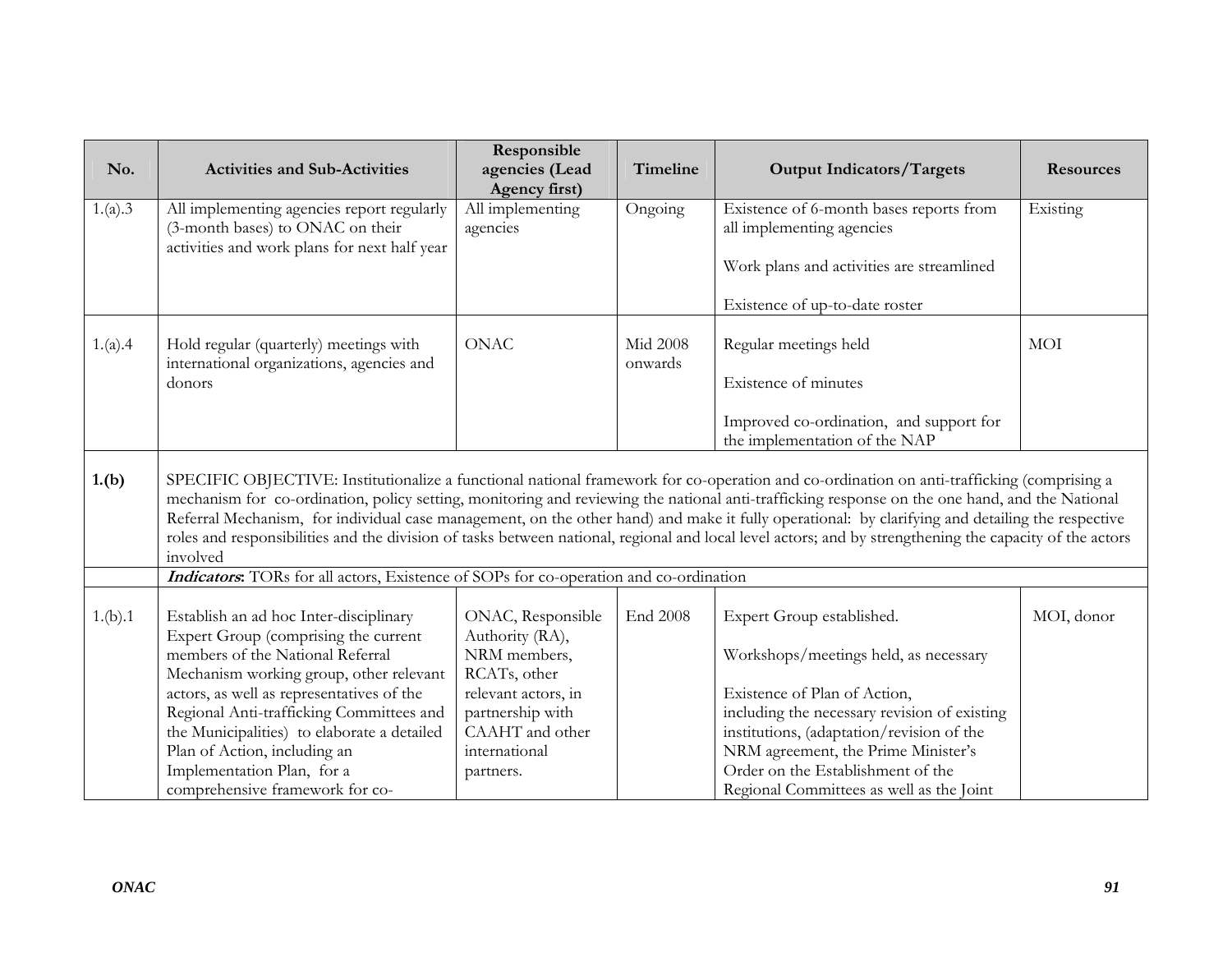| No.     | <b>Activities and Sub-Activities</b>                                                                               | Responsible<br>agencies (Lead                        | Timeline        | <b>Output Indicators/Targets</b>                                                                                                                                                                                                                                                                                                                                                                                                                                                                                                                                                                           | <b>Resources</b> |
|---------|--------------------------------------------------------------------------------------------------------------------|------------------------------------------------------|-----------------|------------------------------------------------------------------------------------------------------------------------------------------------------------------------------------------------------------------------------------------------------------------------------------------------------------------------------------------------------------------------------------------------------------------------------------------------------------------------------------------------------------------------------------------------------------------------------------------------------------|------------------|
| 1.(a).3 | All implementing agencies report regularly                                                                         | Agency first)<br>All implementing                    | Ongoing         | Existence of 6-month bases reports from                                                                                                                                                                                                                                                                                                                                                                                                                                                                                                                                                                    | Existing         |
|         | (3-month bases) to ONAC on their                                                                                   | agencies                                             |                 | all implementing agencies                                                                                                                                                                                                                                                                                                                                                                                                                                                                                                                                                                                  |                  |
|         | activities and work plans for next half year                                                                       |                                                      |                 |                                                                                                                                                                                                                                                                                                                                                                                                                                                                                                                                                                                                            |                  |
|         |                                                                                                                    |                                                      |                 | Work plans and activities are streamlined                                                                                                                                                                                                                                                                                                                                                                                                                                                                                                                                                                  |                  |
|         |                                                                                                                    |                                                      |                 |                                                                                                                                                                                                                                                                                                                                                                                                                                                                                                                                                                                                            |                  |
|         |                                                                                                                    |                                                      |                 | Existence of up-to-date roster                                                                                                                                                                                                                                                                                                                                                                                                                                                                                                                                                                             |                  |
| 1.(a).4 | Hold regular (quarterly) meetings with                                                                             | <b>ONAC</b>                                          | <b>Mid 2008</b> | Regular meetings held                                                                                                                                                                                                                                                                                                                                                                                                                                                                                                                                                                                      | <b>MOI</b>       |
|         | international organizations, agencies and                                                                          |                                                      | onwards         |                                                                                                                                                                                                                                                                                                                                                                                                                                                                                                                                                                                                            |                  |
|         | donors                                                                                                             |                                                      |                 | Existence of minutes                                                                                                                                                                                                                                                                                                                                                                                                                                                                                                                                                                                       |                  |
|         |                                                                                                                    |                                                      |                 |                                                                                                                                                                                                                                                                                                                                                                                                                                                                                                                                                                                                            |                  |
|         |                                                                                                                    |                                                      |                 | Improved co-ordination, and support for<br>the implementation of the NAP                                                                                                                                                                                                                                                                                                                                                                                                                                                                                                                                   |                  |
|         |                                                                                                                    |                                                      |                 |                                                                                                                                                                                                                                                                                                                                                                                                                                                                                                                                                                                                            |                  |
| 1.(b)   | involved                                                                                                           |                                                      |                 | SPECIFIC OBJECTIVE: Institutionalize a functional national framework for co-operation and co-ordination on anti-trafficking (comprising a<br>mechanism for co-ordination, policy setting, monitoring and reviewing the national anti-trafficking response on the one hand, and the National<br>Referral Mechanism, for individual case management, on the other hand) and make it fully operational: by clarifying and detailing the respective<br>roles and responsibilities and the division of tasks between national, regional and local level actors; and by strengthening the capacity of the actors |                  |
|         | Indicators: TORs for all actors, Existence of SOPs for co-operation and co-ordination                              |                                                      |                 |                                                                                                                                                                                                                                                                                                                                                                                                                                                                                                                                                                                                            |                  |
| 1.(b).1 | Establish an ad hoc Inter-disciplinary<br>Expert Group (comprising the current<br>members of the National Referral | ONAC, Responsible<br>Authority (RA),<br>NRM members, | End 2008        | Expert Group established.<br>Workshops/meetings held, as necessary                                                                                                                                                                                                                                                                                                                                                                                                                                                                                                                                         | MOI, donor       |
|         | Mechanism working group, other relevant                                                                            | RCATs, other                                         |                 |                                                                                                                                                                                                                                                                                                                                                                                                                                                                                                                                                                                                            |                  |
|         | actors, as well as representatives of the                                                                          | relevant actors, in                                  |                 | Existence of Plan of Action,                                                                                                                                                                                                                                                                                                                                                                                                                                                                                                                                                                               |                  |
|         | Regional Anti-trafficking Committees and                                                                           | partnership with                                     |                 | including the necessary revision of existing                                                                                                                                                                                                                                                                                                                                                                                                                                                                                                                                                               |                  |
|         | the Municipalities) to elaborate a detailed                                                                        | CAAHT and other                                      |                 | institutions, (adaptation/revision of the                                                                                                                                                                                                                                                                                                                                                                                                                                                                                                                                                                  |                  |
|         | Plan of Action, including an                                                                                       | international                                        |                 | NRM agreement, the Prime Minister's                                                                                                                                                                                                                                                                                                                                                                                                                                                                                                                                                                        |                  |
|         | Implementation Plan, for a                                                                                         | partners.                                            |                 | Order on the Establishment of the                                                                                                                                                                                                                                                                                                                                                                                                                                                                                                                                                                          |                  |
|         | comprehensive framework for co-                                                                                    |                                                      |                 | Regional Committees as well as the Joint                                                                                                                                                                                                                                                                                                                                                                                                                                                                                                                                                                   |                  |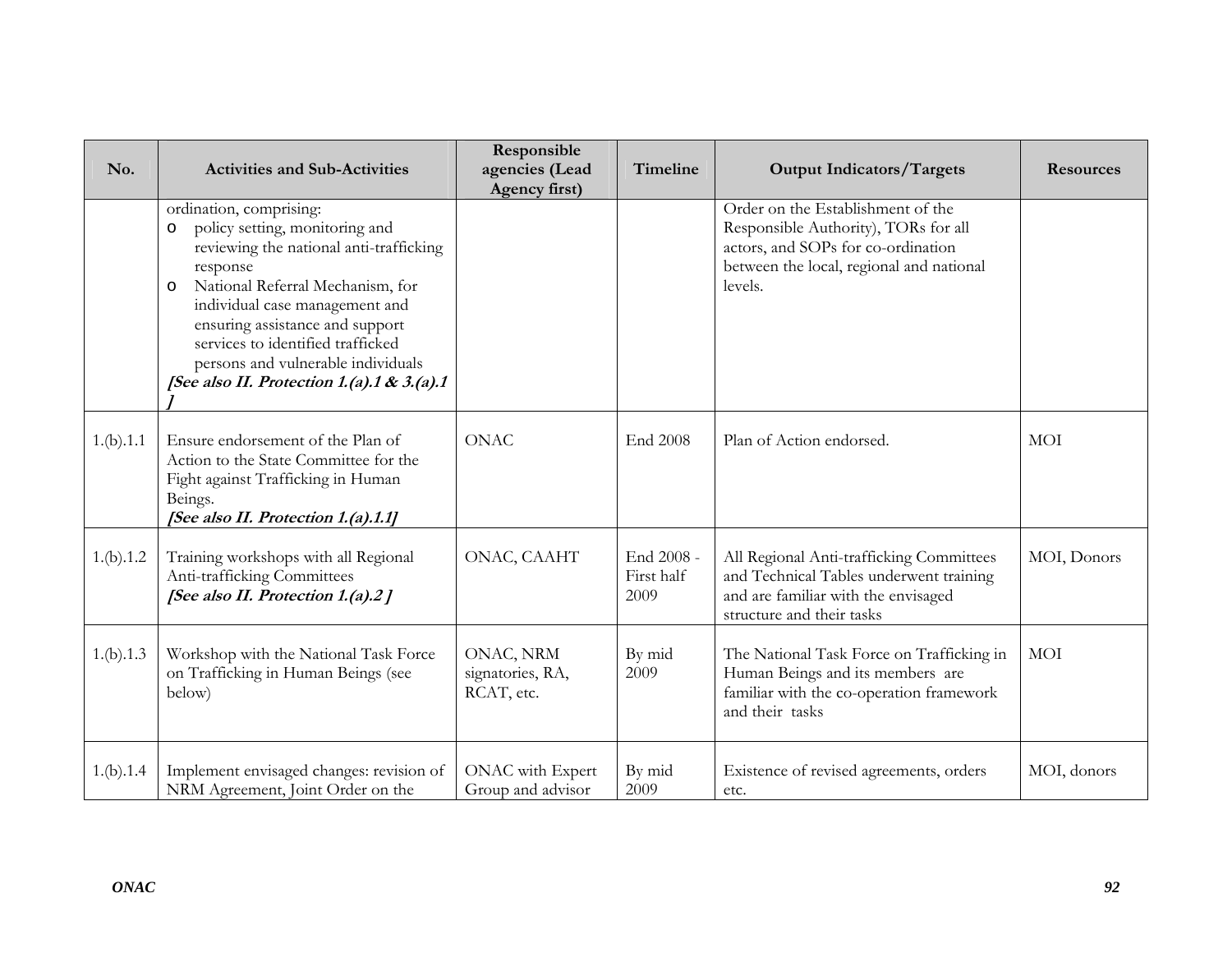| No.       | <b>Activities and Sub-Activities</b>                                                                                                                                                                                                                                                                                                                         | Responsible<br>agencies (Lead<br>Agency first) | Timeline                         | <b>Output Indicators/Targets</b>                                                                                                                                       | <b>Resources</b> |
|-----------|--------------------------------------------------------------------------------------------------------------------------------------------------------------------------------------------------------------------------------------------------------------------------------------------------------------------------------------------------------------|------------------------------------------------|----------------------------------|------------------------------------------------------------------------------------------------------------------------------------------------------------------------|------------------|
|           | ordination, comprising:<br>policy setting, monitoring and<br>O<br>reviewing the national anti-trafficking<br>response<br>National Referral Mechanism, for<br>O<br>individual case management and<br>ensuring assistance and support<br>services to identified trafficked<br>persons and vulnerable individuals<br>[See also II. Protection 1.(a).1 & 3.(a).1 |                                                |                                  | Order on the Establishment of the<br>Responsible Authority), TORs for all<br>actors, and SOPs for co-ordination<br>between the local, regional and national<br>levels. |                  |
| 1.(b).1.1 | Ensure endorsement of the Plan of<br>Action to the State Committee for the<br>Fight against Trafficking in Human<br>Beings.<br>[See also II. Protection 1.(a).1.1]                                                                                                                                                                                           | <b>ONAC</b>                                    | <b>End 2008</b>                  | Plan of Action endorsed.                                                                                                                                               | <b>MOI</b>       |
| 1.(b).1.2 | Training workshops with all Regional<br>Anti-trafficking Committees<br>[See also II. Protection 1.(a).2]                                                                                                                                                                                                                                                     | ONAC, CAAHT                                    | End 2008 -<br>First half<br>2009 | All Regional Anti-trafficking Committees<br>and Technical Tables underwent training<br>and are familiar with the envisaged<br>structure and their tasks                | MOI, Donors      |
| 1.(b).1.3 | Workshop with the National Task Force<br>on Trafficking in Human Beings (see<br>below)                                                                                                                                                                                                                                                                       | ONAC, NRM<br>signatories, RA,<br>RCAT, etc.    | By mid<br>2009                   | The National Task Force on Trafficking in<br>Human Beings and its members are<br>familiar with the co-operation framework<br>and their tasks                           | <b>MOI</b>       |
| 1.(b).1.4 | Implement envisaged changes: revision of<br>NRM Agreement, Joint Order on the                                                                                                                                                                                                                                                                                | ONAC with Expert<br>Group and advisor          | By mid<br>2009                   | Existence of revised agreements, orders<br>etc.                                                                                                                        | MOI, donors      |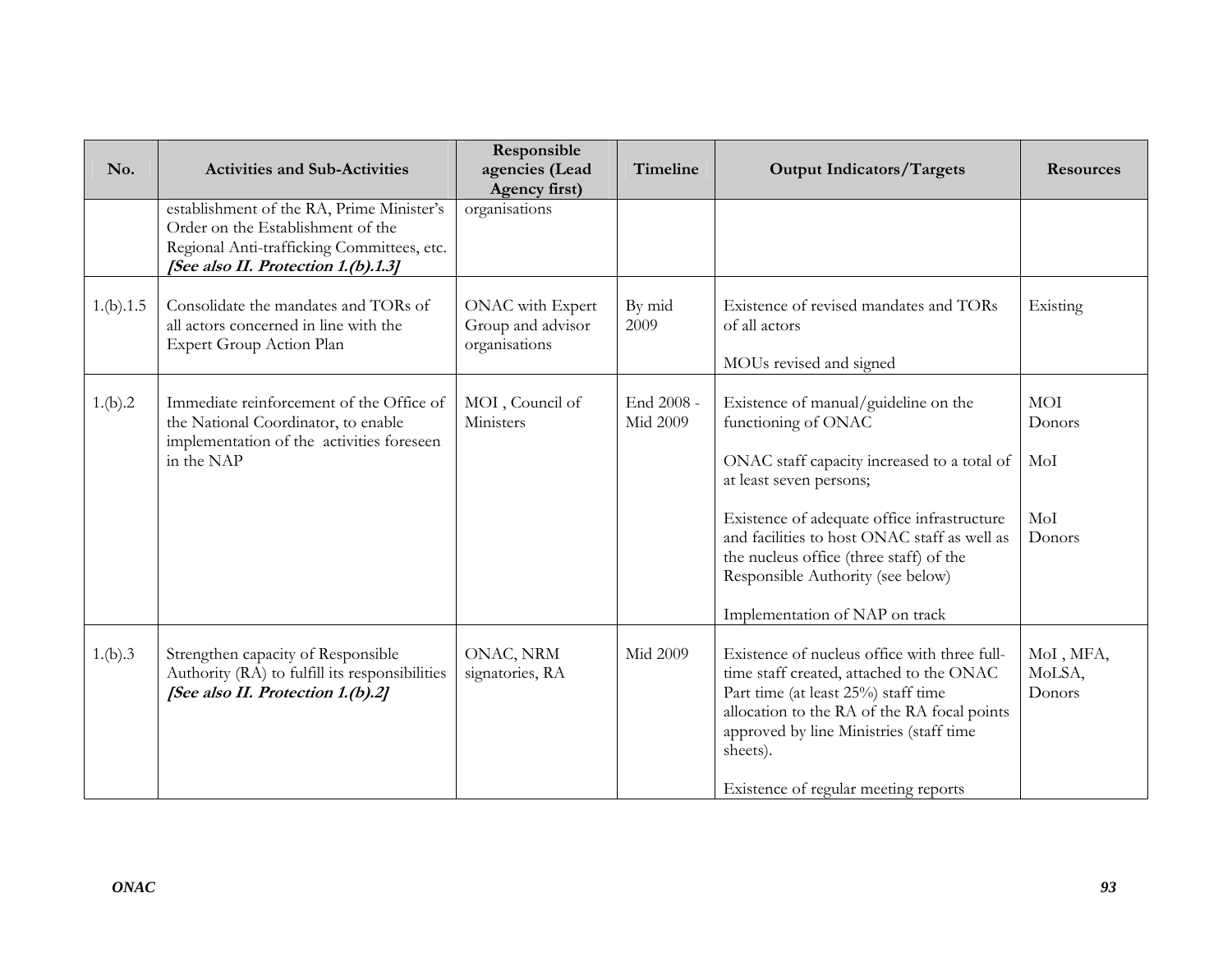| No.       | <b>Activities and Sub-Activities</b>                                                                                                                                | Responsible<br>agencies (Lead<br>Agency first)         | Timeline               | <b>Output Indicators/Targets</b>                                                                                                                                                                                                                                                                                                                       | <b>Resources</b>                      |
|-----------|---------------------------------------------------------------------------------------------------------------------------------------------------------------------|--------------------------------------------------------|------------------------|--------------------------------------------------------------------------------------------------------------------------------------------------------------------------------------------------------------------------------------------------------------------------------------------------------------------------------------------------------|---------------------------------------|
|           | establishment of the RA, Prime Minister's<br>Order on the Establishment of the<br>Regional Anti-trafficking Committees, etc.<br>[See also II. Protection 1.(b).1.3] | organisations                                          |                        |                                                                                                                                                                                                                                                                                                                                                        |                                       |
| 1.(b).1.5 | Consolidate the mandates and TORs of<br>all actors concerned in line with the<br>Expert Group Action Plan                                                           | ONAC with Expert<br>Group and advisor<br>organisations | By mid<br>2009         | Existence of revised mandates and TORs<br>of all actors<br>MOUs revised and signed                                                                                                                                                                                                                                                                     | Existing                              |
| 1.(b).2   | Immediate reinforcement of the Office of<br>the National Coordinator, to enable<br>implementation of the activities foreseen<br>in the NAP                          | MOI, Council of<br>Ministers                           | End 2008 -<br>Mid 2009 | Existence of manual/guideline on the<br>functioning of ONAC<br>ONAC staff capacity increased to a total of<br>at least seven persons;<br>Existence of adequate office infrastructure<br>and facilities to host ONAC staff as well as<br>the nucleus office (three staff) of the<br>Responsible Authority (see below)<br>Implementation of NAP on track | MOI<br>Donors<br>MoI<br>Mol<br>Donors |
| 1.(b).3   | Strengthen capacity of Responsible<br>Authority (RA) to fulfill its responsibilities<br>[See also II. Protection 1.(b).2]                                           | ONAC, NRM<br>signatories, RA                           | Mid 2009               | Existence of nucleus office with three full-<br>time staff created, attached to the ONAC<br>Part time (at least 25%) staff time<br>allocation to the RA of the RA focal points<br>approved by line Ministries (staff time<br>sheets).<br>Existence of regular meeting reports                                                                          | MoI, MFA,<br>MoLSA,<br>Donors         |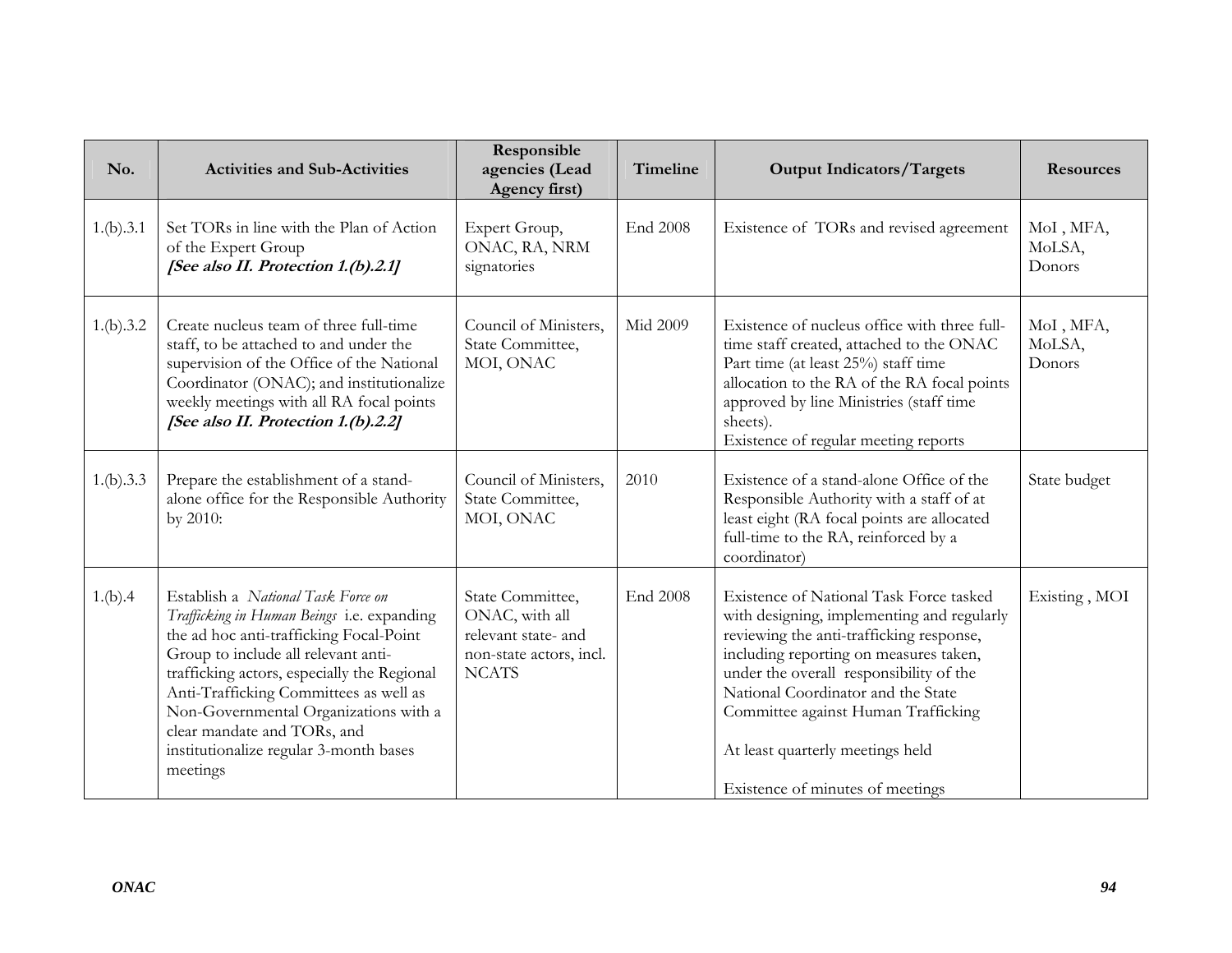| No.       | <b>Activities and Sub-Activities</b>                                                                                                                                                                                                                                                                                                                                                      | Responsible<br>agencies (Lead<br>Agency first)                                                       | Timeline        | <b>Output Indicators/Targets</b>                                                                                                                                                                                                                                                                                                                                            | <b>Resources</b>              |
|-----------|-------------------------------------------------------------------------------------------------------------------------------------------------------------------------------------------------------------------------------------------------------------------------------------------------------------------------------------------------------------------------------------------|------------------------------------------------------------------------------------------------------|-----------------|-----------------------------------------------------------------------------------------------------------------------------------------------------------------------------------------------------------------------------------------------------------------------------------------------------------------------------------------------------------------------------|-------------------------------|
| 1.(b).3.1 | Set TORs in line with the Plan of Action<br>of the Expert Group<br>[See also II. Protection 1.(b).2.1]                                                                                                                                                                                                                                                                                    | Expert Group,<br>ONAC, RA, NRM<br>signatories                                                        | <b>End 2008</b> | Existence of TORs and revised agreement                                                                                                                                                                                                                                                                                                                                     | MoI, MFA,<br>MoLSA,<br>Donors |
| 1.(b).3.2 | Create nucleus team of three full-time<br>staff, to be attached to and under the<br>supervision of the Office of the National<br>Coordinator (ONAC); and institutionalize<br>weekly meetings with all RA focal points<br>[See also II. Protection 1.(b).2.2]                                                                                                                              | Council of Ministers,<br>State Committee,<br>MOI, ONAC                                               | Mid 2009        | Existence of nucleus office with three full-<br>time staff created, attached to the ONAC<br>Part time (at least 25%) staff time<br>allocation to the RA of the RA focal points<br>approved by line Ministries (staff time<br>sheets).<br>Existence of regular meeting reports                                                                                               | MoI, MFA,<br>MoLSA,<br>Donors |
| 1.(b).3.3 | Prepare the establishment of a stand-<br>alone office for the Responsible Authority<br>by 2010:                                                                                                                                                                                                                                                                                           | Council of Ministers,<br>State Committee,<br>MOI, ONAC                                               | 2010            | Existence of a stand-alone Office of the<br>Responsible Authority with a staff of at<br>least eight (RA focal points are allocated<br>full-time to the RA, reinforced by a<br>coordinator)                                                                                                                                                                                  | State budget                  |
| 1.(b).4   | Establish a National Task Force on<br>Trafficking in Human Beings i.e. expanding<br>the ad hoc anti-trafficking Focal-Point<br>Group to include all relevant anti-<br>trafficking actors, especially the Regional<br>Anti-Trafficking Committees as well as<br>Non-Governmental Organizations with a<br>clear mandate and TORs, and<br>institutionalize regular 3-month bases<br>meetings | State Committee,<br>ONAC, with all<br>relevant state- and<br>non-state actors, incl.<br><b>NCATS</b> | <b>End 2008</b> | Existence of National Task Force tasked<br>with designing, implementing and regularly<br>reviewing the anti-trafficking response,<br>including reporting on measures taken,<br>under the overall responsibility of the<br>National Coordinator and the State<br>Committee against Human Trafficking<br>At least quarterly meetings held<br>Existence of minutes of meetings | Existing, MOI                 |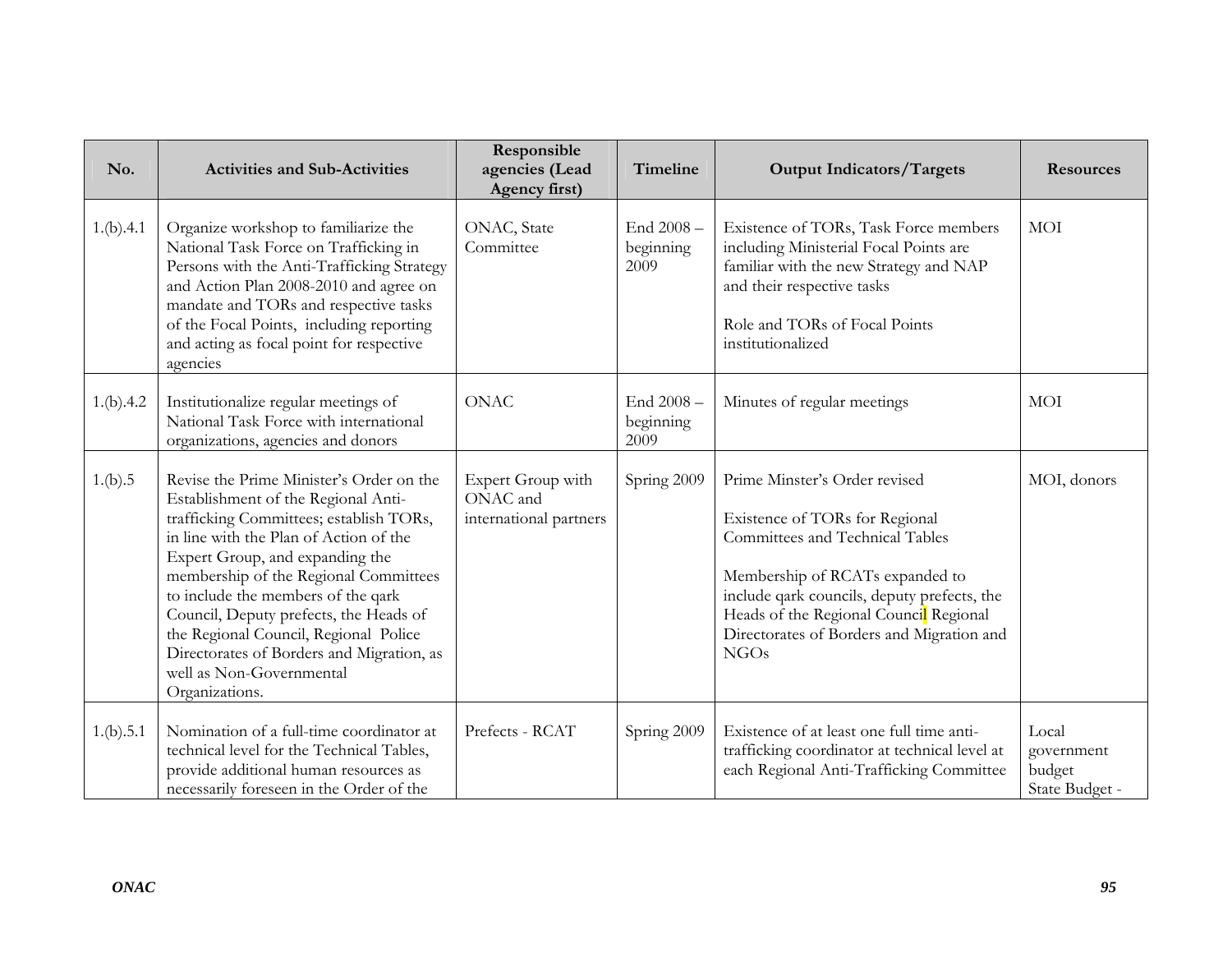| No.       | <b>Activities and Sub-Activities</b>                                                                                                                                                                                                                                                                                                                                                                                                                                 | Responsible<br>agencies (Lead<br>Agency first)          | Timeline                       | <b>Output Indicators/Targets</b>                                                                                                                                                                                                                                                    | <b>Resources</b>                                |
|-----------|----------------------------------------------------------------------------------------------------------------------------------------------------------------------------------------------------------------------------------------------------------------------------------------------------------------------------------------------------------------------------------------------------------------------------------------------------------------------|---------------------------------------------------------|--------------------------------|-------------------------------------------------------------------------------------------------------------------------------------------------------------------------------------------------------------------------------------------------------------------------------------|-------------------------------------------------|
| 1.(b).4.1 | Organize workshop to familiarize the<br>National Task Force on Trafficking in<br>Persons with the Anti-Trafficking Strategy<br>and Action Plan 2008-2010 and agree on<br>mandate and TORs and respective tasks<br>of the Focal Points, including reporting<br>and acting as focal point for respective<br>agencies                                                                                                                                                   | ONAC, State<br>Committee                                | End 2008-<br>beginning<br>2009 | Existence of TORs, Task Force members<br>including Ministerial Focal Points are<br>familiar with the new Strategy and NAP<br>and their respective tasks<br>Role and TORs of Focal Points<br>institutionalized                                                                       | <b>MOI</b>                                      |
| 1.(b).4.2 | Institutionalize regular meetings of<br>National Task Force with international<br>organizations, agencies and donors                                                                                                                                                                                                                                                                                                                                                 | <b>ONAC</b>                                             | End 2008-<br>beginning<br>2009 | Minutes of regular meetings                                                                                                                                                                                                                                                         | MOI                                             |
| 1.(b).5   | Revise the Prime Minister's Order on the<br>Establishment of the Regional Anti-<br>trafficking Committees; establish TORs,<br>in line with the Plan of Action of the<br>Expert Group, and expanding the<br>membership of the Regional Committees<br>to include the members of the qark<br>Council, Deputy prefects, the Heads of<br>the Regional Council, Regional Police<br>Directorates of Borders and Migration, as<br>well as Non-Governmental<br>Organizations. | Expert Group with<br>ONAC and<br>international partners | Spring 2009                    | Prime Minster's Order revised<br>Existence of TORs for Regional<br>Committees and Technical Tables<br>Membership of RCATs expanded to<br>include qark councils, deputy prefects, the<br>Heads of the Regional Council Regional<br>Directorates of Borders and Migration and<br>NGOs | MOI, donors                                     |
| 1.(b).5.1 | Nomination of a full-time coordinator at<br>technical level for the Technical Tables,<br>provide additional human resources as<br>necessarily foreseen in the Order of the                                                                                                                                                                                                                                                                                           | Prefects - RCAT                                         | Spring 2009                    | Existence of at least one full time anti-<br>trafficking coordinator at technical level at<br>each Regional Anti-Trafficking Committee                                                                                                                                              | Local<br>government<br>budget<br>State Budget - |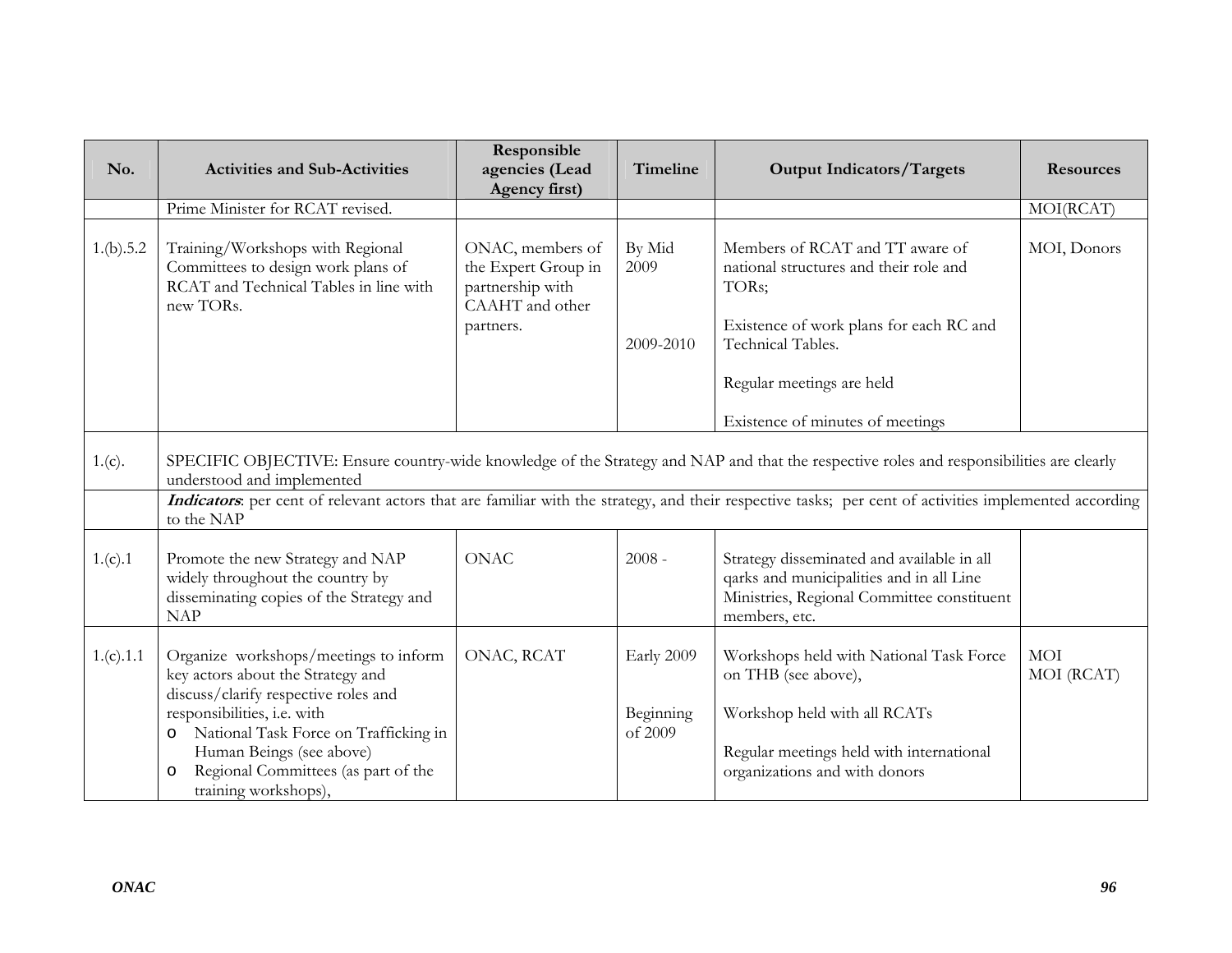| No.       | <b>Activities and Sub-Activities</b>                                                                                                                                                                                                                                                                                                          | Responsible<br>agencies (Lead<br>Agency first)                                 | Timeline             | <b>Output Indicators/Targets</b>                                                                                                                      | <b>Resources</b>         |  |  |  |
|-----------|-----------------------------------------------------------------------------------------------------------------------------------------------------------------------------------------------------------------------------------------------------------------------------------------------------------------------------------------------|--------------------------------------------------------------------------------|----------------------|-------------------------------------------------------------------------------------------------------------------------------------------------------|--------------------------|--|--|--|
|           | Prime Minister for RCAT revised.                                                                                                                                                                                                                                                                                                              |                                                                                |                      |                                                                                                                                                       | MOI(RCAT)                |  |  |  |
| 1.(b).5.2 | Training/Workshops with Regional<br>Committees to design work plans of<br>RCAT and Technical Tables in line with<br>new TORs.                                                                                                                                                                                                                 | ONAC, members of<br>the Expert Group in<br>partnership with<br>CAAHT and other | By Mid<br>2009       | Members of RCAT and TT aware of<br>national structures and their role and<br>TORs;                                                                    | MOI, Donors              |  |  |  |
|           |                                                                                                                                                                                                                                                                                                                                               | partners.                                                                      | 2009-2010            | Existence of work plans for each RC and<br>Technical Tables.                                                                                          |                          |  |  |  |
|           |                                                                                                                                                                                                                                                                                                                                               |                                                                                |                      | Regular meetings are held                                                                                                                             |                          |  |  |  |
|           |                                                                                                                                                                                                                                                                                                                                               |                                                                                |                      | Existence of minutes of meetings                                                                                                                      |                          |  |  |  |
| 1.(c).    | SPECIFIC OBJECTIVE: Ensure country-wide knowledge of the Strategy and NAP and that the respective roles and responsibilities are clearly<br>understood and implemented<br>Indicators: per cent of relevant actors that are familiar with the strategy, and their respective tasks; per cent of activities implemented according<br>to the NAP |                                                                                |                      |                                                                                                                                                       |                          |  |  |  |
| 1.(c).1   | Promote the new Strategy and NAP<br>widely throughout the country by<br>disseminating copies of the Strategy and<br><b>NAP</b>                                                                                                                                                                                                                | <b>ONAC</b>                                                                    | $2008 -$             | Strategy disseminated and available in all<br>qarks and municipalities and in all Line<br>Ministries, Regional Committee constituent<br>members, etc. |                          |  |  |  |
| 1.(c).1.1 | Organize workshops/meetings to inform<br>key actors about the Strategy and<br>discuss/clarify respective roles and                                                                                                                                                                                                                            | ONAC, RCAT                                                                     | Early 2009           | Workshops held with National Task Force<br>on THB (see above),                                                                                        | <b>MOI</b><br>MOI (RCAT) |  |  |  |
|           | responsibilities, i.e. with<br>National Task Force on Trafficking in<br>$\circ$<br>Human Beings (see above)<br>Regional Committees (as part of the<br>$\circ$<br>training workshops),                                                                                                                                                         |                                                                                | Beginning<br>of 2009 | Workshop held with all RCATs<br>Regular meetings held with international<br>organizations and with donors                                             |                          |  |  |  |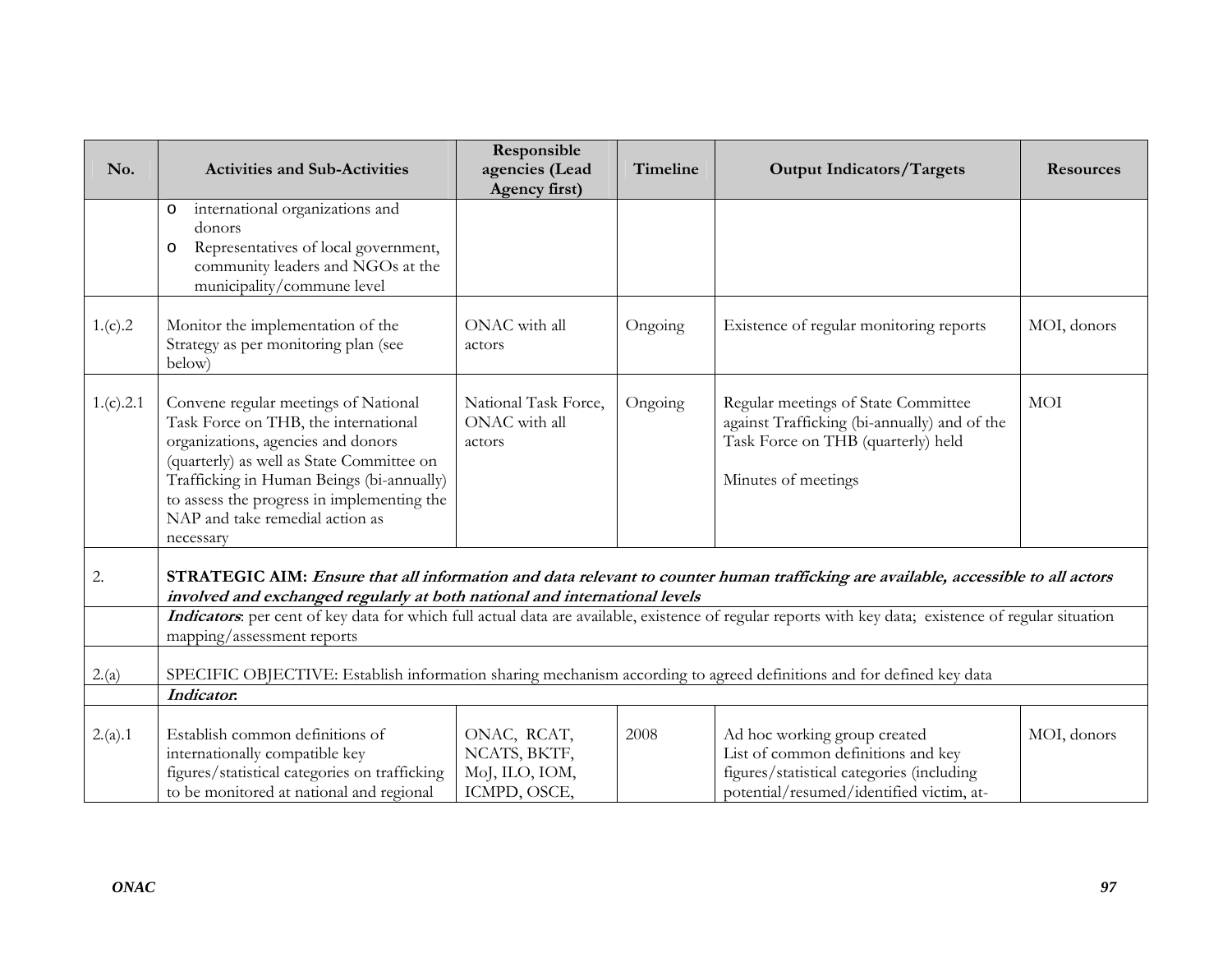| No.       | <b>Activities and Sub-Activities</b>                                                                                                                                                                                                                                                                       | Responsible<br>agencies (Lead                                 | Timeline | <b>Output Indicators/Targets</b>                                                                                                                            | <b>Resources</b> |  |
|-----------|------------------------------------------------------------------------------------------------------------------------------------------------------------------------------------------------------------------------------------------------------------------------------------------------------------|---------------------------------------------------------------|----------|-------------------------------------------------------------------------------------------------------------------------------------------------------------|------------------|--|
|           |                                                                                                                                                                                                                                                                                                            | Agency first)                                                 |          |                                                                                                                                                             |                  |  |
|           | international organizations and<br>$\circ$<br>donors<br>Representatives of local government,<br>$\circ$<br>community leaders and NGOs at the<br>municipality/commune level                                                                                                                                 |                                                               |          |                                                                                                                                                             |                  |  |
| 1.(c).2   | Monitor the implementation of the<br>Strategy as per monitoring plan (see<br>below)                                                                                                                                                                                                                        | ONAC with all<br>actors                                       | Ongoing  | Existence of regular monitoring reports                                                                                                                     | MOI, donors      |  |
| 1.(c).2.1 | Convene regular meetings of National<br>Task Force on THB, the international<br>organizations, agencies and donors<br>(quarterly) as well as State Committee on<br>Trafficking in Human Beings (bi-annually)<br>to assess the progress in implementing the<br>NAP and take remedial action as<br>necessary | National Task Force,<br>ONAC with all<br>actors               | Ongoing  | Regular meetings of State Committee<br>against Trafficking (bi-annually) and of the<br>Task Force on THB (quarterly) held<br>Minutes of meetings            | <b>MOI</b>       |  |
| 2.        | STRATEGIC AIM: Ensure that all information and data relevant to counter human trafficking are available, accessible to all actors                                                                                                                                                                          |                                                               |          |                                                                                                                                                             |                  |  |
|           | involved and exchanged regularly at both national and international levels<br>Indicators per cent of key data for which full actual data are available, existence of regular reports with key data; existence of regular situation<br>mapping/assessment reports                                           |                                                               |          |                                                                                                                                                             |                  |  |
| 2.(a)     | SPECIFIC OBJECTIVE: Establish information sharing mechanism according to agreed definitions and for defined key data                                                                                                                                                                                       |                                                               |          |                                                                                                                                                             |                  |  |
|           | Indicator.                                                                                                                                                                                                                                                                                                 |                                                               |          |                                                                                                                                                             |                  |  |
| 2.(a).1   | Establish common definitions of<br>internationally compatible key<br>figures/statistical categories on trafficking<br>to be monitored at national and regional                                                                                                                                             | ONAC, RCAT,<br>NCATS, BKTF,<br>MoJ, ILO, IOM,<br>ICMPD, OSCE, | 2008     | Ad hoc working group created<br>List of common definitions and key<br>figures/statistical categories (including<br>potential/resumed/identified victim, at- | MOI, donors      |  |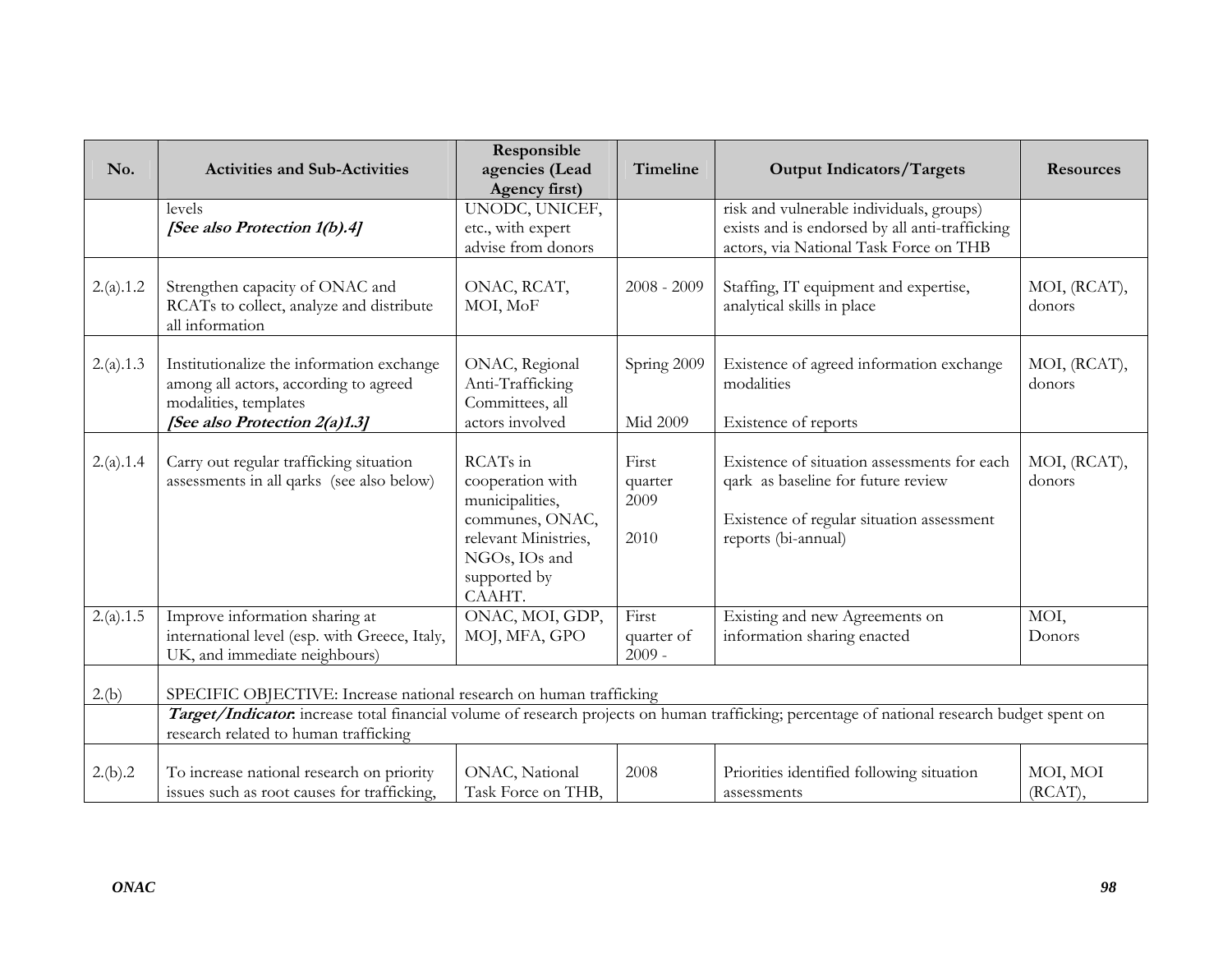| No.       | <b>Activities and Sub-Activities</b>                                                                                                                                                  | Responsible<br>agencies (Lead<br>Agency first)                                                                                        | Timeline                         | <b>Output Indicators/Targets</b>                                                                                                                      | <b>Resources</b>       |  |
|-----------|---------------------------------------------------------------------------------------------------------------------------------------------------------------------------------------|---------------------------------------------------------------------------------------------------------------------------------------|----------------------------------|-------------------------------------------------------------------------------------------------------------------------------------------------------|------------------------|--|
|           | levels<br>[See also Protection 1(b).4]                                                                                                                                                | UNODC, UNICEF,<br>etc., with expert<br>advise from donors                                                                             |                                  | risk and vulnerable individuals, groups)<br>exists and is endorsed by all anti-trafficking<br>actors, via National Task Force on THB                  |                        |  |
| 2.(a).1.2 | Strengthen capacity of ONAC and<br>RCATs to collect, analyze and distribute<br>all information                                                                                        | ONAC, RCAT,<br>MOI, MoF                                                                                                               | $2008 - 2009$                    | Staffing, IT equipment and expertise,<br>analytical skills in place                                                                                   | MOI, (RCAT),<br>donors |  |
| 2.(a).1.3 | Institutionalize the information exchange<br>among all actors, according to agreed<br>modalities, templates<br>[See also Protection 2(a)1.3]                                          | ONAC, Regional<br>Anti-Trafficking<br>Committees, all<br>actors involved                                                              | Spring 2009<br>Mid 2009          | Existence of agreed information exchange<br>modalities<br>Existence of reports                                                                        | MOI, (RCAT),<br>donors |  |
| 2.(a).1.4 | Carry out regular trafficking situation<br>assessments in all qarks (see also below)                                                                                                  | RCATs in<br>cooperation with<br>municipalities,<br>communes, ONAC,<br>relevant Ministries,<br>NGOs, IOs and<br>supported by<br>CAAHT. | First<br>quarter<br>2009<br>2010 | Existence of situation assessments for each<br>qark as baseline for future review<br>Existence of regular situation assessment<br>reports (bi-annual) | MOI, (RCAT),<br>donors |  |
| 2.(a).1.5 | Improve information sharing at<br>international level (esp. with Greece, Italy,<br>UK, and immediate neighbours)                                                                      | ONAC, MOI, GDP,<br>MOJ, MFA, GPO                                                                                                      | First<br>quarter of<br>$2009 -$  | Existing and new Agreements on<br>information sharing enacted                                                                                         | MOI,<br>Donors         |  |
| 2.(b)     | SPECIFIC OBJECTIVE: Increase national research on human trafficking                                                                                                                   |                                                                                                                                       |                                  |                                                                                                                                                       |                        |  |
|           | Target/Indicator: increase total financial volume of research projects on human trafficking; percentage of national research budget spent on<br>research related to human trafficking |                                                                                                                                       |                                  |                                                                                                                                                       |                        |  |
| 2.(b).2   | To increase national research on priority<br>issues such as root causes for trafficking,                                                                                              | ONAC, National<br>Task Force on THB,                                                                                                  | 2008                             | Priorities identified following situation<br>assessments                                                                                              | MOI, MOI<br>(RCAT),    |  |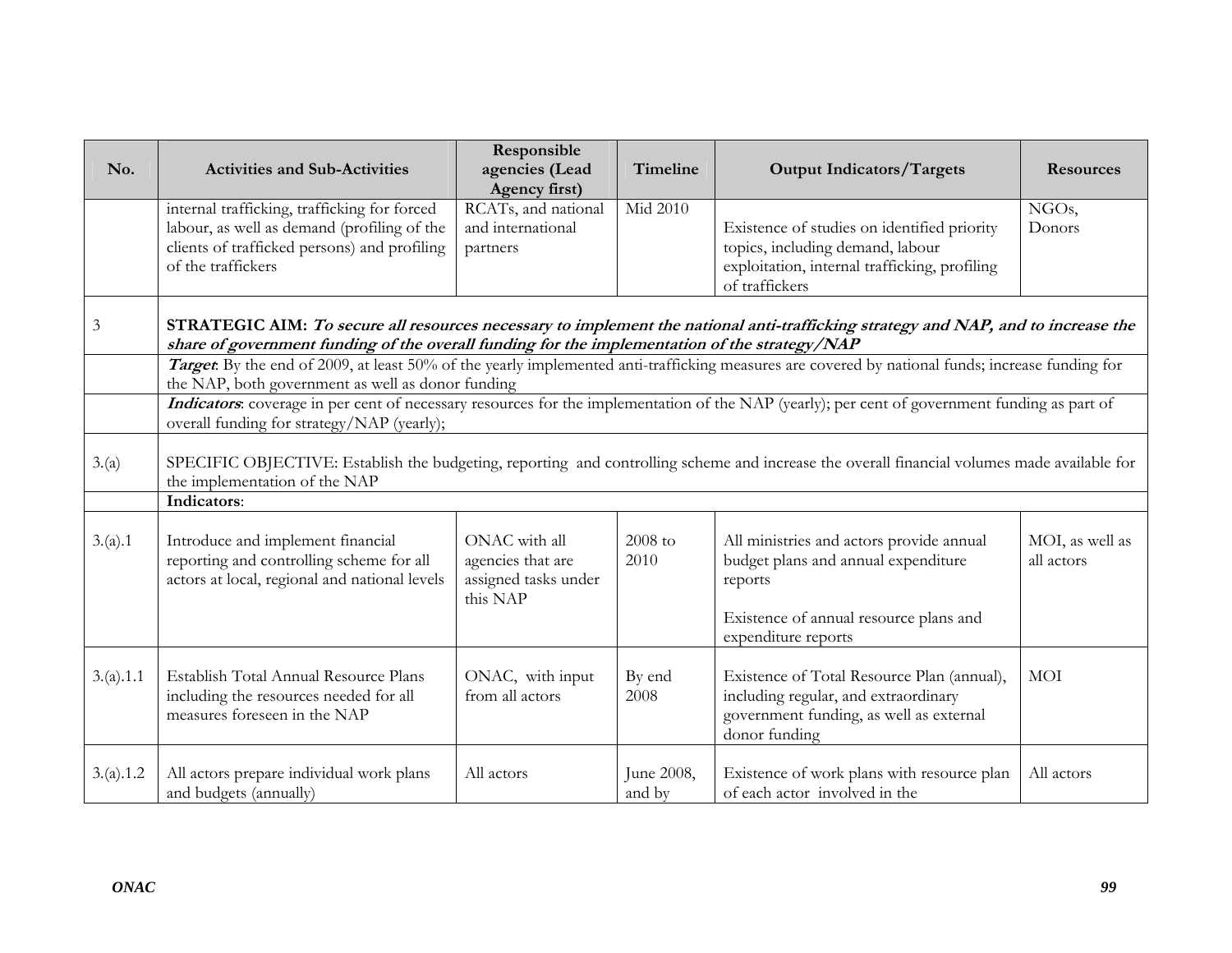| No.            | <b>Activities and Sub-Activities</b>                                                                                                                                                                                               | Responsible<br>agencies (Lead<br>Agency first)                         | Timeline             | <b>Output Indicators/Targets</b>                                                                                                                            | <b>Resources</b>              |  |
|----------------|------------------------------------------------------------------------------------------------------------------------------------------------------------------------------------------------------------------------------------|------------------------------------------------------------------------|----------------------|-------------------------------------------------------------------------------------------------------------------------------------------------------------|-------------------------------|--|
|                | internal trafficking, trafficking for forced<br>labour, as well as demand (profiling of the<br>clients of trafficked persons) and profiling<br>of the traffickers                                                                  | RCATs, and national<br>and international<br>partners                   | Mid 2010             | Existence of studies on identified priority<br>topics, including demand, labour<br>exploitation, internal trafficking, profiling<br>of traffickers          | NGOs,<br>Donors               |  |
| $\mathfrak{Z}$ | STRATEGIC AIM: To secure all resources necessary to implement the national anti-trafficking strategy and NAP, and to increase the<br>share of government funding of the overall funding for the implementation of the strategy/NAP |                                                                        |                      |                                                                                                                                                             |                               |  |
|                | the NAP, both government as well as donor funding                                                                                                                                                                                  |                                                                        |                      | Target. By the end of 2009, at least 50% of the yearly implemented anti-trafficking measures are covered by national funds; increase funding for            |                               |  |
|                | Indicators: coverage in per cent of necessary resources for the implementation of the NAP (yearly); per cent of government funding as part of<br>overall funding for strategy/NAP (yearly);                                        |                                                                        |                      |                                                                                                                                                             |                               |  |
| 3.(a)          | SPECIFIC OBJECTIVE: Establish the budgeting, reporting and controlling scheme and increase the overall financial volumes made available for<br>the implementation of the NAP                                                       |                                                                        |                      |                                                                                                                                                             |                               |  |
|                | Indicators:                                                                                                                                                                                                                        |                                                                        |                      |                                                                                                                                                             |                               |  |
| 3.(a).1        | Introduce and implement financial<br>reporting and controlling scheme for all<br>actors at local, regional and national levels                                                                                                     | ONAC with all<br>agencies that are<br>assigned tasks under<br>this NAP | 2008 to<br>2010      | All ministries and actors provide annual<br>budget plans and annual expenditure<br>reports<br>Existence of annual resource plans and<br>expenditure reports | MOI, as well as<br>all actors |  |
| 3.(a).1.1      | Establish Total Annual Resource Plans<br>including the resources needed for all<br>measures foreseen in the NAP                                                                                                                    | ONAC, with input<br>from all actors                                    | By end<br>2008       | Existence of Total Resource Plan (annual),<br>including regular, and extraordinary<br>government funding, as well as external<br>donor funding              | <b>MOI</b>                    |  |
| 3.(a).1.2      | All actors prepare individual work plans<br>and budgets (annually)                                                                                                                                                                 | All actors                                                             | June 2008,<br>and by | Existence of work plans with resource plan<br>of each actor involved in the                                                                                 | All actors                    |  |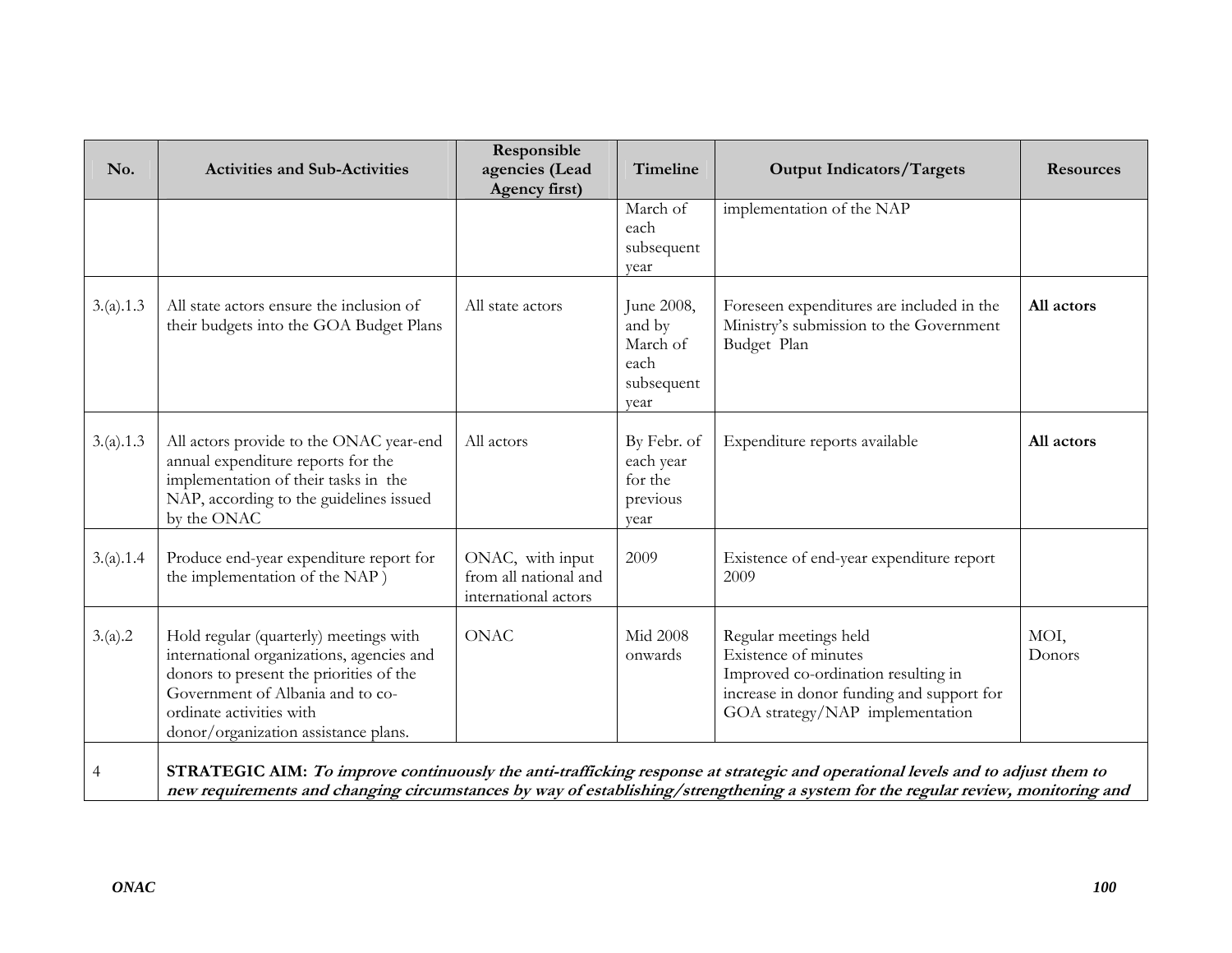| No.       | <b>Activities and Sub-Activities</b>                                                                                                                                                                                                   | Responsible<br>agencies (Lead<br>Agency first)                    | Timeline                                                       | <b>Output Indicators/Targets</b>                                                                                                                                                                                                                                   | <b>Resources</b> |
|-----------|----------------------------------------------------------------------------------------------------------------------------------------------------------------------------------------------------------------------------------------|-------------------------------------------------------------------|----------------------------------------------------------------|--------------------------------------------------------------------------------------------------------------------------------------------------------------------------------------------------------------------------------------------------------------------|------------------|
|           |                                                                                                                                                                                                                                        |                                                                   | March of<br>each<br>subsequent<br>year                         | implementation of the NAP                                                                                                                                                                                                                                          |                  |
| 3.(a).1.3 | All state actors ensure the inclusion of<br>their budgets into the GOA Budget Plans                                                                                                                                                    | All state actors                                                  | June 2008,<br>and by<br>March of<br>each<br>subsequent<br>year | Foreseen expenditures are included in the<br>Ministry's submission to the Government<br>Budget Plan                                                                                                                                                                | All actors       |
| 3.(a).1.3 | All actors provide to the ONAC year-end<br>annual expenditure reports for the<br>implementation of their tasks in the<br>NAP, according to the guidelines issued<br>by the ONAC                                                        | All actors                                                        | By Febr. of<br>each year<br>for the<br>previous<br>year        | Expenditure reports available                                                                                                                                                                                                                                      | All actors       |
| 3.(a).1.4 | Produce end-year expenditure report for<br>the implementation of the NAP)                                                                                                                                                              | ONAC, with input<br>from all national and<br>international actors | 2009                                                           | Existence of end-year expenditure report<br>2009                                                                                                                                                                                                                   |                  |
| 3.(a).2   | Hold regular (quarterly) meetings with<br>international organizations, agencies and<br>donors to present the priorities of the<br>Government of Albania and to co-<br>ordinate activities with<br>donor/organization assistance plans. | <b>ONAC</b>                                                       | <b>Mid 2008</b><br>onwards                                     | Regular meetings held<br>Existence of minutes<br>Improved co-ordination resulting in<br>increase in donor funding and support for<br>GOA strategy/NAP implementation                                                                                               | MOI,<br>Donors   |
| 4         |                                                                                                                                                                                                                                        |                                                                   |                                                                | STRATEGIC AIM: To improve continuously the anti-trafficking response at strategic and operational levels and to adjust them to<br>new requirements and changing circumstances by way of establishing/strengthening a system for the regular review, monitoring and |                  |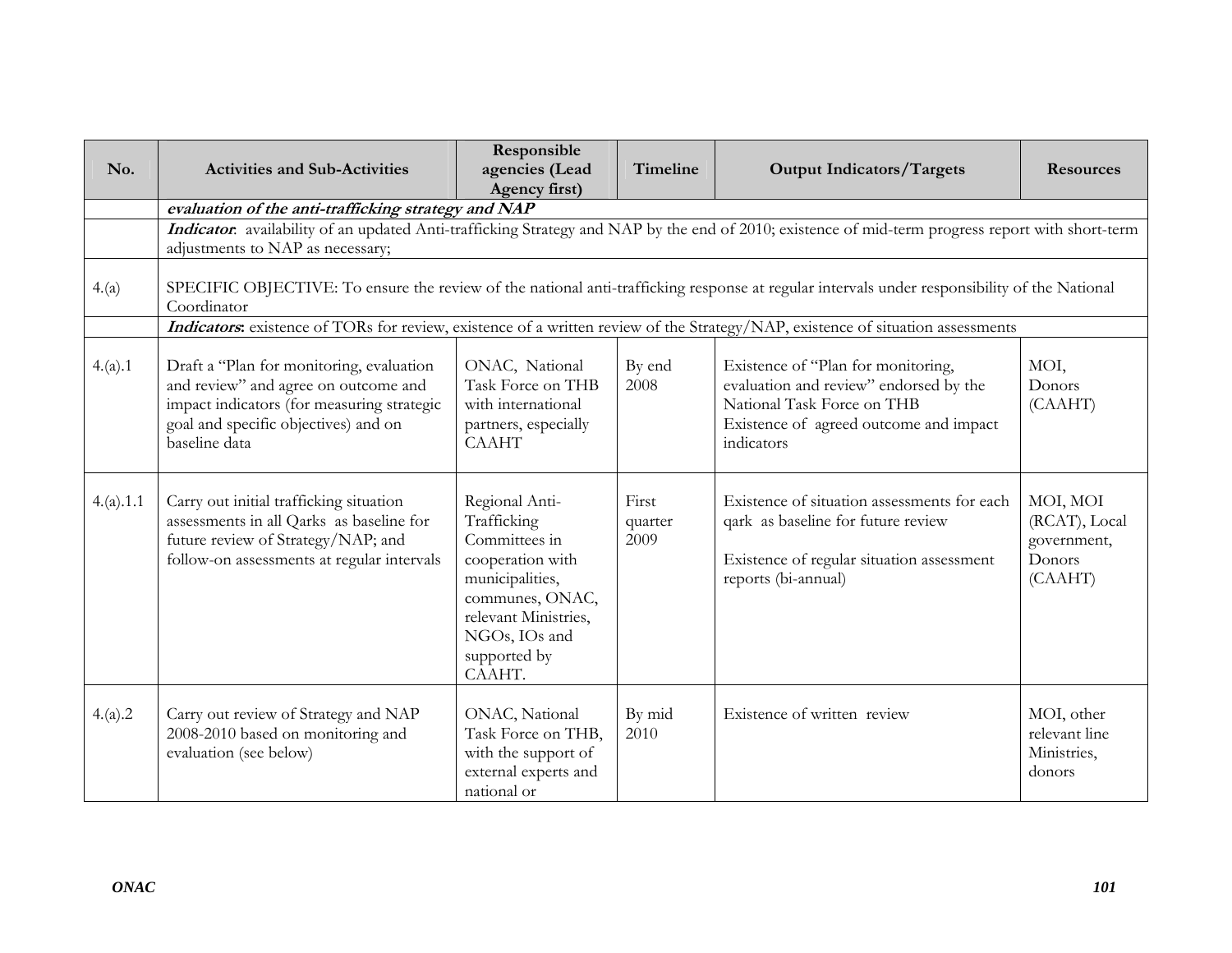| No.       | <b>Activities and Sub-Activities</b>                                                                                                                                                    | Responsible<br>agencies (Lead<br>Agency first)                                                                                                                              | Timeline                 | <b>Output Indicators/Targets</b>                                                                                                                                   | <b>Resources</b>                                              |
|-----------|-----------------------------------------------------------------------------------------------------------------------------------------------------------------------------------------|-----------------------------------------------------------------------------------------------------------------------------------------------------------------------------|--------------------------|--------------------------------------------------------------------------------------------------------------------------------------------------------------------|---------------------------------------------------------------|
|           | evaluation of the anti-trafficking strategy and NAP                                                                                                                                     |                                                                                                                                                                             |                          |                                                                                                                                                                    |                                                               |
|           | adjustments to NAP as necessary;                                                                                                                                                        |                                                                                                                                                                             |                          | Indicator. availability of an updated Anti-trafficking Strategy and NAP by the end of 2010; existence of mid-term progress report with short-term                  |                                                               |
| 4.(a)     | Coordinator                                                                                                                                                                             |                                                                                                                                                                             |                          | SPECIFIC OBJECTIVE: To ensure the review of the national anti-trafficking response at regular intervals under responsibility of the National                       |                                                               |
|           |                                                                                                                                                                                         |                                                                                                                                                                             |                          | Indicators: existence of TORs for review, existence of a written review of the Strategy/NAP, existence of situation assessments                                    |                                                               |
| 4.(a).1   | Draft a "Plan for monitoring, evaluation<br>and review" and agree on outcome and<br>impact indicators (for measuring strategic<br>goal and specific objectives) and on<br>baseline data | ONAC, National<br>Task Force on THB<br>with international<br>partners, especially<br><b>CAAHT</b>                                                                           | By end<br>2008           | Existence of "Plan for monitoring,<br>evaluation and review" endorsed by the<br>National Task Force on THB<br>Existence of agreed outcome and impact<br>indicators | MOI,<br>Donors<br>(CAAHT)                                     |
| 4.(a).1.1 | Carry out initial trafficking situation<br>assessments in all Qarks as baseline for<br>future review of Strategy/NAP; and<br>follow-on assessments at regular intervals                 | Regional Anti-<br>Trafficking<br>Committees in<br>cooperation with<br>municipalities,<br>communes, ONAC,<br>relevant Ministries,<br>NGOs, IOs and<br>supported by<br>CAAHT. | First<br>quarter<br>2009 | Existence of situation assessments for each<br>qark as baseline for future review<br>Existence of regular situation assessment<br>reports (bi-annual)              | MOI, MOI<br>(RCAT), Local<br>government,<br>Donors<br>(CAAHT) |
| 4.(a).2   | Carry out review of Strategy and NAP<br>2008-2010 based on monitoring and<br>evaluation (see below)                                                                                     | ONAC, National<br>Task Force on THB,<br>with the support of<br>external experts and<br>national or                                                                          | By mid<br>2010           | Existence of written review                                                                                                                                        | MOI, other<br>relevant line<br>Ministries,<br>donors          |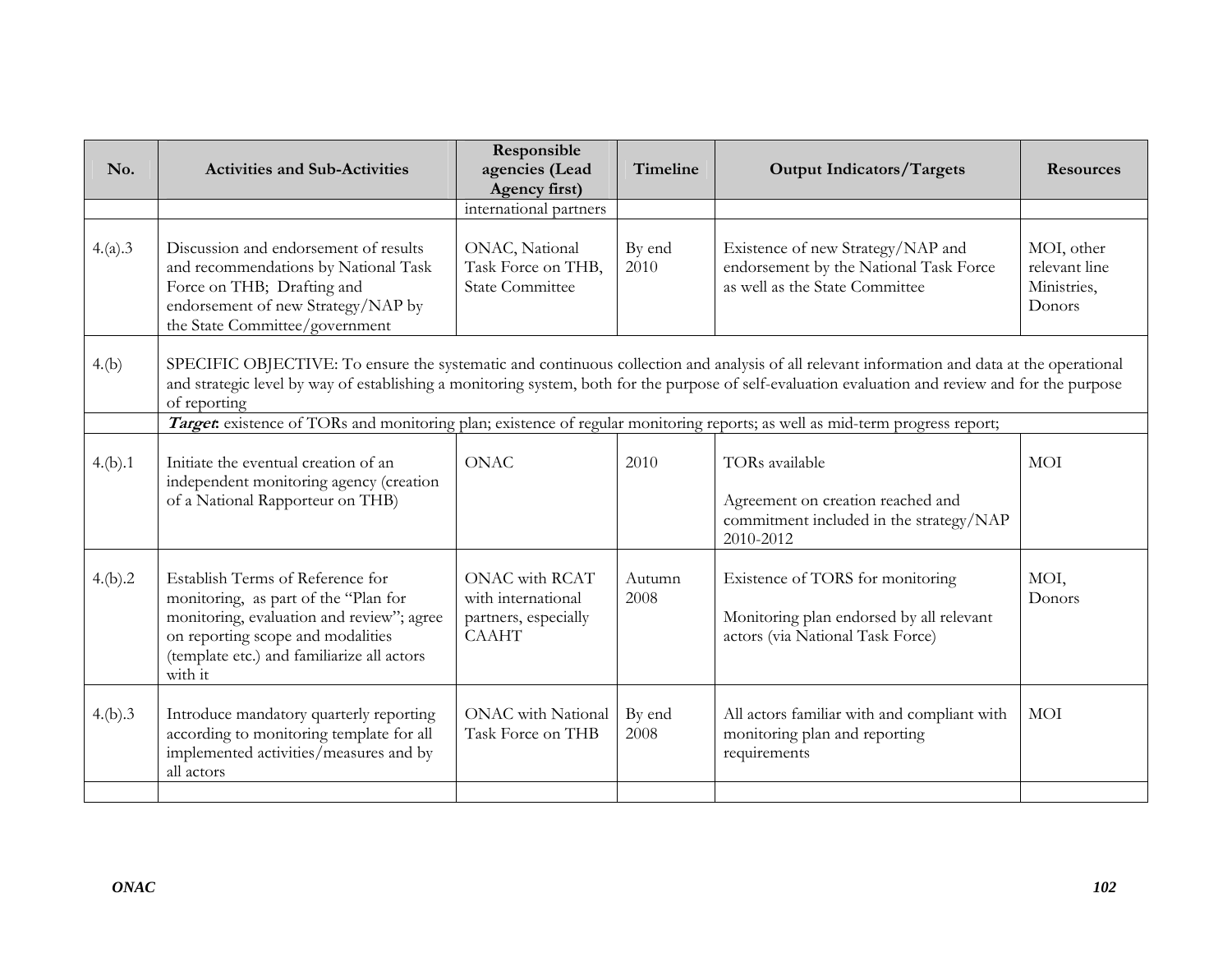| No.     | <b>Activities and Sub-Activities</b>                                                                                                                                                                                                                                                                             | Responsible<br>agencies (Lead<br>Agency first)                               | Timeline       | <b>Output Indicators/Targets</b>                                                                                 | <b>Resources</b>                                     |  |
|---------|------------------------------------------------------------------------------------------------------------------------------------------------------------------------------------------------------------------------------------------------------------------------------------------------------------------|------------------------------------------------------------------------------|----------------|------------------------------------------------------------------------------------------------------------------|------------------------------------------------------|--|
|         |                                                                                                                                                                                                                                                                                                                  | international partners                                                       |                |                                                                                                                  |                                                      |  |
| 4.(a).3 | Discussion and endorsement of results<br>and recommendations by National Task<br>Force on THB; Drafting and<br>endorsement of new Strategy/NAP by<br>the State Committee/government                                                                                                                              | ONAC, National<br>Task Force on THB,<br><b>State Committee</b>               | By end<br>2010 | Existence of new Strategy/NAP and<br>endorsement by the National Task Force<br>as well as the State Committee    | MOI, other<br>relevant line<br>Ministries,<br>Donors |  |
| 4.(b)   | SPECIFIC OBJECTIVE: To ensure the systematic and continuous collection and analysis of all relevant information and data at the operational<br>and strategic level by way of establishing a monitoring system, both for the purpose of self-evaluation evaluation and review and for the purpose<br>of reporting |                                                                              |                |                                                                                                                  |                                                      |  |
|         | Target: existence of TORs and monitoring plan; existence of regular monitoring reports; as well as mid-term progress report;                                                                                                                                                                                     |                                                                              |                |                                                                                                                  |                                                      |  |
| 4.(b).1 | Initiate the eventual creation of an<br>independent monitoring agency (creation<br>of a National Rapporteur on THB)                                                                                                                                                                                              | <b>ONAC</b>                                                                  | 2010           | TORs available<br>Agreement on creation reached and<br>commitment included in the strategy/NAP<br>2010-2012      | MOI                                                  |  |
| 4.(b).2 | Establish Terms of Reference for<br>monitoring, as part of the "Plan for<br>monitoring, evaluation and review"; agree<br>on reporting scope and modalities<br>(template etc.) and familiarize all actors<br>with it                                                                                              | ONAC with RCAT<br>with international<br>partners, especially<br><b>CAAHT</b> | Autumn<br>2008 | Existence of TORS for monitoring<br>Monitoring plan endorsed by all relevant<br>actors (via National Task Force) | MOI,<br>Donors                                       |  |
| 4.(b).3 | Introduce mandatory quarterly reporting<br>according to monitoring template for all<br>implemented activities/measures and by<br>all actors                                                                                                                                                                      | <b>ONAC</b> with National<br>Task Force on THB                               | By end<br>2008 | All actors familiar with and compliant with<br>monitoring plan and reporting<br>requirements                     | <b>MOI</b>                                           |  |
|         |                                                                                                                                                                                                                                                                                                                  |                                                                              |                |                                                                                                                  |                                                      |  |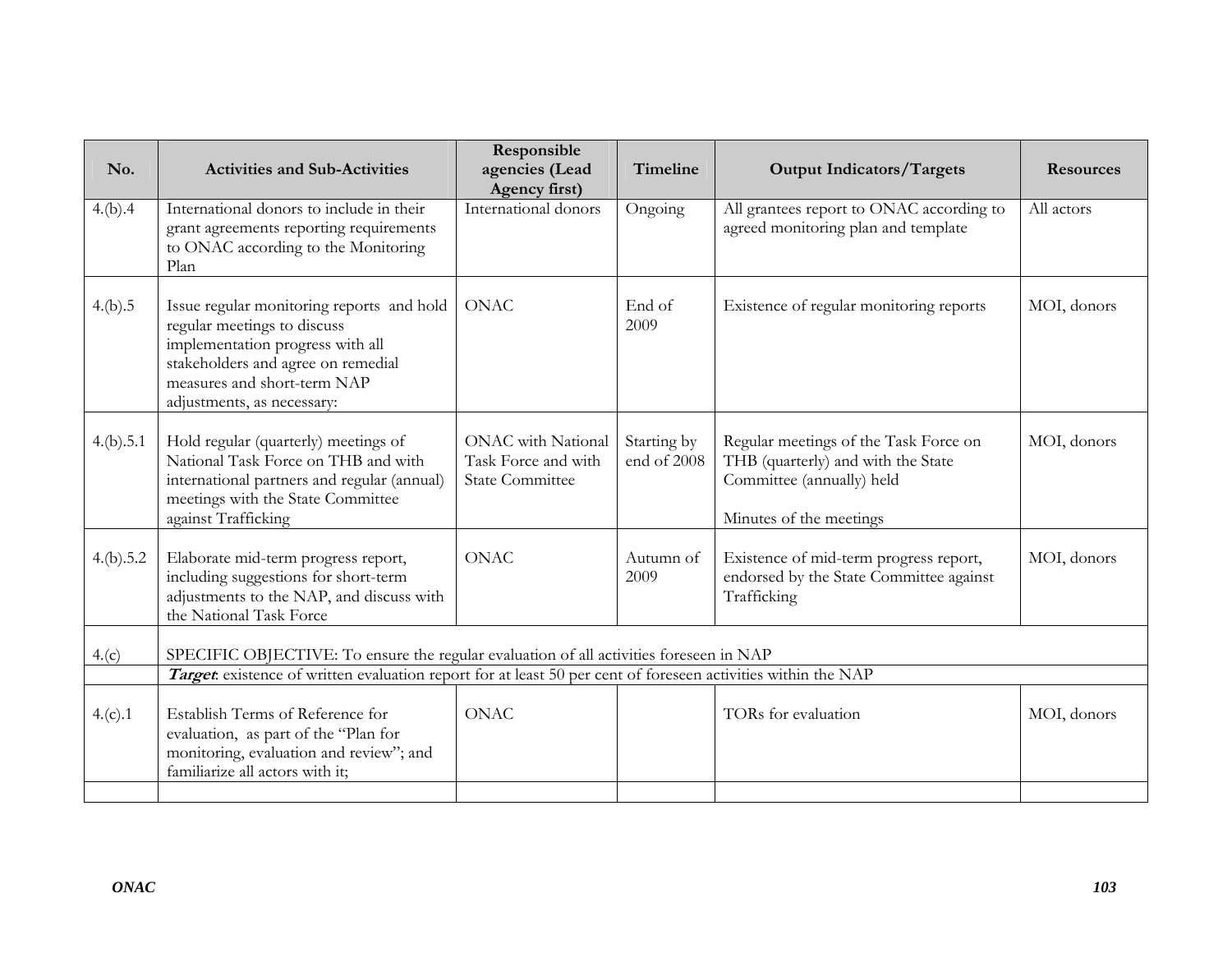| No.       | <b>Activities and Sub-Activities</b>                                                                                                                                                                            | Responsible<br>agencies (Lead<br>Agency first)                             | Timeline                   | <b>Output Indicators/Targets</b>                                                                                                    | <b>Resources</b> |
|-----------|-----------------------------------------------------------------------------------------------------------------------------------------------------------------------------------------------------------------|----------------------------------------------------------------------------|----------------------------|-------------------------------------------------------------------------------------------------------------------------------------|------------------|
| 4.(b).4   | International donors to include in their<br>grant agreements reporting requirements<br>to ONAC according to the Monitoring<br>Plan                                                                              | International donors                                                       | Ongoing                    | All grantees report to ONAC according to<br>agreed monitoring plan and template                                                     | All actors       |
| 4.(b).5   | Issue regular monitoring reports and hold<br>regular meetings to discuss<br>implementation progress with all<br>stakeholders and agree on remedial<br>measures and short-term NAP<br>adjustments, as necessary: | <b>ONAC</b>                                                                | End of<br>2009             | Existence of regular monitoring reports                                                                                             | MOI, donors      |
| 4.(b).5.1 | Hold regular (quarterly) meetings of<br>National Task Force on THB and with<br>international partners and regular (annual)<br>meetings with the State Committee<br>against Trafficking                          | <b>ONAC</b> with National<br>Task Force and with<br><b>State Committee</b> | Starting by<br>end of 2008 | Regular meetings of the Task Force on<br>THB (quarterly) and with the State<br>Committee (annually) held<br>Minutes of the meetings | MOI, donors      |
| 4.(b).5.2 | Elaborate mid-term progress report,<br>including suggestions for short-term<br>adjustments to the NAP, and discuss with<br>the National Task Force                                                              | <b>ONAC</b>                                                                | Autumn of<br>2009          | Existence of mid-term progress report,<br>endorsed by the State Committee against<br>Trafficking                                    | MOI, donors      |
| 4.(c)     | SPECIFIC OBJECTIVE: To ensure the regular evaluation of all activities foreseen in NAP                                                                                                                          |                                                                            |                            |                                                                                                                                     |                  |
|           | Target existence of written evaluation report for at least 50 per cent of foreseen activities within the NAP                                                                                                    |                                                                            |                            |                                                                                                                                     |                  |
| 4.(c).1   | Establish Terms of Reference for<br>evaluation, as part of the "Plan for<br>monitoring, evaluation and review"; and<br>familiarize all actors with it;                                                          | <b>ONAC</b>                                                                |                            | TORs for evaluation                                                                                                                 | MOI, donors      |
|           |                                                                                                                                                                                                                 |                                                                            |                            |                                                                                                                                     |                  |